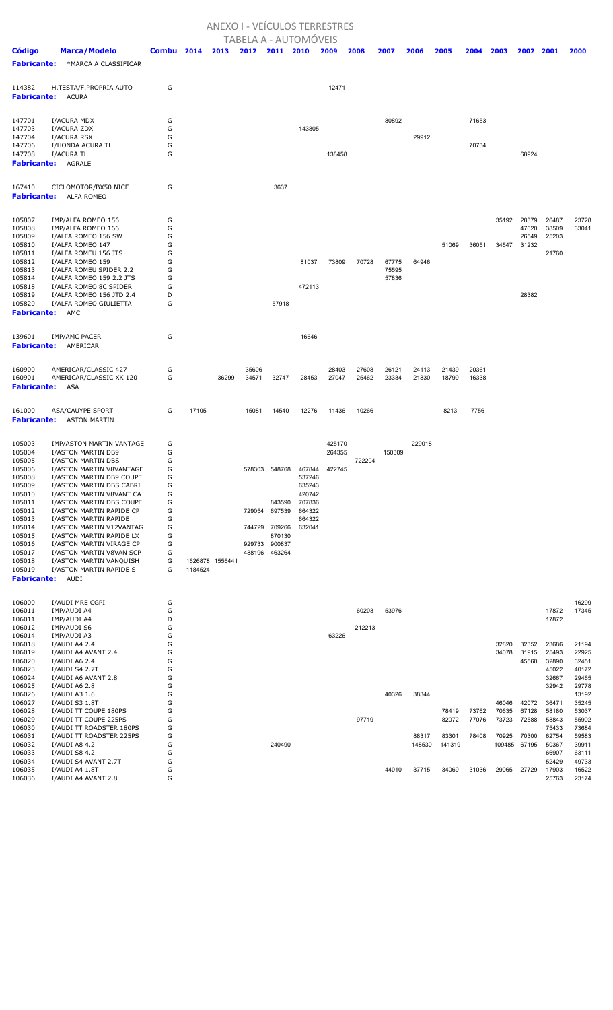## ANEXO I - VEÍCULOS TERRESTRES

|                              |                                                      |            |         |                 |        |               | TABELA A - AUTOMÓVEIS |        |        |                |        |        |       |                |                |                |                |
|------------------------------|------------------------------------------------------|------------|---------|-----------------|--------|---------------|-----------------------|--------|--------|----------------|--------|--------|-------|----------------|----------------|----------------|----------------|
| Código                       | <b>Marca/Modelo</b>                                  | Combu 2014 |         | 2013            | 2012   | 2011          | 2010                  | 2009   | 2008   | 2007           | 2006   | 2005   | 2004  | 2003           | 2002 2001      |                | 2000           |
| <b>Fabricante:</b>           | *MARCA A CLASSIFICAR                                 |            |         |                 |        |               |                       |        |        |                |        |        |       |                |                |                |                |
|                              |                                                      |            |         |                 |        |               |                       |        |        |                |        |        |       |                |                |                |                |
|                              |                                                      |            |         |                 |        |               |                       |        |        |                |        |        |       |                |                |                |                |
| 114382                       | H.TESTA/F.PROPRIA AUTO                               | G          |         |                 |        |               |                       | 12471  |        |                |        |        |       |                |                |                |                |
| <b>Fabricante:</b>           | ACURA                                                |            |         |                 |        |               |                       |        |        |                |        |        |       |                |                |                |                |
|                              |                                                      |            |         |                 |        |               |                       |        |        |                |        |        |       |                |                |                |                |
| 147701                       | I/ACURA MDX                                          | G          |         |                 |        |               |                       |        |        | 80892          |        |        | 71653 |                |                |                |                |
| 147703                       | I/ACURA ZDX                                          | G          |         |                 |        |               | 143805                |        |        |                |        |        |       |                |                |                |                |
| 147704<br>147706             | <b>I/ACURA RSX</b><br>I/HONDA ACURA TL               | G<br>G     |         |                 |        |               |                       |        |        |                | 29912  |        | 70734 |                |                |                |                |
| 147708                       | I/ACURA TL                                           | G          |         |                 |        |               |                       | 138458 |        |                |        |        |       |                | 68924          |                |                |
| <b>Fabricante:</b>           | AGRALE                                               |            |         |                 |        |               |                       |        |        |                |        |        |       |                |                |                |                |
|                              |                                                      |            |         |                 |        |               |                       |        |        |                |        |        |       |                |                |                |                |
| 167410                       | CICLOMOTOR/BX50 NICE                                 | G          |         |                 |        | 3637          |                       |        |        |                |        |        |       |                |                |                |                |
| <b>Fabricante:</b>           | ALFA ROMEO                                           |            |         |                 |        |               |                       |        |        |                |        |        |       |                |                |                |                |
|                              |                                                      |            |         |                 |        |               |                       |        |        |                |        |        |       |                |                |                |                |
|                              |                                                      |            |         |                 |        |               |                       |        |        |                |        |        |       |                |                |                |                |
| 105807<br>105808             | IMP/ALFA ROMEO 156<br>IMP/ALFA ROMEO 166             | G<br>G     |         |                 |        |               |                       |        |        |                |        |        |       | 35192          | 28379<br>47620 | 26487<br>38509 | 23728<br>33041 |
| 105809                       | I/ALFA ROMEO 156 SW                                  | G          |         |                 |        |               |                       |        |        |                |        |        |       |                | 26549          | 25203          |                |
| 105810                       | I/ALFA ROMEO 147                                     | G          |         |                 |        |               |                       |        |        |                |        | 51069  | 36051 | 34547          | 31232          |                |                |
| 105811                       | I/ALFA ROMEU 156 JTS                                 | G          |         |                 |        |               |                       |        |        |                |        |        |       |                |                | 21760          |                |
| 105812                       | I/ALFA ROMEO 159                                     | G          |         |                 |        |               | 81037                 | 73809  | 70728  | 67775          | 64946  |        |       |                |                |                |                |
| 105813<br>105814             | I/ALFA ROMEU SPIDER 2.2<br>I/ALFA ROMEO 159 2.2 JTS  | G<br>G     |         |                 |        |               |                       |        |        | 75595<br>57836 |        |        |       |                |                |                |                |
| 105818                       | I/ALFA ROMEO 8C SPIDER                               | G          |         |                 |        |               | 472113                |        |        |                |        |        |       |                |                |                |                |
| 105819                       | I/ALFA ROMEO 156 JTD 2.4                             | D          |         |                 |        |               |                       |        |        |                |        |        |       |                | 28382          |                |                |
| 105820                       | I/ALFA ROMEO GIULIETTA                               | G          |         |                 |        | 57918         |                       |        |        |                |        |        |       |                |                |                |                |
| <b>Fabricante:</b>           | AMC                                                  |            |         |                 |        |               |                       |        |        |                |        |        |       |                |                |                |                |
|                              |                                                      |            |         |                 |        |               |                       |        |        |                |        |        |       |                |                |                |                |
| 139601                       | <b>IMP/AMC PACER</b>                                 | G          |         |                 |        |               | 16646                 |        |        |                |        |        |       |                |                |                |                |
| <b>Fabricante:</b>           | AMERICAR                                             |            |         |                 |        |               |                       |        |        |                |        |        |       |                |                |                |                |
|                              |                                                      |            |         |                 |        |               |                       |        |        |                |        |        |       |                |                |                |                |
| 160900                       | AMERICAR/CLASSIC 427                                 | G          |         |                 | 35606  |               |                       | 28403  | 27608  | 26121          | 24113  | 21439  | 20361 |                |                |                |                |
| 160901                       | AMERICAR/CLASSIC XK 120                              | G          |         | 36299           | 34571  | 32747         | 28453                 | 27047  | 25462  | 23334          | 21830  | 18799  | 16338 |                |                |                |                |
| <b>Fabricante:</b>           | ASA                                                  |            |         |                 |        |               |                       |        |        |                |        |        |       |                |                |                |                |
|                              |                                                      |            |         |                 |        |               |                       |        |        |                |        |        |       |                |                |                |                |
| 161000                       | ASA/CAUYPE SPORT                                     | G          | 17105   |                 | 15081  | 14540         | 12276                 | 11436  | 10266  |                |        | 8213   | 7756  |                |                |                |                |
| <b>Fabricante:</b>           | ASTON MARTIN                                         |            |         |                 |        |               |                       |        |        |                |        |        |       |                |                |                |                |
|                              |                                                      |            |         |                 |        |               |                       |        |        |                |        |        |       |                |                |                |                |
| 105003                       | IMP/ASTON MARTIN VANTAGE                             | G          |         |                 |        |               |                       | 425170 |        |                | 229018 |        |       |                |                |                |                |
| 105004                       | I/ASTON MARTIN DB9                                   | G          |         |                 |        |               |                       | 264355 |        | 150309         |        |        |       |                |                |                |                |
| 105005                       | I/ASTON MARTIN DBS                                   | G          |         |                 |        |               |                       |        | 722204 |                |        |        |       |                |                |                |                |
| 105006                       | I/ASTON MARTIN V8VANTAGE                             | G<br>G     |         |                 |        | 578303 548768 | 467844                | 422745 |        |                |        |        |       |                |                |                |                |
| 105008<br>105009             | I/ASTON MARTIN DB9 COUPE<br>I/ASTON MARTIN DBS CABRI | G          |         |                 |        |               | 537246<br>635243      |        |        |                |        |        |       |                |                |                |                |
| 105010                       | I/ASTON MARTIN V8VANT CA                             | G          |         |                 |        |               | 420742                |        |        |                |        |        |       |                |                |                |                |
| 105011                       | I/ASTON MARTIN DBS COUPE                             | G          |         |                 |        | 843590        | 707836                |        |        |                |        |        |       |                |                |                |                |
| 105012                       | I/ASTON MARTIN RAPIDE CP                             | G          |         |                 | 729054 | 697539        | 664322                |        |        |                |        |        |       |                |                |                |                |
| 105013<br>105014             | I/ASTON MARTIN RAPIDE<br>I/ASTON MARTIN V12VANTAG    | G<br>G     |         |                 |        | 744729 709266 | 664322<br>632041      |        |        |                |        |        |       |                |                |                |                |
| 105015                       | I/ASTON MARTIN RAPIDE LX                             | G          |         |                 |        | 870130        |                       |        |        |                |        |        |       |                |                |                |                |
| 105016                       | I/ASTON MARTIN VIRAGE CP                             | G          |         |                 | 929733 | 900837        |                       |        |        |                |        |        |       |                |                |                |                |
| 105017                       | I/ASTON MARTIN V8VAN SCP                             | G          |         |                 | 488196 | 463264        |                       |        |        |                |        |        |       |                |                |                |                |
| 105018                       | I/ASTON MARTIN VANQUISH<br>I/ASTON MARTIN RAPIDE S   | G          |         | 1626878 1556441 |        |               |                       |        |        |                |        |        |       |                |                |                |                |
| 105019<br><b>Fabricante:</b> | AUDI                                                 | G          | 1184524 |                 |        |               |                       |        |        |                |        |        |       |                |                |                |                |
|                              |                                                      |            |         |                 |        |               |                       |        |        |                |        |        |       |                |                |                |                |
|                              |                                                      |            |         |                 |        |               |                       |        |        |                |        |        |       |                |                |                |                |
| 106000<br>106011             | I/AUDI MRE CGPI<br>IMP/AUDI A4                       | G<br>G     |         |                 |        |               |                       |        | 60203  | 53976          |        |        |       |                |                | 17872          | 16299<br>17345 |
| 106011                       | IMP/AUDI A4                                          | D          |         |                 |        |               |                       |        |        |                |        |        |       |                |                | 17872          |                |
| 106012                       | IMP/AUDI S6                                          | G          |         |                 |        |               |                       |        | 212213 |                |        |        |       |                |                |                |                |
| 106014                       | IMP/AUDI A3                                          | G          |         |                 |        |               |                       | 63226  |        |                |        |        |       |                |                |                |                |
| 106018                       | I/AUDI A4 2.4                                        | G          |         |                 |        |               |                       |        |        |                |        |        |       | 32820          | 32352          | 23686          | 21194          |
| 106019                       | I/AUDI A4 AVANT 2.4                                  | G          |         |                 |        |               |                       |        |        |                |        |        |       | 34078          | 31915          | 25493          | 22925          |
| 106020<br>106023             | I/AUDI A6 2.4<br>I/AUDI S4 2.7T                      | G<br>G     |         |                 |        |               |                       |        |        |                |        |        |       |                | 45560          | 32890<br>45022 | 32451<br>40172 |
| 106024                       | I/AUDI A6 AVANT 2.8                                  | G          |         |                 |        |               |                       |        |        |                |        |        |       |                |                | 32667          | 29465          |
| 106025                       | I/AUDI A6 2.8                                        | G          |         |                 |        |               |                       |        |        |                |        |        |       |                |                | 32942          | 29778          |
| 106026                       | I/AUDI A3 1.6                                        | G          |         |                 |        |               |                       |        |        | 40326          | 38344  |        |       |                |                |                | 13192          |
| 106027<br>106028             | I/AUDI S3 1.8T<br>I/AUDI TT COUPE 180PS              | G<br>G     |         |                 |        |               |                       |        |        |                |        | 78419  | 73762 | 46046<br>70635 | 42072<br>67128 | 36471<br>58180 | 35245<br>53037 |
| 106029                       | I/AUDI TT COUPE 225PS                                | G          |         |                 |        |               |                       |        | 97719  |                |        | 82072  | 77076 | 73723          | 72588          | 58843          | 55902          |
| 106030                       | I/AUDI TT ROADSTER 180PS                             | G          |         |                 |        |               |                       |        |        |                |        |        |       |                |                | 75433          | 73684          |
| 106031                       | I/AUDI TT ROADSTER 225PS                             | G          |         |                 |        |               |                       |        |        |                | 88317  | 83301  | 78408 | 70925          | 70300          | 62754          | 59583          |
| 106032                       | I/AUDI A8 4.2                                        | G          |         |                 |        | 240490        |                       |        |        |                | 148530 | 141319 |       |                | 109485 67195   | 50367          | 39911          |
| 106033<br>106034             | I/AUDI S8 4.2<br>I/AUDI S4 AVANT 2.7T                | G<br>G     |         |                 |        |               |                       |        |        |                |        |        |       |                |                | 66907<br>52429 | 63111<br>49733 |
| 106035                       | I/AUDI A4 1.8T                                       | G          |         |                 |        |               |                       |        |        | 44010          | 37715  | 34069  | 31036 | 29065          | 27729          | 17903          | 16522          |
| 106036                       | I/AUDI A4 AVANT 2.8                                  | G          |         |                 |        |               |                       |        |        |                |        |        |       |                |                | 25763          | 23174          |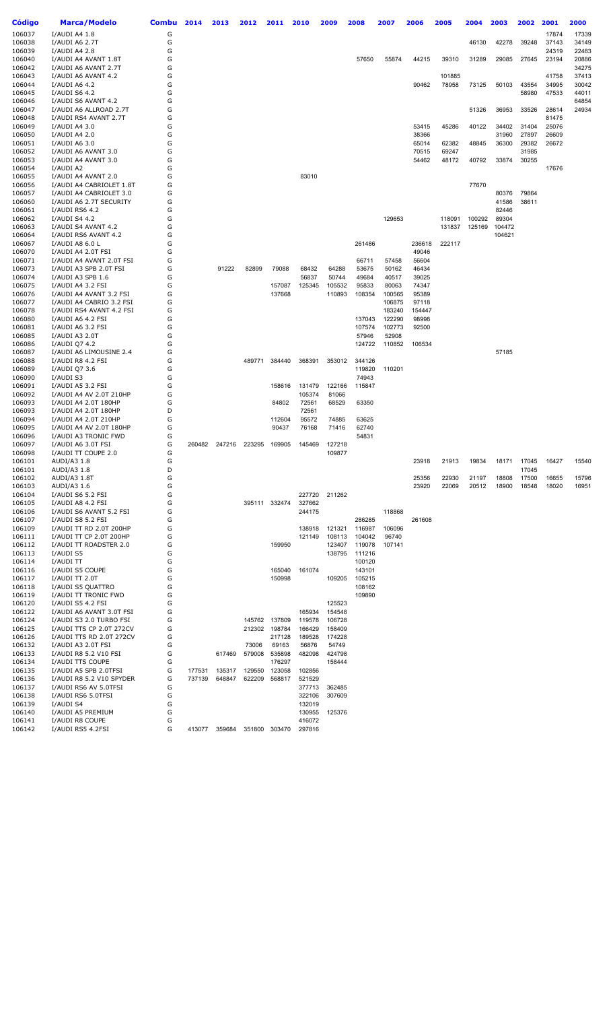| Código           | <b>Marca/Modelo</b>                       | Combu  | 2014   | 2013   | 2012          | 2011          | 2010   | 2009   | 2008             | 2007   | 2006   | 2005             | 2004             | 2003            | 2002           | 2001           | 2000  |
|------------------|-------------------------------------------|--------|--------|--------|---------------|---------------|--------|--------|------------------|--------|--------|------------------|------------------|-----------------|----------------|----------------|-------|
| 106037           | I/AUDI A4 1.8                             | G      |        |        |               |               |        |        |                  |        |        |                  |                  |                 |                | 17874          | 17339 |
| 106038           | I/AUDI A6 2.7T                            | G      |        |        |               |               |        |        |                  |        |        |                  | 46130            | 42278           | 39248          | 37143          | 34149 |
| 106039           | I/AUDI A4 2.8                             | G      |        |        |               |               |        |        |                  |        |        |                  |                  |                 |                | 24319          | 22483 |
| 106040           | I/AUDI A4 AVANT 1.8T                      | G      |        |        |               |               |        |        | 57650            | 55874  | 44215  | 39310            | 31289            | 29085           | 27645          | 23194          | 20886 |
| 106042           | I/AUDI A6 AVANT 2.7T                      | G      |        |        |               |               |        |        |                  |        |        |                  |                  |                 |                |                | 34275 |
| 106043           | I/AUDI A6 AVANT 4.2                       | G      |        |        |               |               |        |        |                  |        |        | 101885           |                  |                 |                | 41758          | 37413 |
| 106044           | I/AUDI A6 4.2                             | G      |        |        |               |               |        |        |                  |        | 90462  | 78958            | 73125            | 50103           | 43554          | 34995          | 30042 |
| 106045           | I/AUDI S6 4.2                             | G      |        |        |               |               |        |        |                  |        |        |                  |                  |                 | 58980          | 47533          | 44011 |
| 106046           | I/AUDI S6 AVANT 4.2                       | G      |        |        |               |               |        |        |                  |        |        |                  |                  |                 |                |                | 64854 |
| 106047           | I/AUDI A6 ALLROAD 2.7T                    | G      |        |        |               |               |        |        |                  |        |        |                  | 51326            | 36953           | 33526          | 28614          | 24934 |
| 106048<br>106049 | I/AUDI RS4 AVANT 2.7T<br>I/AUDI A4 3.0    | G<br>G |        |        |               |               |        |        |                  |        | 53415  | 45286            | 40122            | 34402           | 31404          | 81475<br>25076 |       |
| 106050           | I/AUDI A4 2.0                             | G      |        |        |               |               |        |        |                  |        | 38366  |                  |                  | 31960           | 27897          | 26609          |       |
| 106051           | I/AUDI A6 3.0                             | G      |        |        |               |               |        |        |                  |        | 65014  | 62382            | 48845            | 36300           | 29382          | 26672          |       |
| 106052           | I/AUDI A6 AVANT 3.0                       | G      |        |        |               |               |        |        |                  |        | 70515  | 69247            |                  |                 | 31985          |                |       |
| 106053           | I/AUDI A4 AVANT 3.0                       | G      |        |        |               |               |        |        |                  |        | 54462  | 48172            | 40792            | 33874           | 30255          |                |       |
| 106054           | I/AUDI A2                                 | G      |        |        |               |               |        |        |                  |        |        |                  |                  |                 |                | 17676          |       |
| 106055           | I/AUDI A4 AVANT 2.0                       | G      |        |        |               |               | 83010  |        |                  |        |        |                  |                  |                 |                |                |       |
| 106056           | I/AUDI A4 CABRIOLET 1.8T                  | G      |        |        |               |               |        |        |                  |        |        |                  | 77670            |                 |                |                |       |
| 106057           | I/AUDI A4 CABRIOLET 3.0                   | G      |        |        |               |               |        |        |                  |        |        |                  |                  | 80376           | 79864          |                |       |
| 106060           | I/AUDI A6 2.7T SECURITY                   | G      |        |        |               |               |        |        |                  |        |        |                  |                  | 41586           | 38611          |                |       |
| 106061           | I/AUDI RS6 4.2                            | G<br>G |        |        |               |               |        |        |                  |        |        |                  |                  | 82446           |                |                |       |
| 106062<br>106063 | I/AUDI S4 4.2<br>I/AUDI S4 AVANT 4.2      | G      |        |        |               |               |        |        |                  | 129653 |        | 118091<br>131837 | 100292<br>125169 | 89304<br>104472 |                |                |       |
| 106064           | I/AUDI RS6 AVANT 4.2                      | G      |        |        |               |               |        |        |                  |        |        |                  |                  | 104621          |                |                |       |
| 106067           | I/AUDI A8 6.0 L                           | G      |        |        |               |               |        |        | 261486           |        | 236618 | 222117           |                  |                 |                |                |       |
| 106070           | I/AUDI A4 2.0T FSI                        | G      |        |        |               |               |        |        |                  |        | 49046  |                  |                  |                 |                |                |       |
| 106071           | I/AUDI A4 AVANT 2.0T FSI                  | G      |        |        |               |               |        |        | 66711            | 57458  | 56604  |                  |                  |                 |                |                |       |
| 106073           | I/AUDI A3 SPB 2.0T FSI                    | G      |        | 91222  | 82899         | 79088         | 68432  | 64288  | 53675            | 50162  | 46434  |                  |                  |                 |                |                |       |
| 106074           | I/AUDI A3 SPB 1.6                         | G      |        |        |               |               | 56837  | 50744  | 49684            | 40517  | 39025  |                  |                  |                 |                |                |       |
| 106075           | I/AUDI A4 3.2 FSI                         | G      |        |        |               | 157087        | 125345 | 105532 | 95833            | 80063  | 74347  |                  |                  |                 |                |                |       |
| 106076           | I/AUDI A4 AVANT 3.2 FSI                   | G      |        |        |               | 137668        |        | 110893 | 108354           | 100565 | 95389  |                  |                  |                 |                |                |       |
| 106077           | I/AUDI A4 CABRIO 3.2 FSI                  | G      |        |        |               |               |        |        |                  | 106875 | 97118  |                  |                  |                 |                |                |       |
| 106078           | I/AUDI RS4 AVANT 4.2 FSI                  | G      |        |        |               |               |        |        |                  | 183240 | 154447 |                  |                  |                 |                |                |       |
| 106080           | I/AUDI A6 4.2 FSI                         | G      |        |        |               |               |        |        | 137043           | 122290 | 98998  |                  |                  |                 |                |                |       |
| 106081           | I/AUDI A6 3.2 FSI                         | G      |        |        |               |               |        |        | 107574           | 102773 | 92500  |                  |                  |                 |                |                |       |
| 106085           | I/AUDI A3 2.0T                            | G<br>G |        |        |               |               |        |        | 57946            | 52908  |        |                  |                  |                 |                |                |       |
| 106086<br>106087 | I/AUDI Q7 4.2<br>I/AUDI A6 LIMOUSINE 2.4  | G      |        |        |               |               |        |        | 124722           | 110852 | 106534 |                  |                  | 57185           |                |                |       |
| 106088           | I/AUDI R8 4.2 FSI                         | G      |        |        | 489771        | 384440        | 368391 | 353012 | 344126           |        |        |                  |                  |                 |                |                |       |
| 106089           | I/AUDI Q7 3.6                             | G      |        |        |               |               |        |        | 119820           | 110201 |        |                  |                  |                 |                |                |       |
| 106090           | I/AUDI S3                                 | G      |        |        |               |               |        |        | 74943            |        |        |                  |                  |                 |                |                |       |
| 106091           | I/AUDI A5 3.2 FSI                         | G      |        |        |               | 158616        | 131479 | 122166 | 115847           |        |        |                  |                  |                 |                |                |       |
| 106092           | I/AUDI A4 AV 2.0T 210HP                   | G      |        |        |               |               | 105374 | 81066  |                  |        |        |                  |                  |                 |                |                |       |
| 106093           | I/AUDI A4 2.0T 180HP                      | G      |        |        |               | 84802         | 72561  | 68529  | 63350            |        |        |                  |                  |                 |                |                |       |
| 106093           | I/AUDI A4 2.0T 180HP                      | D      |        |        |               |               | 72561  |        |                  |        |        |                  |                  |                 |                |                |       |
| 106094           | I/AUDI A4 2.0T 210HP                      | G      |        |        |               | 112604        | 95572  | 74885  | 63625            |        |        |                  |                  |                 |                |                |       |
| 106095           | I/AUDI A4 AV 2.0T 180HP                   | G      |        |        |               | 90437         | 76168  | 71416  | 62740            |        |        |                  |                  |                 |                |                |       |
| 106096           | I/AUDI A3 TRONIC FWD                      | G      |        |        |               |               |        |        | 54831            |        |        |                  |                  |                 |                |                |       |
| 106097           | I/AUDI A6 3.0T FSI                        | G      | 260482 | 247216 | 223295        | 169905        | 145469 | 127218 |                  |        |        |                  |                  |                 |                |                |       |
| 106098           | I/AUDI TT COUPE 2.0                       | G      |        |        |               |               |        | 109877 |                  |        |        |                  |                  |                 |                |                |       |
| 106101           | AUDI/A3 1.8<br>AUDI/A3 1.8                | G<br>D |        |        |               |               |        |        |                  |        | 23918  | 21913            | 19834            | 18171           | 17045          | 16427          | 15540 |
| 106101<br>106102 | AUDI/A3 1.8T                              | G      |        |        |               |               |        |        |                  |        | 25356  | 22930            | 21197            | 18808           | 17045<br>17500 | 16655          | 15796 |
| 106103           | AUDI/A3 1.6                               | G      |        |        |               |               |        |        |                  |        | 23920  | 22069            | 20512            | 18900           | 18548          | 18020          | 16951 |
| 106104           | I/AUDI S6 5.2 FSI                         | G      |        |        |               |               | 227720 | 211262 |                  |        |        |                  |                  |                 |                |                |       |
| 106105           | I/AUDI A8 4.2 FSI                         | G      |        |        |               | 395111 332474 | 327662 |        |                  |        |        |                  |                  |                 |                |                |       |
| 106106           | I/AUDI S6 AVANT 5.2 FSI                   | G      |        |        |               |               | 244175 |        |                  | 118868 |        |                  |                  |                 |                |                |       |
| 106107           | I/AUDI S8 5.2 FSI                         | G      |        |        |               |               |        |        | 286285           |        | 261608 |                  |                  |                 |                |                |       |
| 106109           | I/AUDI TT RD 2.0T 200HP                   | G      |        |        |               |               | 138918 | 121321 | 116987           | 106096 |        |                  |                  |                 |                |                |       |
| 106111           | I/AUDI TT CP 2.0T 200HP                   | G      |        |        |               |               | 121149 | 108113 | 104042           | 96740  |        |                  |                  |                 |                |                |       |
| 106112           | I/AUDI TT ROADSTER 2.0                    | G      |        |        |               | 159950        |        | 123407 | 119078           | 107141 |        |                  |                  |                 |                |                |       |
| 106113           | I/AUDI S5                                 | G      |        |        |               |               |        | 138795 | 111216           |        |        |                  |                  |                 |                |                |       |
| 106114           | I/AUDI TT                                 | G      |        |        |               |               |        |        | 100120           |        |        |                  |                  |                 |                |                |       |
| 106116           | I/AUDI S5 COUPE                           | G      |        |        |               | 165040        | 161074 |        | 143101           |        |        |                  |                  |                 |                |                |       |
| 106117           | I/AUDI TT 2.0T                            | G      |        |        |               | 150998        |        | 109205 | 105215           |        |        |                  |                  |                 |                |                |       |
| 106118<br>106119 | I/AUDI S5 QUATTRO<br>I/AUDI TT TRONIC FWD | G<br>G |        |        |               |               |        |        | 108162<br>109890 |        |        |                  |                  |                 |                |                |       |
| 106120           | I/AUDI S5 4.2 FSI                         | G      |        |        |               |               |        | 125523 |                  |        |        |                  |                  |                 |                |                |       |
| 106122           | I/AUDI A6 AVANT 3.0T FSI                  | G      |        |        |               |               | 165934 | 154548 |                  |        |        |                  |                  |                 |                |                |       |
| 106124           | I/AUDI S3 2.0 TURBO FSI                   | G      |        |        |               | 145762 137809 | 119578 | 106728 |                  |        |        |                  |                  |                 |                |                |       |
| 106125           | I/AUDI TTS CP 2.0T 272CV                  | G      |        |        | 212302        | 198784        | 166429 | 158409 |                  |        |        |                  |                  |                 |                |                |       |
| 106126           | I/AUDI TTS RD 2.0T 272CV                  | G      |        |        |               | 217128        | 189528 | 174228 |                  |        |        |                  |                  |                 |                |                |       |
| 106132           | I/AUDI A3 2.0T FSI                        | G      |        |        | 73006         | 69163         | 56876  | 54749  |                  |        |        |                  |                  |                 |                |                |       |
| 106133           | I/AUDI R8 5.2 V10 FSI                     | G      |        | 617469 | 579008        | 535898        | 482098 | 424798 |                  |        |        |                  |                  |                 |                |                |       |
| 106134           | I/AUDI TTS COUPE                          | G      |        |        |               | 176297        |        | 158444 |                  |        |        |                  |                  |                 |                |                |       |
| 106135           | I/AUDI A5 SPB 2.0TFSI                     | G      | 177531 | 135317 | 129550        | 123058        | 102856 |        |                  |        |        |                  |                  |                 |                |                |       |
| 106136           | I/AUDI R8 5.2 V10 SPYDER                  | G      | 737139 | 648847 | 622209        | 568817        | 521529 |        |                  |        |        |                  |                  |                 |                |                |       |
| 106137           | I/AUDI RS6 AV 5.0TFSI                     | G      |        |        |               |               | 377713 | 362485 |                  |        |        |                  |                  |                 |                |                |       |
| 106138           | I/AUDI RS6 5.0TFSI                        | G      |        |        |               |               | 322106 | 307609 |                  |        |        |                  |                  |                 |                |                |       |
| 106139           | I/AUDI S4                                 | G      |        |        |               |               | 132019 |        |                  |        |        |                  |                  |                 |                |                |       |
| 106140           | I/AUDI A5 PREMIUM                         | G      |        |        |               |               | 130955 | 125376 |                  |        |        |                  |                  |                 |                |                |       |
| 106141           | I/AUDI R8 COUPE                           | G      |        |        |               |               | 416072 |        |                  |        |        |                  |                  |                 |                |                |       |
| 106142           | I/AUDI RS5 4.2FSI                         | G      | 413077 | 359684 | 351800 303470 |               | 297816 |        |                  |        |        |                  |                  |                 |                |                |       |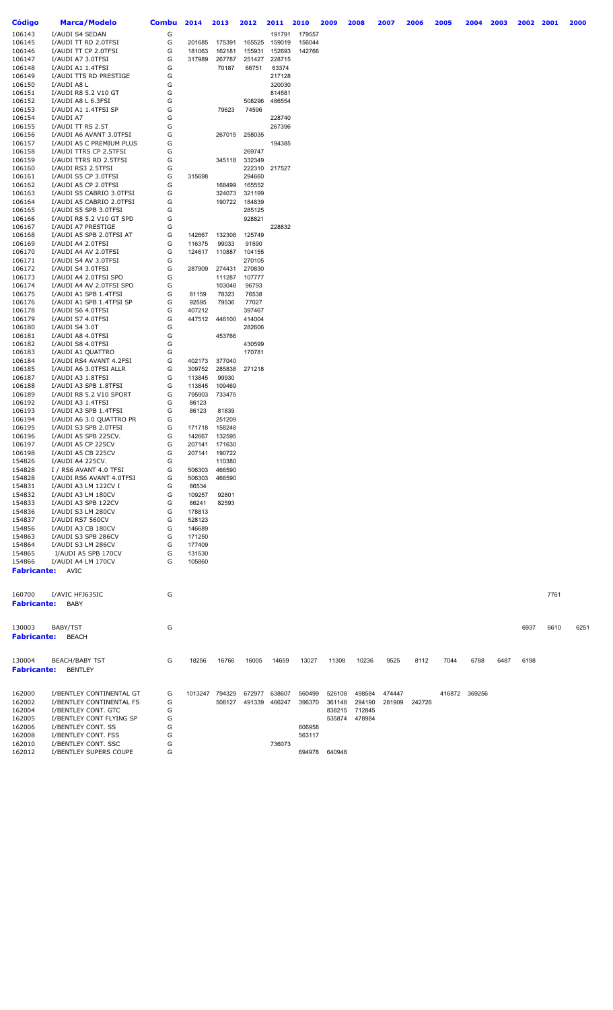| <b>Código</b>      | <b>Marca/Modelo</b>                              | <b>Combu</b> | 2014             | 2013             | 2012             | 2011             | 2010             | 2009   | 2008   | 2007   | 2006   | 2005          | 2004 | 2003 | 2002 | 2001 | 2000 |
|--------------------|--------------------------------------------------|--------------|------------------|------------------|------------------|------------------|------------------|--------|--------|--------|--------|---------------|------|------|------|------|------|
| 106143             | I/AUDI S4 SEDAN                                  | G            |                  |                  |                  | 191791           | 179557           |        |        |        |        |               |      |      |      |      |      |
| 106145             | I/AUDI TT RD 2.0TFSI                             | G            | 201685           | 175391           | 165525           | 159019           | 156044           |        |        |        |        |               |      |      |      |      |      |
| 106146             | I/AUDI TT CP 2.0TFSI                             | G            | 181063           | 162181           | 155931           | 152693           | 142766           |        |        |        |        |               |      |      |      |      |      |
| 106147             | I/AUDI A7 3.0TFSI                                | G            | 317989           | 267787           | 251427           | 228715           |                  |        |        |        |        |               |      |      |      |      |      |
| 106148             | I/AUDI A1 1.4TFSI                                | G            |                  | 70187            | 66751            | 63374            |                  |        |        |        |        |               |      |      |      |      |      |
| 106149             | I/AUDI TTS RD PRESTIGE                           | G            |                  |                  |                  | 217128           |                  |        |        |        |        |               |      |      |      |      |      |
| 106150             | I/AUDI A8 L                                      | G            |                  |                  |                  | 320030           |                  |        |        |        |        |               |      |      |      |      |      |
| 106151<br>106152   | I/AUDI R8 5.2 V10 GT<br>I/AUDI A8 L 6.3FSI       | G<br>G       |                  |                  | 508296           | 814581<br>486554 |                  |        |        |        |        |               |      |      |      |      |      |
| 106153             | I/AUDI A1 1.4TFSI SP                             | G            |                  | 79623            | 74596            |                  |                  |        |        |        |        |               |      |      |      |      |      |
| 106154             | I/AUDI A7                                        | G            |                  |                  |                  | 228740           |                  |        |        |        |        |               |      |      |      |      |      |
| 106155             | I/AUDI TT RS 2.5T                                | G            |                  |                  |                  | 267396           |                  |        |        |        |        |               |      |      |      |      |      |
| 106156             | I/AUDI A6 AVANT 3.0TFSI                          | G            |                  | 267015           | 258035           |                  |                  |        |        |        |        |               |      |      |      |      |      |
| 106157             | I/AUDI A5 C PREMIUM PLUS                         | G            |                  |                  |                  | 194385           |                  |        |        |        |        |               |      |      |      |      |      |
| 106158             | I/AUDI TTRS CP 2.5TFSI                           | G            |                  |                  | 269747           |                  |                  |        |        |        |        |               |      |      |      |      |      |
| 106159<br>106160   | I/AUDI TTRS RD 2.5TFSI<br>I/AUDI RS3 2.5TFSI     | G<br>G       |                  | 345118           | 332349<br>222310 | 217527           |                  |        |        |        |        |               |      |      |      |      |      |
| 106161             | I/AUDI S5 CP 3.0TFSI                             | G            | 315698           |                  | 294660           |                  |                  |        |        |        |        |               |      |      |      |      |      |
| 106162             | I/AUDI A5 CP 2.0TFSI                             | G            |                  | 168499           | 165552           |                  |                  |        |        |        |        |               |      |      |      |      |      |
| 106163             | I/AUDI S5 CABRIO 3.0TFSI                         | G            |                  | 324073           | 321199           |                  |                  |        |        |        |        |               |      |      |      |      |      |
| 106164             | I/AUDI A5 CABRIO 2.0TFSI                         | G            |                  | 190722           | 184839           |                  |                  |        |        |        |        |               |      |      |      |      |      |
| 106165             | I/AUDI S5 SPB 3.0TFSI                            | G            |                  |                  | 285125           |                  |                  |        |        |        |        |               |      |      |      |      |      |
| 106166             | I/AUDI R8 5.2 V10 GT SPD                         | G            |                  |                  | 928821           |                  |                  |        |        |        |        |               |      |      |      |      |      |
| 106167             | I/AUDI A7 PRESTIGE                               | G            |                  |                  |                  | 228832           |                  |        |        |        |        |               |      |      |      |      |      |
| 106168<br>106169   | I/AUDI A5 SPB 2.0TFSI AT<br>I/AUDI A4 2.0TFSI    | G<br>G       | 142667<br>116375 | 132308<br>99033  | 125749<br>91590  |                  |                  |        |        |        |        |               |      |      |      |      |      |
| 106170             | I/AUDI A4 AV 2.0TFSI                             | G            | 124617           | 110887           | 104155           |                  |                  |        |        |        |        |               |      |      |      |      |      |
| 106171             | I/AUDI S4 AV 3.0TFSI                             | G            |                  |                  | 270105           |                  |                  |        |        |        |        |               |      |      |      |      |      |
| 106172             | I/AUDI S4 3.0TFSI                                | G            | 287909           | 274431           | 270830           |                  |                  |        |        |        |        |               |      |      |      |      |      |
| 106173             | I/AUDI A4 2.0TFSI SPO                            | G            |                  | 111287           | 107777           |                  |                  |        |        |        |        |               |      |      |      |      |      |
| 106174             | I/AUDI A4 AV 2.0TFSI SPO                         | G            |                  | 103048           | 96793            |                  |                  |        |        |        |        |               |      |      |      |      |      |
| 106175             | I/AUDI A1 SPB 1.4TFSI                            | G            | 81159            | 78323            | 76538            |                  |                  |        |        |        |        |               |      |      |      |      |      |
| 106176             | I/AUDI A1 SPB 1.4TFSI SP                         | G            | 92595            | 79536            | 77027            |                  |                  |        |        |        |        |               |      |      |      |      |      |
| 106178<br>106179   | I/AUDI S6 4.0TFSI<br>I/AUDI S7 4.0TFSI           | G<br>G       | 407212<br>447512 | 446100           | 397467<br>414004 |                  |                  |        |        |        |        |               |      |      |      |      |      |
| 106180             | I/AUDI S4 3.0T                                   | G            |                  |                  | 282606           |                  |                  |        |        |        |        |               |      |      |      |      |      |
| 106181             | I/AUDI A8 4.0TFSI                                | G            |                  | 453766           |                  |                  |                  |        |        |        |        |               |      |      |      |      |      |
| 106182             | I/AUDI S8 4.0TFSI                                | G            |                  |                  | 430599           |                  |                  |        |        |        |        |               |      |      |      |      |      |
| 106183             | I/AUDI A1 QUATTRO                                | G            |                  |                  | 170781           |                  |                  |        |        |        |        |               |      |      |      |      |      |
| 106184             | I/AUDI RS4 AVANT 4.2FSI                          | G            | 402173           | 377040           |                  |                  |                  |        |        |        |        |               |      |      |      |      |      |
| 106185             | I/AUDI A6 3.0TFSI ALLR                           | G            | 309752           | 285838           | 271218           |                  |                  |        |        |        |        |               |      |      |      |      |      |
| 106187             | I/AUDI A3 1.8TFSI                                | G            | 113845           | 99930            |                  |                  |                  |        |        |        |        |               |      |      |      |      |      |
| 106188<br>106189   | I/AUDI A3 SPB 1.8TFSI<br>I/AUDI R8 5.2 V10 SPORT | G<br>G       | 113845<br>795903 | 109469<br>733475 |                  |                  |                  |        |        |        |        |               |      |      |      |      |      |
| 106192             | I/AUDI A3 1.4TFSI                                | G            | 86123            |                  |                  |                  |                  |        |        |        |        |               |      |      |      |      |      |
| 106193             | I/AUDI A3 SPB 1.4TFSI                            | G            | 86123            | 81839            |                  |                  |                  |        |        |        |        |               |      |      |      |      |      |
| 106194             | I/AUDI A6 3.0 QUATTRO PR                         | G            |                  | 251209           |                  |                  |                  |        |        |        |        |               |      |      |      |      |      |
| 106195             | I/AUDI S3 SPB 2.0TFSI                            | G            | 171718           | 158248           |                  |                  |                  |        |        |        |        |               |      |      |      |      |      |
| 106196             | I/AUDI A5 SPB 225CV.                             | G            | 142667           | 132595           |                  |                  |                  |        |        |        |        |               |      |      |      |      |      |
| 106197             | I/AUDI A5 CP 225CV                               | G            | 207141           | 171630           |                  |                  |                  |        |        |        |        |               |      |      |      |      |      |
| 106198             | I/AUDI A5 CB 225CV                               | G<br>G       | 207141           | 190722           |                  |                  |                  |        |        |        |        |               |      |      |      |      |      |
| 154826<br>154828   | I/AUDI A4 225CV.<br>I / RS6 AVANT 4.0 TFSI       | G            | 506303           | 110380<br>466590 |                  |                  |                  |        |        |        |        |               |      |      |      |      |      |
| 154828             | I/AUDI RS6 AVANT 4.0TFSI                         | G            | 506303           | 466590           |                  |                  |                  |        |        |        |        |               |      |      |      |      |      |
| 154831             | I/AUDI A3 LM 122CV I                             | G            | 86534            |                  |                  |                  |                  |        |        |        |        |               |      |      |      |      |      |
| 154832             | I/AUDI A3 LM 180CV                               | G            | 109257           | 92801            |                  |                  |                  |        |        |        |        |               |      |      |      |      |      |
| 154833             | I/AUDI A3 SPB 122CV                              | G            | 86241            | 82593            |                  |                  |                  |        |        |        |        |               |      |      |      |      |      |
| 154836             | I/AUDI S3 LM 280CV                               | G            | 178813           |                  |                  |                  |                  |        |        |        |        |               |      |      |      |      |      |
| 154837             | I/AUDI RS7 560CV                                 | G            | 528123           |                  |                  |                  |                  |        |        |        |        |               |      |      |      |      |      |
| 154856             | I/AUDI A3 CB 180CV<br>I/AUDI S3 SPB 286CV        | G<br>G       | 146689           |                  |                  |                  |                  |        |        |        |        |               |      |      |      |      |      |
| 154863<br>154864   | I/AUDI S3 LM 286CV                               | G            | 171250<br>177409 |                  |                  |                  |                  |        |        |        |        |               |      |      |      |      |      |
| 154865             | I/AUDI A5 SPB 170CV                              | G            | 131530           |                  |                  |                  |                  |        |        |        |        |               |      |      |      |      |      |
| 154866             | I/AUDI A4 LM 170CV                               | G            | 105860           |                  |                  |                  |                  |        |        |        |        |               |      |      |      |      |      |
| <b>Fabricante:</b> | AVIC                                             |              |                  |                  |                  |                  |                  |        |        |        |        |               |      |      |      |      |      |
|                    |                                                  |              |                  |                  |                  |                  |                  |        |        |        |        |               |      |      |      |      |      |
|                    |                                                  |              |                  |                  |                  |                  |                  |        |        |        |        |               |      |      |      |      |      |
| 160700             | I/AVIC HFJ635IC                                  | G            |                  |                  |                  |                  |                  |        |        |        |        |               |      |      |      | 7761 |      |
| <b>Fabricante:</b> | <b>BABY</b>                                      |              |                  |                  |                  |                  |                  |        |        |        |        |               |      |      |      |      |      |
|                    |                                                  |              |                  |                  |                  |                  |                  |        |        |        |        |               |      |      |      |      |      |
| 130003             | BABY/TST                                         | G            |                  |                  |                  |                  |                  |        |        |        |        |               |      |      | 6937 | 6610 | 6251 |
| <b>Fabricante:</b> | <b>BEACH</b>                                     |              |                  |                  |                  |                  |                  |        |        |        |        |               |      |      |      |      |      |
|                    |                                                  |              |                  |                  |                  |                  |                  |        |        |        |        |               |      |      |      |      |      |
|                    |                                                  |              |                  |                  |                  |                  |                  |        |        |        |        |               |      |      |      |      |      |
| 130004             | <b>BEACH/BABY TST</b>                            | G            | 18256            | 16766            | 16005            | 14659            | 13027            | 11308  | 10236  | 9525   | 8112   | 7044          | 6788 | 6487 | 6198 |      |      |
| <b>Fabricante:</b> | <b>BENTLEY</b>                                   |              |                  |                  |                  |                  |                  |        |        |        |        |               |      |      |      |      |      |
|                    |                                                  |              |                  |                  |                  |                  |                  |        |        |        |        |               |      |      |      |      |      |
| 162000             | I/BENTLEY CONTINENTAL GT                         | G            |                  | 1013247 794329   | 672977           | 638607           | 560499           | 526108 | 498584 | 474447 |        | 416872 369256 |      |      |      |      |      |
| 162002             | I/BENTLEY CONTINENTAL FS                         | G            |                  | 508127           | 491339           | 466247           | 396370           | 361148 | 294190 | 281909 | 242726 |               |      |      |      |      |      |
| 162004             | I/BENTLEY CONT. GTC                              | G            |                  |                  |                  |                  |                  | 838215 | 712845 |        |        |               |      |      |      |      |      |
| 162005             | I/BENTLEY CONT FLYING SP                         | G            |                  |                  |                  |                  |                  | 535874 | 478984 |        |        |               |      |      |      |      |      |
| 162006<br>162008   | I/BENTLEY CONT. SS<br>I/BENTLEY CONT. FSS        | G<br>G       |                  |                  |                  |                  | 606958<br>563117 |        |        |        |        |               |      |      |      |      |      |
| 162010             | I/BENTLEY CONT. SSC                              | G            |                  |                  |                  | 736073           |                  |        |        |        |        |               |      |      |      |      |      |
| 162012             | I/BENTLEY SUPERS COUPE                           | G            |                  |                  |                  |                  | 694978           | 640948 |        |        |        |               |      |      |      |      |      |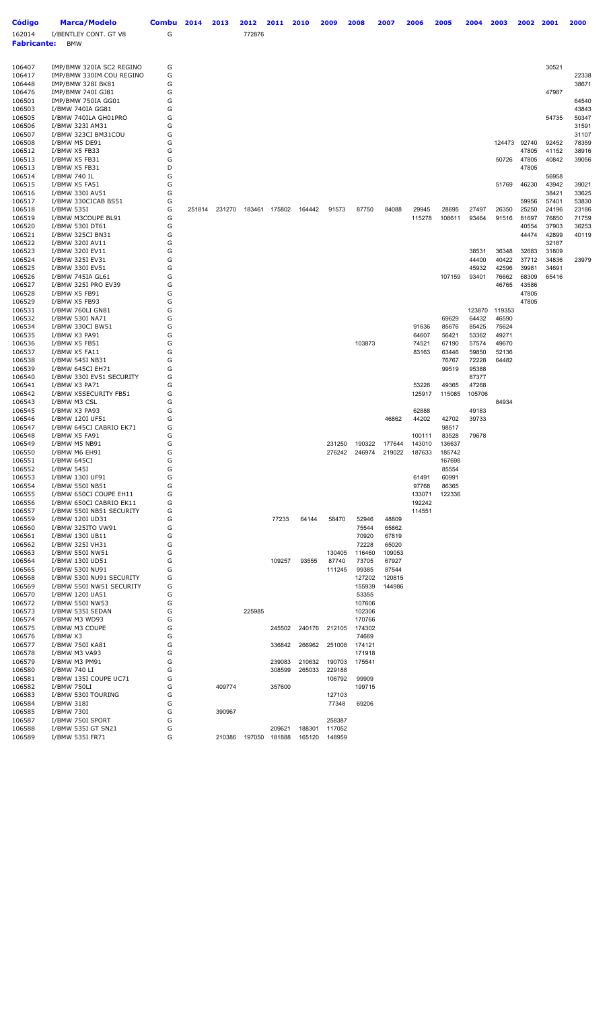| <b>Código</b>      | <b>Marca/Modelo</b>                                 | <b>Combu</b> | 2014   | 2013   | 2012   | 2011             | 2010             | 2009             | 2008             | 2007            | 2006           | 2005           | 2004           | 2003           | 2002           | 2001           | 2000           |
|--------------------|-----------------------------------------------------|--------------|--------|--------|--------|------------------|------------------|------------------|------------------|-----------------|----------------|----------------|----------------|----------------|----------------|----------------|----------------|
| 162014             | I/BENTLEY CONT. GT V8                               | G            |        |        | 772876 |                  |                  |                  |                  |                 |                |                |                |                |                |                |                |
| <b>Fabricante:</b> | <b>BMW</b>                                          |              |        |        |        |                  |                  |                  |                  |                 |                |                |                |                |                |                |                |
|                    |                                                     |              |        |        |        |                  |                  |                  |                  |                 |                |                |                |                |                |                |                |
| 106407             | IMP/BMW 320IA SC2 REGINO                            | G            |        |        |        |                  |                  |                  |                  |                 |                |                |                |                |                | 30521          |                |
| 106417             | IMP/BMW 330IM COU REGINO                            | G            |        |        |        |                  |                  |                  |                  |                 |                |                |                |                |                |                | 22338          |
| 106448             | IMP/BMW 328I BK81                                   | G            |        |        |        |                  |                  |                  |                  |                 |                |                |                |                |                |                | 38671          |
| 106476             | IMP/BMW 740I GJ81                                   | G            |        |        |        |                  |                  |                  |                  |                 |                |                |                |                |                | 47987          |                |
| 106501<br>106503   | IMP/BMW 750IA GG01<br>I/BMW 740IA GG81              | G<br>G       |        |        |        |                  |                  |                  |                  |                 |                |                |                |                |                |                | 64540<br>43843 |
| 106505             | I/BMW 740ILA GH01PRO                                | G            |        |        |        |                  |                  |                  |                  |                 |                |                |                |                |                | 54735          | 50347          |
| 106506             | I/BMW 323I AM31                                     | G            |        |        |        |                  |                  |                  |                  |                 |                |                |                |                |                |                | 31591          |
| 106507             | I/BMW 323CI BM31COU                                 | G            |        |        |        |                  |                  |                  |                  |                 |                |                |                |                |                |                | 31107          |
| 106508             | I/BMW M5 DE91                                       | G            |        |        |        |                  |                  |                  |                  |                 |                |                |                | 124473         | 92740          | 92452          | 78359          |
| 106512<br>106513   | I/BMW X5 FB33<br>I/BMW X5 FB31                      | G<br>G       |        |        |        |                  |                  |                  |                  |                 |                |                |                | 50726          | 47805<br>47805 | 41152<br>40842 | 38916<br>39056 |
| 106513             | I/BMW X5 FB31                                       | D            |        |        |        |                  |                  |                  |                  |                 |                |                |                |                | 47805          |                |                |
| 106514             | I/BMW 740 IL                                        | G            |        |        |        |                  |                  |                  |                  |                 |                |                |                |                |                | 56958          |                |
| 106515             | I/BMW X5 FA51                                       | G            |        |        |        |                  |                  |                  |                  |                 |                |                |                | 51769          | 46230          | 43942          | 39021          |
| 106516<br>106517   | I/BMW 330I AV51<br>I/BMW 330CICAB BS51              | G<br>G       |        |        |        |                  |                  |                  |                  |                 |                |                |                |                | 59956          | 38421<br>57401 | 33625<br>53830 |
| 106518             | I/BMW 535I                                          | G            | 251814 | 231270 |        | 183461 175802    | 164442           | 91573            | 87750            | 84088           | 29945          | 28695          | 27497          | 26350          | 25250          | 24196          | 23186          |
| 106519             | I/BMW M3COUPE BL91                                  | G            |        |        |        |                  |                  |                  |                  |                 | 115278         | 108611         | 93464          | 91516          | 81697          | 76850          | 71759          |
| 106520             | I/BMW 530I DT61                                     | G            |        |        |        |                  |                  |                  |                  |                 |                |                |                |                | 40554          | 37903          | 36253          |
| 106521<br>106522   | I/BMW 325CI BN31<br>I/BMW 320I AV11                 | G<br>G       |        |        |        |                  |                  |                  |                  |                 |                |                |                |                | 44474          | 42899<br>32167 | 40119          |
| 106523             | I/BMW 320I EV11                                     | G            |        |        |        |                  |                  |                  |                  |                 |                |                | 38531          | 36348          | 32683          | 31809          |                |
| 106524             | I/BMW 325I EV31                                     | G            |        |        |        |                  |                  |                  |                  |                 |                |                | 44400          | 40422          | 37712          | 34836          | 23979          |
| 106525             | I/BMW 330I EV51                                     | G            |        |        |        |                  |                  |                  |                  |                 |                |                | 45932          | 42596          | 39981          | 34691          |                |
| 106526             | I/BMW 745IA GL61                                    | G            |        |        |        |                  |                  |                  |                  |                 |                | 107159         | 93401          | 76662          | 68309          | 65416          |                |
| 106527<br>106528   | I/BMW 325I PRO EV39<br>I/BMW X5 FB91                | G<br>G       |        |        |        |                  |                  |                  |                  |                 |                |                |                | 46765          | 43586<br>47805 |                |                |
| 106529             | I/BMW X5 FB93                                       | G            |        |        |        |                  |                  |                  |                  |                 |                |                |                |                | 47805          |                |                |
| 106531             | I/BMW 760LI GN81                                    | G            |        |        |        |                  |                  |                  |                  |                 |                |                | 123870         | 119353         |                |                |                |
| 106532             | I/BMW 530I NA71                                     | G            |        |        |        |                  |                  |                  |                  |                 |                | 69629          | 64432          | 46590          |                |                |                |
| 106534             | I/BMW 330CI BW51                                    | G<br>G       |        |        |        |                  |                  |                  |                  |                 | 91636          | 85676<br>56421 | 85425          | 75624          |                |                |                |
| 106535<br>106536   | I/BMW X3 PA91<br>I/BMW X5 FB51                      | G            |        |        |        |                  |                  |                  | 103873           |                 | 64607<br>74521 | 67190          | 53362<br>57574 | 49271<br>49670 |                |                |                |
| 106537             | I/BMW X5 FA11                                       | G            |        |        |        |                  |                  |                  |                  |                 | 83163          | 63446          | 59850          | 52136          |                |                |                |
| 106538             | I/BMW 545I NB31                                     | G            |        |        |        |                  |                  |                  |                  |                 |                | 76767          | 72228          | 64482          |                |                |                |
| 106539             | I/BMW 645CI EH71                                    | G            |        |        |        |                  |                  |                  |                  |                 |                | 99519          | 95388          |                |                |                |                |
| 106540<br>106541   | I/BMW 330I EV51 SECURITY<br>I/BMW X3 PA71           | G<br>G       |        |        |        |                  |                  |                  |                  |                 | 53226          | 49365          | 87377<br>47268 |                |                |                |                |
| 106542             | I/BMW X5SECURITY FB51                               | G            |        |        |        |                  |                  |                  |                  |                 | 125917         | 115085         | 105706         |                |                |                |                |
| 106543             | I/BMW M3 CSL                                        | G            |        |        |        |                  |                  |                  |                  |                 |                |                |                | 84934          |                |                |                |
| 106545             | I/BMW X3 PA93                                       | G            |        |        |        |                  |                  |                  |                  |                 | 62888          |                | 49183          |                |                |                |                |
| 106546<br>106547   | I/BMW 120I UF51<br>I/BMW 645CI CABRIO EK71          | G<br>G       |        |        |        |                  |                  |                  |                  | 46862           | 44202          | 42702<br>98517 | 39733          |                |                |                |                |
| 106548             | I/BMW X5 FA91                                       | G            |        |        |        |                  |                  |                  |                  |                 | 100111         | 83528          | 79678          |                |                |                |                |
| 106549             | I/BMW M5 NB91                                       | G            |        |        |        |                  |                  | 231250           | 190322           | 177644          | 143010         | 136637         |                |                |                |                |                |
| 106550             | I/BMW M6 EH91                                       | G            |        |        |        |                  |                  | 276242           | 246974           | 219022          | 187633         | 185742         |                |                |                |                |                |
| 106551             | I/BMW 645CI                                         | G            |        |        |        |                  |                  |                  |                  |                 |                | 167698         |                |                |                |                |                |
| 106552<br>106553   | I/BMW 545I<br>I/BMW 130I UF91                       | G<br>G       |        |        |        |                  |                  |                  |                  |                 | 61491          | 85554<br>60991 |                |                |                |                |                |
| 106554             | I/BMW 550I NB51                                     | G            |        |        |        |                  |                  |                  |                  |                 | 97768          | 86365          |                |                |                |                |                |
| 106555             | I/BMW 650CI COUPE EH11                              | G            |        |        |        |                  |                  |                  |                  |                 | 133071         | 122336         |                |                |                |                |                |
| 106556             | I/BMW 650CI CABRIO EK11<br>I/BMW 550I NB51 SECURITY | G<br>G       |        |        |        |                  |                  |                  |                  |                 | 192242         |                |                |                |                |                |                |
| 106557<br>106559   | I/BMW 120I UD31                                     | G            |        |        |        | 77233            | 64144            | 58470            | 52946            | 48809           | 114551         |                |                |                |                |                |                |
| 106560             | I/BMW 325ITO VW91                                   | G            |        |        |        |                  |                  |                  | 75544            | 65862           |                |                |                |                |                |                |                |
| 106561             | I/BMW 130I UB11                                     | G            |        |        |        |                  |                  |                  | 70920            | 67819           |                |                |                |                |                |                |                |
| 106562             | I/BMW 325I VH31<br>I/BMW 550I NW51                  | G<br>G       |        |        |        |                  |                  |                  | 72228            | 65020           |                |                |                |                |                |                |                |
| 106563<br>106564   | I/BMW 130I UD51                                     | G            |        |        |        | 109257           | 93555            | 130405<br>87740  | 116460<br>73705  | 109053<br>67927 |                |                |                |                |                |                |                |
| 106565             | I/BMW 530I NU91                                     | G            |        |        |        |                  |                  | 111245           | 99385            | 87544           |                |                |                |                |                |                |                |
| 106568             | I/BMW 530I NU91 SECURITY                            | G            |        |        |        |                  |                  |                  | 127202           | 120815          |                |                |                |                |                |                |                |
| 106569             | I/BMW 550I NW51 SECURITY                            | G            |        |        |        |                  |                  |                  | 155939           | 144986          |                |                |                |                |                |                |                |
| 106570<br>106572   | I/BMW 120I UA51<br>I/BMW 550I NW53                  | G<br>G       |        |        |        |                  |                  |                  | 53355<br>107606  |                 |                |                |                |                |                |                |                |
| 106573             | I/BMW 535I SEDAN                                    | G            |        |        | 225985 |                  |                  |                  | 102306           |                 |                |                |                |                |                |                |                |
| 106574             | I/BMW M3 WD93                                       | G            |        |        |        |                  |                  |                  | 170766           |                 |                |                |                |                |                |                |                |
| 106575             | I/BMW M3 COUPE                                      | G            |        |        |        | 245502           | 240176           | 212105           | 174302           |                 |                |                |                |                |                |                |                |
| 106576             | I/BMW X3                                            | G<br>G       |        |        |        |                  |                  |                  | 74669            |                 |                |                |                |                |                |                |                |
| 106577<br>106578   | I/BMW 750I KA81<br>I/BMW M3 VA93                    | G            |        |        |        | 336842           | 266962           | 251008           | 174121<br>171918 |                 |                |                |                |                |                |                |                |
| 106579             | I/BMW M3 PM91                                       | G            |        |        |        | 239083           | 210632           | 190703           | 175541           |                 |                |                |                |                |                |                |                |
| 106580             | I/BMW 740 LI                                        | G            |        |        |        | 308599           | 265033           | 229188           |                  |                 |                |                |                |                |                |                |                |
| 106581             | I/BMW 135I COUPE UC71                               | G            |        |        |        |                  |                  | 106792           | 99909            |                 |                |                |                |                |                |                |                |
| 106582<br>106583   | I/BMW 750LI<br>I/BMW 530I TOURING                   | G<br>G       |        | 409774 |        | 357600           |                  | 127103           | 199715           |                 |                |                |                |                |                |                |                |
| 106584             | I/BMW 318I                                          | G            |        |        |        |                  |                  | 77348            | 69206            |                 |                |                |                |                |                |                |                |
| 106585             | I/BMW 730I                                          | G            |        | 390967 |        |                  |                  |                  |                  |                 |                |                |                |                |                |                |                |
| 106587             | I/BMW 750I SPORT                                    | G            |        |        |        |                  |                  | 258387           |                  |                 |                |                |                |                |                |                |                |
| 106588<br>106589   | I/BMW 535I GT SN21<br>I/BMW 535I FR71               | G<br>G       |        | 210386 | 197050 | 209621<br>181888 | 188301<br>165120 | 117052<br>148959 |                  |                 |                |                |                |                |                |                |                |
|                    |                                                     |              |        |        |        |                  |                  |                  |                  |                 |                |                |                |                |                |                |                |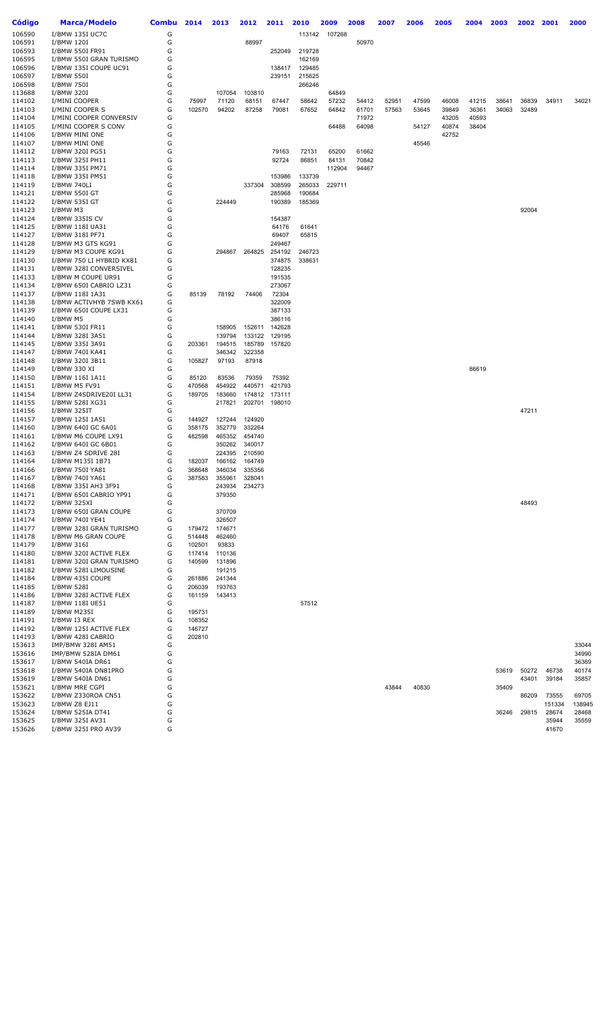| <b>Código</b>    | <b>Marca/Modelo</b>                             | <b>Combu</b> | 2014             | 2013             | 2012             | 2011             | 2010             | 2009            | 2008           | 2007  | 2006  | 2005  | 2004  | 2003  | 2002  | 2001           | 2000           |
|------------------|-------------------------------------------------|--------------|------------------|------------------|------------------|------------------|------------------|-----------------|----------------|-------|-------|-------|-------|-------|-------|----------------|----------------|
| 106590           | I/BMW 135I UC7C                                 | G            |                  |                  |                  |                  | 113142           | 107268          |                |       |       |       |       |       |       |                |                |
| 106591           | I/BMW 120I                                      | G            |                  |                  | 88997            |                  |                  |                 | 50970          |       |       |       |       |       |       |                |                |
| 106593           | I/BMW 550I FR91                                 | G            |                  |                  |                  | 252049           | 219728           |                 |                |       |       |       |       |       |       |                |                |
| 106595           | I/BMW 550I GRAN TURISMO                         | G            |                  |                  |                  |                  | 162169           |                 |                |       |       |       |       |       |       |                |                |
| 106596<br>106597 | I/BMW 135I COUPE UC91<br>I/BMW 550I             | G<br>G       |                  |                  |                  | 138417<br>239151 | 129485<br>215625 |                 |                |       |       |       |       |       |       |                |                |
| 106598           | I/BMW 750I                                      | G            |                  |                  |                  |                  | 266246           |                 |                |       |       |       |       |       |       |                |                |
| 113688           | I/BMW 320I                                      | G            |                  | 107054           | 103810           |                  |                  | 64849           |                |       |       |       |       |       |       |                |                |
| 114102           | I/MINI COOPER                                   | G            | 75997            | 71120            | 68151            | 67447            | 58642            | 57232           | 54412          | 52951 | 47599 | 46008 | 41215 | 38641 | 36839 | 34911          | 34021          |
| 114103           | I/MINI COOPER S                                 | G            | 102570           | 94202            | 87258            | 79081            | 67652            | 64842           | 61701          | 57563 | 53645 | 39849 | 36361 | 34063 | 32489 |                |                |
| 114104           | I/MINI COOPER CONVERSIV                         | G            |                  |                  |                  |                  |                  |                 | 71972          |       |       | 43205 | 40593 |       |       |                |                |
| 114105           | I/MINI COOPER S CONV                            | G            |                  |                  |                  |                  |                  | 64488           | 64098          |       | 54127 | 40874 | 38404 |       |       |                |                |
| 114106           | I/BMW MINI ONE                                  | G            |                  |                  |                  |                  |                  |                 |                |       |       | 42752 |       |       |       |                |                |
| 114107           | I/BMW MINI ONE                                  | G            |                  |                  |                  |                  |                  |                 |                |       | 45546 |       |       |       |       |                |                |
| 114112           | I/BMW 320I PG51                                 | G<br>G       |                  |                  |                  | 79163            | 72131            | 65200           | 61662          |       |       |       |       |       |       |                |                |
| 114113<br>114114 | I/BMW 325I PH11<br>I/BMW 335I PM71              | G            |                  |                  |                  | 92724            | 86851            | 84131<br>112904 | 70842<br>94467 |       |       |       |       |       |       |                |                |
| 114118           | I/BMW 335I PM51                                 | G            |                  |                  |                  | 153986           | 133739           |                 |                |       |       |       |       |       |       |                |                |
| 114119           | I/BMW 740LI                                     | G            |                  |                  | 337304           | 308599           | 265033           | 229711          |                |       |       |       |       |       |       |                |                |
| 114121           | I/BMW 550I GT                                   | G            |                  |                  |                  | 285968           | 190684           |                 |                |       |       |       |       |       |       |                |                |
| 114122           | I/BMW 535I GT                                   | G            |                  | 224449           |                  | 190389           | 185369           |                 |                |       |       |       |       |       |       |                |                |
| 114123           | I/BMW M3                                        | G            |                  |                  |                  |                  |                  |                 |                |       |       |       |       |       | 92004 |                |                |
| 114124           | I/BMW 335IS CV                                  | G            |                  |                  |                  | 154387           |                  |                 |                |       |       |       |       |       |       |                |                |
| 114125           | I/BMW 118I UA31                                 | G            |                  |                  |                  | 64176            | 61641            |                 |                |       |       |       |       |       |       |                |                |
| 114127           | I/BMW 318I PF71                                 | G            |                  |                  |                  | 69407            | 65815            |                 |                |       |       |       |       |       |       |                |                |
| 114128           | I/BMW M3 GTS KG91                               | G            |                  |                  |                  | 249467           |                  |                 |                |       |       |       |       |       |       |                |                |
| 114129<br>114130 | I/BMW M3 COUPE KG91<br>I/BMW 750 LI HYBRID KX81 | G<br>G       |                  | 294867           | 264825           | 254192<br>374875 | 246723<br>338631 |                 |                |       |       |       |       |       |       |                |                |
| 114131           | I/BMW 328I CONVERSIVEL                          | G            |                  |                  |                  | 128235           |                  |                 |                |       |       |       |       |       |       |                |                |
| 114133           | I/BMW M COUPE UR91                              | G            |                  |                  |                  | 191535           |                  |                 |                |       |       |       |       |       |       |                |                |
| 114134           | I/BMW 650I CABRIO LZ31                          | G            |                  |                  |                  | 273067           |                  |                 |                |       |       |       |       |       |       |                |                |
| 114137           | I/BMW 118I 1A31                                 | G            | 85139            | 78192            | 74406            | 72304            |                  |                 |                |       |       |       |       |       |       |                |                |
| 114138           | I/BMW ACTIVHYB 7SWB KX61                        | G            |                  |                  |                  | 322009           |                  |                 |                |       |       |       |       |       |       |                |                |
| 114139           | I/BMW 650I COUPE LX31                           | G            |                  |                  |                  | 387133           |                  |                 |                |       |       |       |       |       |       |                |                |
| 114140           | I/BMW M5                                        | G            |                  |                  |                  | 386116           |                  |                 |                |       |       |       |       |       |       |                |                |
| 114141           | I/BMW 530I FR11                                 | G            |                  | 158905           | 152611           | 142628           |                  |                 |                |       |       |       |       |       |       |                |                |
| 114144           | I/BMW 328I 3A51                                 | G            |                  | 139794           | 133122           | 129195           |                  |                 |                |       |       |       |       |       |       |                |                |
| 114145           | I/BMW 335I 3A91                                 | G            | 203361           | 194515           | 185789           | 157820           |                  |                 |                |       |       |       |       |       |       |                |                |
| 114147<br>114148 | I/BMW 740I KA41<br>I/BMW 320I 3B11              | G<br>G       | 105827           | 346342<br>97193  | 322358<br>87918  |                  |                  |                 |                |       |       |       |       |       |       |                |                |
| 114149           | I/BMW 330 XI                                    | G            |                  |                  |                  |                  |                  |                 |                |       |       |       | 86619 |       |       |                |                |
| 114150           | I/BMW 116I 1A11                                 | G            | 85120            | 83536            | 79359            | 75392            |                  |                 |                |       |       |       |       |       |       |                |                |
| 114151           | I/BMW M5 FV91                                   | G            | 470568           | 454922           | 440571           | 421793           |                  |                 |                |       |       |       |       |       |       |                |                |
| 114154           | I/BMW Z4SDRIVE20I LL31                          | G            | 189705           | 183660           | 174812           | 173111           |                  |                 |                |       |       |       |       |       |       |                |                |
| 114155           | I/BMW 528I XG31                                 | G            |                  | 217821           |                  | 202701 198010    |                  |                 |                |       |       |       |       |       |       |                |                |
| 114156           | I/BMW 325IT                                     | G            |                  |                  |                  |                  |                  |                 |                |       |       |       |       |       | 47211 |                |                |
| 114157           | I/BMW 125I 1A51                                 | G            | 144927           | 127244           | 124920           |                  |                  |                 |                |       |       |       |       |       |       |                |                |
| 114160           | I/BMW 640I GC 6A01                              | G            | 358175           | 352779           | 332264           |                  |                  |                 |                |       |       |       |       |       |       |                |                |
| 114161           | I/BMW M6 COUPE LX91                             | G            | 482598           | 465352           | 454740           |                  |                  |                 |                |       |       |       |       |       |       |                |                |
| 114162<br>114163 | I/BMW 640I GC 6B01<br>I/BMW Z4 SDRIVE 28I       | G<br>G       |                  | 350262<br>224395 | 340017<br>210590 |                  |                  |                 |                |       |       |       |       |       |       |                |                |
| 114164           | I/BMW M135I 1B71                                | G            | 182037           | 166162           | 164749           |                  |                  |                 |                |       |       |       |       |       |       |                |                |
| 114166           | I/BMW 750I YA81                                 | G            | 368648           | 346034           | 335356           |                  |                  |                 |                |       |       |       |       |       |       |                |                |
| 114167           | I/BMW 740I YA61                                 | G            | 387583           | 355961           | 328041           |                  |                  |                 |                |       |       |       |       |       |       |                |                |
| 114168           | I/BMW 335I AH3 3F91                             | G            |                  | 243934           | 234273           |                  |                  |                 |                |       |       |       |       |       |       |                |                |
| 114171           | I/BMW 650I CABRIO YP91                          | G            |                  | 379350           |                  |                  |                  |                 |                |       |       |       |       |       |       |                |                |
| 114172           | I/BMW 325XI                                     | G            |                  |                  |                  |                  |                  |                 |                |       |       |       |       |       | 48493 |                |                |
| 114173           | I/BMW 650I GRAN COUPE                           | G            |                  | 370709           |                  |                  |                  |                 |                |       |       |       |       |       |       |                |                |
| 114174           | I/BMW 740I YE41                                 | G            |                  | 326507           |                  |                  |                  |                 |                |       |       |       |       |       |       |                |                |
| 114177<br>114178 | I/BMW 328I GRAN TURISMO<br>I/BMW M6 GRAN COUPE  | G<br>G       | 179472<br>514448 | 174671<br>462460 |                  |                  |                  |                 |                |       |       |       |       |       |       |                |                |
| 114179           | I/BMW 316I                                      | G            | 102501           | 93833            |                  |                  |                  |                 |                |       |       |       |       |       |       |                |                |
| 114180           | I/BMW 320I ACTIVE FLEX                          | G            | 117414           | 110136           |                  |                  |                  |                 |                |       |       |       |       |       |       |                |                |
| 114181           | I/BMW 320I GRAN TURISMO                         | G            | 140599           | 131896           |                  |                  |                  |                 |                |       |       |       |       |       |       |                |                |
| 114182           | I/BMW 528I LIMOUSINE                            | G            |                  | 191215           |                  |                  |                  |                 |                |       |       |       |       |       |       |                |                |
| 114184           | I/BMW 435I COUPE                                | G            | 261886           | 241344           |                  |                  |                  |                 |                |       |       |       |       |       |       |                |                |
| 114185           | I/BMW 528I                                      | G            | 206039           | 193763           |                  |                  |                  |                 |                |       |       |       |       |       |       |                |                |
| 114186           | I/BMW 328I ACTIVE FLEX                          | G            | 161159           | 143413           |                  |                  |                  |                 |                |       |       |       |       |       |       |                |                |
| 114187           | I/BMW 118I UE51                                 | G            |                  |                  |                  |                  | 57512            |                 |                |       |       |       |       |       |       |                |                |
| 114189           | I/BMW M235I                                     | G            | 195731           |                  |                  |                  |                  |                 |                |       |       |       |       |       |       |                |                |
| 114191<br>114192 | I/BMW I3 REX                                    | G<br>G       | 108352<br>146727 |                  |                  |                  |                  |                 |                |       |       |       |       |       |       |                |                |
| 114193           | I/BMW 125I ACTIVE FLEX<br>I/BMW 428I CABRIO     | G            | 202810           |                  |                  |                  |                  |                 |                |       |       |       |       |       |       |                |                |
| 153613           | IMP/BMW 328I AM51                               | G            |                  |                  |                  |                  |                  |                 |                |       |       |       |       |       |       |                | 33044          |
| 153616           | IMP/BMW 528IA DM61                              | G            |                  |                  |                  |                  |                  |                 |                |       |       |       |       |       |       |                | 34990          |
| 153617           | I/BMW 540IA DR61                                | G            |                  |                  |                  |                  |                  |                 |                |       |       |       |       |       |       |                | 36369          |
| 153618           | I/BMW 540IA DN81PRO                             | G            |                  |                  |                  |                  |                  |                 |                |       |       |       |       | 53619 | 50272 | 46738          | 40174          |
| 153619           | I/BMW 540IA DN61                                | G            |                  |                  |                  |                  |                  |                 |                |       |       |       |       |       | 43401 | 39184          | 35857          |
| 153621           | I/BMW MRE CGPI                                  | G            |                  |                  |                  |                  |                  |                 |                | 43844 | 40830 |       |       | 35409 |       |                |                |
| 153622           | I/BMW Z330ROA CN51                              | G            |                  |                  |                  |                  |                  |                 |                |       |       |       |       |       | 86209 | 73555          | 69705          |
| 153623           | I/BMW Z8 EJ11                                   | G            |                  |                  |                  |                  |                  |                 |                |       |       |       |       |       |       | 151334         | 138945         |
| 153624<br>153625 | I/BMW 525IA DT41<br>I/BMW 325I AV31             | G<br>G       |                  |                  |                  |                  |                  |                 |                |       |       |       |       | 36246 | 29815 | 28674<br>35944 | 28468<br>35559 |
| 153626           | I/BMW 325I PRO AV39                             | G            |                  |                  |                  |                  |                  |                 |                |       |       |       |       |       |       | 41670          |                |
|                  |                                                 |              |                  |                  |                  |                  |                  |                 |                |       |       |       |       |       |       |                |                |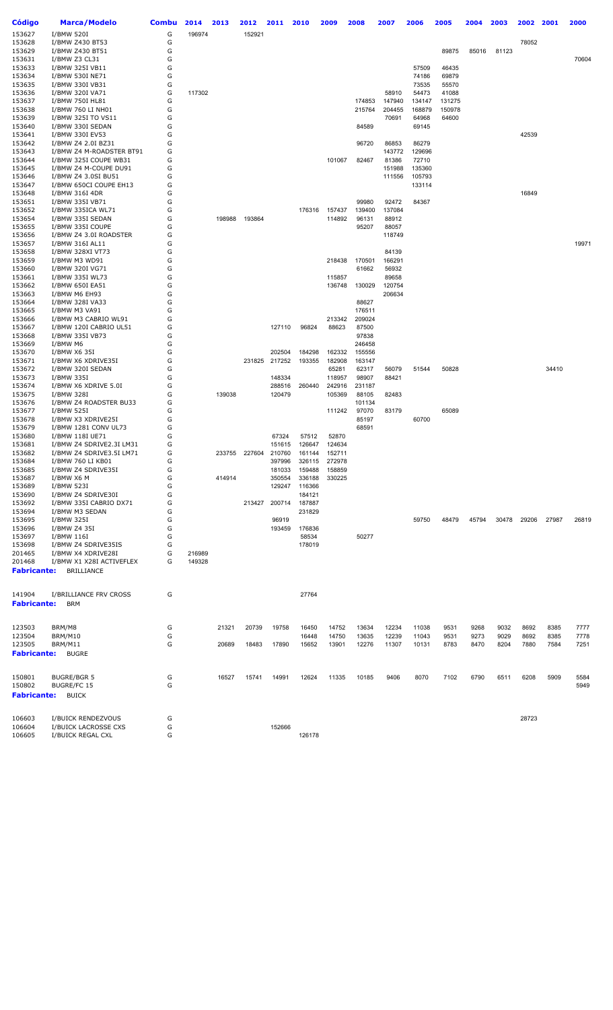| Código             | <b>Marca/Modelo</b>                       | <b>Combu</b> | 2014   | 2013   | 2012   | 2011            | 2010   | 2009   | 2008           | 2007   | 2006   | 2005   | 2004  | 2003  | 2002  | 2001  | 2000  |
|--------------------|-------------------------------------------|--------------|--------|--------|--------|-----------------|--------|--------|----------------|--------|--------|--------|-------|-------|-------|-------|-------|
| 153627             | I/BMW 520I                                | G            | 196974 |        | 152921 |                 |        |        |                |        |        |        |       |       |       |       |       |
| 153628             | I/BMW Z430 BT53                           | G            |        |        |        |                 |        |        |                |        |        |        |       |       | 78052 |       |       |
| 153629             | I/BMW Z430 BT51                           | G            |        |        |        |                 |        |        |                |        |        | 89875  | 85016 | 81123 |       |       |       |
| 153631             | I/BMW Z3 CL31                             | G            |        |        |        |                 |        |        |                |        |        |        |       |       |       |       | 70604 |
| 153633             | I/BMW 325I VB11                           | G            |        |        |        |                 |        |        |                |        | 57509  | 46435  |       |       |       |       |       |
| 153634             | I/BMW 530I NE71                           | G            |        |        |        |                 |        |        |                |        | 74186  | 69879  |       |       |       |       |       |
| 153635             | I/BMW 330I VB31                           | G            |        |        |        |                 |        |        |                |        | 73535  | 55570  |       |       |       |       |       |
| 153636             | I/BMW 320I VA71                           | G            | 117302 |        |        |                 |        |        |                | 58910  | 54473  | 41088  |       |       |       |       |       |
| 153637             | I/BMW 750I HL81                           | G            |        |        |        |                 |        |        | 174853         | 147940 | 134147 | 131275 |       |       |       |       |       |
| 153638             | I/BMW 760 LI NH01                         | G            |        |        |        |                 |        |        | 215764         | 204455 | 168879 | 150978 |       |       |       |       |       |
| 153639             | I/BMW 325I TO VS11                        | G            |        |        |        |                 |        |        |                | 70691  | 64968  | 64600  |       |       |       |       |       |
| 153640<br>153641   | I/BMW 330I SEDAN<br>I/BMW 330I EV53       | G<br>G       |        |        |        |                 |        |        | 84589          |        | 69145  |        |       |       | 42539 |       |       |
| 153642             | I/BMW Z4 2.0I BZ31                        | G            |        |        |        |                 |        |        | 96720          | 86853  | 86279  |        |       |       |       |       |       |
| 153643             | I/BMW Z4 M-ROADSTER BT91                  | G            |        |        |        |                 |        |        |                | 143772 | 129696 |        |       |       |       |       |       |
| 153644             | I/BMW 325I COUPE WB31                     | G            |        |        |        |                 |        | 101067 | 82467          | 81386  | 72710  |        |       |       |       |       |       |
| 153645             | I/BMW Z4 M-COUPE DU91                     | G            |        |        |        |                 |        |        |                | 151988 | 135360 |        |       |       |       |       |       |
| 153646             | I/BMW Z4 3.0SI BU51                       | G            |        |        |        |                 |        |        |                | 111556 | 105793 |        |       |       |       |       |       |
| 153647             | I/BMW 650CI COUPE EH13                    | G            |        |        |        |                 |        |        |                |        | 133114 |        |       |       |       |       |       |
| 153648             | I/BMW 316I 4DR                            | G            |        |        |        |                 |        |        |                |        |        |        |       |       | 16849 |       |       |
| 153651             | I/BMW 335I VB71                           | G            |        |        |        |                 |        |        | 99980          | 92472  | 84367  |        |       |       |       |       |       |
| 153652             | I/BMW 335ICA WL71                         | G            |        |        |        |                 | 176316 | 157437 | 139400         | 137084 |        |        |       |       |       |       |       |
| 153654             | I/BMW 335I SEDAN                          | G            |        | 198988 | 193864 |                 |        | 114892 | 96131          | 88912  |        |        |       |       |       |       |       |
| 153655             | I/BMW 335I COUPE                          | G            |        |        |        |                 |        |        | 95207          | 88057  |        |        |       |       |       |       |       |
| 153656             | I/BMW Z4 3.0I ROADSTER                    | G            |        |        |        |                 |        |        |                | 118749 |        |        |       |       |       |       |       |
| 153657             | I/BMW 316I AL11                           | G            |        |        |        |                 |        |        |                |        |        |        |       |       |       |       | 19971 |
| 153658             | I/BMW 328XI VT73                          | G            |        |        |        |                 |        |        |                | 84139  |        |        |       |       |       |       |       |
| 153659             | I/BMW M3 WD91                             | G            |        |        |        |                 |        | 218438 | 170501         | 166291 |        |        |       |       |       |       |       |
| 153660             | I/BMW 320I VG71                           | G            |        |        |        |                 |        |        | 61662          | 56932  |        |        |       |       |       |       |       |
| 153661             | I/BMW 335I WL73                           | G            |        |        |        |                 |        | 115857 |                | 89658  |        |        |       |       |       |       |       |
| 153662             | I/BMW 650I EA51                           | G            |        |        |        |                 |        | 136748 | 130029         | 120754 |        |        |       |       |       |       |       |
| 153663             | I/BMW M6 EH93                             | G            |        |        |        |                 |        |        |                | 206634 |        |        |       |       |       |       |       |
| 153664             | I/BMW 328I VA33                           | G            |        |        |        |                 |        |        | 88627          |        |        |        |       |       |       |       |       |
| 153665             | I/BMW M3 VA91                             | G            |        |        |        |                 |        |        | 176511         |        |        |        |       |       |       |       |       |
| 153666             | I/BMW M3 CABRIO WL91                      | G<br>G       |        |        |        |                 |        | 213342 | 209024         |        |        |        |       |       |       |       |       |
| 153667<br>153668   | I/BMW 120I CABRIO UL51<br>I/BMW 335I VB73 | G            |        |        |        | 127110          | 96824  | 88623  | 87500<br>97838 |        |        |        |       |       |       |       |       |
| 153669             | I/BMW M6                                  | G            |        |        |        |                 |        |        | 246458         |        |        |        |       |       |       |       |       |
| 153670             | I/BMW X6 35I                              | G            |        |        |        | 202504          | 184298 | 162332 | 155556         |        |        |        |       |       |       |       |       |
| 153671             | I/BMW X6 XDRIVE35I                        | G            |        |        |        | 231825 217252   | 193355 | 182908 | 163147         |        |        |        |       |       |       |       |       |
| 153672             | I/BMW 320I SEDAN                          | G            |        |        |        |                 |        | 65281  | 62317          | 56079  | 51544  | 50828  |       |       |       | 34410 |       |
| 153673             | I/BMW 335I                                | G            |        |        |        | 148334          |        | 118957 | 98907          | 88421  |        |        |       |       |       |       |       |
| 153674             | I/BMW X6 XDRIVE 5.0I                      | G            |        |        |        | 288516          | 260440 | 242916 | 231187         |        |        |        |       |       |       |       |       |
| 153675             | I/BMW 328I                                | G            |        | 139038 |        | 120479          |        | 105369 | 88105          | 82483  |        |        |       |       |       |       |       |
| 153676             | I/BMW Z4 ROADSTER BU33                    | G            |        |        |        |                 |        |        | 101134         |        |        |        |       |       |       |       |       |
| 153677             | I/BMW 525I                                | G            |        |        |        |                 |        | 111242 | 97070          | 83179  |        | 65089  |       |       |       |       |       |
| 153678             | I/BMW X3 XDRIVE25I                        | G            |        |        |        |                 |        |        | 85197          |        | 60700  |        |       |       |       |       |       |
| 153679             | I/BMW 1281 CONV UL73                      | G            |        |        |        |                 |        |        | 68591          |        |        |        |       |       |       |       |       |
| 153680             | I/BMW 118I UE71                           | G            |        |        |        | 67324           | 57512  | 52870  |                |        |        |        |       |       |       |       |       |
| 153681             | I/BMW Z4 SDRIVE2.3I LM31                  | G            |        |        |        | 151615          | 126647 | 124634 |                |        |        |        |       |       |       |       |       |
| 153682             | I/BMW Z4 SDRIVE3.5I LM71                  | G            |        | 233755 | 227604 | 210760          | 161144 | 152711 |                |        |        |        |       |       |       |       |       |
| 153684             | I/BMW 760 LI KB01                         | G            |        |        |        | 397996          | 326115 | 272978 |                |        |        |        |       |       |       |       |       |
| 153685             | I/BMW Z4 SDRIVE35I                        | G            |        |        |        | 181033          | 159488 | 158859 |                |        |        |        |       |       |       |       |       |
| 153687             | I/BMW X6 M                                | G            |        | 414914 |        | 350554          | 336188 | 330225 |                |        |        |        |       |       |       |       |       |
| 153689             | I/BMW 523I                                | G            |        |        |        | 129247          | 116366 |        |                |        |        |        |       |       |       |       |       |
| 153690             | I/BMW Z4 SDRIVE30I                        | G            |        |        |        |                 | 184121 |        |                |        |        |        |       |       |       |       |       |
| 153692             | I/BMW 335I CABRIO DX71                    | G            |        |        | 213427 | 200714          | 187887 |        |                |        |        |        |       |       |       |       |       |
| 153694             | I/BMW M3 SEDAN                            | G            |        |        |        |                 | 231829 |        |                |        |        |        |       |       |       |       |       |
| 153695<br>153696   | I/BMW 325I<br>I/BMW Z4 35I                | G<br>G       |        |        |        | 96919<br>193459 | 176836 |        |                |        | 59750  | 48479  | 45794 | 30478 | 29206 | 27987 | 26819 |
| 153697             | I/BMW 116I                                | G            |        |        |        |                 | 58534  |        | 50277          |        |        |        |       |       |       |       |       |
| 153698             | I/BMW Z4 SDRIVE35IS                       | G            |        |        |        |                 | 178019 |        |                |        |        |        |       |       |       |       |       |
| 201465             | I/BMW X4 XDRIVE28I                        | G            | 216989 |        |        |                 |        |        |                |        |        |        |       |       |       |       |       |
| 201468             | I/BMW X1 X28I ACTIVEFLEX                  | G            | 149328 |        |        |                 |        |        |                |        |        |        |       |       |       |       |       |
| <b>Fabricante:</b> | BRILLIANCE                                |              |        |        |        |                 |        |        |                |        |        |        |       |       |       |       |       |
|                    |                                           |              |        |        |        |                 |        |        |                |        |        |        |       |       |       |       |       |
|                    |                                           |              |        |        |        |                 |        |        |                |        |        |        |       |       |       |       |       |
| 141904             | I/BRILLIANCE FRV CROSS                    | G            |        |        |        |                 | 27764  |        |                |        |        |        |       |       |       |       |       |
| <b>Fabricante:</b> | <b>BRM</b>                                |              |        |        |        |                 |        |        |                |        |        |        |       |       |       |       |       |
|                    |                                           |              |        |        |        |                 |        |        |                |        |        |        |       |       |       |       |       |
|                    |                                           |              |        |        |        |                 |        |        |                |        |        |        |       |       |       |       |       |
| 123503             | BRM/M8                                    | G            |        | 21321  | 20739  | 19758           | 16450  | 14752  | 13634          | 12234  | 11038  | 9531   | 9268  | 9032  | 8692  | 8385  | 7777  |
| 123504             | BRM/M10                                   | G            |        |        |        |                 | 16448  | 14750  | 13635          | 12239  | 11043  | 9531   | 9273  | 9029  | 8692  | 8385  | 7778  |
| 123505             | BRM/M11                                   | G            |        | 20689  | 18483  | 17890           | 15652  | 13901  | 12276          | 11307  | 10131  | 8783   | 8470  | 8204  | 7880  | 7584  | 7251  |
| <b>Fabricante:</b> | <b>BUGRE</b>                              |              |        |        |        |                 |        |        |                |        |        |        |       |       |       |       |       |
|                    |                                           |              |        |        |        |                 |        |        |                |        |        |        |       |       |       |       |       |
| 150801             | <b>BUGRE/BGR 5</b>                        | G            |        | 16527  | 15741  | 14991           | 12624  | 11335  | 10185          | 9406   | 8070   | 7102   | 6790  | 6511  | 6208  | 5909  | 5584  |
| 150802             | <b>BUGRE/FC 15</b>                        | G            |        |        |        |                 |        |        |                |        |        |        |       |       |       |       | 5949  |
| <b>Fabricante:</b> | <b>BUICK</b>                              |              |        |        |        |                 |        |        |                |        |        |        |       |       |       |       |       |
|                    |                                           |              |        |        |        |                 |        |        |                |        |        |        |       |       |       |       |       |
|                    |                                           |              |        |        |        |                 |        |        |                |        |        |        |       |       |       |       |       |
| 106603             | I/BUICK RENDEZVOUS                        | G            |        |        |        |                 |        |        |                |        |        |        |       |       | 28723 |       |       |
| 106604             | I/BUICK LACROSSE CXS                      | G            |        |        |        | 152666          |        |        |                |        |        |        |       |       |       |       |       |
| 106605             | I/BUICK REGAL CXL                         | G            |        |        |        |                 | 126178 |        |                |        |        |        |       |       |       |       |       |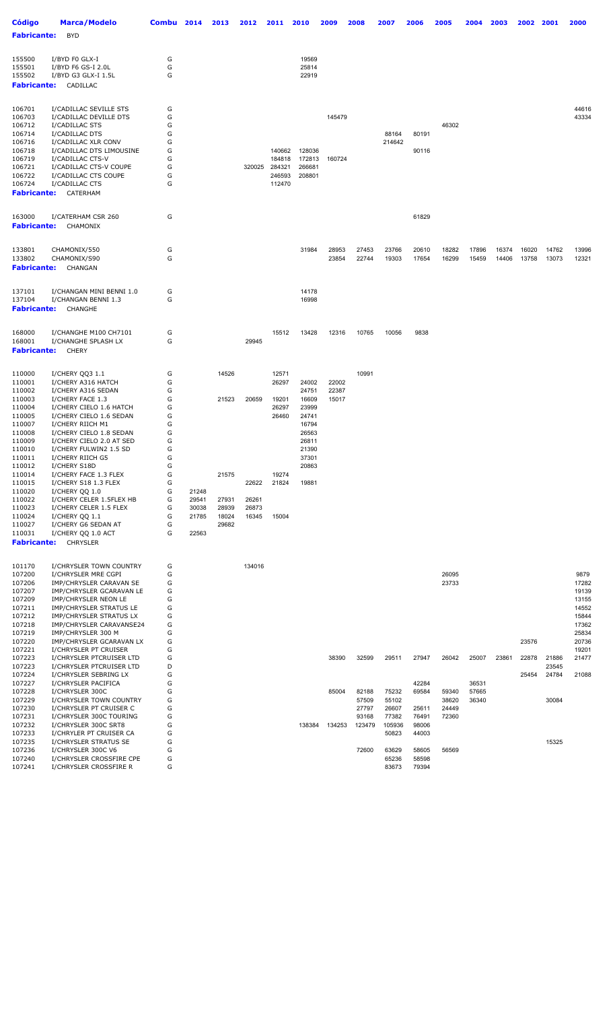| <b>Código</b>                                    | Marca/Modelo                                                                                  | <b>Combu</b>     | 2014           | 2013           | 2012           | 2011                       | 2010                       | 2009           | 2008           | 2007           | 2006           | 2005           | 2004           | 2003           | 2002           | 2001           | 2000           |
|--------------------------------------------------|-----------------------------------------------------------------------------------------------|------------------|----------------|----------------|----------------|----------------------------|----------------------------|----------------|----------------|----------------|----------------|----------------|----------------|----------------|----------------|----------------|----------------|
| <b>Fabricante:</b>                               | <b>BYD</b>                                                                                    |                  |                |                |                |                            |                            |                |                |                |                |                |                |                |                |                |                |
| 155500<br>155501<br>155502<br><b>Fabricante:</b> | I/BYD F0 GLX-I<br>I/BYD F6 GS-I 2.0L<br>I/BYD G3 GLX-I 1.5L<br>CADILLAC                       | G<br>G<br>G      |                |                |                |                            | 19569<br>25814<br>22919    |                |                |                |                |                |                |                |                |                |                |
| 106701<br>106703<br>106712<br>106714             | I/CADILLAC SEVILLE STS<br>I/CADILLAC DEVILLE DTS<br>I/CADILLAC STS<br>I/CADILLAC DTS          | G<br>G<br>G<br>G |                |                |                |                            |                            | 145479         |                | 88164          | 80191          | 46302          |                |                |                |                | 44616<br>43334 |
| 106716<br>106718<br>106719<br>106721             | I/CADILLAC XLR CONV<br>I/CADILLAC DTS LIMOUSINE<br>I/CADILLAC CTS-V<br>I/CADILLAC CTS-V COUPE | G<br>G<br>G<br>G |                |                | 320025         | 140662<br>184818<br>284321 | 128036<br>172813<br>266681 | 160724         |                | 214642         | 90116          |                |                |                |                |                |                |
| 106722<br>106724<br><b>Fabricante:</b>           | I/CADILLAC CTS COUPE<br>I/CADILLAC CTS<br>CATERHAM                                            | G<br>G           |                |                |                | 246593<br>112470           | 208801                     |                |                |                |                |                |                |                |                |                |                |
| 163000<br><b>Fabricante:</b>                     | I/CATERHAM CSR 260<br>CHAMONIX                                                                | G                |                |                |                |                            |                            |                |                |                | 61829          |                |                |                |                |                |                |
| 133801<br>133802<br><b>Fabricante:</b>           | CHAMONIX/550<br>CHAMONIX/S90<br>CHANGAN                                                       | G<br>G           |                |                |                |                            | 31984                      | 28953<br>23854 | 27453<br>22744 | 23766<br>19303 | 20610<br>17654 | 18282<br>16299 | 17896<br>15459 | 16374<br>14406 | 16020<br>13758 | 14762<br>13073 | 13996<br>12321 |
| 137101<br>137104<br><b>Fabricante:</b>           | I/CHANGAN MINI BENNI 1.0<br>I/CHANGAN BENNI 1.3<br>CHANGHE                                    | G<br>G           |                |                |                |                            | 14178<br>16998             |                |                |                |                |                |                |                |                |                |                |
| 168000<br>168001<br><b>Fabricante:</b>           | I/CHANGHE M100 CH7101<br>I/CHANGHE SPLASH LX<br><b>CHERY</b>                                  | G<br>G           |                |                | 29945          | 15512                      | 13428                      | 12316          | 10765          | 10056          | 9838           |                |                |                |                |                |                |
| 110000<br>110001                                 | I/CHERY QQ3 1.1<br>I/CHERY A316 HATCH                                                         | G<br>G           |                | 14526          |                | 12571<br>26297             | 24002                      | 22002          | 10991          |                |                |                |                |                |                |                |                |
| 110002<br>110003                                 | I/CHERY A316 SEDAN<br>I/CHERY FACE 1.3                                                        | G<br>G           |                | 21523          | 20659          | 19201                      | 24751<br>16609             | 22387<br>15017 |                |                |                |                |                |                |                |                |                |
| 110004                                           | I/CHERY CIELO 1.6 HATCH                                                                       | G                |                |                |                | 26297                      | 23999                      |                |                |                |                |                |                |                |                |                |                |
| 110005<br>110007                                 | I/CHERY CIELO 1.6 SEDAN<br>I/CHERY RIICH M1                                                   | G<br>G           |                |                |                | 26460                      | 24741<br>16794             |                |                |                |                |                |                |                |                |                |                |
| 110008                                           | I/CHERY CIELO 1.8 SEDAN                                                                       | G                |                |                |                |                            | 26563                      |                |                |                |                |                |                |                |                |                |                |
| 110009<br>110010                                 | I/CHERY CIELO 2.0 AT SED<br>I/CHERY FULWIN2 1.5 SD                                            | G<br>G           |                |                |                |                            | 26811<br>21390             |                |                |                |                |                |                |                |                |                |                |
| 110011                                           | I/CHERY RIICH G5                                                                              | G                |                |                |                |                            | 37301                      |                |                |                |                |                |                |                |                |                |                |
| 110012                                           | I/CHERY S18D                                                                                  | G                |                |                |                |                            | 20863                      |                |                |                |                |                |                |                |                |                |                |
| 110014<br>110015                                 | I/CHERY FACE 1.3 FLEX<br>I/CHERY S18 1.3 FLEX                                                 | G<br>G           |                | 21575          | 22622          | 19274<br>21824             | 19881                      |                |                |                |                |                |                |                |                |                |                |
| 110020                                           | I/CHERY QQ 1.0                                                                                | G                | 21248          |                |                |                            |                            |                |                |                |                |                |                |                |                |                |                |
| 110022                                           | I/CHERY CELER 1.5FLEX HB                                                                      | G<br>G           | 29541          | 27931<br>28939 | 26261          |                            |                            |                |                |                |                |                |                |                |                |                |                |
| 110023<br>110024                                 | I/CHERY CELER 1.5 FLEX<br>I/CHERY QQ 1.1                                                      | G                | 30038<br>21785 | 18024          | 26873<br>16345 | 15004                      |                            |                |                |                |                |                |                |                |                |                |                |
| 110027                                           | I/CHERY G6 SEDAN AT                                                                           | G                |                | 29682          |                |                            |                            |                |                |                |                |                |                |                |                |                |                |
| 110031<br><b>Fabricante:</b>                     | I/CHERY QQ 1.0 ACT<br><b>CHRYSLER</b>                                                         | G                | 22563          |                |                |                            |                            |                |                |                |                |                |                |                |                |                |                |
| 101170                                           | I/CHRYSLER TOWN COUNTRY                                                                       | G                |                |                | 134016         |                            |                            |                |                |                |                |                |                |                |                |                |                |
| 107200<br>107206                                 | I/CHRYSLER MRE CGPI<br>IMP/CHRYSLER CARAVAN SE                                                | G<br>G           |                |                |                |                            |                            |                |                |                |                | 26095<br>23733 |                |                |                |                | 9879<br>17282  |
| 107207                                           | IMP/CHRYSLER GCARAVAN LE                                                                      | G                |                |                |                |                            |                            |                |                |                |                |                |                |                |                |                | 19139          |
| 107209                                           | IMP/CHRYSLER NEON LE                                                                          | G                |                |                |                |                            |                            |                |                |                |                |                |                |                |                |                | 13155          |
| 107211<br>107212                                 | IMP/CHRYSLER STRATUS LE<br>IMP/CHRYSLER STRATUS LX                                            | G<br>G           |                |                |                |                            |                            |                |                |                |                |                |                |                |                |                | 14552<br>15844 |
| 107218                                           | IMP/CHRYSLER CARAVANSE24                                                                      | G                |                |                |                |                            |                            |                |                |                |                |                |                |                |                |                | 17362          |
| 107219                                           | IMP/CHRYSLER 300 M                                                                            | G                |                |                |                |                            |                            |                |                |                |                |                |                |                |                |                | 25834          |
| 107220<br>107221                                 | IMP/CHRYSLER GCARAVAN LX<br>I/CHRYSLER PT CRUISER                                             | G<br>G           |                |                |                |                            |                            |                |                |                |                |                |                |                | 23576          |                | 20736<br>19201 |
| 107223                                           | I/CHRYSLER PTCRUISER LTD                                                                      | G                |                |                |                |                            |                            | 38390          | 32599          | 29511          | 27947          | 26042          | 25007          | 23861          | 22878          | 21886          | 21477          |
| 107223<br>107224                                 | I/CHRYSLER PTCRUISER LTD<br>I/CHRYSLER SEBRING LX                                             | D<br>G           |                |                |                |                            |                            |                |                |                |                |                |                |                | 25454          | 23545<br>24784 | 21088          |
| 107227                                           | I/CHRYSLER PACIFICA                                                                           | G                |                |                |                |                            |                            |                |                |                | 42284          |                | 36531          |                |                |                |                |
| 107228                                           | I/CHRYSLER 300C                                                                               | G                |                |                |                |                            |                            | 85004          | 82188          | 75232          | 69584          | 59340          | 57665          |                |                |                |                |
| 107229<br>107230                                 | I/CHRYSLER TOWN COUNTRY<br>I/CHRYSLER PT CRUISER C                                            | G<br>G           |                |                |                |                            |                            |                | 57509<br>27797 | 55102<br>26607 | 25611          | 38620<br>24449 | 36340          |                |                | 30084          |                |
| 107231                                           | I/CHRYSLER 300C TOURING                                                                       | G                |                |                |                |                            |                            |                | 93168          | 77382          | 76491          | 72360          |                |                |                |                |                |
| 107232                                           | I/CHRYSLER 300C SRT8                                                                          | G                |                |                |                |                            | 138384                     | 134253         | 123479         | 105936         | 98006          |                |                |                |                |                |                |
| 107233<br>107235                                 | I/CHRYLER PT CRUISER CA<br>I/CHRYSLER STRATUS SE                                              | G<br>G           |                |                |                |                            |                            |                |                | 50823          | 44003          |                |                |                |                | 15325          |                |
| 107236                                           | I/CHRYSLER 300C V6                                                                            | G                |                |                |                |                            |                            |                | 72600          | 63629          | 58605          | 56569          |                |                |                |                |                |
| 107240<br>107241                                 | I/CHRYSLER CROSSFIRE CPE<br>I/CHRYSLER CROSSFIRE R                                            | G<br>G           |                |                |                |                            |                            |                |                | 65236<br>83673 | 58598<br>79394 |                |                |                |                |                |                |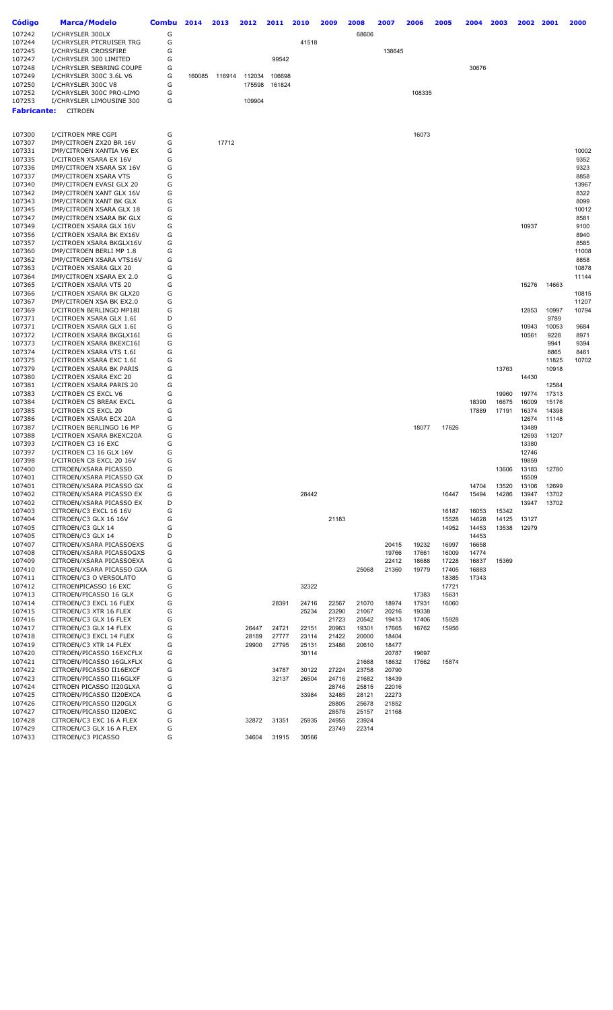| Código           | <b>Marca/Modelo</b>                                  | <b>Combu</b> | 2014   | 2013   | 2012   | 2011   | 2010  | 2009           | 2008           | 2007 |                | 2006           | 2005           | 2004           | 2003           | 2002           | 2001           | 2000          |
|------------------|------------------------------------------------------|--------------|--------|--------|--------|--------|-------|----------------|----------------|------|----------------|----------------|----------------|----------------|----------------|----------------|----------------|---------------|
| 107242           | I/CHRYSLER 300LX                                     | G            |        |        |        |        |       |                | 68606          |      |                |                |                |                |                |                |                |               |
| 107244           | I/CHRYSLER PTCRUISER TRG                             | G            |        |        |        |        | 41518 |                |                |      |                |                |                |                |                |                |                |               |
| 107245           | I/CHRYSLER CROSSFIRE                                 | G            |        |        |        |        |       |                |                |      | 138645         |                |                |                |                |                |                |               |
| 107247           | I/CHRYSLER 300 LIMITED                               | G            |        |        |        | 99542  |       |                |                |      |                |                |                |                |                |                |                |               |
| 107248           | I/CHRYSLER SEBRING COUPE                             | G            |        |        |        |        |       |                |                |      |                |                |                | 30676          |                |                |                |               |
| 107249           | I/CHRYSLER 300C 3.6L V6                              | G            | 160085 | 116914 | 112034 | 106698 |       |                |                |      |                |                |                |                |                |                |                |               |
| 107250           | I/CHRYSLER 300C V8                                   | G            |        |        | 175598 | 161824 |       |                |                |      |                |                |                |                |                |                |                |               |
| 107252           | I/CHRYSLER 300C PRO-LIMO                             | G            |        |        |        |        |       |                |                |      |                | 108335         |                |                |                |                |                |               |
| 107253           | I/CHRYSLER LIMOUSINE 300                             | G            |        |        | 109904 |        |       |                |                |      |                |                |                |                |                |                |                |               |
| Fabricante:      | <b>CITROEN</b>                                       |              |        |        |        |        |       |                |                |      |                |                |                |                |                |                |                |               |
|                  |                                                      |              |        |        |        |        |       |                |                |      |                |                |                |                |                |                |                |               |
| 107300           | I/CITROEN MRE CGPI                                   | G            |        |        |        |        |       |                |                |      |                | 16073          |                |                |                |                |                |               |
| 107307           | IMP/CITROEN ZX20 BR 16V                              | G            |        | 17712  |        |        |       |                |                |      |                |                |                |                |                |                |                |               |
| 107331           | IMP/CITROEN XANTIA V6 EX                             | G            |        |        |        |        |       |                |                |      |                |                |                |                |                |                |                | 10002         |
| 107335           | I/CITROEN XSARA EX 16V                               | G            |        |        |        |        |       |                |                |      |                |                |                |                |                |                |                | 9352          |
| 107336           | IMP/CITROEN XSARA SX 16V                             | G            |        |        |        |        |       |                |                |      |                |                |                |                |                |                |                | 9323          |
| 107337<br>107340 | IMP/CITROEN XSARA VTS                                | G<br>G       |        |        |        |        |       |                |                |      |                |                |                |                |                |                |                | 8858          |
| 107342           | IMP/CITROEN EVASI GLX 20<br>IMP/CITROEN XANT GLX 16V | G            |        |        |        |        |       |                |                |      |                |                |                |                |                |                |                | 13967<br>8322 |
| 107343           | IMP/CITROEN XANT BK GLX                              | G            |        |        |        |        |       |                |                |      |                |                |                |                |                |                |                | 8099          |
| 107345           | IMP/CITROEN XSARA GLX 18                             | G            |        |        |        |        |       |                |                |      |                |                |                |                |                |                |                | 10012         |
| 107347           | IMP/CITROEN XSARA BK GLX                             | G            |        |        |        |        |       |                |                |      |                |                |                |                |                |                |                | 8581          |
| 107349           | I/CITROEN XSARA GLX 16V                              | G            |        |        |        |        |       |                |                |      |                |                |                |                |                | 10937          |                | 9100          |
| 107356           | I/CITROEN XSARA BK EX16V                             | G            |        |        |        |        |       |                |                |      |                |                |                |                |                |                |                | 8940          |
| 107357           | I/CITROEN XSARA BKGLX16V                             | G            |        |        |        |        |       |                |                |      |                |                |                |                |                |                |                | 8585          |
| 107360           | IMP/CITROEN BERLI MP 1.8                             | G            |        |        |        |        |       |                |                |      |                |                |                |                |                |                |                | 11008         |
| 107362           | IMP/CITROEN XSARA VTS16V                             | G            |        |        |        |        |       |                |                |      |                |                |                |                |                |                |                | 8858          |
| 107363           | I/CITROEN XSARA GLX 20                               | G            |        |        |        |        |       |                |                |      |                |                |                |                |                |                |                | 10878         |
| 107364           | IMP/CITROEN XSARA EX 2.0                             | G            |        |        |        |        |       |                |                |      |                |                |                |                |                |                |                | 11144         |
| 107365           | I/CITROEN XSARA VTS 20                               | G<br>G       |        |        |        |        |       |                |                |      |                |                |                |                |                | 15276          | 14663          | 10815         |
| 107366<br>107367 | I/CITROEN XSARA BK GLX20<br>IMP/CITROEN XSA BK EX2.0 | G            |        |        |        |        |       |                |                |      |                |                |                |                |                |                |                | 11207         |
| 107369           | I/CITROEN BERLINGO MP18I                             | G            |        |        |        |        |       |                |                |      |                |                |                |                |                | 12853          | 10997          | 10794         |
| 107371           | I/CITROEN XSARA GLX 1.6I                             | D            |        |        |        |        |       |                |                |      |                |                |                |                |                |                | 9789           |               |
| 107371           | I/CITROEN XSARA GLX 1.6I                             | G            |        |        |        |        |       |                |                |      |                |                |                |                |                | 10943          | 10053          | 9684          |
| 107372           | I/CITROEN XSARA BKGLX16I                             | G            |        |        |        |        |       |                |                |      |                |                |                |                |                | 10561          | 9228           | 8971          |
| 107373           | I/CITROEN XSARA BKEXC16I                             | G            |        |        |        |        |       |                |                |      |                |                |                |                |                |                | 9941           | 9394          |
| 107374           | I/CITROEN XSARA VTS 1.6I                             | G            |        |        |        |        |       |                |                |      |                |                |                |                |                |                | 8865           | 8461          |
| 107375           | I/CITROEN XSARA EXC 1.6I                             | G            |        |        |        |        |       |                |                |      |                |                |                |                |                |                | 11825          | 10702         |
| 107379           | I/CITROEN XSARA BK PARIS                             | G            |        |        |        |        |       |                |                |      |                |                |                |                | 13763          |                | 10918          |               |
| 107380           | I/CITROEN XSARA EXC 20                               | G            |        |        |        |        |       |                |                |      |                |                |                |                |                | 14430          |                |               |
| 107381           | I/CITROEN XSARA PARIS 20                             | G<br>G       |        |        |        |        |       |                |                |      |                |                |                |                |                |                | 12584          |               |
| 107383<br>107384 | I/CITROEN C5 EXCL V6<br>I/CITROEN C5 BREAK EXCL      | G            |        |        |        |        |       |                |                |      |                |                |                | 18390          | 19960<br>16675 | 19774<br>16009 | 17313<br>15176 |               |
| 107385           | I/CITROEN C5 EXCL 20                                 | G            |        |        |        |        |       |                |                |      |                |                |                | 17889          | 17191          | 16374          | 14398          |               |
| 107386           | I/CITROEN XSARA ECX 20A                              | G            |        |        |        |        |       |                |                |      |                |                |                |                |                | 12674          | 11148          |               |
| 107387           | I/CITROEN BERLINGO 16 MP                             | G            |        |        |        |        |       |                |                |      |                | 18077          | 17626          |                |                | 13489          |                |               |
| 107388           | I/CITROEN XSARA BKEXC20A                             | G            |        |        |        |        |       |                |                |      |                |                |                |                |                | 12693          | 11207          |               |
| 107393           | I/CITROEN C3 16 EXC                                  | G            |        |        |        |        |       |                |                |      |                |                |                |                |                | 13380          |                |               |
| 107397           | I/CITROEN C3 16 GLX 16V                              | G            |        |        |        |        |       |                |                |      |                |                |                |                |                | 12746          |                |               |
| 107398           | I/CITROEN C8 EXCL 20 16V                             | G            |        |        |        |        |       |                |                |      |                |                |                |                |                | 19859          |                |               |
| 107400           | CITROEN/XSARA PICASSO                                | G            |        |        |        |        |       |                |                |      |                |                |                |                | 13606          | 13183          | 12780          |               |
| 107401           | CITROEN/XSARA PICASSO GX                             | D            |        |        |        |        |       |                |                |      |                |                |                |                |                | 15509          |                |               |
| 107401           | CITROEN/XSARA PICASSO GX<br>CITROEN/XSARA PICASSO EX | G<br>G       |        |        |        |        | 28442 |                |                |      |                |                | 16447          | 14704<br>15494 | 13520<br>14286 | 13106<br>13947 | 12699<br>13702 |               |
| 107402<br>107402 | CITROEN/XSARA PICASSO EX                             | D            |        |        |        |        |       |                |                |      |                |                |                |                |                | 13947          | 13702          |               |
| 107403           | CITROEN/C3 EXCL 16 16V                               | G            |        |        |        |        |       |                |                |      |                |                | 16187          | 16053          | 15342          |                |                |               |
| 107404           | CITROEN/C3 GLX 16 16V                                | G            |        |        |        |        |       | 21183          |                |      |                |                | 15528          | 14628          | 14125          | 13127          |                |               |
| 107405           | CITROEN/C3 GLX 14                                    | G            |        |        |        |        |       |                |                |      |                |                | 14952          | 14453          | 13538          | 12979          |                |               |
| 107405           | CITROEN/C3 GLX 14                                    | D            |        |        |        |        |       |                |                |      |                |                |                | 14453          |                |                |                |               |
| 107407           | CITROEN/XSARA PICASSOEXS                             | G            |        |        |        |        |       |                |                |      | 20415          | 19232          | 16997          | 16658          |                |                |                |               |
| 107408           | CITROEN/XSARA PICASSOGXS                             | G            |        |        |        |        |       |                |                |      | 19766          | 17661          | 16009          | 14774          |                |                |                |               |
| 107409           | CITROEN/XSARA PICASSOEXA                             | G            |        |        |        |        |       |                |                |      | 22412          | 18688          | 17228          | 16837          | 15369          |                |                |               |
| 107410           | CITROEN/XSARA PICASSO GXA                            | G            |        |        |        |        |       |                | 25068          |      | 21360          | 19779          | 17405          | 16883          |                |                |                |               |
| 107411           | CITROEN/C3 O VERSOLATO                               | G            |        |        |        |        |       |                |                |      |                |                | 18385          | 17343          |                |                |                |               |
| 107412           | CITROENPICASSO 16 EXC                                | G            |        |        |        |        | 32322 |                |                |      |                |                | 17721          |                |                |                |                |               |
| 107413<br>107414 | CITROEN/PICASSO 16 GLX<br>CITROEN/C3 EXCL 16 FLEX    | G<br>G       |        |        |        | 28391  | 24716 | 22567          | 21070          |      | 18974          | 17383<br>17931 | 15631<br>16060 |                |                |                |                |               |
| 107415           | CITROEN/C3 XTR 16 FLEX                               | G            |        |        |        |        | 25234 | 23290          | 21067          |      | 20216          | 19338          |                |                |                |                |                |               |
| 107416           | CITROEN/C3 GLX 16 FLEX                               | G            |        |        |        |        |       | 21723          | 20542          |      | 19413          | 17406          | 15928          |                |                |                |                |               |
| 107417           | CITROEN/C3 GLX 14 FLEX                               | G            |        |        | 26447  | 24721  | 22151 | 20963          | 19301          |      | 17665          | 16762          | 15956          |                |                |                |                |               |
| 107418           | CITROEN/C3 EXCL 14 FLEX                              | G            |        |        | 28189  | 27777  | 23114 | 21422          | 20000          |      | 18404          |                |                |                |                |                |                |               |
| 107419           | CITROEN/C3 XTR 14 FLEX                               | G            |        |        | 29900  | 27795  | 25131 | 23486          | 20610          |      | 18477          |                |                |                |                |                |                |               |
| 107420           | CITROEN/PICASSO 16EXCFLX                             | G            |        |        |        |        | 30114 |                |                |      | 20787          | 19697          |                |                |                |                |                |               |
| 107421           | CITROEN/PICASSO 16GLXFLX                             | G            |        |        |        |        |       |                | 21688          |      | 18632          | 17662          | 15874          |                |                |                |                |               |
| 107422           | CITROEN/PICASSO II16EXCF                             | G            |        |        |        | 34787  | 30122 | 27224          | 23758          |      | 20790          |                |                |                |                |                |                |               |
| 107423           | CITROEN/PICASSO II16GLXF                             | G            |        |        |        | 32137  | 26504 | 24716          | 21682          |      | 18439          |                |                |                |                |                |                |               |
| 107424           | CITROEN PICASSO II20GLXA                             | G            |        |        |        |        |       | 28746          | 25815          |      | 22016          |                |                |                |                |                |                |               |
| 107425           | CITROEN/PICASSO II20EXCA                             | G            |        |        |        |        | 33984 | 32485          | 28121          |      | 22273          |                |                |                |                |                |                |               |
| 107426<br>107427 | CITROEN/PICASSO II20GLX<br>CITROEN/PICASSO II20EXC   | G<br>G       |        |        |        |        |       | 28805<br>28576 | 25678<br>25157 |      | 21852<br>21168 |                |                |                |                |                |                |               |
| 107428           | CITROEN/C3 EXC 16 A FLEX                             | G            |        |        | 32872  | 31351  | 25935 | 24955          | 23924          |      |                |                |                |                |                |                |                |               |
| 107429           | CITROEN/C3 GLX 16 A FLEX                             | G            |        |        |        |        |       | 23749          | 22314          |      |                |                |                |                |                |                |                |               |
| 107433           | CITROEN/C3 PICASSO                                   | G            |        |        | 34604  | 31915  | 30566 |                |                |      |                |                |                |                |                |                |                |               |
|                  |                                                      |              |        |        |        |        |       |                |                |      |                |                |                |                |                |                |                |               |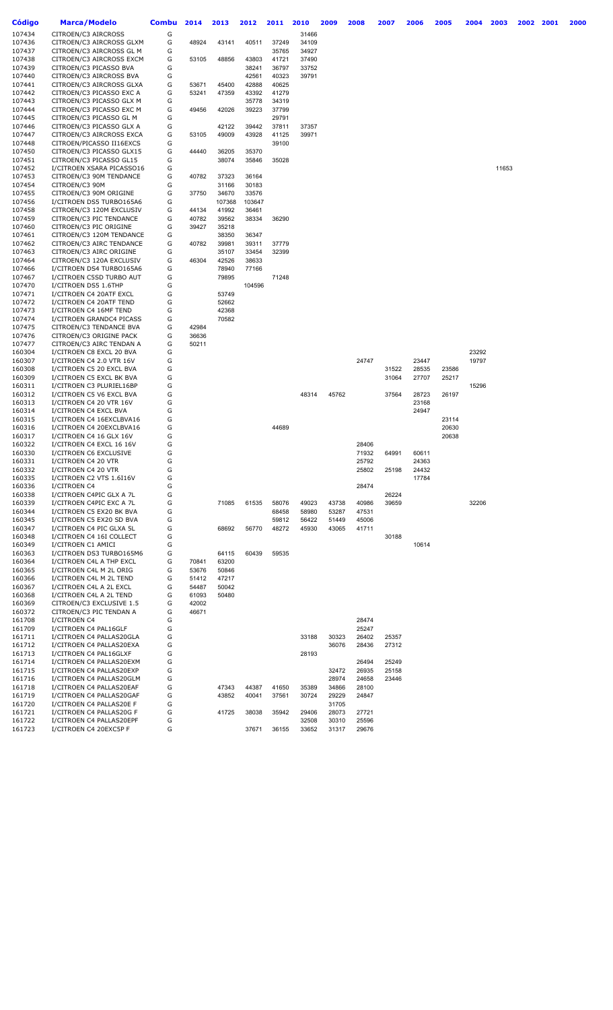| Código | <b>Marca/Modelo</b>       | <b>Combu</b> | 2014  | 2013   | 2012   | 2011  | 2010  | 2009  | 2008  | 2007  | 2006  | 2005  | 2004  | 2003  | 2002 | 2001 | 2000 |
|--------|---------------------------|--------------|-------|--------|--------|-------|-------|-------|-------|-------|-------|-------|-------|-------|------|------|------|
| 107434 | CITROEN/C3 AIRCROSS       | G            |       |        |        |       | 31466 |       |       |       |       |       |       |       |      |      |      |
| 107436 | CITROEN/C3 AIRCROSS GLXM  | G            | 48924 | 43141  | 40511  | 37249 | 34109 |       |       |       |       |       |       |       |      |      |      |
| 107437 | CITROEN/C3 AIRCROSS GL M  | G            |       |        |        | 35765 | 34927 |       |       |       |       |       |       |       |      |      |      |
| 107438 | CITROEN/C3 AIRCROSS EXCM  | G            | 53105 | 48856  | 43803  | 41721 | 37490 |       |       |       |       |       |       |       |      |      |      |
| 107439 | CITROEN/C3 PICASSO BVA    | G            |       |        | 38241  | 36797 | 33752 |       |       |       |       |       |       |       |      |      |      |
| 107440 | CITROEN/C3 AIRCROSS BVA   | G            |       |        | 42561  | 40323 | 39791 |       |       |       |       |       |       |       |      |      |      |
| 107441 | CITROEN/C3 AIRCROSS GLXA  | G            | 53671 | 45400  | 42888  | 40625 |       |       |       |       |       |       |       |       |      |      |      |
| 107442 | CITROEN/C3 PICASSO EXC A  | G            | 53241 | 47359  | 43392  | 41279 |       |       |       |       |       |       |       |       |      |      |      |
| 107443 | CITROEN/C3 PICASSO GLX M  | G            |       |        | 35778  | 34319 |       |       |       |       |       |       |       |       |      |      |      |
| 107444 | CITROEN/C3 PICASSO EXC M  | G            | 49456 | 42026  | 39223  | 37799 |       |       |       |       |       |       |       |       |      |      |      |
| 107445 | CITROEN/C3 PICASSO GL M   | G            |       |        |        | 29791 |       |       |       |       |       |       |       |       |      |      |      |
| 107446 | CITROEN/C3 PICASSO GLX A  | G            |       | 42122  | 39442  | 37811 | 37357 |       |       |       |       |       |       |       |      |      |      |
| 107447 | CITROEN/C3 AIRCROSS EXCA  | G            | 53105 | 49009  | 43928  | 41125 | 39971 |       |       |       |       |       |       |       |      |      |      |
| 107448 | CITROEN/PICASSO II16EXCS  | G            |       |        |        | 39100 |       |       |       |       |       |       |       |       |      |      |      |
| 107450 | CITROEN/C3 PICASSO GLX15  | G            | 44440 | 36205  | 35370  |       |       |       |       |       |       |       |       |       |      |      |      |
| 107451 | CITROEN/C3 PICASSO GL15   | G            |       | 38074  | 35846  | 35028 |       |       |       |       |       |       |       |       |      |      |      |
| 107452 | I/CITROEN XSARA PICASSO16 | G            |       |        |        |       |       |       |       |       |       |       |       | 11653 |      |      |      |
| 107453 | CITROEN/C3 90M TENDANCE   | G            | 40782 | 37323  | 36164  |       |       |       |       |       |       |       |       |       |      |      |      |
| 107454 | CITROEN/C3 90M            | G            |       | 31166  | 30183  |       |       |       |       |       |       |       |       |       |      |      |      |
| 107455 | CITROEN/C3 90M ORIGINE    | G            | 37750 | 34670  | 33576  |       |       |       |       |       |       |       |       |       |      |      |      |
| 107456 | I/CITROEN DS5 TURB0165A6  | G            |       | 107368 | 103647 |       |       |       |       |       |       |       |       |       |      |      |      |
| 107458 | CITROEN/C3 120M EXCLUSIV  | G            | 44134 | 41992  | 36461  |       |       |       |       |       |       |       |       |       |      |      |      |
| 107459 | CITROEN/C3 PIC TENDANCE   | G            | 40782 | 39562  | 38334  | 36290 |       |       |       |       |       |       |       |       |      |      |      |
| 107460 | CITROEN/C3 PIC ORIGINE    | G            | 39427 | 35218  |        |       |       |       |       |       |       |       |       |       |      |      |      |
| 107461 | CITROEN/C3 120M TENDANCE  | G            |       | 38350  | 36347  |       |       |       |       |       |       |       |       |       |      |      |      |
| 107462 | CITROEN/C3 AIRC TENDANCE  | G            | 40782 | 39981  | 39311  | 37779 |       |       |       |       |       |       |       |       |      |      |      |
| 107463 | CITROEN/C3 AIRC ORIGINE   | G            |       | 35107  | 33454  | 32399 |       |       |       |       |       |       |       |       |      |      |      |
| 107464 | CITROEN/C3 120A EXCLUSIV  | G            | 46304 | 42526  | 38633  |       |       |       |       |       |       |       |       |       |      |      |      |
| 107466 | I/CITROEN DS4 TURBO165A6  | G            |       | 78940  | 77166  |       |       |       |       |       |       |       |       |       |      |      |      |
| 107467 | I/CITROEN C5SD TURBO AUT  | G            |       | 79895  |        | 71248 |       |       |       |       |       |       |       |       |      |      |      |
| 107470 | I/CITROEN DS5 1.6THP      | G            |       |        | 104596 |       |       |       |       |       |       |       |       |       |      |      |      |
| 107471 | I/CITROEN C4 20ATF EXCL   | G            |       | 53749  |        |       |       |       |       |       |       |       |       |       |      |      |      |
| 107472 | I/CITROEN C4 20ATF TEND   | G            |       | 52662  |        |       |       |       |       |       |       |       |       |       |      |      |      |
| 107473 | I/CITROEN C4 16MF TEND    | G            |       | 42368  |        |       |       |       |       |       |       |       |       |       |      |      |      |
| 107474 | I/CITROEN GRANDC4 PICASS  | G            |       | 70582  |        |       |       |       |       |       |       |       |       |       |      |      |      |
| 107475 | CITROEN/C3 TENDANCE BVA   | G            | 42984 |        |        |       |       |       |       |       |       |       |       |       |      |      |      |
| 107476 | CITROEN/C3 ORIGINE PACK   | G            | 36636 |        |        |       |       |       |       |       |       |       |       |       |      |      |      |
| 107477 | CITROEN/C3 AIRC TENDAN A  | G            | 50211 |        |        |       |       |       |       |       |       |       |       |       |      |      |      |
| 160304 | I/CITROEN C8 EXCL 20 BVA  | G            |       |        |        |       |       |       |       |       |       |       | 23292 |       |      |      |      |
| 160307 | I/CITROEN C4 2.0 VTR 16V  | G            |       |        |        |       |       |       | 24747 |       | 23447 |       | 19797 |       |      |      |      |
| 160308 | I/CITROEN C5 20 EXCL BVA  | G            |       |        |        |       |       |       |       | 31522 | 28535 | 23586 |       |       |      |      |      |
| 160309 | I/CITROEN C5 EXCL BK BVA  | G            |       |        |        |       |       |       |       | 31064 | 27707 | 25217 |       |       |      |      |      |
| 160311 | I/CITROEN C3 PLURIEL16BP  | G            |       |        |        |       |       |       |       |       |       |       | 15296 |       |      |      |      |
| 160312 | I/CITROEN C5 V6 EXCL BVA  | G            |       |        |        |       | 48314 | 45762 |       | 37564 | 28723 | 26197 |       |       |      |      |      |
| 160313 | I/CITROEN C4 20 VTR 16V   | G            |       |        |        |       |       |       |       |       | 23168 |       |       |       |      |      |      |
| 160314 | I/CITROEN C4 EXCL BVA     | G            |       |        |        |       |       |       |       |       | 24947 |       |       |       |      |      |      |
| 160315 | I/CITROEN C4 16EXCLBVA16  | G            |       |        |        |       |       |       |       |       |       | 23114 |       |       |      |      |      |
| 160316 | I/CITROEN C4 20EXCLBVA16  | G            |       |        |        | 44689 |       |       |       |       |       | 20630 |       |       |      |      |      |
| 160317 | I/CITROEN C4 16 GLX 16V   | G            |       |        |        |       |       |       |       |       |       | 20638 |       |       |      |      |      |
| 160322 | I/CITROEN C4 EXCL 16 16V  | G            |       |        |        |       |       |       | 28406 |       |       |       |       |       |      |      |      |
| 160330 | I/CITROEN C6 EXCLUSIVE    | G            |       |        |        |       |       |       | 71932 | 64991 | 60611 |       |       |       |      |      |      |
| 160331 | I/CITROEN C4 20 VTR       | G            |       |        |        |       |       |       | 25792 |       | 24363 |       |       |       |      |      |      |
| 160332 | I/CITROEN C4 20 VTR       | G            |       |        |        |       |       |       | 25802 | 25198 | 24432 |       |       |       |      |      |      |
| 160335 | I/CITROEN C2 VTS 1.6I16V  | G            |       |        |        |       |       |       |       |       | 17784 |       |       |       |      |      |      |
| 160336 | I/CITROEN C4              | G            |       |        |        |       |       |       | 28474 |       |       |       |       |       |      |      |      |
| 160338 | I/CITROEN C4PIC GLX A 7L  | G            |       |        |        |       |       |       |       | 26224 |       |       |       |       |      |      |      |
| 160339 | I/CITROEN C4PIC EXC A 7L  | G            |       | 71085  | 61535  | 58076 | 49023 | 43738 | 40986 | 39659 |       |       | 32206 |       |      |      |      |
| 160344 | I/CITROEN C5 EX20 BK BVA  | G            |       |        |        | 68458 | 58980 | 53287 | 47531 |       |       |       |       |       |      |      |      |
| 160345 | I/CITROEN C5 EX20 SD BVA  | G            |       |        |        | 59812 | 56422 | 51449 | 45006 |       |       |       |       |       |      |      |      |
| 160347 | I/CITROEN C4 PIC GLXA 5L  | G            |       | 68692  | 56770  | 48272 | 45930 | 43065 | 41711 |       |       |       |       |       |      |      |      |
| 160348 | I/CITROEN C4 16I COLLECT  | G            |       |        |        |       |       |       |       | 30188 |       |       |       |       |      |      |      |
| 160349 | I/CITROEN C1 AMICI        | G            |       |        |        |       |       |       |       |       | 10614 |       |       |       |      |      |      |
| 160363 | I/CITROEN DS3 TURB0165M6  | G            |       | 64115  | 60439  | 59535 |       |       |       |       |       |       |       |       |      |      |      |
| 160364 | I/CITROEN C4L A THP EXCL  | G            | 70841 | 63200  |        |       |       |       |       |       |       |       |       |       |      |      |      |
| 160365 | I/CITROEN C4L M 2L ORIG   | G            | 53676 | 50846  |        |       |       |       |       |       |       |       |       |       |      |      |      |
| 160366 | I/CITROEN C4L M 2L TEND   | G            | 51412 | 47217  |        |       |       |       |       |       |       |       |       |       |      |      |      |
| 160367 | I/CITROEN C4L A 2L EXCL   | G            | 54487 | 50042  |        |       |       |       |       |       |       |       |       |       |      |      |      |
| 160368 | I/CITROEN C4L A 2L TEND   | G            | 61093 | 50480  |        |       |       |       |       |       |       |       |       |       |      |      |      |
| 160369 | CITROEN/C3 EXCLUSIVE 1.5  | G            | 42002 |        |        |       |       |       |       |       |       |       |       |       |      |      |      |
| 160372 | CITROEN/C3 PIC TENDAN A   | G            | 46671 |        |        |       |       |       |       |       |       |       |       |       |      |      |      |
| 161708 | I/CITROEN C4              | G            |       |        |        |       |       |       | 28474 |       |       |       |       |       |      |      |      |
| 161709 | I/CITROEN C4 PAL16GLF     | G            |       |        |        |       |       |       | 25247 |       |       |       |       |       |      |      |      |
| 161711 | I/CITROEN C4 PALLAS20GLA  | G            |       |        |        |       | 33188 | 30323 | 26402 | 25357 |       |       |       |       |      |      |      |
| 161712 | I/CITROEN C4 PALLAS20EXA  | G            |       |        |        |       |       | 36076 | 28436 | 27312 |       |       |       |       |      |      |      |
| 161713 | I/CITROEN C4 PAL16GLXF    | G            |       |        |        |       | 28193 |       |       |       |       |       |       |       |      |      |      |
| 161714 | I/CITROEN C4 PALLAS20EXM  | G            |       |        |        |       |       |       | 26494 | 25249 |       |       |       |       |      |      |      |
| 161715 | I/CITROEN C4 PALLAS20EXP  | G            |       |        |        |       |       | 32472 | 26935 | 25158 |       |       |       |       |      |      |      |
| 161716 | I/CITROEN C4 PALLAS20GLM  | G            |       |        |        |       |       | 28974 | 24658 | 23446 |       |       |       |       |      |      |      |
| 161718 | I/CITROEN C4 PALLAS20EAF  | G            |       | 47343  | 44387  | 41650 | 35389 | 34866 | 28100 |       |       |       |       |       |      |      |      |
| 161719 | I/CITROEN C4 PALLAS20GAF  | G            |       | 43852  | 40041  | 37561 | 30724 | 29229 | 24847 |       |       |       |       |       |      |      |      |
| 161720 | I/CITROEN C4 PALLAS20E F  | G            |       |        |        |       |       | 31705 |       |       |       |       |       |       |      |      |      |
| 161721 | I/CITROEN C4 PALLAS20G F  | G            |       | 41725  | 38038  | 35942 | 29406 | 28073 | 27721 |       |       |       |       |       |      |      |      |
| 161722 | I/CITROEN C4 PALLAS20EPF  | G            |       |        |        |       | 32508 | 30310 | 25596 |       |       |       |       |       |      |      |      |
| 161723 | I/CITROEN C4 20EXC5P F    | G            |       |        | 37671  | 36155 | 33652 | 31317 | 29676 |       |       |       |       |       |      |      |      |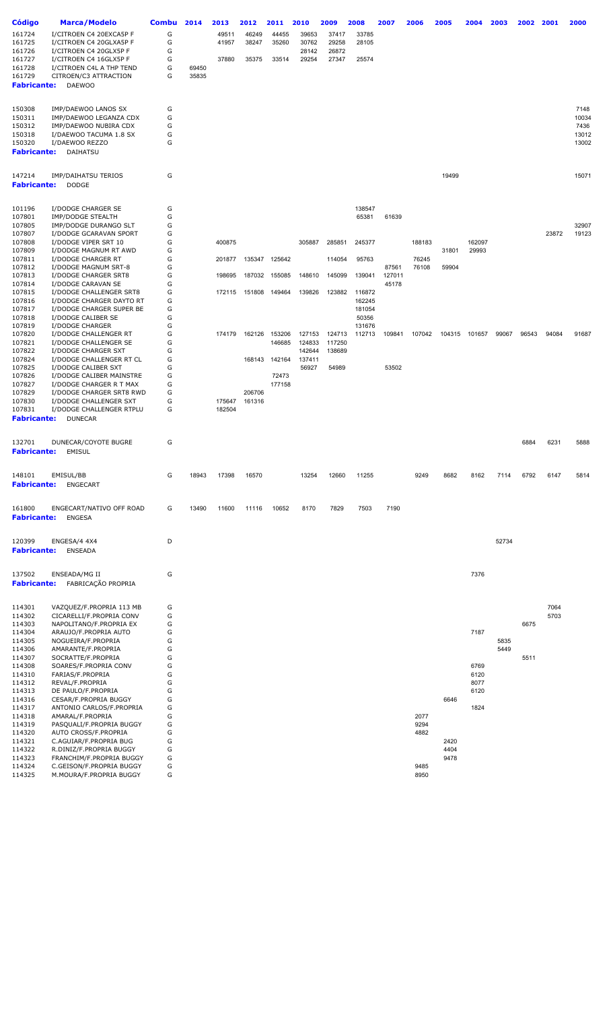| Código             | <b>Marca/Modelo</b>                                  | Combu  | 2014  | 2013   | 2012   | 2011   | 2010   | 2009   | 2008   | 2007   | 2006   | 2005   | 2004   | 2003         | 2002  | 2001  | 2000           |
|--------------------|------------------------------------------------------|--------|-------|--------|--------|--------|--------|--------|--------|--------|--------|--------|--------|--------------|-------|-------|----------------|
| 161724             | I/CITROEN C4 20EXCA5P F                              | G      |       | 49511  | 46249  | 44455  | 39653  | 37417  | 33785  |        |        |        |        |              |       |       |                |
| 161725             | I/CITROEN C4 20GLXA5P F                              | G      |       | 41957  | 38247  | 35260  | 30762  | 29258  | 28105  |        |        |        |        |              |       |       |                |
| 161726             | I/CITROEN C4 20GLX5P F                               | G      |       |        |        |        | 28142  | 26872  |        |        |        |        |        |              |       |       |                |
| 161727             | I/CITROEN C4 16GLX5P F                               | G      |       | 37880  | 35375  | 33514  | 29254  | 27347  | 25574  |        |        |        |        |              |       |       |                |
| 161728             | I/CITROEN C4L A THP TEND                             | G      | 69450 |        |        |        |        |        |        |        |        |        |        |              |       |       |                |
| 161729             | CITROEN/C3 ATTRACTION                                | G      | 35835 |        |        |        |        |        |        |        |        |        |        |              |       |       |                |
| <b>Fabricante:</b> | <b>DAEWOO</b>                                        |        |       |        |        |        |        |        |        |        |        |        |        |              |       |       |                |
|                    |                                                      |        |       |        |        |        |        |        |        |        |        |        |        |              |       |       |                |
| 150308             | IMP/DAEWOO LANOS SX                                  | G      |       |        |        |        |        |        |        |        |        |        |        |              |       |       | 7148           |
| 150311             | IMP/DAEWOO LEGANZA CDX                               | G      |       |        |        |        |        |        |        |        |        |        |        |              |       |       | 10034          |
| 150312             | IMP/DAEWOO NUBIRA CDX                                | G      |       |        |        |        |        |        |        |        |        |        |        |              |       |       | 7436           |
| 150318             | I/DAEWOO TACUMA 1.8 SX                               | G      |       |        |        |        |        |        |        |        |        |        |        |              |       |       | 13012          |
| 150320             | I/DAEWOO REZZO                                       | G      |       |        |        |        |        |        |        |        |        |        |        |              |       |       | 13002          |
| <b>Fabricante:</b> | DAIHATSU                                             |        |       |        |        |        |        |        |        |        |        |        |        |              |       |       |                |
|                    |                                                      |        |       |        |        |        |        |        |        |        |        |        |        |              |       |       |                |
| 147214             | IMP/DAIHATSU TERIOS                                  | G      |       |        |        |        |        |        |        |        |        | 19499  |        |              |       |       | 15071          |
| <b>Fabricante:</b> | <b>DODGE</b>                                         |        |       |        |        |        |        |        |        |        |        |        |        |              |       |       |                |
|                    |                                                      |        |       |        |        |        |        |        |        |        |        |        |        |              |       |       |                |
| 101196             | I/DODGE CHARGER SE                                   | G      |       |        |        |        |        |        | 138547 |        |        |        |        |              |       |       |                |
| 107801             | IMP/DODGE STEALTH                                    | G      |       |        |        |        |        |        | 65381  | 61639  |        |        |        |              |       |       |                |
| 107805<br>107807   | IMP/DODGE DURANGO SLT                                | G<br>G |       |        |        |        |        |        |        |        |        |        |        |              |       | 23872 | 32907<br>19123 |
| 107808             | I/DODGE GCARAVAN SPORT<br>I/DODGE VIPER SRT 10       | G      |       | 400875 |        |        |        | 285851 |        |        | 188183 |        | 162097 |              |       |       |                |
| 107809             | I/DODGE MAGNUM RT AWD                                | G      |       |        |        |        | 305887 |        | 245377 |        |        | 31801  | 29993  |              |       |       |                |
| 107811             | I/DODGE CHARGER RT                                   | G      |       | 201877 | 135347 | 125642 |        | 114054 | 95763  |        | 76245  |        |        |              |       |       |                |
| 107812             | I/DODGE MAGNUM SRT-8                                 | G      |       |        |        |        |        |        |        | 87561  | 76108  | 59904  |        |              |       |       |                |
| 107813             | I/DODGE CHARGER SRT8                                 | G      |       | 198695 | 187032 | 155085 | 148610 | 145099 | 139041 | 127011 |        |        |        |              |       |       |                |
| 107814             | I/DODGE CARAVAN SE                                   | G      |       |        |        |        |        |        |        | 45178  |        |        |        |              |       |       |                |
| 107815             | I/DODGE CHALLENGER SRT8                              | G      |       | 172115 | 151808 | 149464 | 139826 | 123882 | 116872 |        |        |        |        |              |       |       |                |
| 107816             | I/DODGE CHARGER DAYTO RT                             | G      |       |        |        |        |        |        | 162245 |        |        |        |        |              |       |       |                |
| 107817             | I/DODGE CHARGER SUPER BE                             | G      |       |        |        |        |        |        | 181054 |        |        |        |        |              |       |       |                |
| 107818             | I/DODGE CALIBER SE                                   | G      |       |        |        |        |        |        | 50356  |        |        |        |        |              |       |       |                |
| 107819             | I/DODGE CHARGER                                      | G      |       |        |        |        |        |        | 131676 |        |        |        |        |              |       |       |                |
| 107820             | I/DODGE CHALLENGER RT                                | G      |       | 174179 | 162126 | 153206 | 127153 | 124713 | 112713 | 109841 | 107042 | 104315 | 101657 | 99067        | 96543 | 94084 | 91687          |
| 107821             | I/DODGE CHALLENGER SE                                | G      |       |        |        | 146685 | 124833 | 117250 |        |        |        |        |        |              |       |       |                |
| 107822             | I/DODGE CHARGER SXT                                  | G      |       |        |        |        | 142644 | 138689 |        |        |        |        |        |              |       |       |                |
| 107824             | I/DODGE CHALLENGER RT CL                             | G      |       |        | 168143 | 142164 | 137411 |        |        |        |        |        |        |              |       |       |                |
| 107825             | I/DODGE CALIBER SXT                                  | G      |       |        |        |        | 56927  | 54989  |        | 53502  |        |        |        |              |       |       |                |
| 107826             | I/DODGE CALIBER MAINSTRE                             | G      |       |        |        | 72473  |        |        |        |        |        |        |        |              |       |       |                |
| 107827<br>107829   | I/DODGE CHARGER R T MAX                              | G<br>G |       |        | 206706 | 177158 |        |        |        |        |        |        |        |              |       |       |                |
| 107830             | I/DODGE CHARGER SRT8 RWD<br>I/DODGE CHALLENGER SXT   | G      |       | 175647 | 161316 |        |        |        |        |        |        |        |        |              |       |       |                |
| 107831             | I/DODGE CHALLENGER RTPLU                             | G      |       | 182504 |        |        |        |        |        |        |        |        |        |              |       |       |                |
| <b>Fabricante:</b> | <b>DUNECAR</b>                                       |        |       |        |        |        |        |        |        |        |        |        |        |              |       |       |                |
|                    |                                                      |        |       |        |        |        |        |        |        |        |        |        |        |              |       |       |                |
| 132701             | DUNECAR/COYOTE BUGRE                                 | G      |       |        |        |        |        |        |        |        |        |        |        |              | 6884  | 6231  | 5888           |
| <b>Fabricante:</b> | EMISUL                                               |        |       |        |        |        |        |        |        |        |        |        |        |              |       |       |                |
|                    |                                                      |        |       |        |        |        |        |        |        |        |        |        |        |              |       |       |                |
| 148101             | EMISUL/BB                                            | G      | 18943 | 17398  | 16570  |        | 13254  | 12660  | 11255  |        | 9249   | 8682   | 8162   | 7114         | 6792  | 6147  | 5814           |
| <b>Fabricante:</b> | <b>ENGECART</b>                                      |        |       |        |        |        |        |        |        |        |        |        |        |              |       |       |                |
|                    |                                                      |        |       |        |        |        |        |        |        |        |        |        |        |              |       |       |                |
| 161800             | ENGECART/NATIVO OFF ROAD                             | G      | 13490 | 11600  | 11116  | 10652  | 8170   | 7829   | 7503   | 7190   |        |        |        |              |       |       |                |
| <b>Fabricante:</b> | <b>ENGESA</b>                                        |        |       |        |        |        |        |        |        |        |        |        |        |              |       |       |                |
|                    |                                                      |        |       |        |        |        |        |        |        |        |        |        |        |              |       |       |                |
| 120399             | ENGESA/4 4X4                                         | D      |       |        |        |        |        |        |        |        |        |        |        | 52734        |       |       |                |
| <b>Fabricante:</b> | <b>ENSEADA</b>                                       |        |       |        |        |        |        |        |        |        |        |        |        |              |       |       |                |
|                    |                                                      |        |       |        |        |        |        |        |        |        |        |        |        |              |       |       |                |
| 137502             | ENSEADA/MG II                                        | G      |       |        |        |        |        |        |        |        |        |        | 7376   |              |       |       |                |
| <b>Fabricante:</b> | FABRICAÇÃO PROPRIA                                   |        |       |        |        |        |        |        |        |        |        |        |        |              |       |       |                |
|                    |                                                      |        |       |        |        |        |        |        |        |        |        |        |        |              |       |       |                |
|                    |                                                      |        |       |        |        |        |        |        |        |        |        |        |        |              |       |       |                |
| 114301             | VAZQUEZ/F.PROPRIA 113 MB                             | G      |       |        |        |        |        |        |        |        |        |        |        |              |       | 7064  |                |
| 114302             | CICARELLI/F.PROPRIA CONV                             | G      |       |        |        |        |        |        |        |        |        |        |        |              |       | 5703  |                |
| 114303             | NAPOLITANO/F.PROPRIA EX                              | G      |       |        |        |        |        |        |        |        |        |        |        |              | 6675  |       |                |
| 114304             | ARAUJO/F.PROPRIA AUTO                                | G      |       |        |        |        |        |        |        |        |        |        | 7187   |              |       |       |                |
| 114305<br>114306   | NOGUEIRA/F.PROPRIA<br>AMARANTE/F.PROPRIA             | G<br>G |       |        |        |        |        |        |        |        |        |        |        | 5835<br>5449 |       |       |                |
| 114307             | SOCRATTE/F.PROPRIA                                   | G      |       |        |        |        |        |        |        |        |        |        |        |              | 5511  |       |                |
| 114308             | SOARES/F.PROPRIA CONV                                | G      |       |        |        |        |        |        |        |        |        |        | 6769   |              |       |       |                |
| 114310             | FARIAS/F.PROPRIA                                     | G      |       |        |        |        |        |        |        |        |        |        | 6120   |              |       |       |                |
| 114312             | REVAL/F.PROPRIA                                      | G      |       |        |        |        |        |        |        |        |        |        | 8077   |              |       |       |                |
| 114313             | DE PAULO/F.PROPRIA                                   | G      |       |        |        |        |        |        |        |        |        |        | 6120   |              |       |       |                |
| 114316             | CESAR/F.PROPRIA BUGGY                                | G      |       |        |        |        |        |        |        |        |        | 6646   |        |              |       |       |                |
| 114317             | ANTONIO CARLOS/F.PROPRIA                             | G      |       |        |        |        |        |        |        |        |        |        | 1824   |              |       |       |                |
| 114318             | AMARAL/F.PROPRIA                                     | G      |       |        |        |        |        |        |        |        | 2077   |        |        |              |       |       |                |
| 114319             | PASQUALI/F.PROPRIA BUGGY                             | G      |       |        |        |        |        |        |        |        | 9294   |        |        |              |       |       |                |
| 114320             | AUTO CROSS/F.PROPRIA                                 | G      |       |        |        |        |        |        |        |        | 4882   |        |        |              |       |       |                |
| 114321             | C.AGUIAR/F.PROPRIA BUG                               | G      |       |        |        |        |        |        |        |        |        | 2420   |        |              |       |       |                |
| 114322             | R.DINIZ/F.PROPRIA BUGGY                              | G      |       |        |        |        |        |        |        |        |        | 4404   |        |              |       |       |                |
| 114323<br>114324   | FRANCHIM/F.PROPRIA BUGGY<br>C.GEISON/F.PROPRIA BUGGY | G<br>G |       |        |        |        |        |        |        |        | 9485   | 9478   |        |              |       |       |                |
| 114325             | M.MOURA/F.PROPRIA BUGGY                              | G      |       |        |        |        |        |        |        |        | 8950   |        |        |              |       |       |                |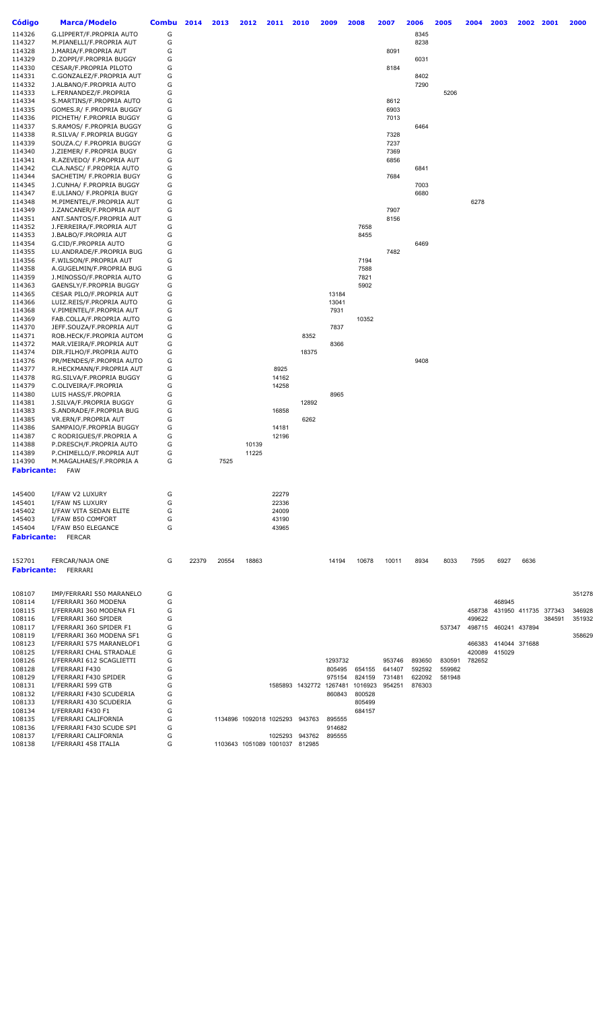| <b>Código</b>      | <b>Marca/Modelo</b>                                  | <b>Combu</b> | 2014  | 2013  | 2012                           | 2011           | 2010            | 2009    | 2008    | 2007   | 2006   | 2005   | 2004   | 2003                 | 2002 | 2001                 | 2000   |
|--------------------|------------------------------------------------------|--------------|-------|-------|--------------------------------|----------------|-----------------|---------|---------|--------|--------|--------|--------|----------------------|------|----------------------|--------|
| 114326             | G.LIPPERT/F.PROPRIA AUTO                             | G            |       |       |                                |                |                 |         |         |        | 8345   |        |        |                      |      |                      |        |
| 114327             | M.PIANELLI/F.PROPRIA AUT                             | G            |       |       |                                |                |                 |         |         |        | 8238   |        |        |                      |      |                      |        |
| 114328             | J.MARIA/F.PROPRIA AUT                                | G            |       |       |                                |                |                 |         |         | 8091   |        |        |        |                      |      |                      |        |
| 114329             | D.ZOPPI/F.PROPRIA BUGGY                              | G            |       |       |                                |                |                 |         |         |        | 6031   |        |        |                      |      |                      |        |
| 114330             | CESAR/F.PROPRIA PILOTO                               | G            |       |       |                                |                |                 |         |         | 8184   |        |        |        |                      |      |                      |        |
| 114331             | C.GONZALEZ/F.PROPRIA AUT                             | G            |       |       |                                |                |                 |         |         |        | 8402   |        |        |                      |      |                      |        |
| 114332             | J.ALBANO/F.PROPRIA AUTO                              | G            |       |       |                                |                |                 |         |         |        | 7290   |        |        |                      |      |                      |        |
| 114333             | L.FERNANDEZ/F.PROPRIA                                | G            |       |       |                                |                |                 |         |         |        |        | 5206   |        |                      |      |                      |        |
| 114334             | S.MARTINS/F.PROPRIA AUTO                             | G            |       |       |                                |                |                 |         |         | 8612   |        |        |        |                      |      |                      |        |
| 114335             | GOMES.R/ F.PROPRIA BUGGY                             | G            |       |       |                                |                |                 |         |         | 6903   |        |        |        |                      |      |                      |        |
| 114336             | PICHETH/ F.PROPRIA BUGGY                             | G            |       |       |                                |                |                 |         |         | 7013   |        |        |        |                      |      |                      |        |
| 114337             | S.RAMOS/ F.PROPRIA BUGGY                             | G            |       |       |                                |                |                 |         |         |        | 6464   |        |        |                      |      |                      |        |
| 114338             | R.SILVA/ F.PROPRIA BUGGY                             | G            |       |       |                                |                |                 |         |         | 7328   |        |        |        |                      |      |                      |        |
| 114339             | SOUZA.C/ F.PROPRIA BUGGY                             | G            |       |       |                                |                |                 |         |         | 7237   |        |        |        |                      |      |                      |        |
| 114340             | J.ZIEMER/ F.PROPRIA BUGY                             | G            |       |       |                                |                |                 |         |         | 7369   |        |        |        |                      |      |                      |        |
| 114341             | R.AZEVEDO/ F.PROPRIA AUT                             | G            |       |       |                                |                |                 |         |         | 6856   |        |        |        |                      |      |                      |        |
| 114342             | CLA.NASC/ F.PROPRIA AUTO                             | G            |       |       |                                |                |                 |         |         |        | 6841   |        |        |                      |      |                      |        |
| 114344             | SACHETIM/ F.PROPRIA BUGY                             | G            |       |       |                                |                |                 |         |         | 7684   |        |        |        |                      |      |                      |        |
| 114345             | J.CUNHA/ F.PROPRIA BUGGY                             | G            |       |       |                                |                |                 |         |         |        | 7003   |        |        |                      |      |                      |        |
| 114347             | E.ULIANO/ F.PROPRIA BUGY                             | G            |       |       |                                |                |                 |         |         |        | 6680   |        |        |                      |      |                      |        |
| 114348             | M.PIMENTEL/F.PROPRIA AUT                             | G            |       |       |                                |                |                 |         |         |        |        |        | 6278   |                      |      |                      |        |
| 114349<br>114351   | J.ZANCANER/F.PROPRIA AUT<br>ANT.SANTOS/F.PROPRIA AUT | G            |       |       |                                |                |                 |         |         | 7907   |        |        |        |                      |      |                      |        |
| 114352             | J.FERREIRA/F.PROPRIA AUT                             | G<br>G       |       |       |                                |                |                 |         | 7658    | 8156   |        |        |        |                      |      |                      |        |
| 114353             | J.BALBO/F.PROPRIA AUT                                | G            |       |       |                                |                |                 |         | 8455    |        |        |        |        |                      |      |                      |        |
| 114354             | G.CID/F.PROPRIA AUTO                                 | G            |       |       |                                |                |                 |         |         |        | 6469   |        |        |                      |      |                      |        |
| 114355             | LU.ANDRADE/F.PROPRIA BUG                             | G            |       |       |                                |                |                 |         |         | 7482   |        |        |        |                      |      |                      |        |
| 114356             | F.WILSON/F.PROPRIA AUT                               | G            |       |       |                                |                |                 |         | 7194    |        |        |        |        |                      |      |                      |        |
| 114358             | A.GUGELMIN/F.PROPRIA BUG                             | G            |       |       |                                |                |                 |         | 7588    |        |        |        |        |                      |      |                      |        |
| 114359             | J.MINOSSO/F.PROPRIA AUTO                             | G            |       |       |                                |                |                 |         | 7821    |        |        |        |        |                      |      |                      |        |
| 114363             | GAENSLY/F.PROPRIA BUGGY                              | G            |       |       |                                |                |                 |         | 5902    |        |        |        |        |                      |      |                      |        |
| 114365             | CESAR PILO/F.PROPRIA AUT                             | G            |       |       |                                |                |                 | 13184   |         |        |        |        |        |                      |      |                      |        |
| 114366             | LUIZ.REIS/F.PROPRIA AUTO                             | G            |       |       |                                |                |                 | 13041   |         |        |        |        |        |                      |      |                      |        |
| 114368             | V.PIMENTEL/F.PROPRIA AUT                             | G            |       |       |                                |                |                 | 7931    |         |        |        |        |        |                      |      |                      |        |
| 114369             | FAB.COLLA/F.PROPRIA AUTO                             | G            |       |       |                                |                |                 |         | 10352   |        |        |        |        |                      |      |                      |        |
| 114370             | JEFF.SOUZA/F.PROPRIA AUT                             | G            |       |       |                                |                |                 | 7837    |         |        |        |        |        |                      |      |                      |        |
| 114371             | ROB.HECK/F.PROPRIA AUTOM                             | G            |       |       |                                |                | 8352            |         |         |        |        |        |        |                      |      |                      |        |
| 114372             | MAR.VIEIRA/F.PROPRIA AUT                             | G            |       |       |                                |                |                 | 8366    |         |        |        |        |        |                      |      |                      |        |
| 114374             | DIR.FILHO/F.PROPRIA AUTO                             | G            |       |       |                                |                | 18375           |         |         |        |        |        |        |                      |      |                      |        |
| 114376             | PR/MENDES/F.PROPRIA AUTO                             | G            |       |       |                                |                |                 |         |         |        | 9408   |        |        |                      |      |                      |        |
| 114377             | R.HECKMANN/F.PROPRIA AUT                             | G            |       |       |                                | 8925           |                 |         |         |        |        |        |        |                      |      |                      |        |
| 114378             | RG.SILVA/F.PROPRIA BUGGY                             | G            |       |       |                                | 14162          |                 |         |         |        |        |        |        |                      |      |                      |        |
| 114379             | C.OLIVEIRA/F.PROPRIA                                 | G            |       |       |                                | 14258          |                 |         |         |        |        |        |        |                      |      |                      |        |
| 114380             | LUIS HASS/F.PROPRIA                                  | G            |       |       |                                |                |                 | 8965    |         |        |        |        |        |                      |      |                      |        |
| 114381             | J.SILVA/F.PROPRIA BUGGY                              | G            |       |       |                                |                | 12892           |         |         |        |        |        |        |                      |      |                      |        |
| 114383             | S.ANDRADE/F.PROPRIA BUG                              | G            |       |       |                                | 16858          |                 |         |         |        |        |        |        |                      |      |                      |        |
| 114385             | VR.ERN/F.PROPRIA AUT                                 | G            |       |       |                                |                | 6262            |         |         |        |        |        |        |                      |      |                      |        |
| 114386<br>114387   | SAMPAIO/F.PROPRIA BUGGY                              | G<br>G       |       |       |                                | 14181<br>12196 |                 |         |         |        |        |        |        |                      |      |                      |        |
| 114388             | C RODRIGUES/F.PROPRIA A<br>P.DRESCH/F.PROPRIA AUTO   | G            |       |       | 10139                          |                |                 |         |         |        |        |        |        |                      |      |                      |        |
| 114389             | P.CHIMELLO/F.PROPRIA AUT                             | G            |       |       | 11225                          |                |                 |         |         |        |        |        |        |                      |      |                      |        |
| 114390             | M.MAGALHAES/F.PROPRIA A                              | G            |       | 7525  |                                |                |                 |         |         |        |        |        |        |                      |      |                      |        |
| <b>Fabricante:</b> | <b>FAW</b>                                           |              |       |       |                                |                |                 |         |         |        |        |        |        |                      |      |                      |        |
|                    |                                                      |              |       |       |                                |                |                 |         |         |        |        |        |        |                      |      |                      |        |
|                    |                                                      |              |       |       |                                |                |                 |         |         |        |        |        |        |                      |      |                      |        |
| 145400             | I/FAW V2 LUXURY                                      | G            |       |       |                                | 22279          |                 |         |         |        |        |        |        |                      |      |                      |        |
| 145401             | I/FAW N5 LUXURY                                      | G            |       |       |                                | 22336          |                 |         |         |        |        |        |        |                      |      |                      |        |
| 145402             | I/FAW VITA SEDAN ELITE                               | G            |       |       |                                | 24009          |                 |         |         |        |        |        |        |                      |      |                      |        |
| 145403             | I/FAW B50 COMFORT                                    | G            |       |       |                                | 43190          |                 |         |         |        |        |        |        |                      |      |                      |        |
| 145404             | I/FAW B50 ELEGANCE                                   | G            |       |       |                                | 43965          |                 |         |         |        |        |        |        |                      |      |                      |        |
| <b>Fabricante:</b> | <b>FERCAR</b>                                        |              |       |       |                                |                |                 |         |         |        |        |        |        |                      |      |                      |        |
|                    |                                                      |              |       |       |                                |                |                 |         |         |        |        |        |        |                      |      |                      |        |
|                    |                                                      |              |       |       |                                |                |                 |         |         |        |        |        |        |                      |      |                      |        |
| 152701             | FERCAR/NAJA ONE                                      | G            | 22379 | 20554 | 18863                          |                |                 | 14194   | 10678   | 10011  | 8934   | 8033   | 7595   | 6927                 | 6636 |                      |        |
| <b>Fabricante:</b> | FERRARI                                              |              |       |       |                                |                |                 |         |         |        |        |        |        |                      |      |                      |        |
|                    |                                                      |              |       |       |                                |                |                 |         |         |        |        |        |        |                      |      |                      |        |
| 108107             | IMP/FERRARI 550 MARANELO                             | G            |       |       |                                |                |                 |         |         |        |        |        |        |                      |      |                      | 351278 |
| 108114             | I/FERRARI 360 MODENA                                 | G            |       |       |                                |                |                 |         |         |        |        |        |        | 468945               |      |                      |        |
| 108115             | I/FERRARI 360 MODENA F1                              | G            |       |       |                                |                |                 |         |         |        |        |        | 458738 |                      |      | 431950 411735 377343 | 346928 |
| 108116             | I/FERRARI 360 SPIDER                                 | G            |       |       |                                |                |                 |         |         |        |        |        | 499622 |                      |      | 384591               | 351932 |
| 108117             | I/FERRARI 360 SPIDER F1                              | G            |       |       |                                |                |                 |         |         |        |        | 537347 |        | 498715 460241 437894 |      |                      |        |
| 108119             | I/FERRARI 360 MODENA SF1                             | G            |       |       |                                |                |                 |         |         |        |        |        |        |                      |      |                      | 358629 |
| 108123             | I/FERRARI 575 MARANELOF1                             | G            |       |       |                                |                |                 |         |         |        |        |        |        | 466383 414044 371688 |      |                      |        |
| 108125             | I/FERRARI CHAL STRADALE                              | G            |       |       |                                |                |                 |         |         |        |        |        |        | 420089 415029        |      |                      |        |
| 108126             | I/FERRARI 612 SCAGLIETTI                             | G            |       |       |                                |                |                 | 1293732 |         | 953746 | 893650 | 830591 | 782652 |                      |      |                      |        |
| 108128             | I/FERRARI F430                                       | G            |       |       |                                |                |                 | 805495  | 654155  | 641407 | 592592 | 559982 |        |                      |      |                      |        |
| 108129             | I/FERRARI F430 SPIDER                                | G            |       |       |                                |                |                 | 975154  | 824159  | 731481 | 622092 | 581948 |        |                      |      |                      |        |
| 108131             | I/FERRARI 599 GTB                                    | G            |       |       |                                |                | 1585893 1432772 | 1267481 | 1016923 | 954251 | 876303 |        |        |                      |      |                      |        |
| 108132             | I/FERRARI F430 SCUDERIA                              | G            |       |       |                                |                |                 | 860843  | 800528  |        |        |        |        |                      |      |                      |        |
| 108133             | I/FERRARI 430 SCUDERIA                               | G            |       |       |                                |                |                 |         | 805499  |        |        |        |        |                      |      |                      |        |
| 108134             | I/FERRARI F430 F1                                    | G            |       |       |                                |                |                 |         | 684157  |        |        |        |        |                      |      |                      |        |
| 108135             | I/FERRARI CALIFORNIA                                 | G            |       |       | 1134896 1092018 1025293 943763 |                |                 | 895555  |         |        |        |        |        |                      |      |                      |        |
| 108136             | I/FERRARI F430 SCUDE SPI                             | G            |       |       |                                |                |                 | 914682  |         |        |        |        |        |                      |      |                      |        |
| 108137             | I/FERRARI CALIFORNIA                                 | G            |       |       |                                | 1025293        | 943762          | 895555  |         |        |        |        |        |                      |      |                      |        |
| 108138             | I/FERRARI 458 ITALIA                                 | G            |       |       | 1103643 1051089 1001037 812985 |                |                 |         |         |        |        |        |        |                      |      |                      |        |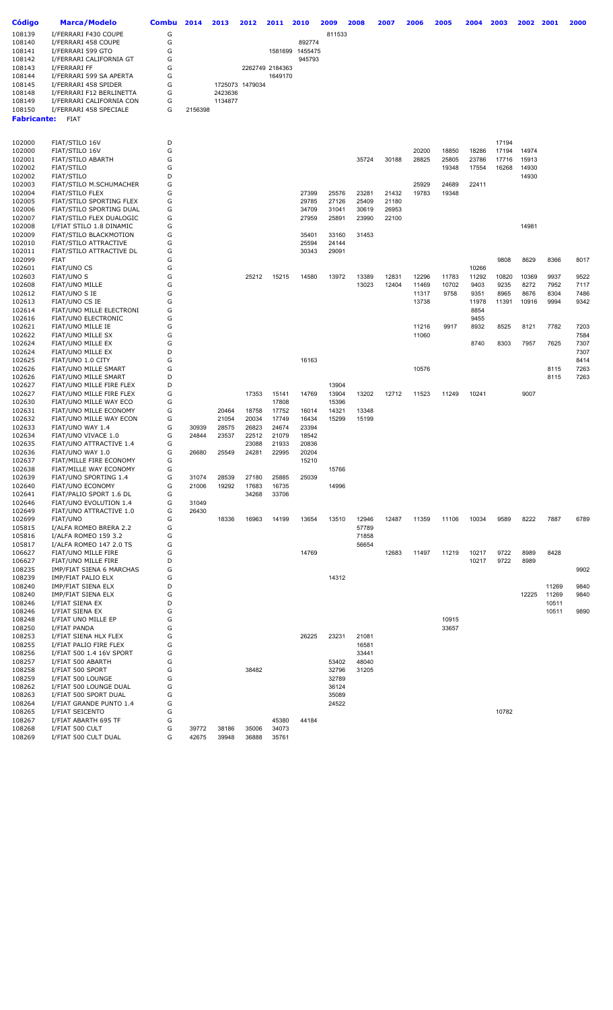| Código             | <b>Marca/Modelo</b>      | Combu | 2014    | 2013    | 2012            | 2011            | 2010    | 2009   | 2008  | 2007  | 2006  | 2005  | 2004  | 2003  | 2002  | 2001  | 2000 |
|--------------------|--------------------------|-------|---------|---------|-----------------|-----------------|---------|--------|-------|-------|-------|-------|-------|-------|-------|-------|------|
| 108139             | I/FERRARI F430 COUPE     | G     |         |         |                 |                 |         | 811533 |       |       |       |       |       |       |       |       |      |
| 108140             | I/FERRARI 458 COUPE      | G     |         |         |                 |                 | 892774  |        |       |       |       |       |       |       |       |       |      |
| 108141             | I/FERRARI 599 GTO        | G     |         |         |                 | 1581699         | 1455475 |        |       |       |       |       |       |       |       |       |      |
|                    |                          |       |         |         |                 |                 |         |        |       |       |       |       |       |       |       |       |      |
| 108142             | I/FERRARI CALIFORNIA GT  | G     |         |         |                 |                 | 945793  |        |       |       |       |       |       |       |       |       |      |
| 108143             | I/FERRARI FF             | G     |         |         |                 | 2262749 2184363 |         |        |       |       |       |       |       |       |       |       |      |
| 108144             | I/FERRARI 599 SA APERTA  | G     |         |         |                 | 1649170         |         |        |       |       |       |       |       |       |       |       |      |
| 108145             | I/FERRARI 458 SPIDER     | G     |         |         | 1725073 1479034 |                 |         |        |       |       |       |       |       |       |       |       |      |
| 108148             | I/FERRARI F12 BERLINETTA | G     |         | 2423636 |                 |                 |         |        |       |       |       |       |       |       |       |       |      |
| 108149             | I/FERRARI CALIFORNIA CON | G     |         | 1134877 |                 |                 |         |        |       |       |       |       |       |       |       |       |      |
| 108150             | I/FERRARI 458 SPECIALE   | G     | 2156398 |         |                 |                 |         |        |       |       |       |       |       |       |       |       |      |
|                    |                          |       |         |         |                 |                 |         |        |       |       |       |       |       |       |       |       |      |
| <b>Fabricante:</b> | <b>FIAT</b>              |       |         |         |                 |                 |         |        |       |       |       |       |       |       |       |       |      |
|                    |                          |       |         |         |                 |                 |         |        |       |       |       |       |       |       |       |       |      |
|                    |                          |       |         |         |                 |                 |         |        |       |       |       |       |       |       |       |       |      |
| 102000             | FIAT/STILO 16V           | D     |         |         |                 |                 |         |        |       |       |       |       |       | 17194 |       |       |      |
| 102000             | FIAT/STILO 16V           | G     |         |         |                 |                 |         |        |       |       | 20200 | 18850 | 18286 | 17194 | 14974 |       |      |
| 102001             | FIAT/STILO ABARTH        | G     |         |         |                 |                 |         |        | 35724 | 30188 | 28825 | 25805 | 23786 | 17716 | 15913 |       |      |
| 102002             | <b>FIAT/STILO</b>        | G     |         |         |                 |                 |         |        |       |       |       | 19348 | 17554 | 16268 | 14930 |       |      |
| 102002             | <b>FIAT/STILO</b>        | D     |         |         |                 |                 |         |        |       |       |       |       |       |       | 14930 |       |      |
| 102003             | FIAT/STILO M.SCHUMACHER  | G     |         |         |                 |                 |         |        |       |       | 25929 | 24689 | 22411 |       |       |       |      |
|                    |                          |       |         |         |                 |                 |         |        |       |       |       |       |       |       |       |       |      |
| 102004             | <b>FIAT/STILO FLEX</b>   | G     |         |         |                 |                 | 27399   | 25576  | 23281 | 21432 | 19783 | 19348 |       |       |       |       |      |
| 102005             | FIAT/STILO SPORTING FLEX | G     |         |         |                 |                 | 29785   | 27126  | 25409 | 21180 |       |       |       |       |       |       |      |
| 102006             | FIAT/STILO SPORTING DUAL | G     |         |         |                 |                 | 34709   | 31041  | 30619 | 26953 |       |       |       |       |       |       |      |
| 102007             | FIAT/STILO FLEX DUALOGIC | G     |         |         |                 |                 | 27959   | 25891  | 23990 | 22100 |       |       |       |       |       |       |      |
| 102008             | I/FIAT STILO 1.8 DINAMIC | G     |         |         |                 |                 |         |        |       |       |       |       |       |       | 14981 |       |      |
| 102009             | FIAT/STILO BLACKMOTION   | G     |         |         |                 |                 | 35401   | 33160  | 31453 |       |       |       |       |       |       |       |      |
| 102010             | FIAT/STILO ATTRACTIVE    | G     |         |         |                 |                 | 25594   | 24144  |       |       |       |       |       |       |       |       |      |
| 102011             | FIAT/STILO ATTRACTIVE DL | G     |         |         |                 |                 | 30343   | 29091  |       |       |       |       |       |       |       |       |      |
| 102099             | <b>FIAT</b>              | G     |         |         |                 |                 |         |        |       |       |       |       |       | 9808  | 8629  | 8366  | 8017 |
|                    |                          |       |         |         |                 |                 |         |        |       |       |       |       |       |       |       |       |      |
| 102601             | <b>FIAT/UNO CS</b>       | G     |         |         |                 |                 |         |        |       |       |       |       | 10266 |       |       |       |      |
| 102603             | FIAT/UNO S               | G     |         |         | 25212           | 15215           | 14580   | 13972  | 13389 | 12831 | 12296 | 11783 | 11292 | 10820 | 10369 | 9937  | 9522 |
| 102608             | FIAT/UNO MILLE           | G     |         |         |                 |                 |         |        | 13023 | 12404 | 11469 | 10702 | 9403  | 9235  | 8272  | 7952  | 7117 |
| 102612             | FIAT/UNO S IE            | G     |         |         |                 |                 |         |        |       |       | 11317 | 9758  | 9351  | 8965  | 8676  | 8304  | 7486 |
| 102613             | FIAT/UNO CS IE           | G     |         |         |                 |                 |         |        |       |       | 13738 |       | 11978 | 11391 | 10916 | 9994  | 9342 |
| 102614             | FIAT/UNO MILLE ELECTRONI | G     |         |         |                 |                 |         |        |       |       |       |       | 8854  |       |       |       |      |
| 102616             | FIAT/UNO ELECTRONIC      | G     |         |         |                 |                 |         |        |       |       |       |       | 9455  |       |       |       |      |
|                    |                          |       |         |         |                 |                 |         |        |       |       |       | 9917  |       |       |       |       | 7203 |
| 102621             | FIAT/UNO MILLE IE        | G     |         |         |                 |                 |         |        |       |       | 11216 |       | 8932  | 8525  | 8121  | 7782  |      |
| 102622             | FIAT/UNO MILLE SX        | G     |         |         |                 |                 |         |        |       |       | 11060 |       |       |       |       |       | 7584 |
| 102624             | FIAT/UNO MILLE EX        | G     |         |         |                 |                 |         |        |       |       |       |       | 8740  | 8303  | 7957  | 7625  | 7307 |
| 102624             | FIAT/UNO MILLE EX        | D     |         |         |                 |                 |         |        |       |       |       |       |       |       |       |       | 7307 |
| 102625             | FIAT/UNO 1.0 CITY        | G     |         |         |                 |                 | 16163   |        |       |       |       |       |       |       |       |       | 8414 |
| 102626             | FIAT/UNO MILLE SMART     | G     |         |         |                 |                 |         |        |       |       | 10576 |       |       |       |       | 8115  | 7263 |
| 102626             | FIAT/UNO MILLE SMART     | D     |         |         |                 |                 |         |        |       |       |       |       |       |       |       | 8115  | 7263 |
| 102627             | FIAT/UNO MILLE FIRE FLEX | D     |         |         |                 |                 |         | 13904  |       |       |       |       |       |       |       |       |      |
| 102627             | FIAT/UNO MILLE FIRE FLEX | G     |         |         | 17353           | 15141           | 14769   | 13904  | 13202 | 12712 | 11523 | 11249 | 10241 |       | 9007  |       |      |
| 102630             | FIAT/UNO MILLE WAY ECO   | G     |         |         |                 | 17808           |         | 15396  |       |       |       |       |       |       |       |       |      |
|                    |                          |       |         |         |                 |                 |         |        |       |       |       |       |       |       |       |       |      |
| 102631             | FIAT/UNO MILLE ECONOMY   | G     |         | 20464   | 18758           | 17752           | 16014   | 14321  | 13348 |       |       |       |       |       |       |       |      |
| 102632             | FIAT/UNO MILLE WAY ECON  | G     |         | 21054   | 20034           | 17749           | 16434   | 15299  | 15199 |       |       |       |       |       |       |       |      |
| 102633             | FIAT/UNO WAY 1.4         | G     | 30939   | 28575   | 26823           | 24674           | 23394   |        |       |       |       |       |       |       |       |       |      |
| 102634             | FIAT/UNO VIVACE 1.0      | G     | 24844   | 23537   | 22512           | 21079           | 18542   |        |       |       |       |       |       |       |       |       |      |
| 102635             | FIAT/UNO ATTRACTIVE 1.4  | G     |         |         | 23088           | 21933           | 20836   |        |       |       |       |       |       |       |       |       |      |
| 102636             | FIAT/UNO WAY 1.0         | G     | 26680   | 25549   | 24281           | 22995           | 20204   |        |       |       |       |       |       |       |       |       |      |
| 102637             | FIAT/MILLE FIRE ECONOMY  | G     |         |         |                 |                 | 15210   |        |       |       |       |       |       |       |       |       |      |
| 102638             | FIAT/MILLE WAY ECONOMY   | G     |         |         |                 |                 |         | 15766  |       |       |       |       |       |       |       |       |      |
| 102639             | FIAT/UNO SPORTING 1.4    | G     | 31074   | 28539   | 27180           | 25885           | 25039   |        |       |       |       |       |       |       |       |       |      |
|                    |                          |       |         |         |                 |                 |         |        |       |       |       |       |       |       |       |       |      |
| 102640             | <b>FIAT/UNO ECONOMY</b>  | G     | 21006   | 19292   | 17683           | 16735           |         | 14996  |       |       |       |       |       |       |       |       |      |
| 102641             | FIAT/PALIO SPORT 1.6 DL  | G     |         |         | 34268           | 33706           |         |        |       |       |       |       |       |       |       |       |      |
| 102646             | FIAT/UNO EVOLUTION 1.4   | G     | 31049   |         |                 |                 |         |        |       |       |       |       |       |       |       |       |      |
| 102649             | FIAT/UNO ATTRACTIVE 1.0  | G     | 26430   |         |                 |                 |         |        |       |       |       |       |       |       |       |       |      |
| 102699             | FIAT/UNO                 | G     |         | 18336   | 16963           | 14199           | 13654   | 13510  | 12946 | 12487 | 11359 | 11106 | 10034 | 9589  | 8222  | 7887  | 6789 |
| 105815             | I/ALFA ROMEO BRERA 2.2   | G     |         |         |                 |                 |         |        | 57789 |       |       |       |       |       |       |       |      |
| 105816             | I/ALFA ROMEO 159 3.2     | G     |         |         |                 |                 |         |        | 71858 |       |       |       |       |       |       |       |      |
| 105817             | I/ALFA ROMEO 147 2.0 TS  | G     |         |         |                 |                 |         |        | 56654 |       |       |       |       |       |       |       |      |
| 106627             | FIAT/UNO MILLE FIRE      | G     |         |         |                 |                 | 14769   |        |       | 12683 | 11497 | 11219 | 10217 | 9722  | 8989  | 8428  |      |
| 106627             | FIAT/UNO MILLE FIRE      | D     |         |         |                 |                 |         |        |       |       |       |       | 10217 | 9722  | 8989  |       |      |
|                    |                          |       |         |         |                 |                 |         |        |       |       |       |       |       |       |       |       |      |
| 108235             | IMP/FIAT SIENA 6 MARCHAS | G     |         |         |                 |                 |         |        |       |       |       |       |       |       |       |       | 9902 |
| 108239             | IMP/FIAT PALIO ELX       | G     |         |         |                 |                 |         | 14312  |       |       |       |       |       |       |       |       |      |
| 108240             | IMP/FIAT SIENA ELX       | D     |         |         |                 |                 |         |        |       |       |       |       |       |       |       | 11269 | 9840 |
| 108240             | IMP/FIAT SIENA ELX       | G     |         |         |                 |                 |         |        |       |       |       |       |       |       | 12225 | 11269 | 9840 |
| 108246             | I/FIAT SIENA EX          | D     |         |         |                 |                 |         |        |       |       |       |       |       |       |       | 10511 |      |
| 108246             | I/FIAT SIENA EX          | G     |         |         |                 |                 |         |        |       |       |       |       |       |       |       | 10511 | 9890 |
| 108248             | I/FIAT UNO MILLE EP      | G     |         |         |                 |                 |         |        |       |       |       | 10915 |       |       |       |       |      |
| 108250             | I/FIAT PANDA             | G     |         |         |                 |                 |         |        |       |       |       | 33657 |       |       |       |       |      |
|                    |                          |       |         |         |                 |                 |         |        |       |       |       |       |       |       |       |       |      |
| 108253             | I/FIAT SIENA HLX FLEX    | G     |         |         |                 |                 | 26225   | 23231  | 21081 |       |       |       |       |       |       |       |      |
| 108255             | I/FIAT PALIO FIRE FLEX   | G     |         |         |                 |                 |         |        | 16581 |       |       |       |       |       |       |       |      |
| 108256             | I/FIAT 500 1.4 16V SPORT | G     |         |         |                 |                 |         |        | 33441 |       |       |       |       |       |       |       |      |
| 108257             | I/FIAT 500 ABARTH        | G     |         |         |                 |                 |         | 53402  | 48040 |       |       |       |       |       |       |       |      |
| 108258             | I/FIAT 500 SPORT         | G     |         |         | 38482           |                 |         | 32796  | 31205 |       |       |       |       |       |       |       |      |
| 108259             | I/FIAT 500 LOUNGE        | G     |         |         |                 |                 |         | 32789  |       |       |       |       |       |       |       |       |      |
| 108262             | I/FIAT 500 LOUNGE DUAL   | G     |         |         |                 |                 |         | 36124  |       |       |       |       |       |       |       |       |      |
| 108263             | I/FIAT 500 SPORT DUAL    | G     |         |         |                 |                 |         | 35089  |       |       |       |       |       |       |       |       |      |
|                    |                          |       |         |         |                 |                 |         |        |       |       |       |       |       |       |       |       |      |
| 108264             | I/FIAT GRANDE PUNTO 1.4  | G     |         |         |                 |                 |         | 24522  |       |       |       |       |       |       |       |       |      |
| 108265             | I/FIAT SEICENTO          | G     |         |         |                 |                 |         |        |       |       |       |       |       | 10782 |       |       |      |
| 108267             | I/FIAT ABARTH 695 TF     | G     |         |         |                 | 45380           | 44184   |        |       |       |       |       |       |       |       |       |      |
| 108268             | I/FIAT 500 CULT          | G     | 39772   | 38186   | 35006           | 34073           |         |        |       |       |       |       |       |       |       |       |      |
| 108269             | I/FIAT 500 CULT DUAL     | G     | 42675   | 39948   | 36888           | 35761           |         |        |       |       |       |       |       |       |       |       |      |
|                    |                          |       |         |         |                 |                 |         |        |       |       |       |       |       |       |       |       |      |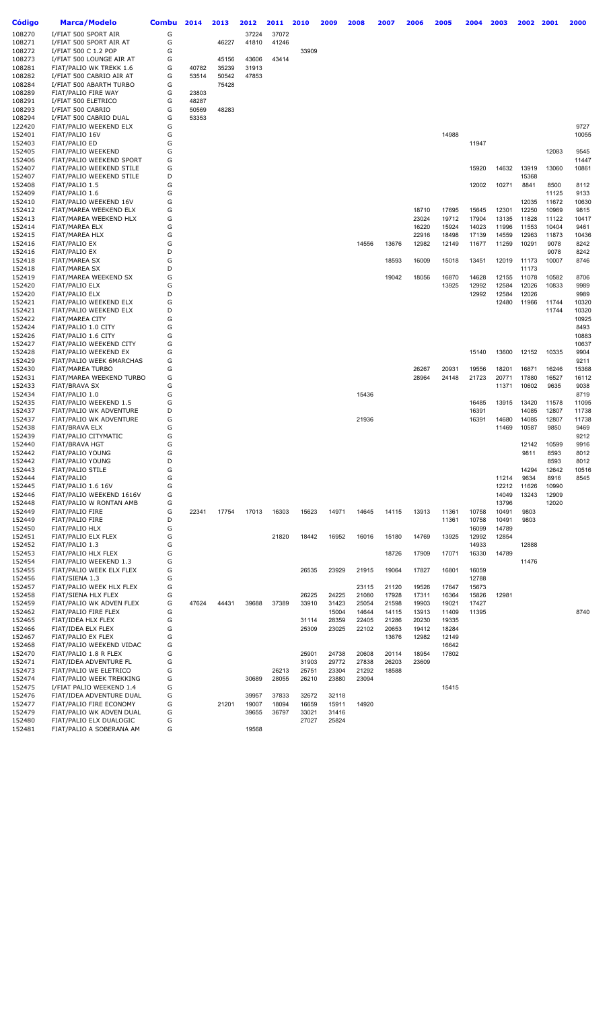| <b>Código</b>    | Marca/Modelo                                      | <b>Combu</b> | 2014  | 2013  | 2012  | 2011  | 2010  | 2009  | 2008  | 2007  | 2006           | 2005           | 2004           | 2003           | 2002           | 2001           | 2000           |
|------------------|---------------------------------------------------|--------------|-------|-------|-------|-------|-------|-------|-------|-------|----------------|----------------|----------------|----------------|----------------|----------------|----------------|
| 108270           | I/FIAT 500 SPORT AIR                              | G            |       |       | 37224 | 37072 |       |       |       |       |                |                |                |                |                |                |                |
| 108271           | I/FIAT 500 SPORT AIR AT                           | G            |       | 46227 | 41810 | 41246 |       |       |       |       |                |                |                |                |                |                |                |
| 108272           | I/FIAT 500 C 1.2 POP                              | G            |       |       |       |       | 33909 |       |       |       |                |                |                |                |                |                |                |
| 108273           | I/FIAT 500 LOUNGE AIR AT                          | G            |       | 45156 | 43606 | 43414 |       |       |       |       |                |                |                |                |                |                |                |
| 108281           | FIAT/PALIO WK TREKK 1.6                           | G            | 40782 | 35239 | 31913 |       |       |       |       |       |                |                |                |                |                |                |                |
| 108282           | I/FIAT 500 CABRIO AIR AT                          | G            | 53514 | 50542 | 47853 |       |       |       |       |       |                |                |                |                |                |                |                |
| 108284           | I/FIAT 500 ABARTH TURBO                           | G            |       | 75428 |       |       |       |       |       |       |                |                |                |                |                |                |                |
| 108289           | FIAT/PALIO FIRE WAY                               | G            | 23803 |       |       |       |       |       |       |       |                |                |                |                |                |                |                |
| 108291           | I/FIAT 500 ELETRICO                               | G            | 48287 |       |       |       |       |       |       |       |                |                |                |                |                |                |                |
| 108293           | I/FIAT 500 CABRIO                                 | G            | 50569 | 48283 |       |       |       |       |       |       |                |                |                |                |                |                |                |
| 108294           | I/FIAT 500 CABRIO DUAL                            | G            | 53353 |       |       |       |       |       |       |       |                |                |                |                |                |                |                |
| 122420           | FIAT/PALIO WEEKEND ELX                            | G            |       |       |       |       |       |       |       |       |                |                |                |                |                |                | 9727           |
| 152401           | FIAT/PALIO 16V                                    | G            |       |       |       |       |       |       |       |       |                | 14988          |                |                |                |                | 10055          |
| 152403           | <b>FIAT/PALIO ED</b>                              | G            |       |       |       |       |       |       |       |       |                |                | 11947          |                |                |                |                |
| 152405           | FIAT/PALIO WEEKEND                                | G            |       |       |       |       |       |       |       |       |                |                |                |                |                | 12083          | 9545           |
| 152406           | FIAT/PALIO WEEKEND SPORT                          | G            |       |       |       |       |       |       |       |       |                |                |                |                |                |                | 11447          |
| 152407           | FIAT/PALIO WEEKEND STILE                          | G            |       |       |       |       |       |       |       |       |                |                | 15920          | 14632          | 13919          | 13060          | 10861          |
| 152407           | FIAT/PALIO WEEKEND STILE                          | D            |       |       |       |       |       |       |       |       |                |                |                |                | 15368          |                |                |
| 152408           | FIAT/PALIO 1.5                                    | G            |       |       |       |       |       |       |       |       |                |                | 12002          | 10271          | 8841           | 8500           | 8112           |
| 152409           | FIAT/PALIO 1.6                                    | G            |       |       |       |       |       |       |       |       |                |                |                |                |                | 11125          | 9133           |
| 152410           | FIAT/PALIO WEEKEND 16V                            | G            |       |       |       |       |       |       |       |       |                |                |                |                | 12035          | 11672          | 10630          |
| 152412           | FIAT/MAREA WEEKEND ELX                            | G            |       |       |       |       |       |       |       |       | 18710          | 17695          | 15645          | 12301          | 12250          | 10969          | 9815           |
| 152413<br>152414 | FIAT/MAREA WEEKEND HLX                            | G<br>G       |       |       |       |       |       |       |       |       | 23024          | 19712          | 17904          | 13135<br>11996 | 11828          | 11122          | 10417<br>9461  |
| 152415           | FIAT/MAREA ELX<br>FIAT/MAREA HLX                  | G            |       |       |       |       |       |       |       |       | 16220<br>22916 | 15924<br>18498 | 14023<br>17139 | 14559          | 11553<br>12963 | 10404<br>11873 | 10436          |
| 152416           | <b>FIAT/PALIO EX</b>                              | G            |       |       |       |       |       |       | 14556 | 13676 | 12982          | 12149          | 11677          | 11259          | 10291          | 9078           | 8242           |
| 152416           | <b>FIAT/PALIO EX</b>                              | D            |       |       |       |       |       |       |       |       |                |                |                |                |                | 9078           | 8242           |
| 152418           | <b>FIAT/MAREA SX</b>                              | G            |       |       |       |       |       |       |       | 18593 | 16009          | 15018          | 13451          | 12019          | 11173          | 10007          | 8746           |
| 152418           | <b>FIAT/MAREA SX</b>                              | D            |       |       |       |       |       |       |       |       |                |                |                |                | 11173          |                |                |
| 152419           | FIAT/MAREA WEEKEND SX                             | G            |       |       |       |       |       |       |       | 19042 | 18056          | 16870          | 14628          | 12155          | 11078          | 10582          | 8706           |
| 152420           | FIAT/PALIO ELX                                    | G            |       |       |       |       |       |       |       |       |                | 13925          | 12992          | 12584          | 12026          | 10833          | 9989           |
| 152420           | FIAT/PALIO ELX                                    | D            |       |       |       |       |       |       |       |       |                |                | 12992          | 12584          | 12026          |                | 9989           |
| 152421           | FIAT/PALIO WEEKEND ELX                            | G            |       |       |       |       |       |       |       |       |                |                |                | 12480          | 11966          | 11744          | 10320          |
| 152421           | FIAT/PALIO WEEKEND ELX                            | D            |       |       |       |       |       |       |       |       |                |                |                |                |                | 11744          | 10320          |
| 152422           | FIAT/MAREA CITY                                   | G            |       |       |       |       |       |       |       |       |                |                |                |                |                |                | 10925          |
| 152424           | FIAT/PALIO 1.0 CITY                               | G            |       |       |       |       |       |       |       |       |                |                |                |                |                |                | 8493           |
| 152426           | FIAT/PALIO 1.6 CITY                               | G            |       |       |       |       |       |       |       |       |                |                |                |                |                |                | 10883          |
| 152427           | FIAT/PALIO WEEKEND CITY                           | G            |       |       |       |       |       |       |       |       |                |                |                |                |                |                | 10637          |
| 152428           | FIAT/PALIO WEEKEND EX                             | G            |       |       |       |       |       |       |       |       |                |                | 15140          | 13600          | 12152          | 10335          | 9904           |
| 152429           | FIAT/PALIO WEEK 6MARCHAS                          | G            |       |       |       |       |       |       |       |       |                |                |                |                |                |                | 9211           |
| 152430           | <b>FIAT/MAREA TURBO</b>                           | G            |       |       |       |       |       |       |       |       | 26267          | 20931          | 19556          | 18201          | 16871          | 16246          | 15368          |
| 152431           | FIAT/MAREA WEEKEND TURBO                          | G            |       |       |       |       |       |       |       |       | 28964          | 24148          | 21723          | 20771          | 17880          | 16527          | 16112          |
| 152433           | <b>FIAT/BRAVA SX</b>                              | G            |       |       |       |       |       |       |       |       |                |                |                | 11371          | 10602          | 9635           | 9038           |
| 152434           | FIAT/PALIO 1.0                                    | G<br>G       |       |       |       |       |       |       | 15436 |       |                |                |                |                |                |                | 8719           |
| 152435<br>152437 | FIAT/PALIO WEEKEND 1.5<br>FIAT/PALIO WK ADVENTURE | D            |       |       |       |       |       |       |       |       |                |                | 16485<br>16391 | 13915          | 13420<br>14085 | 11578<br>12807 | 11095<br>11738 |
| 152437           | FIAT/PALIO WK ADVENTURE                           | G            |       |       |       |       |       |       | 21936 |       |                |                | 16391          | 14680          | 14085          | 12807          | 11738          |
| 152438           | FIAT/BRAVA ELX                                    | G            |       |       |       |       |       |       |       |       |                |                |                | 11469          | 10587          | 9850           | 9469           |
| 152439           | FIAT/PALIO CITYMATIC                              | G            |       |       |       |       |       |       |       |       |                |                |                |                |                |                | 9212           |
| 152440           | <b>FIAT/BRAVA HGT</b>                             | G            |       |       |       |       |       |       |       |       |                |                |                |                | 12142          | 10599          | 9916           |
| 152442           | FIAT/PALIO YOUNG                                  | G            |       |       |       |       |       |       |       |       |                |                |                |                | 9811           | 8593           | 8012           |
| 152442           | FIAT/PALIO YOUNG                                  | D            |       |       |       |       |       |       |       |       |                |                |                |                |                | 8593           | 8012           |
| 152443           | FIAT/PALIO STILE                                  | G            |       |       |       |       |       |       |       |       |                |                |                |                | 14294          | 12642          | 10516          |
| 152444           | FIAT/PALIO                                        | G            |       |       |       |       |       |       |       |       |                |                |                | 11214          | 9634           | 8916           | 8545           |
| 152445           | FIAT/PALIO 1.6 16V                                | G            |       |       |       |       |       |       |       |       |                |                |                | 12212          | 11626          | 10990          |                |
| 152446           | FIAT/PALIO WEEKEND 1616V                          | G            |       |       |       |       |       |       |       |       |                |                |                | 14049          | 13243          | 12909          |                |
| 152448           | FIAT/PALIO W RONTAN AMB                           | G            |       |       |       |       |       |       |       |       |                |                |                | 13796          |                | 12020          |                |
| 152449           | <b>FIAT/PALIO FIRE</b>                            | G            | 22341 | 17754 | 17013 | 16303 | 15623 | 14971 | 14645 | 14115 | 13913          | 11361          | 10758          | 10491          | 9803           |                |                |
| 152449           | FIAT/PALIO FIRE                                   | D            |       |       |       |       |       |       |       |       |                | 11361          | 10758          | 10491          | 9803           |                |                |
| 152450           | <b>FIAT/PALIO HLX</b>                             | G            |       |       |       |       |       |       |       |       |                |                | 16099          | 14789          |                |                |                |
| 152451           | FIAT/PALIO ELX FLEX                               | G            |       |       |       | 21820 | 18442 | 16952 | 16016 | 15180 | 14769          | 13925          | 12992          | 12854          |                |                |                |
| 152452           | FIAT/PALIO 1.3                                    | G            |       |       |       |       |       |       |       |       |                |                | 14933          |                | 12888          |                |                |
| 152453           | FIAT/PALIO HLX FLEX                               | G            |       |       |       |       |       |       |       | 18726 | 17909          | 17071          | 16330          | 14789          |                |                |                |
| 152454           | FIAT/PALIO WEEKEND 1.3                            | G            |       |       |       |       |       |       |       |       |                |                |                |                | 11476          |                |                |
| 152455           | FIAT/PALIO WEEK ELX FLEX                          | G            |       |       |       |       | 26535 | 23929 | 21915 | 19064 | 17827          | 16801          | 16059          |                |                |                |                |
| 152456<br>152457 | FIAT/SIENA 1.3<br>FIAT/PALIO WEEK HLX FLEX        | G<br>G       |       |       |       |       |       |       | 23115 | 21120 | 19526          | 17647          | 12788<br>15673 |                |                |                |                |
| 152458           | FIAT/SIENA HLX FLEX                               | G            |       |       |       |       | 26225 | 24225 | 21080 | 17928 | 17311          | 16364          | 15826          | 12981          |                |                |                |
| 152459           | FIAT/PALIO WK ADVEN FLEX                          | G            | 47624 | 44431 | 39688 | 37389 | 33910 | 31423 | 25054 | 21598 | 19903          | 19021          | 17427          |                |                |                |                |
| 152462           | FIAT/PALIO FIRE FLEX                              | G            |       |       |       |       |       | 15004 | 14644 | 14115 | 13913          | 11409          | 11395          |                |                |                | 8740           |
| 152465           | FIAT/IDEA HLX FLEX                                | G            |       |       |       |       | 31114 | 28359 | 22405 | 21286 | 20230          | 19335          |                |                |                |                |                |
| 152466           | FIAT/IDEA ELX FLEX                                | G            |       |       |       |       | 25309 | 23025 | 22102 | 20653 | 19412          | 18284          |                |                |                |                |                |
| 152467           | FIAT/PALIO EX FLEX                                | G            |       |       |       |       |       |       |       | 13676 | 12982          | 12149          |                |                |                |                |                |
| 152468           | FIAT/PALIO WEEKEND VIDAC                          | G            |       |       |       |       |       |       |       |       |                | 16642          |                |                |                |                |                |
| 152470           | FIAT/PALIO 1.8 R FLEX                             | G            |       |       |       |       | 25901 | 24738 | 20608 | 20114 | 18954          | 17802          |                |                |                |                |                |
| 152471           | FIAT/IDEA ADVENTURE FL                            | G            |       |       |       |       | 31903 | 29772 | 27838 | 26203 | 23609          |                |                |                |                |                |                |
| 152473           | FIAT/PALIO WE ELETRICO                            | G            |       |       |       | 26213 | 25751 | 23304 | 21292 | 18588 |                |                |                |                |                |                |                |
| 152474           | FIAT/PALIO WEEK TREKKING                          | G            |       |       | 30689 | 28055 | 26210 | 23880 | 23094 |       |                |                |                |                |                |                |                |
| 152475           | I/FIAT PALIO WEEKEND 1.4                          | G            |       |       |       |       |       |       |       |       |                | 15415          |                |                |                |                |                |
| 152476           | FIAT/IDEA ADVENTURE DUAL                          | G            |       |       | 39957 | 37833 | 32672 | 32118 |       |       |                |                |                |                |                |                |                |
| 152477           | FIAT/PALIO FIRE ECONOMY                           | G            |       | 21201 | 19007 | 18094 | 16659 | 15911 | 14920 |       |                |                |                |                |                |                |                |
| 152479           | FIAT/PALIO WK ADVEN DUAL                          | G            |       |       | 39655 | 36797 | 33021 | 31416 |       |       |                |                |                |                |                |                |                |
| 152480           | FIAT/PALIO ELX DUALOGIC                           | G            |       |       |       |       | 27027 | 25824 |       |       |                |                |                |                |                |                |                |
| 152481           | FIAT/PALIO A SOBERANA AM                          | G            |       |       | 19568 |       |       |       |       |       |                |                |                |                |                |                |                |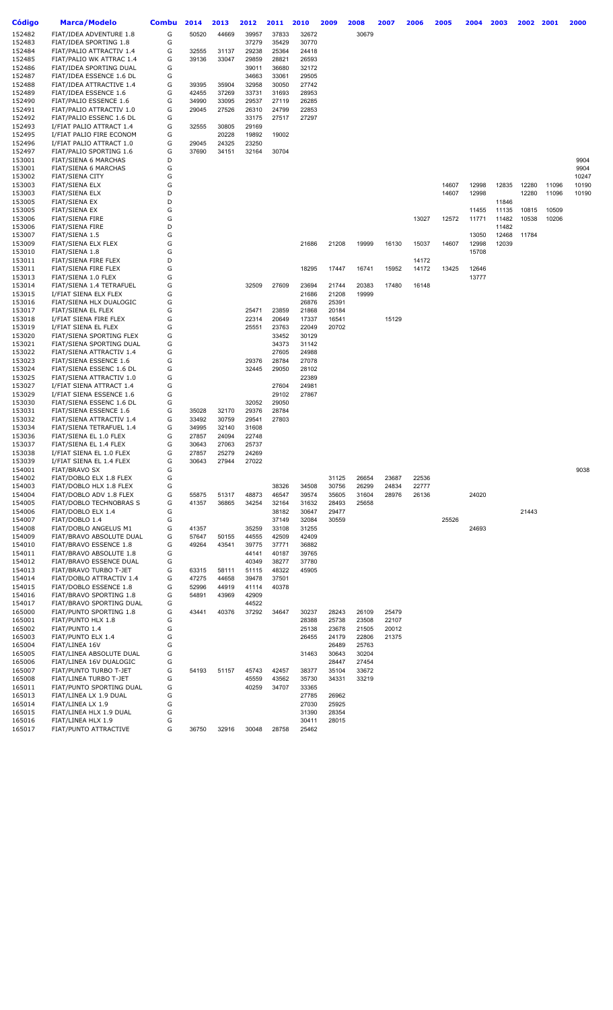| <b>Código</b>    | Marca/Modelo                                         | <b>Combu</b> | 2014           | 2013           | 2012           | 2011           | 2010           | 2009           | 2008           | 2007  | 2006  | 2005  | 2004           | 2003  | 2002  | 2001  | 2000          |
|------------------|------------------------------------------------------|--------------|----------------|----------------|----------------|----------------|----------------|----------------|----------------|-------|-------|-------|----------------|-------|-------|-------|---------------|
| 152482           | FIAT/IDEA ADVENTURE 1.8                              | G            | 50520          | 44669          | 39957          | 37833          | 32672          |                | 30679          |       |       |       |                |       |       |       |               |
| 152483           | FIAT/IDEA SPORTING 1.8                               | G            |                |                | 37279          | 35429          | 30770          |                |                |       |       |       |                |       |       |       |               |
| 152484           | FIAT/PALIO ATTRACTIV 1.4                             | G            | 32555          | 31137          | 29238          | 25364          | 24418          |                |                |       |       |       |                |       |       |       |               |
| 152485           | FIAT/PALIO WK ATTRAC 1.4                             | G            | 39136          | 33047          | 29859          | 28821          | 26593          |                |                |       |       |       |                |       |       |       |               |
| 152486           | FIAT/IDEA SPORTING DUAL                              | G            |                |                | 39011          | 36680          | 32172          |                |                |       |       |       |                |       |       |       |               |
| 152487           | FIAT/IDEA ESSENCE 1.6 DL                             | G            |                |                | 34663          | 33061          | 29505          |                |                |       |       |       |                |       |       |       |               |
| 152488           | FIAT/IDEA ATTRACTIVE 1.4                             | G<br>G       | 39395          | 35904          | 32958          | 30050          | 27742          |                |                |       |       |       |                |       |       |       |               |
| 152489<br>152490 | FIAT/IDEA ESSENCE 1.6<br>FIAT/PALIO ESSENCE 1.6      | G            | 42455<br>34990 | 37269<br>33095 | 33731<br>29537 | 31693<br>27119 | 28953<br>26285 |                |                |       |       |       |                |       |       |       |               |
| 152491           | FIAT/PALIO ATTRACTIV 1.0                             | G            | 29045          | 27526          | 26310          | 24799          | 22853          |                |                |       |       |       |                |       |       |       |               |
| 152492           | FIAT/PALIO ESSENC 1.6 DL                             | G            |                |                | 33175          | 27517          | 27297          |                |                |       |       |       |                |       |       |       |               |
| 152493           | I/FIAT PALIO ATTRACT 1.4                             | G            | 32555          | 30805          | 29169          |                |                |                |                |       |       |       |                |       |       |       |               |
| 152495           | I/FIAT PALIO FIRE ECONOM                             | G            |                | 20228          | 19892          | 19002          |                |                |                |       |       |       |                |       |       |       |               |
| 152496           | I/FIAT PALIO ATTRACT 1.0                             | G            | 29045          | 24325          | 23250          |                |                |                |                |       |       |       |                |       |       |       |               |
| 152497           | FIAT/PALIO SPORTING 1.6                              | G            | 37690          | 34151          | 32164          | 30704          |                |                |                |       |       |       |                |       |       |       |               |
| 153001           | FIAT/SIENA 6 MARCHAS                                 | D            |                |                |                |                |                |                |                |       |       |       |                |       |       |       | 9904          |
| 153001           | FIAT/SIENA 6 MARCHAS                                 | G            |                |                |                |                |                |                |                |       |       |       |                |       |       |       | 9904<br>10247 |
| 153002<br>153003 | FIAT/SIENA CITY<br>FIAT/SIENA ELX                    | G<br>G       |                |                |                |                |                |                |                |       |       | 14607 | 12998          | 12835 | 12280 | 11096 | 10190         |
| 153003           | FIAT/SIENA ELX                                       | D            |                |                |                |                |                |                |                |       |       | 14607 | 12998          |       | 12280 | 11096 | 10190         |
| 153005           | <b>FIAT/SIENA EX</b>                                 | D            |                |                |                |                |                |                |                |       |       |       |                | 11846 |       |       |               |
| 153005           | FIAT/SIENA EX                                        | G            |                |                |                |                |                |                |                |       |       |       | 11455          | 11135 | 10815 | 10509 |               |
| 153006           | <b>FIAT/SIENA FIRE</b>                               | G            |                |                |                |                |                |                |                |       | 13027 | 12572 | 11771          | 11482 | 10538 | 10206 |               |
| 153006           | <b>FIAT/SIENA FIRE</b>                               | D            |                |                |                |                |                |                |                |       |       |       |                | 11482 |       |       |               |
| 153007           | FIAT/SIENA 1.5                                       | G            |                |                |                |                |                |                |                |       |       |       | 13050          | 12468 | 11784 |       |               |
| 153009           | FIAT/SIENA ELX FLEX                                  | G            |                |                |                |                | 21686          | 21208          | 19999          | 16130 | 15037 | 14607 | 12998          | 12039 |       |       |               |
| 153010           | FIAT/SIENA 1.8                                       | G            |                |                |                |                |                |                |                |       |       |       | 15708          |       |       |       |               |
| 153011           | FIAT/SIENA FIRE FLEX                                 | D            |                |                |                |                |                |                |                |       | 14172 |       |                |       |       |       |               |
| 153011<br>153013 | FIAT/SIENA FIRE FLEX<br>FIAT/SIENA 1.0 FLEX          | G<br>G       |                |                |                |                | 18295          | 17447          | 16741          | 15952 | 14172 | 13425 | 12646<br>13777 |       |       |       |               |
| 153014           | FIAT/SIENA 1.4 TETRAFUEL                             | G            |                |                | 32509          | 27609          | 23694          | 21744          | 20383          | 17480 | 16148 |       |                |       |       |       |               |
| 153015           | I/FIAT SIENA ELX FLEX                                | G            |                |                |                |                | 21686          | 21208          | 19999          |       |       |       |                |       |       |       |               |
| 153016           | FIAT/SIENA HLX DUALOGIC                              | G            |                |                |                |                | 26876          | 25391          |                |       |       |       |                |       |       |       |               |
| 153017           | FIAT/SIENA EL FLEX                                   | G            |                |                | 25471          | 23859          | 21868          | 20184          |                |       |       |       |                |       |       |       |               |
| 153018           | I/FIAT SIENA FIRE FLEX                               | G            |                |                | 22314          | 20649          | 17337          | 16541          |                | 15129 |       |       |                |       |       |       |               |
| 153019           | I/FIAT SIENA EL FLEX                                 | G            |                |                | 25551          | 23763          | 22049          | 20702          |                |       |       |       |                |       |       |       |               |
| 153020           | FIAT/SIENA SPORTING FLEX                             | G            |                |                |                | 33452          | 30129          |                |                |       |       |       |                |       |       |       |               |
| 153021<br>153022 | FIAT/SIENA SPORTING DUAL<br>FIAT/SIENA ATTRACTIV 1.4 | G<br>G       |                |                |                | 34373<br>27605 | 31142<br>24988 |                |                |       |       |       |                |       |       |       |               |
| 153023           | FIAT/SIENA ESSENCE 1.6                               | G            |                |                | 29376          | 28784          | 27078          |                |                |       |       |       |                |       |       |       |               |
| 153024           | FIAT/SIENA ESSENC 1.6 DL                             | G            |                |                | 32445          | 29050          | 28102          |                |                |       |       |       |                |       |       |       |               |
| 153025           | FIAT/SIENA ATTRACTIV 1.0                             | G            |                |                |                |                | 22389          |                |                |       |       |       |                |       |       |       |               |
| 153027           | I/FIAT SIENA ATTRACT 1.4                             | G            |                |                |                | 27604          | 24981          |                |                |       |       |       |                |       |       |       |               |
| 153029           | I/FIAT SIENA ESSENCE 1.6                             | G            |                |                |                | 29102          | 27867          |                |                |       |       |       |                |       |       |       |               |
| 153030           | FIAT/SIENA ESSENC 1.6 DL                             | G            |                |                | 32052          | 29050          |                |                |                |       |       |       |                |       |       |       |               |
| 153031           | FIAT/SIENA ESSENCE 1.6                               | G            | 35028          | 32170          | 29376          | 28784          |                |                |                |       |       |       |                |       |       |       |               |
| 153032<br>153034 | FIAT/SIENA ATTRACTIV 1.4<br>FIAT/SIENA TETRAFUEL 1.4 | G<br>G       | 33492<br>34995 | 30759<br>32140 | 29541<br>31608 | 27803          |                |                |                |       |       |       |                |       |       |       |               |
| 153036           | FIAT/SIENA EL 1.0 FLEX                               | G            | 27857          | 24094          | 22748          |                |                |                |                |       |       |       |                |       |       |       |               |
| 153037           | FIAT/SIENA EL 1.4 FLEX                               | G            | 30643          | 27063          | 25737          |                |                |                |                |       |       |       |                |       |       |       |               |
| 153038           | I/FIAT SIENA EL 1.0 FLEX                             | G            | 27857          | 25279          | 24269          |                |                |                |                |       |       |       |                |       |       |       |               |
| 153039           | I/FIAT SIENA EL 1.4 FLEX                             | G            | 30643          | 27944          | 27022          |                |                |                |                |       |       |       |                |       |       |       |               |
| 154001           | <b>FIAT/BRAVO SX</b>                                 | G            |                |                |                |                |                |                |                |       |       |       |                |       |       |       | 9038          |
| 154002           | FIAT/DOBLO ELX 1.8 FLEX                              | G            |                |                |                |                |                | 31125          | 26654          | 23687 | 22536 |       |                |       |       |       |               |
| 154003           | FIAT/DOBLO HLX 1.8 FLEX                              | G            |                |                |                | 38326          | 34508          | 30756          | 26299          | 24834 | 22777 |       |                |       |       |       |               |
| 154004<br>154005 | FIAT/DOBLO ADV 1.8 FLEX<br>FIAT/DOBLO TECHNOBRAS S   | G<br>G       | 55875<br>41357 | 51317<br>36865 | 48873<br>34254 | 46547<br>32164 | 39574<br>31632 | 35605<br>28493 | 31604<br>25658 | 28976 | 26136 |       | 24020          |       |       |       |               |
| 154006           | FIAT/DOBLO ELX 1.4                                   | G            |                |                |                | 38182          | 30647          | 29477          |                |       |       |       |                |       | 21443 |       |               |
| 154007           | FIAT/DOBLO 1.4                                       | G            |                |                |                | 37149          | 32084          | 30559          |                |       |       | 25526 |                |       |       |       |               |
| 154008           | FIAT/DOBLO ANGELUS M1                                | G            | 41357          |                | 35259          | 33108          | 31255          |                |                |       |       |       | 24693          |       |       |       |               |
| 154009           | FIAT/BRAVO ABSOLUTE DUAL                             | G            | 57647          | 50155          | 44555          | 42509          | 42409          |                |                |       |       |       |                |       |       |       |               |
| 154010           | FIAT/BRAVO ESSENCE 1.8                               | G            | 49264          | 43541          | 39775          | 37771          | 36882          |                |                |       |       |       |                |       |       |       |               |
| 154011           | FIAT/BRAVO ABSOLUTE 1.8                              | G            |                |                | 44141          | 40187          | 39765          |                |                |       |       |       |                |       |       |       |               |
| 154012           | FIAT/BRAVO ESSENCE DUAL                              | G            |                |                | 40349          | 38277          | 37780          |                |                |       |       |       |                |       |       |       |               |
| 154013<br>154014 | FIAT/BRAVO TURBO T-JET<br>FIAT/DOBLO ATTRACTIV 1.4   | G<br>G       | 63315<br>47275 | 58111<br>44658 | 51115<br>39478 | 48322<br>37501 | 45905          |                |                |       |       |       |                |       |       |       |               |
| 154015           | FIAT/DOBLO ESSENCE 1.8                               | G            | 52996          | 44919          | 41114          | 40378          |                |                |                |       |       |       |                |       |       |       |               |
| 154016           | FIAT/BRAVO SPORTING 1.8                              | G            | 54891          | 43969          | 42909          |                |                |                |                |       |       |       |                |       |       |       |               |
| 154017           | FIAT/BRAVO SPORTING DUAL                             | G            |                |                | 44522          |                |                |                |                |       |       |       |                |       |       |       |               |
| 165000           | FIAT/PUNTO SPORTING 1.8                              | G            | 43441          | 40376          | 37292          | 34647          | 30237          | 28243          | 26109          | 25479 |       |       |                |       |       |       |               |
| 165001           | FIAT/PUNTO HLX 1.8                                   | G            |                |                |                |                | 28388          | 25738          | 23508          | 22107 |       |       |                |       |       |       |               |
| 165002           | FIAT/PUNTO 1.4                                       | G            |                |                |                |                | 25138          | 23678          | 21505          | 20012 |       |       |                |       |       |       |               |
| 165003<br>165004 | FIAT/PUNTO ELX 1.4<br>FIAT/LINEA 16V                 | G<br>G       |                |                |                |                | 26455          | 24179<br>26489 | 22806<br>25763 | 21375 |       |       |                |       |       |       |               |
| 165005           | FIAT/LINEA ABSOLUTE DUAL                             | G            |                |                |                |                | 31463          | 30643          | 30204          |       |       |       |                |       |       |       |               |
| 165006           | FIAT/LINEA 16V DUALOGIC                              | G            |                |                |                |                |                | 28447          | 27454          |       |       |       |                |       |       |       |               |
| 165007           | FIAT/PUNTO TURBO T-JET                               | G            | 54193          | 51157          | 45743          | 42457          | 38377          | 35104          | 33672          |       |       |       |                |       |       |       |               |
| 165008           | FIAT/LINEA TURBO T-JET                               | G            |                |                | 45559          | 43562          | 35730          | 34331          | 33219          |       |       |       |                |       |       |       |               |
| 165011           | FIAT/PUNTO SPORTING DUAL                             | G            |                |                | 40259          | 34707          | 33365          |                |                |       |       |       |                |       |       |       |               |
| 165013           | FIAT/LINEA LX 1.9 DUAL                               | G            |                |                |                |                | 27785          | 26962          |                |       |       |       |                |       |       |       |               |
| 165014<br>165015 | FIAT/LINEA LX 1.9<br>FIAT/LINEA HLX 1.9 DUAL         | G<br>G       |                |                |                |                | 27030<br>31390 | 25925<br>28354 |                |       |       |       |                |       |       |       |               |
| 165016           | FIAT/LINEA HLX 1.9                                   | G            |                |                |                |                | 30411          | 28015          |                |       |       |       |                |       |       |       |               |
| 165017           | FIAT/PUNTO ATTRACTIVE                                | G            | 36750          | 32916          | 30048          | 28758          | 25462          |                |                |       |       |       |                |       |       |       |               |
|                  |                                                      |              |                |                |                |                |                |                |                |       |       |       |                |       |       |       |               |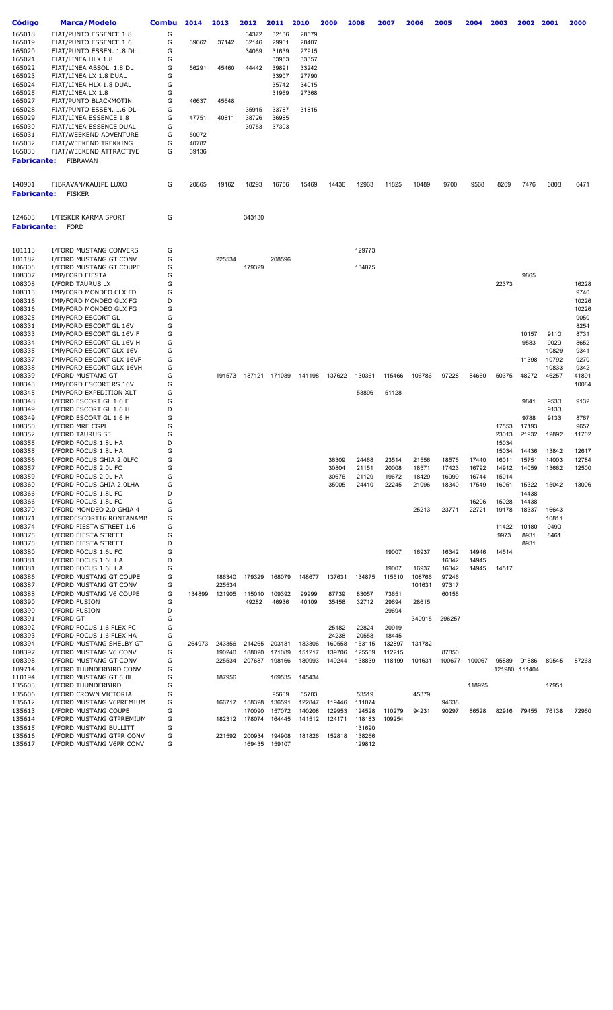| Código             | Marca/Modelo                  | <b>Combu</b> | 2014   | 2013   | 2012          | 2011   | 2010   | 2009   | 2008   | 2007   | 2006   | 2005   | 2004   | 2003  | 2002          | 2001  | 2000  |
|--------------------|-------------------------------|--------------|--------|--------|---------------|--------|--------|--------|--------|--------|--------|--------|--------|-------|---------------|-------|-------|
| 165018             | <b>FIAT/PUNTO ESSENCE 1.8</b> | G            |        |        | 34372         | 32136  | 28579  |        |        |        |        |        |        |       |               |       |       |
| 165019             | <b>FIAT/PUNTO ESSENCE 1.6</b> | G            | 39662  | 37142  | 32146         | 29961  | 28407  |        |        |        |        |        |        |       |               |       |       |
| 165020             | FIAT/PUNTO ESSEN. 1.8 DL      | G            |        |        | 34069         | 31639  | 27915  |        |        |        |        |        |        |       |               |       |       |
| 165021             | FIAT/LINEA HLX 1.8            | G            |        |        |               | 33953  | 33357  |        |        |        |        |        |        |       |               |       |       |
| 165022             | FIAT/LINEA ABSOL. 1.8 DL      | G            | 56291  | 45460  | 44442         | 39891  | 33242  |        |        |        |        |        |        |       |               |       |       |
| 165023             | FIAT/LINEA LX 1.8 DUAL        | G            |        |        |               | 33907  | 27790  |        |        |        |        |        |        |       |               |       |       |
| 165024             | FIAT/LINEA HLX 1.8 DUAL       | G            |        |        |               | 35742  | 34015  |        |        |        |        |        |        |       |               |       |       |
| 165025             | FIAT/LINEA LX 1.8             | G            |        |        |               | 31969  | 27368  |        |        |        |        |        |        |       |               |       |       |
| 165027             | FIAT/PUNTO BLACKMOTIN         | G            | 46637  | 45648  |               |        |        |        |        |        |        |        |        |       |               |       |       |
| 165028             | FIAT/PUNTO ESSEN. 1.6 DL      | G            |        |        | 35915         | 33787  | 31815  |        |        |        |        |        |        |       |               |       |       |
| 165029             | FIAT/LINEA ESSENCE 1.8        | G            | 47751  | 40811  | 38726         | 36985  |        |        |        |        |        |        |        |       |               |       |       |
| 165030             | FIAT/LINEA ESSENCE DUAL       | G            |        |        | 39753         | 37303  |        |        |        |        |        |        |        |       |               |       |       |
| 165031             | FIAT/WEEKEND ADVENTURE        | G            | 50072  |        |               |        |        |        |        |        |        |        |        |       |               |       |       |
| 165032             | FIAT/WEEKEND TREKKING         | G            | 40782  |        |               |        |        |        |        |        |        |        |        |       |               |       |       |
| 165033             | FIAT/WEEKEND ATTRACTIVE       | G            | 39136  |        |               |        |        |        |        |        |        |        |        |       |               |       |       |
| <b>Fabricante:</b> | FIBRAVAN                      |              |        |        |               |        |        |        |        |        |        |        |        |       |               |       |       |
|                    |                               |              |        |        |               |        |        |        |        |        |        |        |        |       |               |       |       |
| 140901             | FIBRAVAN/KAUIPE LUXO          | G            | 20865  | 19162  | 18293         | 16756  | 15469  | 14436  | 12963  | 11825  | 10489  | 9700   | 9568   | 8269  | 7476          | 6808  | 6471  |
| Fabricante:        | <b>FISKER</b>                 |              |        |        |               |        |        |        |        |        |        |        |        |       |               |       |       |
|                    |                               |              |        |        |               |        |        |        |        |        |        |        |        |       |               |       |       |
| 124603             | I/FISKER KARMA SPORT          | G            |        |        | 343130        |        |        |        |        |        |        |        |        |       |               |       |       |
| Fabricante:        | <b>FORD</b>                   |              |        |        |               |        |        |        |        |        |        |        |        |       |               |       |       |
|                    |                               |              |        |        |               |        |        |        |        |        |        |        |        |       |               |       |       |
| 101113             | I/FORD MUSTANG CONVERS        | G            |        |        |               |        |        |        | 129773 |        |        |        |        |       |               |       |       |
| 101182             | I/FORD MUSTANG GT CONV        | G            |        | 225534 |               | 208596 |        |        |        |        |        |        |        |       |               |       |       |
| 106305             | I/FORD MUSTANG GT COUPE       | G            |        |        | 179329        |        |        |        | 134875 |        |        |        |        |       |               |       |       |
| 108307             | <b>IMP/FORD FIESTA</b>        | G            |        |        |               |        |        |        |        |        |        |        |        |       | 9865          |       |       |
| 108308             | I/FORD TAURUS LX              | G            |        |        |               |        |        |        |        |        |        |        |        | 22373 |               |       | 16228 |
| 108313             | IMP/FORD MONDEO CLX FD        | G            |        |        |               |        |        |        |        |        |        |        |        |       |               |       | 9740  |
| 108316             | IMP/FORD MONDEO GLX FG        | D            |        |        |               |        |        |        |        |        |        |        |        |       |               |       | 10226 |
| 108316             | IMP/FORD MONDEO GLX FG        | G            |        |        |               |        |        |        |        |        |        |        |        |       |               |       | 10226 |
| 108325             | IMP/FORD ESCORT GL            | G            |        |        |               |        |        |        |        |        |        |        |        |       |               |       | 9050  |
| 108331             | IMP/FORD ESCORT GL 16V        | G            |        |        |               |        |        |        |        |        |        |        |        |       |               |       | 8254  |
| 108333             | IMP/FORD ESCORT GL 16V F      | G            |        |        |               |        |        |        |        |        |        |        |        |       | 10157         | 9110  | 8731  |
| 108334             | IMP/FORD ESCORT GL 16V H      | G            |        |        |               |        |        |        |        |        |        |        |        |       | 9583          | 9029  | 8652  |
| 108335             | IMP/FORD ESCORT GLX 16V       | G            |        |        |               |        |        |        |        |        |        |        |        |       |               | 10829 | 9341  |
| 108337             | IMP/FORD ESCORT GLX 16VF      | G            |        |        |               |        |        |        |        |        |        |        |        |       | 11398         | 10792 | 9270  |
| 108338             | IMP/FORD ESCORT GLX 16VH      | G            |        |        |               |        |        |        |        |        |        |        |        |       |               | 10833 | 9342  |
| 108339             | I/FORD MUSTANG GT             | G            |        | 191573 | 187121 171089 |        | 141198 | 137622 | 130361 | 115466 | 106786 | 97228  | 84660  | 50375 | 48272         | 46257 | 41891 |
| 108343             | IMP/FORD ESCORT RS 16V        | G            |        |        |               |        |        |        |        |        |        |        |        |       |               |       | 10084 |
| 108345             | IMP/FORD EXPEDITION XLT       | G            |        |        |               |        |        |        | 53896  | 51128  |        |        |        |       |               |       |       |
| 108348             | I/FORD ESCORT GL 1.6 F        | G            |        |        |               |        |        |        |        |        |        |        |        |       | 9841          | 9530  | 9132  |
| 108349             | I/FORD ESCORT GL 1.6 H        | D            |        |        |               |        |        |        |        |        |        |        |        |       |               | 9133  |       |
| 108349             | I/FORD ESCORT GL 1.6 H        | G            |        |        |               |        |        |        |        |        |        |        |        |       | 9788          | 9133  | 8767  |
| 108350             | I/FORD MRE CGPI               | G            |        |        |               |        |        |        |        |        |        |        |        | 17553 | 17193         |       | 9657  |
| 108352             | I/FORD TAURUS SE              | G            |        |        |               |        |        |        |        |        |        |        |        | 23013 | 21932         | 12892 | 11702 |
| 108355             | I/FORD FOCUS 1.8L HA          | D            |        |        |               |        |        |        |        |        |        |        |        | 15034 |               |       |       |
| 108355             | I/FORD FOCUS 1.8L HA          | G            |        |        |               |        |        |        |        |        |        |        |        | 15034 | 14436         | 13842 | 12617 |
| 108356             | I/FORD FOCUS GHIA 2.0LFC      | G            |        |        |               |        |        | 36309  | 24468  | 23514  | 21556  | 18576  | 17440  | 16011 | 15751         | 14003 | 12784 |
| 108357             | I/FORD FOCUS 2.0L FC          | G            |        |        |               |        |        | 30804  | 21151  | 20008  | 18571  | 17423  | 16792  | 14912 | 14059         | 13662 | 12500 |
| 108359             | I/FORD FOCUS 2.0L HA          | G            |        |        |               |        |        | 30676  | 21129  | 19672  | 18429  | 16999  | 16744  | 15014 |               |       |       |
| 108360             | I/FORD FOCUS GHIA 2.0LHA      | G            |        |        |               |        |        | 35005  | 24410  | 22245  | 21096  | 18340  | 17549  | 16051 | 15322         | 15042 | 13006 |
| 108366             | I/FORD FOCUS 1.8L FC          | D            |        |        |               |        |        |        |        |        |        |        |        |       | 14438         |       |       |
| 108366             | I/FORD FOCUS 1.8L FC          | G            |        |        |               |        |        |        |        |        |        |        | 16206  | 15028 | 14438         |       |       |
| 108370             | I/FORD MONDEO 2.0 GHIA 4      | G            |        |        |               |        |        |        |        |        | 25213  | 23771  | 22721  | 19178 | 18337         | 16643 |       |
| 108371             | I/FORDESCORT16 RONTANAMB      | G            |        |        |               |        |        |        |        |        |        |        |        |       |               | 10811 |       |
| 108374             | I/FORD FIESTA STREET 1.6      | G            |        |        |               |        |        |        |        |        |        |        |        | 11422 | 10180         | 9490  |       |
| 108375             | I/FORD FIESTA STREET          | G            |        |        |               |        |        |        |        |        |        |        |        | 9973  | 8931          | 8461  |       |
| 108375             | I/FORD FIESTA STREET          | D            |        |        |               |        |        |        |        |        |        |        |        |       | 8931          |       |       |
| 108380             | I/FORD FOCUS 1.6L FC          | G            |        |        |               |        |        |        |        | 19007  | 16937  | 16342  | 14946  | 14514 |               |       |       |
| 108381             | I/FORD FOCUS 1.6L HA          | D            |        |        |               |        |        |        |        |        |        | 16342  | 14945  |       |               |       |       |
| 108381             | I/FORD FOCUS 1.6L HA          | G            |        |        |               |        |        |        |        | 19007  | 16937  | 16342  | 14945  | 14517 |               |       |       |
| 108386             | I/FORD MUSTANG GT COUPE       | G            |        | 186340 | 179329        | 168079 | 148677 | 137631 | 134875 | 115510 | 108766 | 97246  |        |       |               |       |       |
| 108387             | I/FORD MUSTANG GT CONV        | G            |        | 225534 |               |        |        |        |        |        | 101631 | 97317  |        |       |               |       |       |
| 108388             | I/FORD MUSTANG V6 COUPE       | G            | 134899 | 121905 | 115010        | 109392 | 99999  | 87739  | 83057  | 73651  |        | 60156  |        |       |               |       |       |
| 108390             | I/FORD FUSION                 | G            |        |        | 49282         | 46936  | 40109  | 35458  | 32712  | 29694  | 28615  |        |        |       |               |       |       |
| 108390             | I/FORD FUSION                 | D            |        |        |               |        |        |        |        | 29694  |        |        |        |       |               |       |       |
| 108391             | I/FORD GT                     | G            |        |        |               |        |        |        |        |        | 340915 | 296257 |        |       |               |       |       |
| 108392             | I/FORD FOCUS 1.6 FLEX FC      | G            |        |        |               |        |        | 25182  | 22824  | 20919  |        |        |        |       |               |       |       |
| 108393             | I/FORD FOCUS 1.6 FLEX HA      | G            |        |        |               |        |        | 24238  | 20558  | 18445  |        |        |        |       |               |       |       |
| 108394             | I/FORD MUSTANG SHELBY GT      | G            | 264973 | 243356 | 214265        | 203181 | 183306 | 160558 | 153115 | 132897 | 131782 |        |        |       |               |       |       |
| 108397             | I/FORD MUSTANG V6 CONV        | G            |        | 190240 | 188020        | 171089 | 151217 | 139706 | 125589 | 112215 |        | 87850  |        |       |               |       |       |
| 108398             | I/FORD MUSTANG GT CONV        | G            |        | 225534 | 207687        | 198166 | 180993 | 149244 | 138839 | 118199 | 101631 | 100677 | 100067 | 95889 | 91886         | 89545 | 87263 |
| 109714             | I/FORD THUNDERBIRD CONV       | G            |        |        |               |        |        |        |        |        |        |        |        |       | 121980 111404 |       |       |
| 110194             | I/FORD MUSTANG GT 5.0L        | G            |        | 187956 |               | 169535 | 145434 |        |        |        |        |        |        |       |               |       |       |
| 135603             | I/FORD THUNDERBIRD            | G            |        |        |               |        |        |        |        |        |        |        | 118925 |       |               | 17951 |       |
| 135606             | I/FORD CROWN VICTORIA         | G            |        |        |               | 95609  | 55703  |        | 53519  |        | 45379  |        |        |       |               |       |       |
| 135612             | I/FORD MUSTANG V6PREMIUM      | G            |        | 166717 | 158328        | 136591 | 122847 | 119446 | 111074 |        |        | 94638  |        |       |               |       |       |
| 135613             | I/FORD MUSTANG COUPE          | G            |        |        | 170090        | 157072 | 140208 | 129953 | 124528 | 110279 | 94231  | 90297  | 86528  | 82916 | 79455         | 76138 | 72960 |
| 135614             | I/FORD MUSTANG GTPREMIUM      | G            |        | 182312 | 178074        | 164445 | 141512 | 124171 | 118183 | 109254 |        |        |        |       |               |       |       |
| 135615             | I/FORD MUSTANG BULLITT        | G            |        |        |               |        |        |        | 131690 |        |        |        |        |       |               |       |       |
| 135616             | I/FORD MUSTANG GTPR CONV      | G            |        | 221592 | 200934        | 194908 | 181826 | 152818 | 138266 |        |        |        |        |       |               |       |       |
| 135617             | I/FORD MUSTANG V6PR CONV      | G            |        |        | 169435        | 159107 |        |        | 129812 |        |        |        |        |       |               |       |       |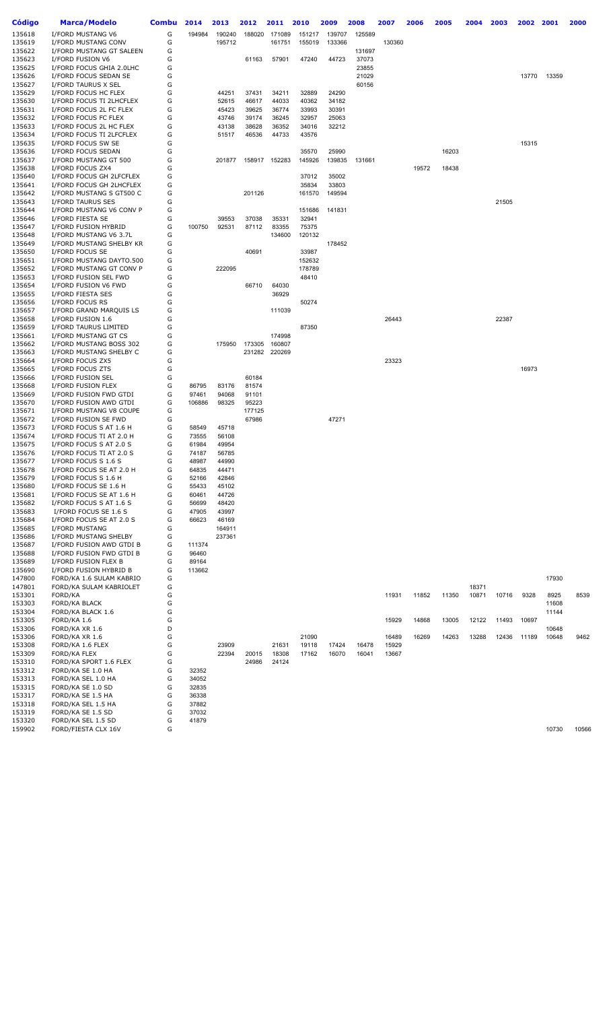| <b>Código</b>    | Marca/Modelo                              | <b>Combu</b> | 2014           | 2013   | 2012   | 2011           | 2010   | 2009   | 2008   | 2007   | 2006  | 2005  | 2004  | 2003  | 2002  | 2001  | 2000  |
|------------------|-------------------------------------------|--------------|----------------|--------|--------|----------------|--------|--------|--------|--------|-------|-------|-------|-------|-------|-------|-------|
| 135618           | I/FORD MUSTANG V6                         | G            | 194984         | 190240 | 188020 | 171089         | 151217 | 139707 | 125589 |        |       |       |       |       |       |       |       |
| 135619           | I/FORD MUSTANG CONV                       | G            |                | 195712 |        | 161751         | 155019 | 133366 |        | 130360 |       |       |       |       |       |       |       |
| 135622           | I/FORD MUSTANG GT SALEEN                  | G            |                |        |        |                |        |        | 131697 |        |       |       |       |       |       |       |       |
| 135623           | I/FORD FUSION V6                          | G            |                |        | 61163  | 57901          | 47240  | 44723  | 37073  |        |       |       |       |       |       |       |       |
| 135625           | I/FORD FOCUS GHIA 2.0LHC                  | G            |                |        |        |                |        |        | 23855  |        |       |       |       |       |       |       |       |
| 135626           | I/FORD FOCUS SEDAN SE                     | G            |                |        |        |                |        |        | 21029  |        |       |       |       |       | 13770 | 13359 |       |
| 135627           | I/FORD TAURUS X SEL                       | G            |                |        |        |                |        |        | 60156  |        |       |       |       |       |       |       |       |
| 135629           | I/FORD FOCUS HC FLEX                      | G            |                | 44251  | 37431  | 34211          | 32889  | 24290  |        |        |       |       |       |       |       |       |       |
| 135630           | I/FORD FOCUS TI 2LHCFLEX                  | G            |                | 52615  | 46617  | 44033          | 40362  | 34182  |        |        |       |       |       |       |       |       |       |
| 135631           | I/FORD FOCUS 2L FC FLEX                   | G            |                | 45423  | 39625  | 36774          | 33993  | 30391  |        |        |       |       |       |       |       |       |       |
| 135632           | I/FORD FOCUS FC FLEX                      | G            |                | 43746  | 39174  | 36245          | 32957  | 25063  |        |        |       |       |       |       |       |       |       |
| 135633           | I/FORD FOCUS 2L HC FLEX                   | G            |                | 43138  | 38628  | 36352          | 34016  | 32212  |        |        |       |       |       |       |       |       |       |
| 135634           | I/FORD FOCUS TI 2LFCFLEX                  | G            |                | 51517  | 46536  | 44733          | 43576  |        |        |        |       |       |       |       |       |       |       |
| 135635           | I/FORD FOCUS SW SE                        | G            |                |        |        |                |        |        |        |        |       |       |       |       | 15315 |       |       |
| 135636           | I/FORD FOCUS SEDAN                        | G            |                |        |        |                | 35570  | 25990  |        |        |       | 16203 |       |       |       |       |       |
| 135637           | I/FORD MUSTANG GT 500                     | G            |                | 201877 |        | 158917 152283  | 145926 | 139835 | 131661 |        |       |       |       |       |       |       |       |
| 135638           | I/FORD FOCUS ZX4                          | G            |                |        |        |                |        |        |        |        | 19572 | 18438 |       |       |       |       |       |
| 135640           | I/FORD FOCUS GH 2LFCFLEX                  | G            |                |        |        |                | 37012  | 35002  |        |        |       |       |       |       |       |       |       |
| 135641           | I/FORD FOCUS GH 2LHCFLEX                  | G            |                |        |        |                | 35834  | 33803  |        |        |       |       |       |       |       |       |       |
| 135642           | I/FORD MUSTANG S GT500 C                  | G            |                |        | 201126 |                | 161570 | 149594 |        |        |       |       |       |       |       |       |       |
| 135643           | I/FORD TAURUS SES                         | G            |                |        |        |                |        |        |        |        |       |       |       | 21505 |       |       |       |
| 135644           | I/FORD MUSTANG V6 CONV P                  | G            |                |        |        |                | 151686 | 141831 |        |        |       |       |       |       |       |       |       |
| 135646           | I/FORD FIESTA SE                          | G            |                | 39553  | 37038  | 35331          | 32941  |        |        |        |       |       |       |       |       |       |       |
| 135647           | I/FORD FUSION HYBRID                      | G            | 100750         | 92531  | 87112  | 83355          | 75375  |        |        |        |       |       |       |       |       |       |       |
| 135648           | I/FORD MUSTANG V6 3.7L                    | G            |                |        |        | 134600         | 120132 |        |        |        |       |       |       |       |       |       |       |
| 135649           | I/FORD MUSTANG SHELBY KR                  | G            |                |        |        |                |        | 178452 |        |        |       |       |       |       |       |       |       |
| 135650           | I/FORD FOCUS SE                           | G            |                |        | 40691  |                | 33987  |        |        |        |       |       |       |       |       |       |       |
| 135651           | I/FORD MUSTANG DAYTO.500                  | G            |                |        |        |                | 152632 |        |        |        |       |       |       |       |       |       |       |
| 135652           | I/FORD MUSTANG GT CONV P                  | G            |                | 222095 |        |                | 178789 |        |        |        |       |       |       |       |       |       |       |
| 135653           | I/FORD FUSION SEL FWD                     | G            |                |        |        |                | 48410  |        |        |        |       |       |       |       |       |       |       |
| 135654<br>135655 | I/FORD FUSION V6 FWD<br>I/FORD FIESTA SES | G<br>G       |                |        | 66710  | 64030<br>36929 |        |        |        |        |       |       |       |       |       |       |       |
| 135656           | I/FORD FOCUS RS                           | G            |                |        |        |                |        |        |        |        |       |       |       |       |       |       |       |
| 135657           | I/FORD GRAND MARQUIS LS                   | G            |                |        |        | 111039         | 50274  |        |        |        |       |       |       |       |       |       |       |
| 135658           | I/FORD FUSION 1.6                         | G            |                |        |        |                |        |        |        | 26443  |       |       |       | 22387 |       |       |       |
| 135659           | I/FORD TAURUS LIMITED                     | G            |                |        |        |                | 87350  |        |        |        |       |       |       |       |       |       |       |
| 135661           | I/FORD MUSTANG GT CS                      | G            |                |        |        | 174998         |        |        |        |        |       |       |       |       |       |       |       |
| 135662           | I/FORD MUSTANG BOSS 302                   | G            |                | 175950 | 173305 | 160807         |        |        |        |        |       |       |       |       |       |       |       |
| 135663           | I/FORD MUSTANG SHELBY C                   | G            |                |        |        | 231282 220269  |        |        |        |        |       |       |       |       |       |       |       |
| 135664           | I/FORD FOCUS ZX5                          | G            |                |        |        |                |        |        |        | 23323  |       |       |       |       |       |       |       |
| 135665           | I/FORD FOCUS ZTS                          | G            |                |        |        |                |        |        |        |        |       |       |       |       | 16973 |       |       |
| 135666           | I/FORD FUSION SEL                         | G            |                |        | 60184  |                |        |        |        |        |       |       |       |       |       |       |       |
| 135668           | I/FORD FUSION FLEX                        | G            | 86795          | 83176  | 81574  |                |        |        |        |        |       |       |       |       |       |       |       |
| 135669           | I/FORD FUSION FWD GTDI                    | G            | 97461          | 94068  | 91101  |                |        |        |        |        |       |       |       |       |       |       |       |
| 135670           | I/FORD FUSION AWD GTDI                    | G            | 106886         | 98325  | 95223  |                |        |        |        |        |       |       |       |       |       |       |       |
| 135671           | I/FORD MUSTANG V8 COUPE                   | G            |                |        | 177125 |                |        |        |        |        |       |       |       |       |       |       |       |
| 135672           | I/FORD FUSION SE FWD                      | G            |                |        | 67986  |                |        | 47271  |        |        |       |       |       |       |       |       |       |
| 135673           | I/FORD FOCUS S AT 1.6 H                   | G            | 58549          | 45718  |        |                |        |        |        |        |       |       |       |       |       |       |       |
| 135674           | I/FORD FOCUS TI AT 2.0 H                  | G            | 73555          | 56108  |        |                |        |        |        |        |       |       |       |       |       |       |       |
| 135675           | I/FORD FOCUS S AT 2.0 S                   | G            | 61984          | 49954  |        |                |        |        |        |        |       |       |       |       |       |       |       |
| 135676           | I/FORD FOCUS TI AT 2.0 S                  | G            | 74187          | 56785  |        |                |        |        |        |        |       |       |       |       |       |       |       |
| 135677           | I/FORD FOCUS S 1.6 S                      | G            | 48987          | 44990  |        |                |        |        |        |        |       |       |       |       |       |       |       |
| 135678           | I/FORD FOCUS SE AT 2.0 H                  | G            | 64835          | 44471  |        |                |        |        |        |        |       |       |       |       |       |       |       |
| 135679           | I/FORD FOCUS S 1.6 H                      | G            | 52166          | 42846  |        |                |        |        |        |        |       |       |       |       |       |       |       |
| 135680           | I/FORD FOCUS SE 1.6 H                     | G            | 55433          | 45102  |        |                |        |        |        |        |       |       |       |       |       |       |       |
| 135681           | I/FORD FOCUS SE AT 1.6 H                  | G            | 60461          | 44726  |        |                |        |        |        |        |       |       |       |       |       |       |       |
| 135682           | I/FORD FOCUS S AT 1.6 S                   | G            | 56699          | 48420  |        |                |        |        |        |        |       |       |       |       |       |       |       |
| 135683           | I/FORD FOCUS SE 1.6 S                     | G            | 47905          | 43997  |        |                |        |        |        |        |       |       |       |       |       |       |       |
| 135684           | I/FORD FOCUS SE AT 2.0 S                  | G            | 66623          | 46169  |        |                |        |        |        |        |       |       |       |       |       |       |       |
| 135685           | I/FORD MUSTANG                            | G            |                | 164911 |        |                |        |        |        |        |       |       |       |       |       |       |       |
| 135686           | I/FORD MUSTANG SHELBY                     | G            |                | 237361 |        |                |        |        |        |        |       |       |       |       |       |       |       |
| 135687           | I/FORD FUSION AWD GTDI B                  | G            | 111374         |        |        |                |        |        |        |        |       |       |       |       |       |       |       |
| 135688           | I/FORD FUSION FWD GTDI B                  | G            | 96460          |        |        |                |        |        |        |        |       |       |       |       |       |       |       |
| 135689           | I/FORD FUSION FLEX B                      | G            | 89164          |        |        |                |        |        |        |        |       |       |       |       |       |       |       |
| 135690           | I/FORD FUSION HYBRID B                    | G            | 113662         |        |        |                |        |        |        |        |       |       |       |       |       |       |       |
| 147800           | FORD/KA 1.6 SULAM KABRIO                  | G            |                |        |        |                |        |        |        |        |       |       |       |       |       | 17930 |       |
| 147801           | FORD/KA SULAM KABRIOLET                   | G            |                |        |        |                |        |        |        |        |       |       | 18371 |       |       |       |       |
| 153301           | FORD/KA                                   | G            |                |        |        |                |        |        |        | 11931  | 11852 | 11350 | 10871 | 10716 | 9328  | 8925  | 8539  |
| 153303           | FORD/KA BLACK                             | G            |                |        |        |                |        |        |        |        |       |       |       |       |       | 11608 |       |
| 153304           | FORD/KA BLACK 1.6                         | G            |                |        |        |                |        |        |        |        |       |       |       |       |       | 11144 |       |
| 153305           | FORD/KA 1.6                               | G            |                |        |        |                |        |        |        | 15929  | 14868 | 13005 | 12122 | 11493 | 10697 |       |       |
| 153306           | FORD/KA XR 1.6                            | D            |                |        |        |                |        |        |        |        |       |       |       |       |       | 10648 |       |
| 153306           | FORD/KA XR 1.6                            | G            |                |        |        |                | 21090  |        |        | 16489  | 16269 | 14263 | 13288 | 12436 | 11189 | 10648 | 9462  |
| 153308           | FORD/KA 1.6 FLEX                          | G            |                | 23909  |        | 21631          | 19118  | 17424  | 16478  | 15929  |       |       |       |       |       |       |       |
| 153309           | FORD/KA FLEX                              | G            |                | 22394  | 20015  | 18308          | 17162  | 16070  | 16041  | 13667  |       |       |       |       |       |       |       |
| 153310           | FORD/KA SPORT 1.6 FLEX                    | G<br>G       |                |        | 24986  | 24124          |        |        |        |        |       |       |       |       |       |       |       |
| 153312<br>153313 | FORD/KA SE 1.0 HA<br>FORD/KA SEL 1.0 HA   | G            | 32352<br>34052 |        |        |                |        |        |        |        |       |       |       |       |       |       |       |
| 153315           |                                           | G            |                |        |        |                |        |        |        |        |       |       |       |       |       |       |       |
| 153317           | FORD/KA SE 1.0 SD<br>FORD/KA SE 1.5 HA    | G            | 32835<br>36338 |        |        |                |        |        |        |        |       |       |       |       |       |       |       |
| 153318           | FORD/KA SEL 1.5 HA                        | G            | 37882          |        |        |                |        |        |        |        |       |       |       |       |       |       |       |
| 153319           | FORD/KA SE 1.5 SD                         | G            | 37032          |        |        |                |        |        |        |        |       |       |       |       |       |       |       |
| 153320           | FORD/KA SEL 1.5 SD                        | G            | 41879          |        |        |                |        |        |        |        |       |       |       |       |       |       |       |
| 159902           | FORD/FIESTA CLX 16V                       | G            |                |        |        |                |        |        |        |        |       |       |       |       |       | 10730 | 10566 |
|                  |                                           |              |                |        |        |                |        |        |        |        |       |       |       |       |       |       |       |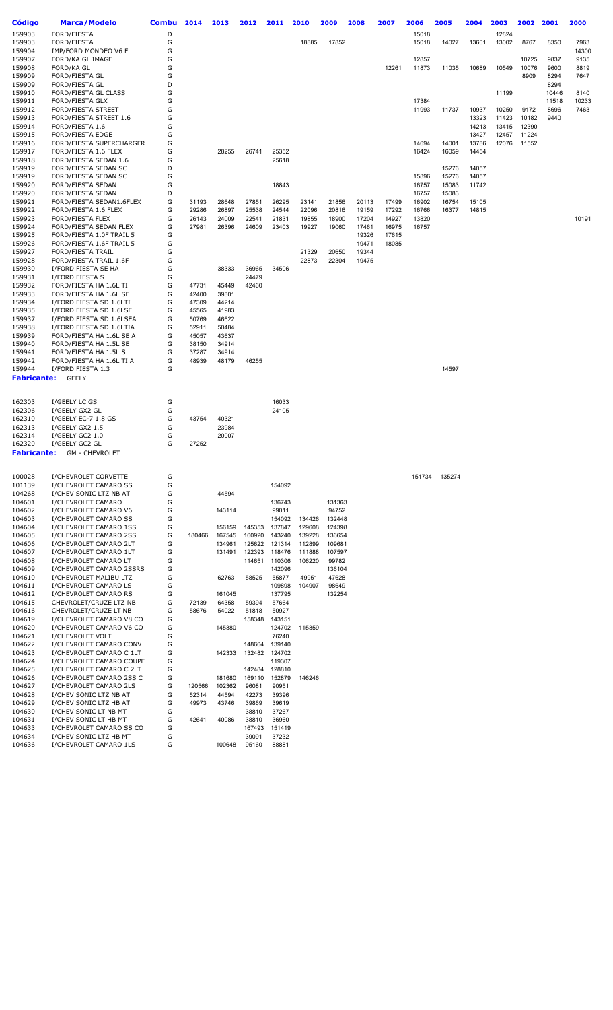| Código             | <b>Marca/Modelo</b>                               | <b>Combu</b> | 2014   | 2013   | 2012            | 2011                   | 2010           | 2009            | 2008           | 2007  | 2006   | 2005           | 2004           | 2003  | 2002  | 2001          | 2000  |
|--------------------|---------------------------------------------------|--------------|--------|--------|-----------------|------------------------|----------------|-----------------|----------------|-------|--------|----------------|----------------|-------|-------|---------------|-------|
| 159903             | FORD/FIESTA                                       | D            |        |        |                 |                        |                |                 |                |       | 15018  |                |                | 12824 |       |               |       |
| 159903             | FORD/FIESTA                                       | G            |        |        |                 |                        | 18885          | 17852           |                |       | 15018  | 14027          | 13601          | 13002 | 8767  | 8350          | 7963  |
| 159904             | IMP/FORD MONDEO V6 F                              | G            |        |        |                 |                        |                |                 |                |       |        |                |                |       |       |               | 14300 |
| 159907             | FORD/KA GL IMAGE                                  | G            |        |        |                 |                        |                |                 |                |       | 12857  |                |                |       | 10725 | 9837          | 9135  |
| 159908             | FORD/KA GL                                        | G            |        |        |                 |                        |                |                 |                | 12261 | 11873  | 11035          | 10689          | 10549 | 10076 | 9600          | 8819  |
| 159909<br>159909   | FORD/FIESTA GL                                    | G<br>D       |        |        |                 |                        |                |                 |                |       |        |                |                |       | 8909  | 8294          | 7647  |
| 159910             | FORD/FIESTA GL<br>FORD/FIESTA GL CLASS            | G            |        |        |                 |                        |                |                 |                |       |        |                |                | 11199 |       | 8294<br>10446 | 8140  |
| 159911             | FORD/FIESTA GLX                                   | G            |        |        |                 |                        |                |                 |                |       | 17384  |                |                |       |       | 11518         | 10233 |
| 159912             | FORD/FIESTA STREET                                | G            |        |        |                 |                        |                |                 |                |       | 11993  | 11737          | 10937          | 10250 | 9172  | 8696          | 7463  |
| 159913             | FORD/FIESTA STREET 1.6                            | G            |        |        |                 |                        |                |                 |                |       |        |                | 13323          | 11423 | 10182 | 9440          |       |
| 159914             | FORD/FIESTA 1.6                                   | G            |        |        |                 |                        |                |                 |                |       |        |                | 14213          | 13415 | 12390 |               |       |
| 159915             | FORD/FIESTA EDGE                                  | G            |        |        |                 |                        |                |                 |                |       |        |                | 13427          | 12457 | 11224 |               |       |
| 159916             | FORD/FIESTA SUPERCHARGER                          | G            |        |        |                 |                        |                |                 |                |       | 14694  | 14001          | 13786          | 12076 | 11552 |               |       |
| 159917             | FORD/FIESTA 1.6 FLEX                              | G            |        | 28255  | 26741           | 25352                  |                |                 |                |       | 16424  | 16059          | 14454          |       |       |               |       |
| 159918             | FORD/FIESTA SEDAN 1.6                             | G            |        |        |                 | 25618                  |                |                 |                |       |        |                |                |       |       |               |       |
| 159919<br>159919   | FORD/FIESTA SEDAN SC<br>FORD/FIESTA SEDAN SC      | D<br>G       |        |        |                 |                        |                |                 |                |       | 15896  | 15276<br>15276 | 14057<br>14057 |       |       |               |       |
| 159920             | FORD/FIESTA SEDAN                                 | G            |        |        |                 | 18843                  |                |                 |                |       | 16757  | 15083          | 11742          |       |       |               |       |
| 159920             | FORD/FIESTA SEDAN                                 | D            |        |        |                 |                        |                |                 |                |       | 16757  | 15083          |                |       |       |               |       |
| 159921             | FORD/FIESTA SEDAN1.6FLEX                          | G            | 31193  | 28648  | 27851           | 26295                  | 23141          | 21856           | 20113          | 17499 | 16902  | 16754          | 15105          |       |       |               |       |
| 159922             | FORD/FIESTA 1.6 FLEX                              | G            | 29286  | 26897  | 25538           | 24544                  | 22096          | 20816           | 19159          | 17292 | 16766  | 16377          | 14815          |       |       |               |       |
| 159923             | <b>FORD/FIESTA FLEX</b>                           | G            | 26143  | 24009  | 22541           | 21831                  | 19855          | 18900           | 17204          | 14927 | 13820  |                |                |       |       |               | 10191 |
| 159924             | FORD/FIESTA SEDAN FLEX                            | G            | 27981  | 26396  | 24609           | 23403                  | 19927          | 19060           | 17461          | 16975 | 16757  |                |                |       |       |               |       |
| 159925             | FORD/FIESTA 1.0F TRAIL 5                          | G            |        |        |                 |                        |                |                 | 19326          | 17615 |        |                |                |       |       |               |       |
| 159926             | FORD/FIESTA 1.6F TRAIL 5                          | G            |        |        |                 |                        |                |                 | 19471          | 18085 |        |                |                |       |       |               |       |
| 159927<br>159928   | FORD/FIESTA TRAIL<br>FORD/FIESTA TRAIL 1.6F       | G<br>G       |        |        |                 |                        | 21329<br>22873 | 20650<br>22304  | 19344<br>19475 |       |        |                |                |       |       |               |       |
| 159930             | I/FORD FIESTA SE HA                               | G            |        | 38333  | 36965           | 34506                  |                |                 |                |       |        |                |                |       |       |               |       |
| 159931             | I/FORD FIESTA S                                   | G            |        |        | 24479           |                        |                |                 |                |       |        |                |                |       |       |               |       |
| 159932             | FORD/FIESTA HA 1.6L TI                            | G            | 47731  | 45449  | 42460           |                        |                |                 |                |       |        |                |                |       |       |               |       |
| 159933             | FORD/FIESTA HA 1.6L SE                            | G            | 42400  | 39801  |                 |                        |                |                 |                |       |        |                |                |       |       |               |       |
| 159934             | I/FORD FIESTA SD 1.6LTI                           | G            | 47309  | 44214  |                 |                        |                |                 |                |       |        |                |                |       |       |               |       |
| 159935             | I/FORD FIESTA SD 1.6LSE                           | G            | 45565  | 41983  |                 |                        |                |                 |                |       |        |                |                |       |       |               |       |
| 159937             | I/FORD FIESTA SD 1.6LSEA                          | G            | 50769  | 46622  |                 |                        |                |                 |                |       |        |                |                |       |       |               |       |
| 159938             | I/FORD FIESTA SD 1.6LTIA                          | G            | 52911  | 50484  |                 |                        |                |                 |                |       |        |                |                |       |       |               |       |
| 159939             | FORD/FIESTA HA 1.6L SE A                          | G            | 45057  | 43637  |                 |                        |                |                 |                |       |        |                |                |       |       |               |       |
| 159940             | FORD/FIESTA HA 1.5L SE                            | G            | 38150  | 34914  |                 |                        |                |                 |                |       |        |                |                |       |       |               |       |
| 159941             | FORD/FIESTA HA 1.5L S                             | G            | 37287  | 34914  |                 |                        |                |                 |                |       |        |                |                |       |       |               |       |
| 159942<br>159944   | FORD/FIESTA HA 1.6L TI A<br>I/FORD FIESTA 1.3     | G<br>G       | 48939  | 48179  | 46255           |                        |                |                 |                |       |        | 14597          |                |       |       |               |       |
| <b>Fabricante:</b> | <b>GEELY</b>                                      |              |        |        |                 |                        |                |                 |                |       |        |                |                |       |       |               |       |
|                    |                                                   |              |        |        |                 |                        |                |                 |                |       |        |                |                |       |       |               |       |
|                    |                                                   |              |        |        |                 |                        |                |                 |                |       |        |                |                |       |       |               |       |
| 162303             | I/GEELY LC GS                                     | G            |        |        |                 | 16033                  |                |                 |                |       |        |                |                |       |       |               |       |
| 162306             | I/GEELY GX2 GL                                    | G            |        |        |                 | 24105                  |                |                 |                |       |        |                |                |       |       |               |       |
| 162310             | I/GEELY EC-7 1.8 GS                               | G            | 43754  | 40321  |                 |                        |                |                 |                |       |        |                |                |       |       |               |       |
| 162313             | I/GEELY GX2 1.5                                   | G            |        | 23984  |                 |                        |                |                 |                |       |        |                |                |       |       |               |       |
| 162314<br>162320   | I/GEELY GC2 1.0<br>I/GEELY GC2 GL                 | G<br>G       | 27252  | 20007  |                 |                        |                |                 |                |       |        |                |                |       |       |               |       |
| <b>Fabricante:</b> | <b>GM - CHEVROLET</b>                             |              |        |        |                 |                        |                |                 |                |       |        |                |                |       |       |               |       |
|                    |                                                   |              |        |        |                 |                        |                |                 |                |       |        |                |                |       |       |               |       |
|                    |                                                   |              |        |        |                 |                        |                |                 |                |       |        |                |                |       |       |               |       |
| 100028             | I/CHEVROLET CORVETTE                              | G            |        |        |                 |                        |                |                 |                |       | 151734 | 135274         |                |       |       |               |       |
| 101139             | I/CHEVROLET CAMARO SS                             | G            |        |        |                 | 154092                 |                |                 |                |       |        |                |                |       |       |               |       |
| 104268             | I/CHEV SONIC LTZ NB AT                            | G            |        | 44594  |                 |                        |                |                 |                |       |        |                |                |       |       |               |       |
| 104601<br>104602   | I/CHEVROLET CAMARO<br>I/CHEVROLET CAMARO V6       | G<br>G       |        | 143114 |                 | 136743<br>99011        |                | 131363<br>94752 |                |       |        |                |                |       |       |               |       |
| 104603             | I/CHEVROLET CAMARO SS                             | G            |        |        |                 | 154092                 | 134426         | 132448          |                |       |        |                |                |       |       |               |       |
| 104604             | I/CHEVROLET CAMARO 1SS                            | G            |        | 156159 | 145353          | 137847                 | 129608         | 124398          |                |       |        |                |                |       |       |               |       |
| 104605             | I/CHEVROLET CAMARO 2SS                            | G            | 180466 | 167545 | 160920          | 143240                 | 139228         | 136654          |                |       |        |                |                |       |       |               |       |
| 104606             | I/CHEVROLET CAMARO 2LT                            | G            |        | 134961 | 125622          | 121314                 | 112899         | 109681          |                |       |        |                |                |       |       |               |       |
| 104607             | I/CHEVROLET CAMARO 1LT                            | G            |        | 131491 | 122393          | 118476                 | 111888         | 107597          |                |       |        |                |                |       |       |               |       |
| 104608             | I/CHEVROLET CAMARO LT                             | G            |        |        |                 | 114651 110306          | 106220         | 99782           |                |       |        |                |                |       |       |               |       |
| 104609             | I/CHEVROLET CAMARO 2SSRS                          | G            |        |        |                 | 142096                 |                | 136104          |                |       |        |                |                |       |       |               |       |
| 104610             | I/CHEVROLET MALIBU LTZ                            | G            |        | 62763  | 58525           | 55877                  | 49951          | 47628           |                |       |        |                |                |       |       |               |       |
| 104611             | I/CHEVROLET CAMARO LS                             | G            |        |        |                 | 109898                 | 104907         | 98649           |                |       |        |                |                |       |       |               |       |
| 104612             | I/CHEVROLET CAMARO RS                             | G            |        | 161045 |                 | 137795                 |                | 132254          |                |       |        |                |                |       |       |               |       |
| 104615             | CHEVROLET/CRUZE LTZ NB                            | G            | 72139  | 64358  | 59394           | 57664                  |                |                 |                |       |        |                |                |       |       |               |       |
| 104616<br>104619   | CHEVROLET/CRUZE LT NB<br>I/CHEVROLET CAMARO V8 CO | G<br>G       | 58676  | 54022  | 51818           | 50927<br>158348 143151 |                |                 |                |       |        |                |                |       |       |               |       |
| 104620             | I/CHEVROLET CAMARO V6 CO                          | G            |        | 145380 |                 | 124702                 | 115359         |                 |                |       |        |                |                |       |       |               |       |
| 104621             | I/CHEVROLET VOLT                                  | G            |        |        |                 | 76240                  |                |                 |                |       |        |                |                |       |       |               |       |
| 104622             | I/CHEVROLET CAMARO CONV                           | G            |        |        | 148664          | 139140                 |                |                 |                |       |        |                |                |       |       |               |       |
| 104623             | I/CHEVROLET CAMARO C 1LT                          | G            |        | 142333 | 132482          | 124702                 |                |                 |                |       |        |                |                |       |       |               |       |
| 104624             | I/CHEVROLET CAMARO COUPE                          | G            |        |        |                 | 119307                 |                |                 |                |       |        |                |                |       |       |               |       |
| 104625             | I/CHEVROLET CAMARO C 2LT                          | G            |        |        | 142484          | 128810                 |                |                 |                |       |        |                |                |       |       |               |       |
| 104626             | I/CHEVROLET CAMARO 2SS C                          | G            |        | 181680 | 169110          | 152879                 | 146246         |                 |                |       |        |                |                |       |       |               |       |
| 104627             | I/CHEVROLET CAMARO 2LS                            | G            | 120566 | 102362 | 96081           | 90951                  |                |                 |                |       |        |                |                |       |       |               |       |
| 104628             | I/CHEV SONIC LTZ NB AT                            | G            | 52314  | 44594  | 42273           | 39396                  |                |                 |                |       |        |                |                |       |       |               |       |
| 104629             | I/CHEV SONIC LTZ HB AT                            | G            | 49973  | 43746  | 39869           | 39619                  |                |                 |                |       |        |                |                |       |       |               |       |
| 104630             | I/CHEV SONIC LT NB MT                             | G            |        |        | 38810           | 37267                  |                |                 |                |       |        |                |                |       |       |               |       |
| 104631<br>104633   | I/CHEV SONIC LT HB MT<br>I/CHEVROLET CAMARO SS CO | G<br>G       | 42641  | 40086  | 38810<br>167493 | 36960<br>151419        |                |                 |                |       |        |                |                |       |       |               |       |
| 104634             | I/CHEV SONIC LTZ HB MT                            | G            |        |        | 39091           | 37232                  |                |                 |                |       |        |                |                |       |       |               |       |
| 104636             | I/CHEVROLET CAMARO 1LS                            | G            |        | 100648 | 95160           | 88881                  |                |                 |                |       |        |                |                |       |       |               |       |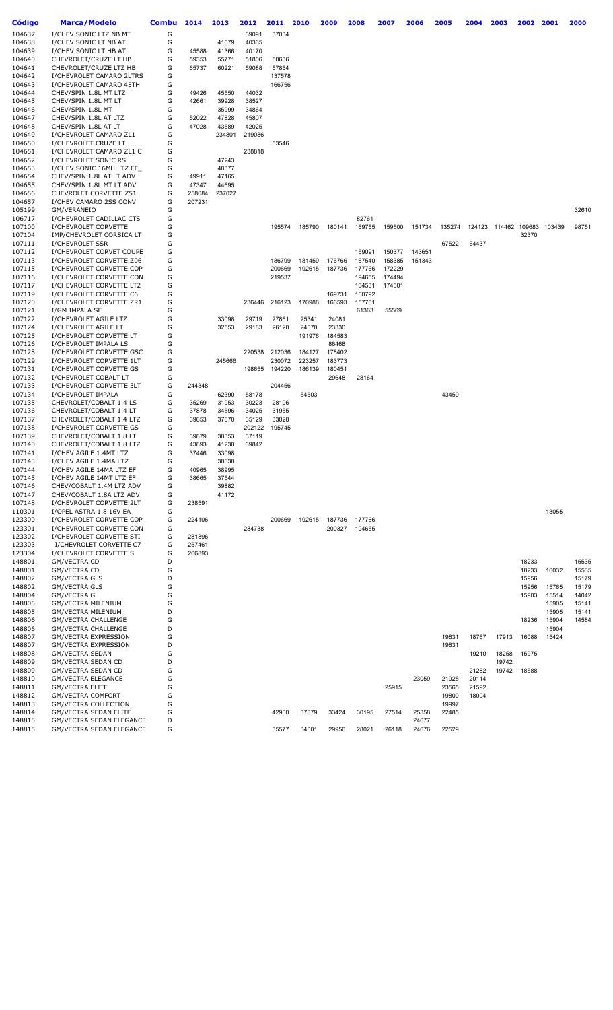| <b>Código</b>    | <b>Marca/Modelo</b>                                      | <b>Combu</b> | 2014   | 2013   | 2012   | 2011   | 2010   | 2009   | 2008   | 2007   | 2006           | 2005   | 2004   | 2003   | 2002   | 2001           | 2000  |
|------------------|----------------------------------------------------------|--------------|--------|--------|--------|--------|--------|--------|--------|--------|----------------|--------|--------|--------|--------|----------------|-------|
| 104637           | I/CHEV SONIC LTZ NB MT                                   | G            |        |        | 39091  | 37034  |        |        |        |        |                |        |        |        |        |                |       |
| 104638           | I/CHEV SONIC LT NB AT                                    | G            |        | 41679  | 40365  |        |        |        |        |        |                |        |        |        |        |                |       |
| 104639           | I/CHEV SONIC LT HB AT                                    | G            | 45588  | 41366  | 40170  |        |        |        |        |        |                |        |        |        |        |                |       |
| 104640           | CHEVROLET/CRUZE LT HB                                    | G            | 59353  | 55771  | 51806  | 50636  |        |        |        |        |                |        |        |        |        |                |       |
| 104641           | CHEVROLET/CRUZE LTZ HB                                   | G            | 65737  | 60221  | 59088  | 57864  |        |        |        |        |                |        |        |        |        |                |       |
| 104642           | I/CHEVROLET CAMARO 2LTRS                                 | G            |        |        |        | 137578 |        |        |        |        |                |        |        |        |        |                |       |
| 104643           | I/CHEVROLET CAMARO 45TH                                  | G            |        |        |        | 166756 |        |        |        |        |                |        |        |        |        |                |       |
| 104644           | CHEV/SPIN 1.8L MT LTZ                                    | G            | 49426  | 45550  | 44032  |        |        |        |        |        |                |        |        |        |        |                |       |
| 104645           | CHEV/SPIN 1.8L MT LT                                     | G            | 42661  | 39928  | 38527  |        |        |        |        |        |                |        |        |        |        |                |       |
| 104646           | CHEV/SPIN 1.8L MT                                        | G            |        | 35999  | 34864  |        |        |        |        |        |                |        |        |        |        |                |       |
|                  |                                                          |              |        |        |        |        |        |        |        |        |                |        |        |        |        |                |       |
| 104647           | CHEV/SPIN 1.8L AT LTZ<br>CHEV/SPIN 1.8L AT LT            | G            | 52022  | 47828  | 45807  |        |        |        |        |        |                |        |        |        |        |                |       |
| 104648           |                                                          | G            | 47028  | 43589  | 42025  |        |        |        |        |        |                |        |        |        |        |                |       |
| 104649           | I/CHEVROLET CAMARO ZL1                                   | G            |        | 234801 | 219086 |        |        |        |        |        |                |        |        |        |        |                |       |
| 104650           | I/CHEVROLET CRUZE LT                                     | G            |        |        |        | 53546  |        |        |        |        |                |        |        |        |        |                |       |
| 104651           | I/CHEVROLET CAMARO ZL1 C                                 | G            |        |        | 238818 |        |        |        |        |        |                |        |        |        |        |                |       |
| 104652           | I/CHEVROLET SONIC RS                                     | G            |        | 47243  |        |        |        |        |        |        |                |        |        |        |        |                |       |
| 104653           | I/CHEV SONIC 16MH LTZ EF                                 | G            |        | 48377  |        |        |        |        |        |        |                |        |        |        |        |                |       |
| 104654           | CHEV/SPIN 1.8L AT LT ADV                                 | G            | 49911  | 47165  |        |        |        |        |        |        |                |        |        |        |        |                |       |
| 104655           | CHEV/SPIN 1.8L MT LT ADV                                 | G            | 47347  | 44695  |        |        |        |        |        |        |                |        |        |        |        |                |       |
| 104656           | CHEVROLET CORVETTE Z51                                   | G            | 258084 | 237027 |        |        |        |        |        |        |                |        |        |        |        |                |       |
| 104657           | I/CHEV CAMARO 2SS CONV                                   | G            | 207231 |        |        |        |        |        |        |        |                |        |        |        |        |                |       |
| 105199           | GM/VERANEIO                                              | G            |        |        |        |        |        |        |        |        |                |        |        |        |        |                | 32610 |
| 106717           | I/CHEVROLET CADILLAC CTS                                 | G            |        |        |        |        |        |        | 82761  |        |                |        |        |        |        |                |       |
| 107100           | I/CHEVROLET CORVETTE                                     | G            |        |        |        | 195574 | 185790 | 180141 | 169755 | 159500 | 151734         | 135274 | 124123 | 114462 | 109683 | 103439         | 98751 |
| 107104           | IMP/CHEVROLET CORSICA LT                                 | G            |        |        |        |        |        |        |        |        |                |        |        |        | 32370  |                |       |
| 107111           | I/CHEVROLET SSR                                          | G            |        |        |        |        |        |        |        |        |                | 67522  | 64437  |        |        |                |       |
| 107112           | I/CHEVROLET CORVET COUPE                                 | G            |        |        |        |        |        |        | 159091 | 150377 | 143651         |        |        |        |        |                |       |
| 107113           | I/CHEVROLET CORVETTE Z06                                 | G            |        |        |        | 186799 | 181459 | 176766 | 167540 | 158385 | 151343         |        |        |        |        |                |       |
| 107115           | I/CHEVROLET CORVETTE COP                                 | G            |        |        |        | 200669 | 192615 | 187736 | 177766 | 172229 |                |        |        |        |        |                |       |
| 107116           | I/CHEVROLET CORVETTE CON                                 | G            |        |        |        | 219537 |        |        | 194655 | 174494 |                |        |        |        |        |                |       |
| 107117           | I/CHEVROLET CORVETTE LT2                                 | G            |        |        |        |        |        |        | 184531 | 174501 |                |        |        |        |        |                |       |
| 107119           | I/CHEVROLET CORVETTE C6                                  | G            |        |        |        |        |        | 169731 | 160792 |        |                |        |        |        |        |                |       |
| 107120           | I/CHEVROLET CORVETTE ZR1                                 | G            |        |        | 236446 | 216123 | 170988 | 166593 | 157781 |        |                |        |        |        |        |                |       |
| 107121           | I/GM IMPALA SE                                           | G            |        |        |        |        |        |        | 61363  | 55569  |                |        |        |        |        |                |       |
| 107122           | I/CHEVROLET AGILE LTZ                                    | G            |        | 33098  | 29719  | 27861  | 25341  | 24081  |        |        |                |        |        |        |        |                |       |
| 107124           | I/CHEVROLET AGILE LT                                     | G            |        | 32553  | 29183  | 26120  | 24070  | 23330  |        |        |                |        |        |        |        |                |       |
| 107125           | I/CHEVROLET CORVETTE LT                                  | G            |        |        |        |        | 191976 | 184583 |        |        |                |        |        |        |        |                |       |
| 107126           | I/CHEVROLET IMPALA LS                                    | G            |        |        |        |        |        | 86468  |        |        |                |        |        |        |        |                |       |
| 107128           | I/CHEVROLET CORVETTE GSC                                 | G            |        |        | 220538 | 212036 | 184127 | 178402 |        |        |                |        |        |        |        |                |       |
| 107129           | I/CHEVROLET CORVETTE 1LT                                 | G            |        | 245666 |        | 230072 | 223257 | 183773 |        |        |                |        |        |        |        |                |       |
| 107131           | I/CHEVROLET CORVETTE GS                                  | G            |        |        | 198655 | 194220 | 186139 | 180451 |        |        |                |        |        |        |        |                |       |
| 107132           | I/CHEVROLET COBALT LT                                    | G            |        |        |        |        |        | 29648  | 28164  |        |                |        |        |        |        |                |       |
| 107133           | I/CHEVROLET CORVETTE 3LT                                 | G            | 244348 |        |        | 204456 |        |        |        |        |                |        |        |        |        |                |       |
| 107134           | I/CHEVROLET IMPALA                                       | G            |        | 62390  | 58178  |        | 54503  |        |        |        |                | 43459  |        |        |        |                |       |
| 107135           | CHEVROLET/COBALT 1.4 LS                                  | G            | 35269  | 31953  | 30223  | 28196  |        |        |        |        |                |        |        |        |        |                |       |
| 107136           | CHEVROLET/COBALT 1.4 LT                                  | G            | 37878  | 34596  | 34025  | 31955  |        |        |        |        |                |        |        |        |        |                |       |
| 107137           | CHEVROLET/COBALT 1.4 LTZ                                 | G            | 39653  | 37670  | 35129  | 33028  |        |        |        |        |                |        |        |        |        |                |       |
| 107138           | I/CHEVROLET CORVETTE GS                                  | G            |        |        | 202122 | 195745 |        |        |        |        |                |        |        |        |        |                |       |
| 107139           | CHEVROLET/COBALT 1.8 LT                                  | G            | 39879  | 38353  | 37119  |        |        |        |        |        |                |        |        |        |        |                |       |
| 107140           | CHEVROLET/COBALT 1.8 LTZ                                 | G            | 43893  | 41230  | 39842  |        |        |        |        |        |                |        |        |        |        |                |       |
| 107141           | I/CHEV AGILE 1.4MT LTZ                                   | G            | 37446  | 33098  |        |        |        |        |        |        |                |        |        |        |        |                |       |
| 107143           | I/CHEV AGILE 1.4MA LTZ                                   | G            |        | 38638  |        |        |        |        |        |        |                |        |        |        |        |                |       |
| 107144           | I/CHEV AGILE 14MA LTZ EF                                 | G            | 40965  | 38995  |        |        |        |        |        |        |                |        |        |        |        |                |       |
| 107145           | I/CHEV AGILE 14MT LTZ EF                                 | G            | 38665  | 37544  |        |        |        |        |        |        |                |        |        |        |        |                |       |
| 107146           | CHEV/COBALT 1.4M LTZ ADV                                 | G            |        | 39882  |        |        |        |        |        |        |                |        |        |        |        |                |       |
| 107147           | CHEV/COBALT 1.8A LTZ ADV                                 | G            |        | 41172  |        |        |        |        |        |        |                |        |        |        |        |                |       |
| 107148           | I/CHEVROLET CORVETTE 2LT                                 | G            | 238591 |        |        |        |        |        |        |        |                |        |        |        |        |                |       |
| 110301           | I/OPEL ASTRA 1.8 16V EA                                  | G            |        |        |        |        |        |        |        |        |                |        |        |        |        | 13055          |       |
| 123300           | I/CHEVROLET CORVETTE COP                                 | G            | 224106 |        |        | 200669 | 192615 | 187736 | 177766 |        |                |        |        |        |        |                |       |
| 123301           | I/CHEVROLET CORVETTE CON                                 | G            |        |        | 284738 |        |        | 200327 | 194655 |        |                |        |        |        |        |                |       |
| 123302           | I/CHEVROLET CORVETTE STI                                 | G            | 281896 |        |        |        |        |        |        |        |                |        |        |        |        |                |       |
| 123303           | I/CHEVROLET CORVETTE C7                                  | G            | 257461 |        |        |        |        |        |        |        |                |        |        |        |        |                |       |
| 123304           | I/CHEVROLET CORVETTE S                                   | G            | 266893 |        |        |        |        |        |        |        |                |        |        |        |        |                |       |
| 148801           | <b>GM/VECTRA CD</b>                                      | D            |        |        |        |        |        |        |        |        |                |        |        |        | 18233  |                | 15535 |
| 148801           | <b>GM/VECTRA CD</b>                                      | G            |        |        |        |        |        |        |        |        |                |        |        |        | 18233  | 16032          | 15535 |
| 148802           | <b>GM/VECTRA GLS</b>                                     | D            |        |        |        |        |        |        |        |        |                |        |        |        | 15956  |                | 15179 |
| 148802           | <b>GM/VECTRA GLS</b>                                     | G            |        |        |        |        |        |        |        |        |                |        |        |        | 15956  | 15765          | 15179 |
| 148804           | <b>GM/VECTRA GL</b>                                      | G<br>G       |        |        |        |        |        |        |        |        |                |        |        |        | 15903  | 15514          | 14042 |
| 148805           | <b>GM/VECTRA MILENIUM</b>                                |              |        |        |        |        |        |        |        |        |                |        |        |        |        | 15905          | 15141 |
| 148805           | <b>GM/VECTRA MILENIUM</b>                                | D            |        |        |        |        |        |        |        |        |                |        |        |        |        | 15905          | 15141 |
| 148806           | <b>GM/VECTRA CHALLENGE</b>                               | G<br>D       |        |        |        |        |        |        |        |        |                |        |        |        | 18236  | 15904<br>15904 | 14584 |
| 148806           | <b>GM/VECTRA CHALLENGE</b>                               |              |        |        |        |        |        |        |        |        |                |        |        |        |        |                |       |
| 148807           | <b>GM/VECTRA EXPRESSION</b>                              | G            |        |        |        |        |        |        |        |        |                | 19831  | 18767  | 17913  | 16088  | 15424          |       |
| 148807           | <b>GM/VECTRA EXPRESSION</b>                              | D            |        |        |        |        |        |        |        |        |                | 19831  |        |        |        |                |       |
| 148808           | <b>GM/VECTRA SEDAN</b>                                   | G            |        |        |        |        |        |        |        |        |                |        | 19210  | 18258  | 15975  |                |       |
| 148809           | GM/VECTRA SEDAN CD                                       | D            |        |        |        |        |        |        |        |        |                |        |        | 19742  |        |                |       |
| 148809           | GM/VECTRA SEDAN CD                                       | G            |        |        |        |        |        |        |        |        |                |        | 21282  | 19742  | 18588  |                |       |
| 148810           | <b>GM/VECTRA ELEGANCE</b>                                | G            |        |        |        |        |        |        |        |        | 23059          | 21925  | 20114  |        |        |                |       |
| 148811           | <b>GM/VECTRA ELITE</b>                                   | G            |        |        |        |        |        |        |        | 25915  |                | 23565  | 21592  |        |        |                |       |
| 148812           | <b>GM/VECTRA COMFORT</b>                                 | G<br>G       |        |        |        |        |        |        |        |        |                | 19800  | 18004  |        |        |                |       |
| 148813           | <b>GM/VECTRA COLLECTION</b>                              | G            |        |        |        |        |        |        |        |        |                | 19997  |        |        |        |                |       |
| 148814<br>148815 | <b>GM/VECTRA SEDAN ELITE</b><br>GM/VECTRA SEDAN ELEGANCE | D            |        |        |        | 42900  | 37879  | 33424  | 30195  | 27514  | 25358<br>24677 | 22485  |        |        |        |                |       |
| 148815           | GM/VECTRA SEDAN ELEGANCE                                 | G            |        |        |        | 35577  | 34001  | 29956  | 28021  | 26118  | 24676          | 22529  |        |        |        |                |       |
|                  |                                                          |              |        |        |        |        |        |        |        |        |                |        |        |        |        |                |       |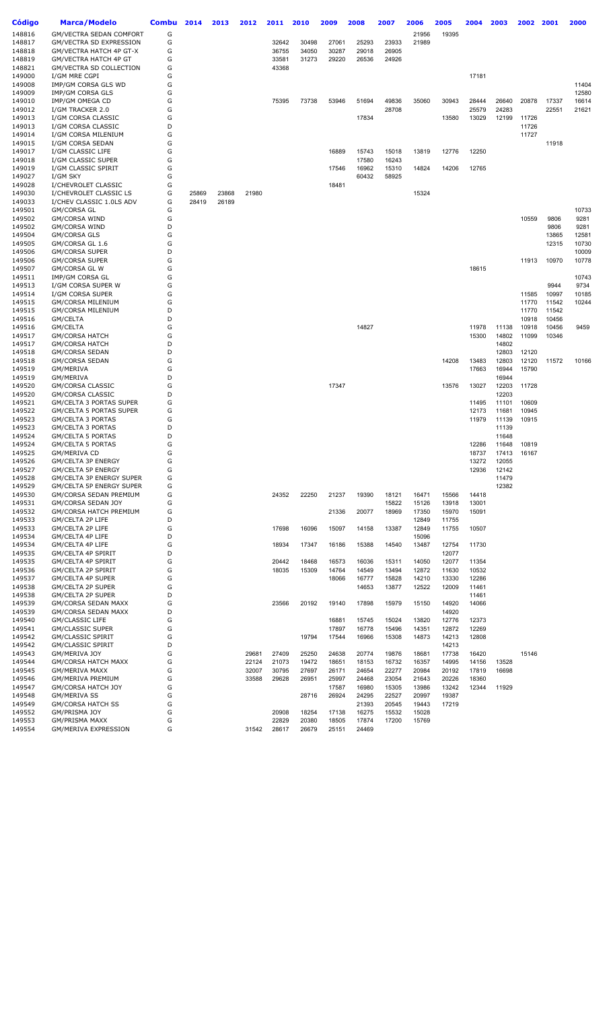| Código           | Marca/Modelo                                                | Combu  | 2014  | 2013  | 2012           | 2011           | 2010           | 2009           | 2008           | 2007           | 2006           | 2005           | 2004           | 2003           | 2002           | 2001           | 2000           |
|------------------|-------------------------------------------------------------|--------|-------|-------|----------------|----------------|----------------|----------------|----------------|----------------|----------------|----------------|----------------|----------------|----------------|----------------|----------------|
| 148816           | GM/VECTRA SEDAN COMFORT                                     | G      |       |       |                |                |                |                |                |                | 21956          | 19395          |                |                |                |                |                |
| 148817           | GM/VECTRA SD EXPRESSION                                     | G      |       |       |                | 32642          | 30498          | 27061          | 25293          | 23933          | 21989          |                |                |                |                |                |                |
| 148818<br>148819 | GM/VECTRA HATCH 4P GT-X<br>GM/VECTRA HATCH 4P GT            | G<br>G |       |       |                | 36755<br>33581 | 34050<br>31273 | 30287<br>29220 | 29018<br>26536 | 26905<br>24926 |                |                |                |                |                |                |                |
| 148821           | GM/VECTRA SD COLLECTION                                     | G      |       |       |                | 43368          |                |                |                |                |                |                |                |                |                |                |                |
| 149000           | I/GM MRE CGPI                                               | G      |       |       |                |                |                |                |                |                |                |                | 17181          |                |                |                |                |
| 149008           | IMP/GM CORSA GLS WD                                         | G      |       |       |                |                |                |                |                |                |                |                |                |                |                |                | 11404          |
| 149009<br>149010 | IMP/GM CORSA GLS<br>IMP/GM OMEGA CD                         | G<br>G |       |       |                | 75395          | 73738          | 53946          | 51694          | 49836          | 35060          | 30943          | 28444          | 26640          | 20878          | 17337          | 12580<br>16614 |
| 149012           | I/GM TRACKER 2.0                                            | G      |       |       |                |                |                |                |                | 28708          |                |                | 25579          | 24283          |                | 22551          | 21621          |
| 149013           | I/GM CORSA CLASSIC                                          | G      |       |       |                |                |                |                | 17834          |                |                | 13580          | 13029          | 12199          | 11726          |                |                |
| 149013           | I/GM CORSA CLASSIC                                          | D      |       |       |                |                |                |                |                |                |                |                |                |                | 11726          |                |                |
| 149014           | I/GM CORSA MILENIUM                                         | G      |       |       |                |                |                |                |                |                |                |                |                |                | 11727          |                |                |
| 149015<br>149017 | I/GM CORSA SEDAN<br>I/GM CLASSIC LIFE                       | G<br>G |       |       |                |                |                | 16889          | 15743          | 15018          | 13819          | 12776          | 12250          |                |                | 11918          |                |
| 149018           | I/GM CLASSIC SUPER                                          | G      |       |       |                |                |                |                | 17580          | 16243          |                |                |                |                |                |                |                |
| 149019           | I/GM CLASSIC SPIRIT                                         | G      |       |       |                |                |                | 17546          | 16962          | 15310          | 14824          | 14206          | 12765          |                |                |                |                |
| 149027           | I/GM SKY                                                    | G      |       |       |                |                |                |                | 60432          | 58925          |                |                |                |                |                |                |                |
| 149028<br>149030 | I/CHEVROLET CLASSIC<br>I/CHEVROLET CLASSIC LS               | G<br>G | 25869 | 23868 | 21980          |                |                | 18481          |                |                | 15324          |                |                |                |                |                |                |
| 149033           | I/CHEV CLASSIC 1.0LS ADV                                    | G      | 28419 | 26189 |                |                |                |                |                |                |                |                |                |                |                |                |                |
| 149501           | GM/CORSA GL                                                 | G      |       |       |                |                |                |                |                |                |                |                |                |                |                |                | 10733          |
| 149502           | GM/CORSA WIND                                               | G      |       |       |                |                |                |                |                |                |                |                |                |                | 10559          | 9806           | 9281           |
| 149502<br>149504 | GM/CORSA WIND<br>GM/CORSA GLS                               | D<br>G |       |       |                |                |                |                |                |                |                |                |                |                |                | 9806<br>13865  | 9281<br>12581  |
| 149505           | GM/CORSA GL 1.6                                             | G      |       |       |                |                |                |                |                |                |                |                |                |                |                | 12315          | 10730          |
| 149506           | <b>GM/CORSA SUPER</b>                                       | D      |       |       |                |                |                |                |                |                |                |                |                |                |                |                | 10009          |
| 149506           | <b>GM/CORSA SUPER</b>                                       | G      |       |       |                |                |                |                |                |                |                |                |                |                | 11913          | 10970          | 10778          |
| 149507<br>149511 | GM/CORSA GL W<br>IMP/GM CORSA GL                            | G<br>G |       |       |                |                |                |                |                |                |                |                | 18615          |                |                |                | 10743          |
| 149513           | I/GM CORSA SUPER W                                          | G      |       |       |                |                |                |                |                |                |                |                |                |                |                | 9944           | 9734           |
| 149514           | I/GM CORSA SUPER                                            | G      |       |       |                |                |                |                |                |                |                |                |                |                | 11585          | 10997          | 10185          |
| 149515           | <b>GM/CORSA MILENIUM</b>                                    | G      |       |       |                |                |                |                |                |                |                |                |                |                | 11770          | 11542          | 10244          |
| 149515           | <b>GM/CORSA MILENIUM</b>                                    | D      |       |       |                |                |                |                |                |                |                |                |                |                | 11770          | 11542          |                |
| 149516<br>149516 | GM/CELTA<br>GM/CELTA                                        | D<br>G |       |       |                |                |                |                | 14827          |                |                |                | 11978          | 11138          | 10918<br>10918 | 10456<br>10456 | 9459           |
| 149517           | <b>GM/CORSA HATCH</b>                                       | G      |       |       |                |                |                |                |                |                |                |                | 15300          | 14802          | 11099          | 10346          |                |
| 149517           | <b>GM/CORSA HATCH</b>                                       | D      |       |       |                |                |                |                |                |                |                |                |                | 14802          |                |                |                |
| 149518           | GM/CORSA SEDAN                                              | D      |       |       |                |                |                |                |                |                |                |                |                | 12803          | 12120          |                |                |
| 149518<br>149519 | GM/CORSA SEDAN<br>GM/MERIVA                                 | G<br>G |       |       |                |                |                |                |                |                |                | 14208          | 13483<br>17663 | 12803<br>16944 | 12120<br>15790 | 11572          | 10166          |
| 149519           | GM/MERIVA                                                   | D      |       |       |                |                |                |                |                |                |                |                |                | 16944          |                |                |                |
| 149520           | GM/CORSA CLASSIC                                            | G      |       |       |                |                |                | 17347          |                |                |                | 13576          | 13027          | 12203          | 11728          |                |                |
| 149520           | GM/CORSA CLASSIC                                            | D      |       |       |                |                |                |                |                |                |                |                |                | 12203          |                |                |                |
| 149521<br>149522 | <b>GM/CELTA 3 PORTAS SUPER</b><br>GM/CELTA 5 PORTAS SUPER   | G<br>G |       |       |                |                |                |                |                |                |                |                | 11495<br>12173 | 11101<br>11681 | 10609<br>10945 |                |                |
| 149523           | GM/CELTA 3 PORTAS                                           | G      |       |       |                |                |                |                |                |                |                |                | 11979          | 11139          | 10915          |                |                |
| 149523           | GM/CELTA 3 PORTAS                                           | D      |       |       |                |                |                |                |                |                |                |                |                | 11139          |                |                |                |
| 149524           | <b>GM/CELTA 5 PORTAS</b>                                    | D      |       |       |                |                |                |                |                |                |                |                |                | 11648          |                |                |                |
| 149524<br>149525 | <b>GM/CELTA 5 PORTAS</b><br>GM/MERIVA CD                    | G<br>G |       |       |                |                |                |                |                |                |                |                | 12286<br>18737 | 11648<br>17413 | 10819<br>16167 |                |                |
| 149526           | GM/CELTA 3P ENERGY                                          | G      |       |       |                |                |                |                |                |                |                |                | 13272          | 12055          |                |                |                |
| 149527           | <b>GM/CELTA 5P ENERGY</b>                                   | G      |       |       |                |                |                |                |                |                |                |                | 12936          | 12142          |                |                |                |
| 149528           | GM/CELTA 3P ENERGY SUPER<br><b>GM/CELTA 5P ENERGY SUPER</b> | G      |       |       |                |                |                |                |                |                |                |                |                | 11479          |                |                |                |
| 149529<br>149530 | GM/CORSA SEDAN PREMIUM                                      | G<br>G |       |       |                | 24352          | 22250          | 21237          | 19390          | 18121          | 16471          | 15566          | 14418          | 12382          |                |                |                |
| 149531           | GM/CORSA SEDAN JOY                                          | G      |       |       |                |                |                |                |                | 15822          | 15126          | 13918          | 13001          |                |                |                |                |
| 149532           | <b>GM/CORSA HATCH PREMIUM</b>                               | G      |       |       |                |                |                | 21336          | 20077          | 18969          | 17350          | 15970          | 15091          |                |                |                |                |
| 149533<br>149533 | GM/CELTA 2P LIFE<br>GM/CELTA 2P LIFE                        | D<br>G |       |       |                | 17698          | 16096          | 15097          | 14158          | 13387          | 12849<br>12849 | 11755<br>11755 | 10507          |                |                |                |                |
| 149534           | GM/CELTA 4P LIFE                                            | D      |       |       |                |                |                |                |                |                | 15096          |                |                |                |                |                |                |
| 149534           | GM/CELTA 4P LIFE                                            | G      |       |       |                | 18934          | 17347          | 16186          | 15388          | 14540          | 13487          | 12754          | 11730          |                |                |                |                |
| 149535           | GM/CELTA 4P SPIRIT                                          | D      |       |       |                |                |                |                |                |                |                | 12077          |                |                |                |                |                |
| 149535           | GM/CELTA 4P SPIRIT                                          | G      |       |       |                | 20442          | 18468          | 16573          | 16036          | 15311          | 14050          | 12077          | 11354          |                |                |                |                |
| 149536<br>149537 | <b>GM/CELTA 2P SPIRIT</b><br>GM/CELTA 4P SUPER              | G<br>G |       |       |                | 18035          | 15309          | 14764<br>18066 | 14549<br>16777 | 13494<br>15828 | 12872<br>14210 | 11630<br>13330 | 10532<br>12286 |                |                |                |                |
| 149538           | <b>GM/CELTA 2P SUPER</b>                                    | G      |       |       |                |                |                |                | 14653          | 13877          | 12522          | 12009          | 11461          |                |                |                |                |
| 149538           | GM/CELTA 2P SUPER                                           | D      |       |       |                |                |                |                |                |                |                |                | 11461          |                |                |                |                |
| 149539           | GM/CORSA SEDAN MAXX                                         | G      |       |       |                | 23566          | 20192          | 19140          | 17898          | 15979          | 15150          | 14920          | 14066          |                |                |                |                |
| 149539<br>149540 | <b>GM/CORSA SEDAN MAXX</b><br><b>GM/CLASSIC LIFE</b>        | D<br>G |       |       |                |                |                | 16881          | 15745          | 15024          | 13820          | 14920<br>12776 | 12373          |                |                |                |                |
| 149541           | <b>GM/CLASSIC SUPER</b>                                     | G      |       |       |                |                |                | 17897          | 16778          | 15496          | 14351          | 12872          | 12269          |                |                |                |                |
| 149542           | <b>GM/CLASSIC SPIRIT</b>                                    | G      |       |       |                |                | 19794          | 17544          | 16966          | 15308          | 14873          | 14213          | 12808          |                |                |                |                |
| 149542           | <b>GM/CLASSIC SPIRIT</b>                                    | D      |       |       |                |                |                |                |                |                |                | 14213          |                |                |                |                |                |
| 149543<br>149544 | GM/MERIVA JOY<br><b>GM/CORSA HATCH MAXX</b>                 | G<br>G |       |       | 29681<br>22124 | 27409<br>21073 | 25250<br>19472 | 24638<br>18651 | 20774<br>18153 | 19876<br>16732 | 18681<br>16357 | 17738<br>14995 | 16420<br>14156 | 13528          | 15146          |                |                |
| 149545           | <b>GM/MERIVA MAXX</b>                                       | G      |       |       | 32007          | 30795          | 27697          | 26171          | 24654          | 22277          | 20984          | 20192          | 17819          | 16698          |                |                |                |
| 149546           | GM/MERIVA PREMIUM                                           | G      |       |       | 33588          | 29628          | 26951          | 25997          | 24468          | 23054          | 21643          | 20226          | 18360          |                |                |                |                |
| 149547           | <b>GM/CORSA HATCH JOY</b>                                   | G      |       |       |                |                |                | 17587          | 16980          | 15305          | 13986          | 13242          | 12344          | 11929          |                |                |                |
| 149548<br>149549 | <b>GM/MERIVA SS</b><br><b>GM/CORSA HATCH SS</b>             | G<br>G |       |       |                |                | 28716          | 26924          | 24295<br>21393 | 22527<br>20545 | 20997<br>19443 | 19387<br>17219 |                |                |                |                |                |
| 149552           | GM/PRISMA JOY                                               | G      |       |       |                | 20908          | 18254          | 17138          | 16275          | 15532          | 15028          |                |                |                |                |                |                |
| 149553           | <b>GM/PRISMA MAXX</b>                                       | G      |       |       |                | 22829          | 20380          | 18505          | 17874          | 17200          | 15769          |                |                |                |                |                |                |
| 149554           | <b>GM/MERIVA EXPRESSION</b>                                 | G      |       |       | 31542          | 28617          | 26679          | 25151          | 24469          |                |                |                |                |                |                |                |                |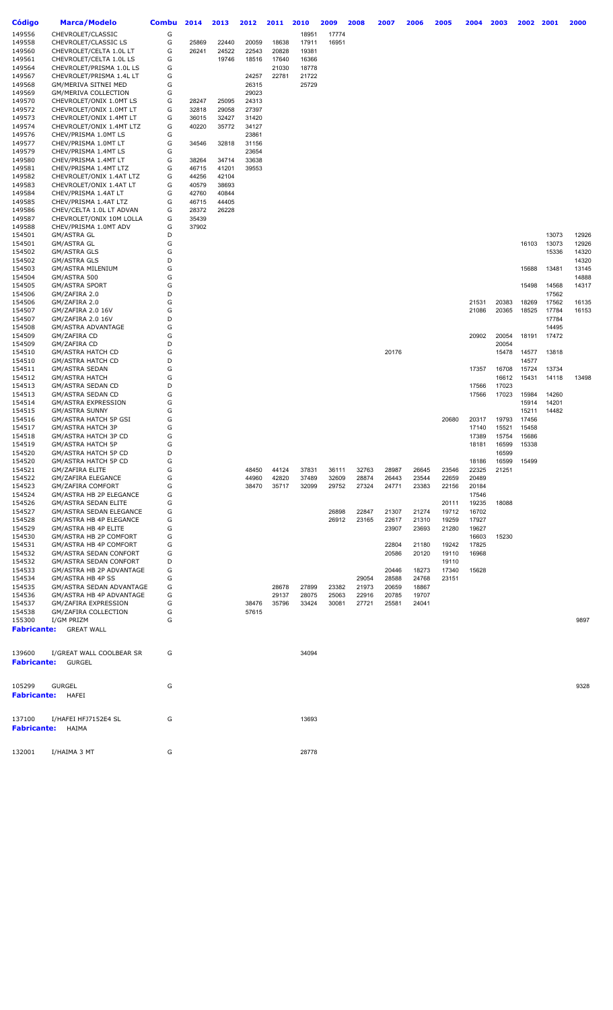| <b>Código</b>            | <b>Marca/Modelo</b>                                  | <b>Combu</b> | 2014           | 2013           | 2012           | 2011           | 2010           | 2009           | 2008           | 2007           | 2006           | 2005           | 2004           | 2003  | 2002           | 2001  | 2000  |
|--------------------------|------------------------------------------------------|--------------|----------------|----------------|----------------|----------------|----------------|----------------|----------------|----------------|----------------|----------------|----------------|-------|----------------|-------|-------|
| 149556                   | CHEVROLET/CLASSIC                                    | G            |                |                |                |                | 18951          | 17774          |                |                |                |                |                |       |                |       |       |
| 149558                   | CHEVROLET/CLASSIC LS                                 | G            | 25869          | 22440          | 20059          | 18638          | 17911          | 16951          |                |                |                |                |                |       |                |       |       |
| 149560                   | CHEVROLET/CELTA 1.0L LT                              | G            | 26241          | 24522          | 22543          | 20828          | 19381          |                |                |                |                |                |                |       |                |       |       |
| 149561                   | CHEVROLET/CELTA 1.0L LS                              | G            |                | 19746          | 18516          | 17640          | 16366          |                |                |                |                |                |                |       |                |       |       |
| 149564                   | CHEVROLET/PRISMA 1.0L LS                             | G            |                |                |                | 21030          | 18778          |                |                |                |                |                |                |       |                |       |       |
| 149567                   | CHEVROLET/PRISMA 1.4L LT                             | G            |                |                | 24257          | 22781          | 21722          |                |                |                |                |                |                |       |                |       |       |
| 149568                   | GM/MERIVA SITNEI MED                                 | G            |                |                | 26315          |                | 25729          |                |                |                |                |                |                |       |                |       |       |
| 149569                   | GM/MERIVA COLLECTION                                 | G            |                |                | 29023          |                |                |                |                |                |                |                |                |       |                |       |       |
| 149570                   | CHEVROLET/ONIX 1.0MT LS                              | G            | 28247          | 25095          | 24313          |                |                |                |                |                |                |                |                |       |                |       |       |
| 149572                   | CHEVROLET/ONIX 1.0MT LT                              | G            | 32818          | 29058          | 27397          |                |                |                |                |                |                |                |                |       |                |       |       |
| 149573<br>149574         | CHEVROLET/ONIX 1.4MT LT<br>CHEVROLET/ONIX 1.4MT LTZ  | G<br>G       | 36015<br>40220 | 32427<br>35772 | 31420<br>34127 |                |                |                |                |                |                |                |                |       |                |       |       |
| 149576                   | CHEV/PRISMA 1.0MT LS                                 | G            |                |                | 23861          |                |                |                |                |                |                |                |                |       |                |       |       |
| 149577                   | CHEV/PRISMA 1.0MT LT                                 | G            | 34546          | 32818          | 31156          |                |                |                |                |                |                |                |                |       |                |       |       |
| 149579                   | CHEV/PRISMA 1.4MT LS                                 | G            |                |                | 23654          |                |                |                |                |                |                |                |                |       |                |       |       |
| 149580                   | CHEV/PRISMA 1.4MT LT                                 | G            | 38264          | 34714          | 33638          |                |                |                |                |                |                |                |                |       |                |       |       |
| 149581                   | CHEV/PRISMA 1.4MT LTZ                                | G            | 46715          | 41201          | 39553          |                |                |                |                |                |                |                |                |       |                |       |       |
| 149582                   | CHEVROLET/ONIX 1.4AT LTZ                             | G            | 44256          | 42104          |                |                |                |                |                |                |                |                |                |       |                |       |       |
| 149583                   | CHEVROLET/ONIX 1.4AT LT                              | G            | 40579          | 38693          |                |                |                |                |                |                |                |                |                |       |                |       |       |
| 149584                   | CHEV/PRISMA 1.4AT LT                                 | G            | 42760          | 40844          |                |                |                |                |                |                |                |                |                |       |                |       |       |
| 149585                   | CHEV/PRISMA 1.4AT LTZ                                | G            | 46715          | 44405          |                |                |                |                |                |                |                |                |                |       |                |       |       |
| 149586                   | CHEV/CELTA 1.0L LT ADVAN                             | G            | 28372          | 26228          |                |                |                |                |                |                |                |                |                |       |                |       |       |
| 149587<br>149588         | CHEVROLET/ONIX 10M LOLLA<br>CHEV/PRISMA 1.0MT ADV    | G<br>G       | 35439<br>37902 |                |                |                |                |                |                |                |                |                |                |       |                |       |       |
| 154501                   | <b>GM/ASTRA GL</b>                                   | D            |                |                |                |                |                |                |                |                |                |                |                |       |                | 13073 | 12926 |
| 154501                   | <b>GM/ASTRA GL</b>                                   | G            |                |                |                |                |                |                |                |                |                |                |                |       | 16103          | 13073 | 12926 |
| 154502                   | <b>GM/ASTRA GLS</b>                                  | G            |                |                |                |                |                |                |                |                |                |                |                |       |                | 15336 | 14320 |
| 154502                   | <b>GM/ASTRA GLS</b>                                  | D            |                |                |                |                |                |                |                |                |                |                |                |       |                |       | 14320 |
| 154503                   | GM/ASTRA MILENIUM                                    | G            |                |                |                |                |                |                |                |                |                |                |                |       | 15688          | 13481 | 13145 |
| 154504                   | GM/ASTRA 500                                         | G            |                |                |                |                |                |                |                |                |                |                |                |       |                |       | 14888 |
| 154505                   | <b>GM/ASTRA SPORT</b>                                | G            |                |                |                |                |                |                |                |                |                |                |                |       | 15498          | 14568 | 14317 |
| 154506                   | GM/ZAFIRA 2.0                                        | D            |                |                |                |                |                |                |                |                |                |                |                |       |                | 17562 |       |
| 154506                   | GM/ZAFIRA 2.0                                        | G            |                |                |                |                |                |                |                |                |                |                | 21531          | 20383 | 18269          | 17562 | 16135 |
| 154507                   | GM/ZAFIRA 2.0 16V                                    | G            |                |                |                |                |                |                |                |                |                |                | 21086          | 20365 | 18525          | 17784 | 16153 |
| 154507                   | GM/ZAFIRA 2.0 16V                                    | D            |                |                |                |                |                |                |                |                |                |                |                |       |                | 17784 |       |
| 154508                   | <b>GM/ASTRA ADVANTAGE</b>                            | G            |                |                |                |                |                |                |                |                |                |                |                |       |                | 14495 |       |
| 154509                   | GM/ZAFIRA CD                                         | G            |                |                |                |                |                |                |                |                |                |                | 20902          | 20054 | 18191          | 17472 |       |
| 154509                   | GM/ZAFIRA CD                                         | D            |                |                |                |                |                |                |                |                |                |                |                | 20054 |                |       |       |
| 154510<br>154510         | <b>GM/ASTRA HATCH CD</b><br><b>GM/ASTRA HATCH CD</b> | G<br>D       |                |                |                |                |                |                |                | 20176          |                |                |                | 15478 | 14577<br>14577 | 13818 |       |
| 154511                   | <b>GM/ASTRA SEDAN</b>                                | G            |                |                |                |                |                |                |                |                |                |                | 17357          | 16708 | 15724          | 13734 |       |
| 154512                   | <b>GM/ASTRA HATCH</b>                                | G            |                |                |                |                |                |                |                |                |                |                |                | 16612 | 15431          | 14118 | 13498 |
| 154513                   | GM/ASTRA SEDAN CD                                    | D            |                |                |                |                |                |                |                |                |                |                | 17566          | 17023 |                |       |       |
| 154513                   | GM/ASTRA SEDAN CD                                    | G            |                |                |                |                |                |                |                |                |                |                | 17566          | 17023 | 15984          | 14260 |       |
| 154514                   | <b>GM/ASTRA EXPRESSION</b>                           | G            |                |                |                |                |                |                |                |                |                |                |                |       | 15914          | 14201 |       |
| 154515                   | <b>GM/ASTRA SUNNY</b>                                | G            |                |                |                |                |                |                |                |                |                |                |                |       | 15211          | 14482 |       |
| 154516                   | GM/ASTRA HATCH 5P GSI                                | G            |                |                |                |                |                |                |                |                |                | 20680          | 20317          | 19793 | 17456          |       |       |
| 154517                   | GM/ASTRA HATCH 3P                                    | G            |                |                |                |                |                |                |                |                |                |                | 17140          | 15521 | 15458          |       |       |
| 154518                   | GM/ASTRA HATCH 3P CD                                 | G            |                |                |                |                |                |                |                |                |                |                | 17389          | 15754 | 15686          |       |       |
| 154519                   | <b>GM/ASTRA HATCH 5P</b>                             | G            |                |                |                |                |                |                |                |                |                |                | 18181          | 16599 | 15338          |       |       |
| 154520                   | GM/ASTRA HATCH 5P CD                                 | D<br>G       |                |                |                |                |                |                |                |                |                |                |                | 16599 |                |       |       |
| 154520<br>154521         | GM/ASTRA HATCH 5P CD<br><b>GM/ZAFIRA ELITE</b>       | G            |                |                |                |                |                |                | 32763          |                |                |                | 18186<br>22325 | 16599 | 15499          |       |       |
| 154522                   | GM/ZAFIRA ELEGANCE                                   | G            |                |                | 48450<br>44960 | 44124<br>42820 | 37831<br>37489 | 36111<br>32609 | 28874          | 28987<br>26443 | 26645<br>23544 | 23546<br>22659 | 20489          | 21251 |                |       |       |
| 154523                   | <b>GM/ZAFIRA COMFORT</b>                             | G            |                |                | 38470          | 35717          | 32099          | 29752          | 27324          | 24771          | 23383          | 22156          | 20184          |       |                |       |       |
| 154524                   | GM/ASTRA HB 2P ELEGANCE                              | G            |                |                |                |                |                |                |                |                |                |                | 17546          |       |                |       |       |
| 154526                   | <b>GM/ASTRA SEDAN ELITE</b>                          | G            |                |                |                |                |                |                |                |                |                | 20111          | 19235          | 18088 |                |       |       |
| 154527                   | GM/ASTRA SEDAN ELEGANCE                              | G            |                |                |                |                |                | 26898          | 22847          | 21307          | 21274          | 19712          | 16702          |       |                |       |       |
| 154528                   | GM/ASTRA HB 4P ELEGANCE                              | G            |                |                |                |                |                | 26912          | 23165          | 22617          | 21310          | 19259          | 17927          |       |                |       |       |
| 154529                   | GM/ASTRA HB 4P ELITE                                 | G            |                |                |                |                |                |                |                | 23907          | 23693          | 21280          | 19627          |       |                |       |       |
| 154530                   | GM/ASTRA HB 2P COMFORT                               | G            |                |                |                |                |                |                |                |                |                |                | 16603          | 15230 |                |       |       |
| 154531                   | GM/ASTRA HB 4P COMFORT                               | G            |                |                |                |                |                |                |                | 22804          | 21180          | 19242          | 17825          |       |                |       |       |
| 154532                   | <b>GM/ASTRA SEDAN CONFORT</b>                        | G            |                |                |                |                |                |                |                | 20586          | 20120          | 19110          | 16968          |       |                |       |       |
| 154532                   | <b>GM/ASTRA SEDAN CONFORT</b>                        | D            |                |                |                |                |                |                |                |                |                | 19110          |                |       |                |       |       |
| 154533                   | GM/ASTRA HB 2P ADVANTAGE                             | G            |                |                |                |                |                |                |                | 20446          | 18273          | 17340          | 15628          |       |                |       |       |
| 154534                   | GM/ASTRA HB 4P SS                                    | G            |                |                |                |                |                |                | 29054          | 28588          | 24768          | 23151          |                |       |                |       |       |
| 154535<br>154536         | GM/ASTRA SEDAN ADVANTAGE<br>GM/ASTRA HB 4P ADVANTAGE | G<br>G       |                |                |                | 28678<br>29137 | 27899<br>28075 | 23382<br>25063 | 21973<br>22916 | 20659<br>20785 | 18867<br>19707 |                |                |       |                |       |       |
| 154537                   | GM/ZAFIRA EXPRESSION                                 | G            |                |                | 38476          | 35796          | 33424          | 30081          | 27721          | 25581          | 24041          |                |                |       |                |       |       |
| 154538                   | GM/ZAFIRA COLLECTION                                 | G            |                |                | 57615          |                |                |                |                |                |                |                |                |       |                |       |       |
| 155300                   | I/GM PRIZM                                           | G            |                |                |                |                |                |                |                |                |                |                |                |       |                |       | 9897  |
| <b>Fabricante:</b>       | <b>GREAT WALL</b>                                    |              |                |                |                |                |                |                |                |                |                |                |                |       |                |       |       |
|                          |                                                      |              |                |                |                |                |                |                |                |                |                |                |                |       |                |       |       |
| 139600                   | I/GREAT WALL COOLBEAR SR                             | G            |                |                |                |                | 34094          |                |                |                |                |                |                |       |                |       |       |
| <b>Fabricante:</b>       | GURGEL                                               |              |                |                |                |                |                |                |                |                |                |                |                |       |                |       |       |
| 105299                   | <b>GURGEL</b>                                        | G            |                |                |                |                |                |                |                |                |                |                |                |       |                |       | 9328  |
| <b>Fabricante:</b> HAFEI |                                                      |              |                |                |                |                |                |                |                |                |                |                |                |       |                |       |       |
|                          |                                                      |              |                |                |                |                |                |                |                |                |                |                |                |       |                |       |       |
| 137100                   | I/HAFEI HFJ7152E4 SL                                 | G            |                |                |                |                | 13693          |                |                |                |                |                |                |       |                |       |       |
| <b>Fabricante:</b>       | HAIMA                                                |              |                |                |                |                |                |                |                |                |                |                |                |       |                |       |       |
|                          |                                                      |              |                |                |                |                |                |                |                |                |                |                |                |       |                |       |       |
| 132001                   | I/HAIMA 3 MT                                         | G            |                |                |                |                | 28778          |                |                |                |                |                |                |       |                |       |       |
|                          |                                                      |              |                |                |                |                |                |                |                |                |                |                |                |       |                |       |       |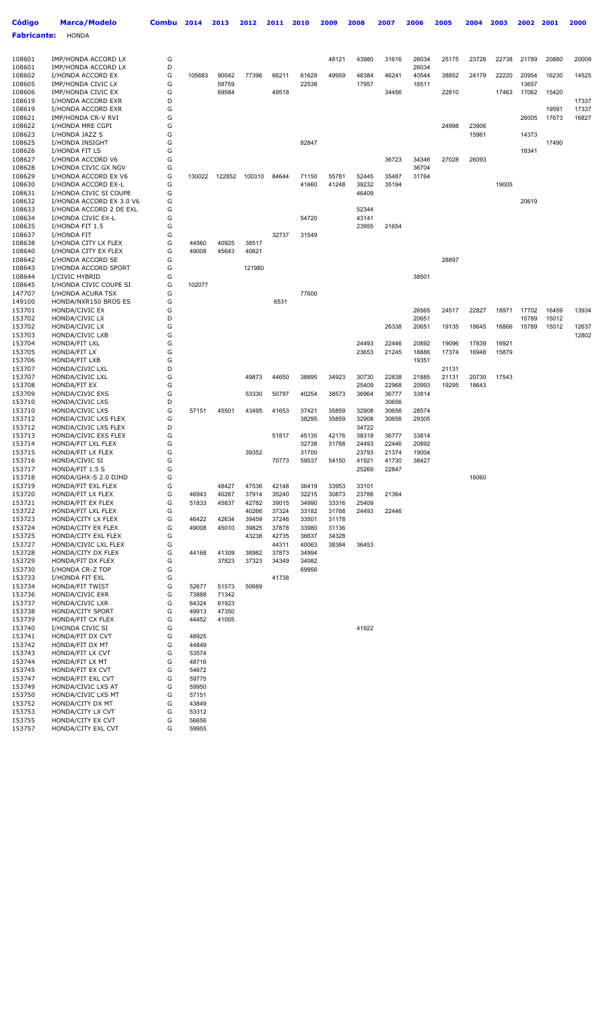| <b>Código</b>      | <b>Marca/Modelo</b>                          | Combu  | 2014           | 2013   | 2012           | 2011           | 2010           | 2009           | 2008           | 2007           | 2006           | 2005           | 2004           | 2003  | 2002           | 2001           | 2000           |
|--------------------|----------------------------------------------|--------|----------------|--------|----------------|----------------|----------------|----------------|----------------|----------------|----------------|----------------|----------------|-------|----------------|----------------|----------------|
| <b>Fabricante:</b> | <b>HONDA</b>                                 |        |                |        |                |                |                |                |                |                |                |                |                |       |                |                |                |
|                    |                                              |        |                |        |                |                |                |                |                |                |                |                |                |       |                |                |                |
| 108601             | IMP/HONDA ACCORD LX                          | G      |                |        |                |                |                | 48121          | 43980          | 31616          | 26034          | 25175          | 23728          | 22738 | 21789          | 20880          | 20009          |
| 108601             | IMP/HONDA ACCORD LX                          | D      |                |        |                |                |                |                |                |                | 26034          |                |                |       |                |                |                |
| 108602             | I/HONDA ACCORD EX                            | G      | 105683         | 90042  | 77396          | 66211          | 61629          | 49959          | 48384          | 46241          | 40544          | 38852          | 24179          | 22220 | 20954          | 16230          | 14525          |
| 108605             | IMP/HONDA CIVIC LX                           | G      |                | 58759  |                |                | 22538          |                | 17957          |                | 16511          |                |                |       | 13657          |                |                |
| 108606             | IMP/HONDA CIVIC EX                           | G      |                | 69584  |                | 49518          |                |                |                | 34456          |                | 22810          |                | 17463 | 17062          | 15420          |                |
| 108619             | I/HONDA ACCORD EXR                           | D<br>G |                |        |                |                |                |                |                |                |                |                |                |       |                |                | 17337<br>17337 |
| 108619<br>108621   | I/HONDA ACCORD EXR<br>IMP/HONDA CR-V RVI     | G      |                |        |                |                |                |                |                |                |                |                |                |       | 26005          | 19591<br>17673 | 16827          |
| 108622             | I/HONDA MRE CGPI                             | G      |                |        |                |                |                |                |                |                |                | 24998          | 23906          |       |                |                |                |
| 108623             | I/HONDA JAZZ S                               | G      |                |        |                |                |                |                |                |                |                |                | 15961          |       | 14373          |                |                |
| 108625             | I/HONDA INSIGHT                              | G      |                |        |                |                | 82847          |                |                |                |                |                |                |       |                | 17490          |                |
| 108626             | I/HONDA FIT LS                               | G      |                |        |                |                |                |                |                |                |                |                |                |       | 18341          |                |                |
| 108627             | I/HONDA ACCORD V6                            | G      |                |        |                |                |                |                |                | 36723          | 34346          | 27028          | 26093          |       |                |                |                |
| 108628<br>108629   | I/HONDA CIVIC GX NGV<br>I/HONDA ACCORD EX V6 | G<br>G | 130022         | 122852 | 100310         | 84644          | 71150          | 55781          | 52445          | 35487          | 36704<br>31764 |                |                |       |                |                |                |
| 108630             | I/HONDA ACCORD EX-L                          | G      |                |        |                |                | 41660          | 41248          | 39232          | 35194          |                |                |                | 19005 |                |                |                |
| 108631             | I/HONDA CIVIC SI COUPE                       | G      |                |        |                |                |                |                | 46409          |                |                |                |                |       |                |                |                |
| 108632             | I/HONDA ACCORD EX 3.0 V6                     | G      |                |        |                |                |                |                |                |                |                |                |                |       | 20619          |                |                |
| 108633             | I/HONDA ACCORD 2 DE EXL                      | G      |                |        |                |                |                |                | 52344          |                |                |                |                |       |                |                |                |
| 108634             | I/HONDA CIVIC EX-L                           | G      |                |        |                |                | 54720          |                | 43141          |                |                |                |                |       |                |                |                |
| 108635             | I/HONDA FIT 1.5                              | G      |                |        |                |                |                |                | 23955          | 21654          |                |                |                |       |                |                |                |
| 108637<br>108638   | I/HONDA FIT<br>I/HONDA CITY LX FLEX          | G<br>G | 44560          | 40925  | 38517          | 32737          | 31549          |                |                |                |                |                |                |       |                |                |                |
| 108640             | I/HONDA CITY EX FLEX                         | G      | 49008          | 45643  | 40621          |                |                |                |                |                |                |                |                |       |                |                |                |
| 108642             | I/HONDA ACCORD SE                            | G      |                |        |                |                |                |                |                |                |                | 28897          |                |       |                |                |                |
| 108643             | I/HONDA ACCORD SPORT                         | G      |                |        | 121980         |                |                |                |                |                |                |                |                |       |                |                |                |
| 108644             | I/CIVIC HYBRID                               | G      |                |        |                |                |                |                |                |                | 38501          |                |                |       |                |                |                |
| 108645             | I/HONDA CIVIC COUPE SI                       | G      | 102077         |        |                |                |                |                |                |                |                |                |                |       |                |                |                |
| 147707             | I/HONDA ACURA TSX                            | G      |                |        |                |                | 77600          |                |                |                |                |                |                |       |                |                |                |
| 149100             | HONDA/NXR150 BROS ES                         | G      |                |        |                | 6531           |                |                |                |                |                |                |                |       |                |                |                |
| 153701<br>153702   | HONDA/CIVIC EX<br>HONDA/CIVIC LX             | G<br>D |                |        |                |                |                |                |                |                | 26565<br>20651 | 24517          | 22827          | 18971 | 17702<br>15789 | 16459<br>15012 | 13934          |
| 153702             | HONDA/CIVIC LX                               | G      |                |        |                |                |                |                |                | 26338          | 20651          | 19135          | 18645          | 16866 | 15789          | 15012          | 12637          |
| 153703             | HONDA/CIVIC LXB                              | G      |                |        |                |                |                |                |                |                |                |                |                |       |                |                | 12802          |
| 153704             | HONDA/FIT LXL                                | G      |                |        |                |                |                |                | 24493          | 22446          | 20892          | 19096          | 17839          | 16921 |                |                |                |
| 153705             | HONDA/FIT LX                                 | G      |                |        |                |                |                |                | 23653          | 21245          | 18886          | 17374          | 16948          | 15879 |                |                |                |
| 153706             | HONDA/FIT LXB                                | G      |                |        |                |                |                |                |                |                | 19351          |                |                |       |                |                |                |
| 153707             | HONDA/CIVIC LXL                              | D<br>G |                |        |                |                |                |                |                |                |                | 21131          |                |       |                |                |                |
| 153707<br>153708   | HONDA/CIVIC LXL<br>HONDA/FIT EX              | G      |                |        | 49873          | 44650          | 38895          | 34923          | 30730<br>25409 | 22838<br>22968 | 21885<br>20993 | 21131<br>19295 | 20730<br>18643 | 17543 |                |                |                |
| 153709             | HONDA/CIVIC EXS                              | G      |                |        | 53330          | 50797          | 40254          | 38573          | 36964          | 36777          | 33814          |                |                |       |                |                |                |
| 153710             | HONDA/CIVIC LXS                              | D      |                |        |                |                |                |                |                | 30656          |                |                |                |       |                |                |                |
| 153710             | HONDA/CIVIC LXS                              | G      | 57151          | 45501  | 43495          | 41653          | 37421          | 35859          | 32908          | 30656          | 28574          |                |                |       |                |                |                |
| 153712             | HONDA/CIVIC LXS FLEX                         | G      |                |        |                |                | 38295          | 35859          | 32908          | 30656          | 29305          |                |                |       |                |                |                |
| 153712             | HONDA/CIVIC LXS FLEX                         | D      |                |        |                |                |                |                | 34722          |                |                |                |                |       |                |                |                |
| 153713             | HONDA/CIVIC EXS FLEX                         | G      |                |        |                | 51817          | 45135          | 42176          | 38318          | 36777          | 33814          |                |                |       |                |                |                |
| 153714<br>153715   | HONDA/FIT LXL FLEX<br>HONDA/FIT LX FLEX      | G<br>G |                |        | 39352          |                | 32738<br>31700 | 31768          | 24493<br>23793 | 22446<br>21374 | 20892<br>19004 |                |                |       |                |                |                |
| 153716             | HONDA/CIVIC SI                               | G      |                |        |                | 70773          | 59037          | 54150          | 41921          | 41730          | 38427          |                |                |       |                |                |                |
| 153717             | HONDA/FIT 1.5 S                              | G      |                |        |                |                |                |                | 25269          | 22847          |                |                |                |       |                |                |                |
| 153718             | HONDA/GHX-S 2.0 DJHD                         | G      |                |        |                |                |                |                |                |                |                |                | 16060          |       |                |                |                |
| 153719             | HONDA/FIT EXL FLEX                           | G      |                | 48427  | 47536          | 42148          | 36419          | 33953          | 33101          |                |                |                |                |       |                |                |                |
| 153720             | HONDA/FIT LX FLEX                            | G      | 46943          | 40267  | 37914          | 35240          | 32215          | 30873          | 23788          | 21364          |                |                |                |       |                |                |                |
| 153721<br>153722   | HONDA/FIT EX FLEX<br>HONDA/FIT LXL FLEX      | G<br>G | 51833          | 45837  | 42782<br>40266 | 39015<br>37324 | 34990<br>33182 | 33316<br>31768 | 25409<br>24493 | 22446          |                |                |                |       |                |                |                |
| 153723             | HONDA/CITY LX FLEX                           | G      | 46422          | 42634  | 39459          | 37246          | 33501          | 31178          |                |                |                |                |                |       |                |                |                |
| 153724             | HONDA/CITY EX FLEX                           | G      | 49008          | 45010  | 39825          | 37878          | 33980          | 31136          |                |                |                |                |                |       |                |                |                |
| 153725             | HONDA/CITY EXL FLEX                          | G      |                |        | 43238          | 42735          | 36637          | 34328          |                |                |                |                |                |       |                |                |                |
| 153727             | HONDA/CIVIC LXL FLEX                         | G      |                |        |                | 44311          | 40063          | 38384          | 36453          |                |                |                |                |       |                |                |                |
| 153728             | HONDA/CITY DX FLEX                           | G      | 44168          | 41309  | 38982          | 37873          | 34994          |                |                |                |                |                |                |       |                |                |                |
| 153729             | HONDA/FIT DX FLEX                            | G<br>G |                | 37823  | 37323          | 34349          | 34082          |                |                |                |                |                |                |       |                |                |                |
| 153730<br>153733   | I/HONDA CR-Z TOP<br>I/HONDA FIT EXL          | G      |                |        |                | 41738          | 69956          |                |                |                |                |                |                |       |                |                |                |
| 153734             | HONDA/FIT TWIST                              | G      | 52677          | 51573  | 50689          |                |                |                |                |                |                |                |                |       |                |                |                |
| 153736             | HONDA/CIVIC EXR                              | G      | 73888          | 71342  |                |                |                |                |                |                |                |                |                |       |                |                |                |
| 153737             | HONDA/CIVIC LXR                              | G      | 64324          | 61923  |                |                |                |                |                |                |                |                |                |       |                |                |                |
| 153738             | HONDA/CITY SPORT                             | G      | 49913          | 47350  |                |                |                |                |                |                |                |                |                |       |                |                |                |
| 153739             | HONDA/FIT CX FLEX                            | G      | 44452          | 41005  |                |                |                |                |                |                |                |                |                |       |                |                |                |
| 153740<br>153741   | I/HONDA CIVIC SI<br>HONDA/FIT DX CVT         | G<br>G | 48925          |        |                |                |                |                | 41922          |                |                |                |                |       |                |                |                |
| 153742             | HONDA/FIT DX MT                              | G      | 44849          |        |                |                |                |                |                |                |                |                |                |       |                |                |                |
| 153743             | HONDA/FIT LX CVT                             | G      | 53574          |        |                |                |                |                |                |                |                |                |                |       |                |                |                |
| 153744             | HONDA/FIT LX MT                              | G      | 48716          |        |                |                |                |                |                |                |                |                |                |       |                |                |                |
| 153745             | HONDA/FIT EX CVT                             | G      | 54672          |        |                |                |                |                |                |                |                |                |                |       |                |                |                |
| 153747             | HONDA/FIT EXL CVT                            | G      | 59775          |        |                |                |                |                |                |                |                |                |                |       |                |                |                |
| 153749             | HONDA/CIVIC LXS AT                           | G      | 59950          |        |                |                |                |                |                |                |                |                |                |       |                |                |                |
| 153750<br>153752   | HONDA/CIVIC LXS MT<br>HONDA/CITY DX MT       | G<br>G | 57151<br>43849 |        |                |                |                |                |                |                |                |                |                |       |                |                |                |
| 153753             | HONDA/CITY LX CVT                            | G      | 53312          |        |                |                |                |                |                |                |                |                |                |       |                |                |                |
| 153755             | HONDA/CITY EX CVT                            | G      | 56656          |        |                |                |                |                |                |                |                |                |                |       |                |                |                |
| 153757             | HONDA/CITY EXL CVT                           | G      | 59955          |        |                |                |                |                |                |                |                |                |                |       |                |                |                |
|                    |                                              |        |                |        |                |                |                |                |                |                |                |                |                |       |                |                |                |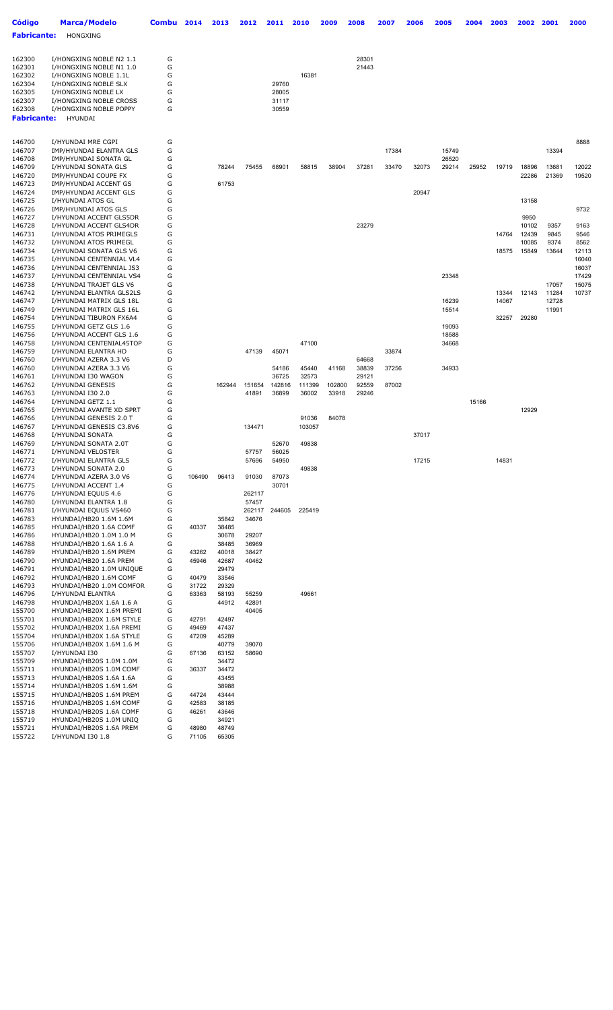| <b>Código</b>                | <b>Marca/Modelo</b>                                  | Combu  | 2014   | 2013           | 2012            | 2011          | 2010   | 2009   | 2008           | 2007  | 2006  | 2005  | 2004  | 2003  | 2002          | 2001           | 2000           |
|------------------------------|------------------------------------------------------|--------|--------|----------------|-----------------|---------------|--------|--------|----------------|-------|-------|-------|-------|-------|---------------|----------------|----------------|
| <b>Fabricante:</b>           | HONGXING                                             |        |        |                |                 |               |        |        |                |       |       |       |       |       |               |                |                |
|                              |                                                      |        |        |                |                 |               |        |        |                |       |       |       |       |       |               |                |                |
| 162300                       | I/HONGXING NOBLE N2 1.1                              | G      |        |                |                 |               |        |        | 28301          |       |       |       |       |       |               |                |                |
| 162301                       | I/HONGXING NOBLE N1 1.0                              | G      |        |                |                 |               |        |        | 21443          |       |       |       |       |       |               |                |                |
| 162302<br>162304             | I/HONGXING NOBLE 1.1L<br>I/HONGXING NOBLE SLX        | G<br>G |        |                |                 | 29760         | 16381  |        |                |       |       |       |       |       |               |                |                |
| 162305                       | I/HONGXING NOBLE LX                                  | G      |        |                |                 | 28005         |        |        |                |       |       |       |       |       |               |                |                |
| 162307                       | I/HONGXING NOBLE CROSS                               | G      |        |                |                 | 31117         |        |        |                |       |       |       |       |       |               |                |                |
| 162308<br><b>Fabricante:</b> | I/HONGXING NOBLE POPPY<br><b>HYUNDAI</b>             | G      |        |                |                 | 30559         |        |        |                |       |       |       |       |       |               |                |                |
|                              |                                                      |        |        |                |                 |               |        |        |                |       |       |       |       |       |               |                |                |
|                              |                                                      |        |        |                |                 |               |        |        |                |       |       |       |       |       |               |                |                |
| 146700<br>146707             | I/HYUNDAI MRE CGPI<br>IMP/HYUNDAI ELANTRA GLS        | G<br>G |        |                |                 |               |        |        |                | 17384 |       | 15749 |       |       |               | 13394          | 8888           |
| 146708                       | IMP/HYUNDAI SONATA GL                                | G      |        |                |                 |               |        |        |                |       |       | 26520 |       |       |               |                |                |
| 146709                       | I/HYUNDAI SONATA GLS                                 | G      |        | 78244          | 75455           | 68901         | 58815  | 38904  | 37281          | 33470 | 32073 | 29214 | 25952 | 19719 | 18896         | 13681          | 12022          |
| 146720<br>146723             | IMP/HYUNDAI COUPE FX<br>IMP/HYUNDAI ACCENT GS        | G<br>G |        | 61753          |                 |               |        |        |                |       |       |       |       |       | 22286         | 21369          | 19520          |
| 146724                       | IMP/HYUNDAI ACCENT GLS                               | G      |        |                |                 |               |        |        |                |       | 20947 |       |       |       |               |                |                |
| 146725                       | I/HYUNDAI ATOS GL                                    | G      |        |                |                 |               |        |        |                |       |       |       |       |       | 13158         |                |                |
| 146726                       | IMP/HYUNDAI ATOS GLS                                 | G<br>G |        |                |                 |               |        |        |                |       |       |       |       |       |               |                | 9732           |
| 146727<br>146728             | I/HYUNDAI ACCENT GLS5DR<br>I/HYUNDAI ACCENT GLS4DR   | G      |        |                |                 |               |        |        | 23279          |       |       |       |       |       | 9950<br>10102 | 9357           | 9163           |
| 146731                       | I/HYUNDAI ATOS PRIMEGLS                              | G      |        |                |                 |               |        |        |                |       |       |       |       | 14764 | 12439         | 9845           | 9546           |
| 146732                       | I/HYUNDAI ATOS PRIMEGL                               | G      |        |                |                 |               |        |        |                |       |       |       |       |       | 10085         | 9374           | 8562           |
| 146734<br>146735             | I/HYUNDAI SONATA GLS V6<br>I/HYUNDAI CENTENNIAL VL4  | G<br>G |        |                |                 |               |        |        |                |       |       |       |       | 18575 | 15849         | 13644          | 12113<br>16040 |
| 146736                       | I/HYUNDAI CENTENNIAL JS3                             | G      |        |                |                 |               |        |        |                |       |       |       |       |       |               |                | 16037          |
| 146737                       | I/HYUNDAI CENTENNIAL VS4                             | G      |        |                |                 |               |        |        |                |       |       | 23348 |       |       |               |                | 17429          |
| 146738<br>146742             | I/HYUNDAI TRAJET GLS V6<br>I/HYUNDAI ELANTRA GLS2LS  | G<br>G |        |                |                 |               |        |        |                |       |       |       |       | 13344 | 12143         | 17057<br>11284 | 15075<br>10737 |
| 146747                       | I/HYUNDAI MATRIX GLS 18L                             | G      |        |                |                 |               |        |        |                |       |       | 16239 |       | 14067 |               | 12728          |                |
| 146749                       | I/HYUNDAI MATRIX GLS 16L                             | G      |        |                |                 |               |        |        |                |       |       | 15514 |       |       |               | 11991          |                |
| 146754<br>146755             | I/HYUNDAI TIBURON FX6A4                              | G<br>G |        |                |                 |               |        |        |                |       |       | 19093 |       | 32257 | 29280         |                |                |
| 146756                       | I/HYUNDAI GETZ GLS 1.6<br>I/HYUNDAI ACCENT GLS 1.6   | G      |        |                |                 |               |        |        |                |       |       | 18588 |       |       |               |                |                |
| 146758                       | I/HYUNDAI CENTENIAL45TOP                             | G      |        |                |                 |               | 47100  |        |                |       |       | 34668 |       |       |               |                |                |
| 146759                       | I/HYUNDAI ELANTRA HD                                 | G      |        |                | 47139           | 45071         |        |        |                | 33874 |       |       |       |       |               |                |                |
| 146760<br>146760             | I/HYUNDAI AZERA 3.3 V6<br>I/HYUNDAI AZERA 3.3 V6     | D<br>G |        |                |                 | 54186         | 45440  | 41168  | 64668<br>38839 | 37256 |       | 34933 |       |       |               |                |                |
| 146761                       | I/HYUNDAI I30 WAGON                                  | G      |        |                |                 | 36725         | 32573  |        | 29121          |       |       |       |       |       |               |                |                |
| 146762                       | I/HYUNDAI GENESIS                                    | G      |        | 162944         | 151654          | 142816        | 111399 | 102800 | 92559          | 87002 |       |       |       |       |               |                |                |
| 146763<br>146764             | I/HYUNDAI I30 2.0<br>I/HYUNDAI GETZ 1.1              | G<br>G |        |                | 41891           | 36899         | 36002  | 33918  | 29246          |       |       |       | 15166 |       |               |                |                |
| 146765                       | I/HYUNDAI AVANTE XD SPRT                             | G      |        |                |                 |               |        |        |                |       |       |       |       |       | 12929         |                |                |
| 146766                       | I/HYUNDAI GENESIS 2.0 T                              | G      |        |                |                 |               | 91036  | 84078  |                |       |       |       |       |       |               |                |                |
| 146767<br>146768             | I/HYUNDAI GENESIS C3.8V6<br>I/HYUNDAI SONATA         | G<br>G |        |                | 134471          |               | 103057 |        |                |       | 37017 |       |       |       |               |                |                |
| 146769                       | I/HYUNDAI SONATA 2.0T                                | G      |        |                |                 | 52670         | 49838  |        |                |       |       |       |       |       |               |                |                |
| 146771                       | I/HYUNDAI VELOSTER                                   | G      |        |                | 57757           | 56025         |        |        |                |       |       |       |       |       |               |                |                |
| 146772<br>146773             | I/HYUNDAI ELANTRA GLS<br>I/HYUNDAI SONATA 2.0        | G<br>G |        |                | 57696           | 54950         | 49838  |        |                |       | 17215 |       |       | 14831 |               |                |                |
| 146774                       | I/HYUNDAI AZERA 3.0 V6                               | G      | 106490 | 96413          | 91030           | 87073         |        |        |                |       |       |       |       |       |               |                |                |
| 146775                       | I/HYUNDAI ACCENT 1.4                                 | G      |        |                |                 | 30701         |        |        |                |       |       |       |       |       |               |                |                |
| 146776<br>146780             | I/HYUNDAI EQUUS 4.6<br>I/HYUNDAI ELANTRA 1.8         | G<br>G |        |                | 262117<br>57457 |               |        |        |                |       |       |       |       |       |               |                |                |
| 146781                       | I/HYUNDAI EQUUS VS460                                | G      |        |                |                 | 262117 244605 | 225419 |        |                |       |       |       |       |       |               |                |                |
| 146783                       | HYUNDAI/HB20 1.6M 1.6M                               | G      |        | 35842          | 34676           |               |        |        |                |       |       |       |       |       |               |                |                |
| 146785<br>146786             | HYUNDAI/HB20 1.6A COMF<br>HYUNDAI/HB20 1.0M 1.0 M    | G<br>G | 40337  | 38485<br>30678 |                 |               |        |        |                |       |       |       |       |       |               |                |                |
| 146788                       | HYUNDAI/HB20 1.6A 1.6 A                              | G      |        | 38485          | 29207<br>36969  |               |        |        |                |       |       |       |       |       |               |                |                |
| 146789                       | HYUNDAI/HB20 1.6M PREM                               | G      | 43262  | 40018          | 38427           |               |        |        |                |       |       |       |       |       |               |                |                |
| 146790                       | HYUNDAI/HB20 1.6A PREM                               | G      | 45946  | 42687          | 40462           |               |        |        |                |       |       |       |       |       |               |                |                |
| 146791<br>146792             | HYUNDAI/HB20 1.0M UNIQUE<br>HYUNDAI/HB20 1.6M COMF   | G<br>G | 40479  | 29479<br>33546 |                 |               |        |        |                |       |       |       |       |       |               |                |                |
| 146793                       | HYUNDAI/HB20 1.0M COMFOR                             | G      | 31722  | 29329          |                 |               |        |        |                |       |       |       |       |       |               |                |                |
| 146796                       | I/HYUNDAI ELANTRA                                    | G      | 63363  | 58193          | 55259           |               | 49661  |        |                |       |       |       |       |       |               |                |                |
| 146798<br>155700             | HYUNDAI/HB20X 1.6A 1.6 A<br>HYUNDAI/HB20X 1.6M PREMI | G<br>G |        | 44912          | 42891<br>40405  |               |        |        |                |       |       |       |       |       |               |                |                |
| 155701                       | HYUNDAI/HB20X 1.6M STYLE                             | G      | 42791  | 42497          |                 |               |        |        |                |       |       |       |       |       |               |                |                |
| 155702                       | HYUNDAI/HB20X 1.6A PREMI                             | G      | 49469  | 47437          |                 |               |        |        |                |       |       |       |       |       |               |                |                |
| 155704<br>155706             | HYUNDAI/HB20X 1.6A STYLE<br>HYUNDAI/HB20X 1.6M 1.6 M | G<br>G | 47209  | 45289<br>40779 | 39070           |               |        |        |                |       |       |       |       |       |               |                |                |
| 155707                       | I/HYUNDAI I30                                        | G      | 67136  | 63152          | 58690           |               |        |        |                |       |       |       |       |       |               |                |                |
| 155709                       | HYUNDAI/HB20S 1.0M 1.0M                              | G      |        | 34472          |                 |               |        |        |                |       |       |       |       |       |               |                |                |
| 155711<br>155713             | HYUNDAI/HB20S 1.0M COMF<br>HYUNDAI/HB20S 1.6A 1.6A   | G<br>G | 36337  | 34472<br>43455 |                 |               |        |        |                |       |       |       |       |       |               |                |                |
| 155714                       | HYUNDAI/HB20S 1.6M 1.6M                              | G      |        | 38988          |                 |               |        |        |                |       |       |       |       |       |               |                |                |
| 155715                       | HYUNDAI/HB20S 1.6M PREM                              | G      | 44724  | 43444          |                 |               |        |        |                |       |       |       |       |       |               |                |                |
| 155716                       | HYUNDAI/HB20S 1.6M COMF                              | G      | 42583  | 38185          |                 |               |        |        |                |       |       |       |       |       |               |                |                |
| 155718<br>155719             | HYUNDAI/HB20S 1.6A COMF<br>HYUNDAI/HB20S 1.0M UNIQ   | G<br>G | 46261  | 43646<br>34921 |                 |               |        |        |                |       |       |       |       |       |               |                |                |
| 155721                       | HYUNDAI/HB20S 1.6A PREM                              | G      | 48980  | 48749          |                 |               |        |        |                |       |       |       |       |       |               |                |                |
| 155722                       | I/HYUNDAI I30 1.8                                    | G      | 71105  | 65305          |                 |               |        |        |                |       |       |       |       |       |               |                |                |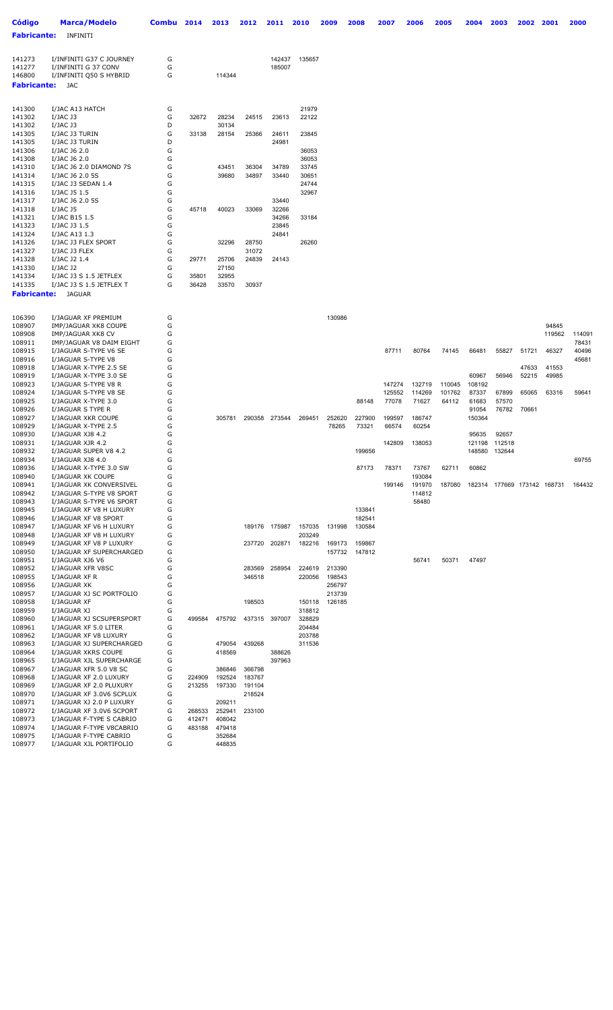| Código             | <b>Marca/Modelo</b>                                | Combu  | 2014   | 2013           | 2012           | 2011             | 2010             | 2009            | 2008            | 2007            | 2006            | 2005   | 2004   | 2003                               | 2002  | 2001   | 2000   |
|--------------------|----------------------------------------------------|--------|--------|----------------|----------------|------------------|------------------|-----------------|-----------------|-----------------|-----------------|--------|--------|------------------------------------|-------|--------|--------|
|                    | <b>Fabricante:</b> INFINITI                        |        |        |                |                |                  |                  |                 |                 |                 |                 |        |        |                                    |       |        |        |
|                    |                                                    |        |        |                |                |                  |                  |                 |                 |                 |                 |        |        |                                    |       |        |        |
|                    |                                                    |        |        |                |                |                  |                  |                 |                 |                 |                 |        |        |                                    |       |        |        |
| 141273             | I/INFINITI G37 C JOURNEY                           | G<br>G |        |                |                | 142437           | 135657           |                 |                 |                 |                 |        |        |                                    |       |        |        |
| 141277<br>146800   | I/INFINITI G 37 CONV<br>I/INFINITI Q50 S HYBRID    | G      |        | 114344         |                | 185007           |                  |                 |                 |                 |                 |        |        |                                    |       |        |        |
| <b>Fabricante:</b> | JAC                                                |        |        |                |                |                  |                  |                 |                 |                 |                 |        |        |                                    |       |        |        |
|                    |                                                    |        |        |                |                |                  |                  |                 |                 |                 |                 |        |        |                                    |       |        |        |
|                    |                                                    |        |        |                |                |                  |                  |                 |                 |                 |                 |        |        |                                    |       |        |        |
| 141300             | I/JAC A13 HATCH                                    | G      |        |                |                |                  | 21979            |                 |                 |                 |                 |        |        |                                    |       |        |        |
| 141302             | I/JAC J3                                           | G      | 32672  | 28234          | 24515          | 23613            | 22122            |                 |                 |                 |                 |        |        |                                    |       |        |        |
| 141302             | I/JAC J3                                           | D      |        | 30134          |                |                  |                  |                 |                 |                 |                 |        |        |                                    |       |        |        |
| 141305             | I/JAC J3 TURIN                                     | G      | 33138  | 28154          | 25366          | 24611            | 23845            |                 |                 |                 |                 |        |        |                                    |       |        |        |
| 141305             | I/JAC J3 TURIN                                     | D      |        |                |                | 24981            |                  |                 |                 |                 |                 |        |        |                                    |       |        |        |
| 141306             | I/JAC J6 2.0                                       | G      |        |                |                |                  | 36053            |                 |                 |                 |                 |        |        |                                    |       |        |        |
| 141308             | I/JAC J6 2.0                                       | G      |        |                |                |                  | 36053            |                 |                 |                 |                 |        |        |                                    |       |        |        |
| 141310<br>141314   | I/JAC J6 2.0 DIAMOND 7S<br>I/JAC J6 2.0 5S         | G<br>G |        | 43451<br>39680 | 36304<br>34897 | 34789<br>33440   | 33745<br>30651   |                 |                 |                 |                 |        |        |                                    |       |        |        |
| 141315             | I/JAC J3 SEDAN 1.4                                 | G      |        |                |                |                  | 24744            |                 |                 |                 |                 |        |        |                                    |       |        |        |
| 141316             | I/JAC J5 1.5                                       | G      |        |                |                |                  | 32967            |                 |                 |                 |                 |        |        |                                    |       |        |        |
| 141317             | I/JAC J6 2.0 5S                                    | G      |        |                |                | 33440            |                  |                 |                 |                 |                 |        |        |                                    |       |        |        |
| 141318             | I/JAC J5                                           | G      | 45718  | 40023          | 33069          | 32266            |                  |                 |                 |                 |                 |        |        |                                    |       |        |        |
| 141321             | I/JAC B15 1.5                                      | G      |        |                |                | 34266            | 33184            |                 |                 |                 |                 |        |        |                                    |       |        |        |
| 141323             | I/JAC J3 1.5                                       | G      |        |                |                | 23845            |                  |                 |                 |                 |                 |        |        |                                    |       |        |        |
| 141324             | I/JAC A13 1.3                                      | G      |        |                |                | 24841            |                  |                 |                 |                 |                 |        |        |                                    |       |        |        |
| 141326             | I/JAC J3 FLEX SPORT                                | G      |        | 32296          | 28750          |                  | 26260            |                 |                 |                 |                 |        |        |                                    |       |        |        |
| 141327             | I/JAC J3 FLEX                                      | G      |        |                | 31072          |                  |                  |                 |                 |                 |                 |        |        |                                    |       |        |        |
| 141328             | I/JAC J2 1.4                                       | G      | 29771  | 25706          | 24839          | 24143            |                  |                 |                 |                 |                 |        |        |                                    |       |        |        |
| 141330             | I/JAC J2                                           | G      |        | 27150          |                |                  |                  |                 |                 |                 |                 |        |        |                                    |       |        |        |
| 141334             | I/JAC J3 S 1.5 JETFLEX                             | G      | 35801  | 32955          |                |                  |                  |                 |                 |                 |                 |        |        |                                    |       |        |        |
| 141335             | I/JAC J3 S 1.5 JETFLEX T                           | G      | 36428  | 33570          | 30937          |                  |                  |                 |                 |                 |                 |        |        |                                    |       |        |        |
| <b>Fabricante:</b> | JAGUAR                                             |        |        |                |                |                  |                  |                 |                 |                 |                 |        |        |                                    |       |        |        |
|                    |                                                    |        |        |                |                |                  |                  |                 |                 |                 |                 |        |        |                                    |       |        |        |
| 106390             | I/JAGUAR XF PREMIUM                                | G      |        |                |                |                  |                  | 130986          |                 |                 |                 |        |        |                                    |       |        |        |
| 108907             | IMP/JAGUAR XK8 COUPE                               | G      |        |                |                |                  |                  |                 |                 |                 |                 |        |        |                                    |       | 94845  |        |
| 108908             | IMP/JAGUAR XK8 CV                                  | G      |        |                |                |                  |                  |                 |                 |                 |                 |        |        |                                    |       | 119562 | 114091 |
| 108911             | IMP/JAGUAR V8 DAIM EIGHT                           | G      |        |                |                |                  |                  |                 |                 |                 |                 |        |        |                                    |       |        | 78431  |
| 108915             | I/JAGUAR S-TYPE V6 SE                              | G      |        |                |                |                  |                  |                 |                 | 87711           | 80764           | 74145  | 66481  | 55827                              | 51721 | 46327  | 40496  |
| 108916             | I/JAGUAR S-TYPE V8                                 | G      |        |                |                |                  |                  |                 |                 |                 |                 |        |        |                                    |       |        | 45681  |
| 108918             | I/JAGUAR X-TYPE 2.5 SE                             | G      |        |                |                |                  |                  |                 |                 |                 |                 |        |        |                                    | 47633 | 41553  |        |
| 108919             | I/JAGUAR X-TYPE 3.0 SE                             | G      |        |                |                |                  |                  |                 |                 |                 |                 |        | 60967  | 56946                              | 52215 | 49985  |        |
| 108923             | I/JAGUAR S-TYPE V8 R                               | G      |        |                |                |                  |                  |                 |                 | 147274          | 132719          | 110045 | 108192 |                                    |       |        |        |
| 108924             | I/JAGUAR S-TYPE V8 SE                              | G      |        |                |                |                  |                  |                 |                 | 125552          | 114269          | 101762 | 87337  | 67899                              | 65065 | 63316  | 59641  |
| 108925             | I/JAGUAR X-TYPE 3.0                                | G      |        |                |                |                  |                  |                 | 88148           | 77078           | 71627           | 64112  | 61683  | 57570                              |       |        |        |
| 108926             | I/JAGUAR S TYPE R                                  | G      |        |                |                |                  |                  |                 |                 |                 |                 |        | 91054  | 76782                              | 70661 |        |        |
| 108927<br>108929   | I/JAGUAR XKR COUPE<br>I/JAGUAR X-TYPE 2.5          | G<br>G |        | 305781         |                | 290358 273544    | 269451           | 252620<br>78265 | 227900<br>73321 | 199597<br>66574 | 186747<br>60254 |        | 150364 |                                    |       |        |        |
| 108930             | I/JAGUAR XJ8 4.2                                   | G      |        |                |                |                  |                  |                 |                 |                 |                 |        | 95635  | 92657                              |       |        |        |
| 108931             | I/JAGUAR XJR 4.2                                   | G      |        |                |                |                  |                  |                 |                 | 142809          | 138053          |        |        | 121198 112518                      |       |        |        |
| 108932             | I/JAGUAR SUPER V8 4.2                              | G      |        |                |                |                  |                  |                 | 199656          |                 |                 |        |        | 148580 132644                      |       |        |        |
| 108934             | I/JAGUAR XJ8 4.0                                   | G      |        |                |                |                  |                  |                 |                 |                 |                 |        |        |                                    |       |        | 69755  |
| 108936             | I/JAGUAR X-TYPE 3.0 SW                             | G      |        |                |                |                  |                  |                 | 87173           | 78371           | 73767           | 62711  | 60862  |                                    |       |        |        |
| 108940             | I/JAGUAR XK COUPE                                  | G      |        |                |                |                  |                  |                 |                 |                 | 193084          |        |        |                                    |       |        |        |
| 108941             | I/JAGUAR XK CONVERSIVEL                            | G      |        |                |                |                  |                  |                 |                 | 199146          | 191970          |        |        | 187080 182314 177669 173142 168731 |       |        | 164432 |
| 108942             | I/JAGUAR S-TYPE V8 SPORT                           | G      |        |                |                |                  |                  |                 |                 |                 | 114812          |        |        |                                    |       |        |        |
| 108943             | I/JAGUAR S-TYPE V6 SPORT                           | G      |        |                |                |                  |                  |                 |                 |                 | 58480           |        |        |                                    |       |        |        |
| 108945             | I/JAGUAR XF V8 H LUXURY                            | G      |        |                |                |                  |                  |                 | 133841          |                 |                 |        |        |                                    |       |        |        |
| 108946             | I/JAGUAR XF V8 SPORT                               | G      |        |                |                |                  |                  |                 | 182541          |                 |                 |        |        |                                    |       |        |        |
| 108947<br>108948   | I/JAGUAR XF V6 H LUXURY<br>I/JAGUAR XF V8 H LUXURY | G<br>G |        |                |                | 189176 175987    | 157035<br>203249 | 131998          | 130584          |                 |                 |        |        |                                    |       |        |        |
| 108949             | I/JAGUAR XF V8 P LUXURY                            | G      |        |                | 237720         | 202871           | 182216           | 169173          | 159867          |                 |                 |        |        |                                    |       |        |        |
| 108950             | I/JAGUAR XF SUPERCHARGED                           | G      |        |                |                |                  |                  | 157732          | 147812          |                 |                 |        |        |                                    |       |        |        |
| 108951             | I/JAGUAR XJ6 V6                                    | G      |        |                |                |                  |                  |                 |                 |                 | 56741           | 50371  | 47497  |                                    |       |        |        |
| 108952             | I/JAGUAR XFR V8SC                                  | G      |        |                | 283569         | 258954           | 224619           | 213390          |                 |                 |                 |        |        |                                    |       |        |        |
| 108955             | I/JAGUAR XF R                                      | G      |        |                | 346518         |                  | 220056           | 198543          |                 |                 |                 |        |        |                                    |       |        |        |
| 108956             | I/JAGUAR XK                                        | G      |        |                |                |                  |                  | 256797          |                 |                 |                 |        |        |                                    |       |        |        |
| 108957             | I/JAGUAR XJ SC PORTFOLIO                           | G      |        |                |                |                  |                  | 213739          |                 |                 |                 |        |        |                                    |       |        |        |
| 108958             | I/JAGUAR XF                                        | G      |        |                | 198503         |                  | 150118           | 126185          |                 |                 |                 |        |        |                                    |       |        |        |
| 108959             | I/JAGUAR XJ                                        | G      |        |                |                |                  | 318812           |                 |                 |                 |                 |        |        |                                    |       |        |        |
| 108960             | I/JAGUAR XJ SCSUPERSPORT                           | G      | 499584 | 475792         |                | 437315 397007    | 328829           |                 |                 |                 |                 |        |        |                                    |       |        |        |
| 108961             | I/JAGUAR XF 5.0 LITER                              | G      |        |                |                |                  | 204484           |                 |                 |                 |                 |        |        |                                    |       |        |        |
| 108962             | I/JAGUAR XF V8 LUXURY                              | G      |        |                |                |                  | 203788           |                 |                 |                 |                 |        |        |                                    |       |        |        |
| 108963             | I/JAGUAR XJ SUPERCHARGED                           | G      |        | 479054         | 439268         |                  | 311536           |                 |                 |                 |                 |        |        |                                    |       |        |        |
| 108964<br>108965   | I/JAGUAR XKRS COUPE                                | G<br>G |        | 418569         |                | 388626<br>397963 |                  |                 |                 |                 |                 |        |        |                                    |       |        |        |
| 108967             | I/JAGUAR XJL SUPERCHARGE<br>I/JAGUAR XFR 5.0 V8 SC | G      |        | 386846         | 366798         |                  |                  |                 |                 |                 |                 |        |        |                                    |       |        |        |
| 108968             | I/JAGUAR XF 2.0 LUXURY                             | G      | 224909 | 192524         | 183767         |                  |                  |                 |                 |                 |                 |        |        |                                    |       |        |        |
| 108969             | I/JAGUAR XF 2.0 PLUXURY                            | G      | 213255 | 197330         | 191104         |                  |                  |                 |                 |                 |                 |        |        |                                    |       |        |        |
| 108970             | I/JAGUAR XF 3.0V6 SCPLUX                           | G      |        |                | 218524         |                  |                  |                 |                 |                 |                 |        |        |                                    |       |        |        |
| 108971             | I/JAGUAR XJ 2.0 P LUXURY                           | G      |        | 209211         |                |                  |                  |                 |                 |                 |                 |        |        |                                    |       |        |        |
| 108972             | I/JAGUAR XF 3.0V6 SCPORT                           | G      | 268533 | 252941         | 233100         |                  |                  |                 |                 |                 |                 |        |        |                                    |       |        |        |
| 108973             | I/JAGUAR F-TYPE S CABRIO                           | G      | 412471 | 408042         |                |                  |                  |                 |                 |                 |                 |        |        |                                    |       |        |        |
| 108974             | I/JAGUAR F-TYPE V8CABRIO                           | G      | 483188 | 479418         |                |                  |                  |                 |                 |                 |                 |        |        |                                    |       |        |        |
| 108975             | I/JAGUAR F-TYPE CABRIO                             | G      |        | 352684         |                |                  |                  |                 |                 |                 |                 |        |        |                                    |       |        |        |
| 108977             | I/JAGUAR XJL PORTIFOLIO                            | G      |        | 448835         |                |                  |                  |                 |                 |                 |                 |        |        |                                    |       |        |        |
|                    |                                                    |        |        |                |                |                  |                  |                 |                 |                 |                 |        |        |                                    |       |        |        |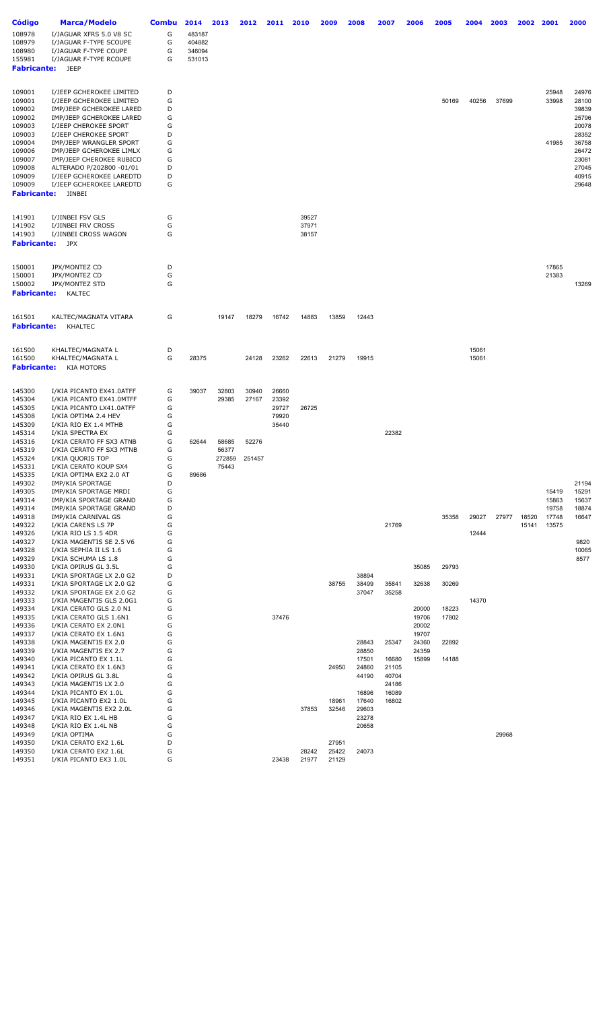| Código<br>108978<br>108979<br>108980                                                                                                       | <b>Marca/Modelo</b><br>I/JAGUAR XFRS 5.0 V8 SC<br>I/JAGUAR F-TYPE SCOUPE<br>I/JAGUAR F-TYPE COUPE                                                                                                                                                                                                                                               | <b>Combu</b><br>G<br>G<br>G                              | 2014<br>483187<br>404882<br>346094 | 2013                                                | 2012                              | 2011                                      | 2010                    | 2009                    | 2008                                      | 2007                                      | 2006                                      | 2005                             | 2004           | 2003  | 2002           | 2001                                      | 2000                                                                                                     |
|--------------------------------------------------------------------------------------------------------------------------------------------|-------------------------------------------------------------------------------------------------------------------------------------------------------------------------------------------------------------------------------------------------------------------------------------------------------------------------------------------------|----------------------------------------------------------|------------------------------------|-----------------------------------------------------|-----------------------------------|-------------------------------------------|-------------------------|-------------------------|-------------------------------------------|-------------------------------------------|-------------------------------------------|----------------------------------|----------------|-------|----------------|-------------------------------------------|----------------------------------------------------------------------------------------------------------|
| 155981<br><b>Fabricante:</b>                                                                                                               | I/JAGUAR F-TYPE RCOUPE<br><b>JEEP</b>                                                                                                                                                                                                                                                                                                           | G                                                        | 531013                             |                                                     |                                   |                                           |                         |                         |                                           |                                           |                                           |                                  |                |       |                |                                           |                                                                                                          |
| 109001<br>109001<br>109002<br>109002<br>109003<br>109003<br>109004<br>109006<br>109007<br>109008<br>109009<br>109009<br><b>Fabricante:</b> | I/JEEP GCHEROKEE LIMITED<br>I/JEEP GCHEROKEE LIMITED<br>IMP/JEEP GCHEROKEE LARED<br>IMP/JEEP GCHEROKEE LARED<br>I/JEEP CHEROKEE SPORT<br>I/JEEP CHEROKEE SPORT<br>IMP/JEEP WRANGLER SPORT<br>IMP/JEEP GCHEROKEE LIMLX<br>IMP/JEEP CHEROKEE RUBICO<br>ALTERADO P/202800 -01/01<br>I/JEEP GCHEROKEE LAREDTD<br>I/JEEP GCHEROKEE LAREDTD<br>JINBEI | D<br>G<br>D<br>G<br>G<br>D<br>G<br>G<br>G<br>D<br>D<br>G |                                    |                                                     |                                   |                                           |                         |                         |                                           |                                           |                                           | 50169                            | 40256          | 37699 |                | 25948<br>33998<br>41985                   | 24976<br>28100<br>39839<br>25796<br>20078<br>28352<br>36758<br>26472<br>23081<br>27045<br>40915<br>29648 |
| 141901<br>141902<br>141903<br><b>Fabricante:</b>                                                                                           | I/JINBEI FSV GLS<br>I/JINBEI FRV CROSS<br>I/JINBEI CROSS WAGON<br><b>JPX</b>                                                                                                                                                                                                                                                                    | G<br>G<br>G                                              |                                    |                                                     |                                   |                                           | 39527<br>37971<br>38157 |                         |                                           |                                           |                                           |                                  |                |       |                |                                           |                                                                                                          |
| 150001<br>150001<br>150002<br><b>Fabricante:</b>                                                                                           | JPX/MONTEZ CD<br>JPX/MONTEZ CD<br>JPX/MONTEZ STD<br><b>KALTEC</b>                                                                                                                                                                                                                                                                               | D<br>G<br>G                                              |                                    |                                                     |                                   |                                           |                         |                         |                                           |                                           |                                           |                                  |                |       |                | 17865<br>21383                            | 13269                                                                                                    |
| 161501<br><b>Fabricante:</b>                                                                                                               | KALTEC/MAGNATA VITARA<br><b>KHALTEC</b>                                                                                                                                                                                                                                                                                                         | G                                                        |                                    | 19147                                               | 18279                             | 16742                                     | 14883                   | 13859                   | 12443                                     |                                           |                                           |                                  |                |       |                |                                           |                                                                                                          |
| 161500<br>161500<br><b>Fabricante:</b>                                                                                                     | KHALTEC/MAGNATA L<br>KHALTEC/MAGNATA L<br><b>KIA MOTORS</b>                                                                                                                                                                                                                                                                                     | D<br>G                                                   | 28375                              |                                                     | 24128                             | 23262                                     | 22613                   | 21279                   | 19915                                     |                                           |                                           |                                  | 15061<br>15061 |       |                |                                           |                                                                                                          |
| 145300<br>145304<br>145305<br>145308<br>145309<br>145314<br>145316<br>145319<br>145324<br>145331                                           | I/KIA PICANTO EX41.0ATFF<br>I/KIA PICANTO EX41.0MTFF<br>I/KIA PICANTO LX41.0ATFF<br>I/KIA OPTIMA 2.4 HEV<br>I/KIA RIO EX 1.4 MTHB<br>I/KIA SPECTRA EX<br>I/KIA CERATO FF SX3 ATNB<br>I/KIA CERATO FF SX3 MTNB<br>I/KIA QUORIS TOP<br>I/KIA CERATO KOUP SX4                                                                                      | G<br>G<br>G<br>G<br>G<br>G<br>G<br>G<br>G<br>G           | 39037<br>62644                     | 32803<br>29385<br>58685<br>56377<br>272859<br>75443 | 30940<br>27167<br>52276<br>251457 | 26660<br>23392<br>29727<br>79920<br>35440 | 26725                   |                         |                                           | 22382                                     |                                           |                                  |                |       |                |                                           |                                                                                                          |
| 145335<br>149302<br>149305<br>149314<br>149314<br>149318<br>149322<br>149326<br>149327<br>149328<br>149329                                 | I/KIA OPTIMA EX2 2.0 AT<br>IMP/KIA SPORTAGE<br>IMP/KIA SPORTAGE MRDI<br>IMP/KIA SPORTAGE GRAND<br>IMP/KIA SPORTAGE GRAND<br>IMP/KIA CARNIVAL GS<br>I/KIA CARENS LS 7P<br>I/KIA RIO LS 1.5 4DR<br>I/KIA MAGENTIS SE 2.5 V6<br>I/KIA SEPHIA II LS 1.6<br>I/KIA SCHUMA LS 1.8                                                                      | G<br>D<br>G<br>G<br>D<br>G<br>G<br>G<br>G<br>G<br>G      | 89686                              |                                                     |                                   |                                           |                         |                         |                                           | 21769                                     |                                           | 35358                            | 29027<br>12444 | 27977 | 18520<br>15141 | 15419<br>15863<br>19758<br>17748<br>13575 | 21194<br>15291<br>15637<br>18874<br>16647<br>9820<br>10065<br>8577                                       |
| 149330<br>149331<br>149331<br>149332<br>149333<br>149334<br>149335<br>149336                                                               | I/KIA OPIRUS GL 3.5L<br>I/KIA SPORTAGE LX 2.0 G2<br>I/KIA SPORTAGE LX 2.0 G2<br>I/KIA SPORTAGE EX 2.0 G2<br>I/KIA MAGENTIS GLS 2.0G1<br>I/KIA CERATO GLS 2.0 N1<br>I/KIA CERATO GLS 1.6N1<br>I/KIA CERATO EX 2.0N1                                                                                                                              | G<br>D<br>G<br>G<br>G<br>G<br>G<br>G                     |                                    |                                                     |                                   | 37476                                     |                         | 38755                   | 38894<br>38499<br>37047                   | 35841<br>35258                            | 35085<br>32638<br>20000<br>19706<br>20002 | 29793<br>30269<br>18223<br>17802 | 14370          |       |                |                                           |                                                                                                          |
| 149337<br>149338<br>149339<br>149340<br>149341<br>149342<br>149343                                                                         | I/KIA CERATO EX 1.6N1<br>I/KIA MAGENTIS EX 2.0<br>I/KIA MAGENTIS EX 2.7<br>I/KIA PICANTO EX 1.1L<br>I/KIA CERATO EX 1.6N3<br>I/KIA OPIRUS GL 3.8L<br>I/KIA MAGENTIS LX 2.0                                                                                                                                                                      | G<br>G<br>G<br>G<br>G<br>G<br>G<br>G                     |                                    |                                                     |                                   |                                           |                         | 24950                   | 28843<br>28850<br>17501<br>24860<br>44190 | 25347<br>16680<br>21105<br>40704<br>24186 | 19707<br>24360<br>24359<br>15899          | 22892<br>14188                   |                |       |                |                                           |                                                                                                          |
| 149344<br>149345<br>149346<br>149347<br>149348                                                                                             | I/KIA PICANTO EX 1.0L<br>I/KIA PICANTO EX2 1.0L<br>I/KIA MAGENTIS EX2 2.0L<br>I/KIA RIO EX 1.4L HB<br>I/KIA RIO EX 1.4L NB                                                                                                                                                                                                                      | G<br>G<br>G<br>G                                         |                                    |                                                     |                                   |                                           | 37853                   | 18961<br>32546          | 16896<br>17640<br>29603<br>23278<br>20658 | 16089<br>16802                            |                                           |                                  |                |       |                |                                           |                                                                                                          |
| 149349<br>149350<br>149350<br>149351                                                                                                       | I/KIA OPTIMA<br>I/KIA CERATO EX2 1.6L<br>I/KIA CERATO EX2 1.6L<br>I/KIA PICANTO EX3 1.0L                                                                                                                                                                                                                                                        | G<br>D<br>G<br>G                                         |                                    |                                                     |                                   | 23438                                     | 28242<br>21977          | 27951<br>25422<br>21129 | 24073                                     |                                           |                                           |                                  |                | 29968 |                |                                           |                                                                                                          |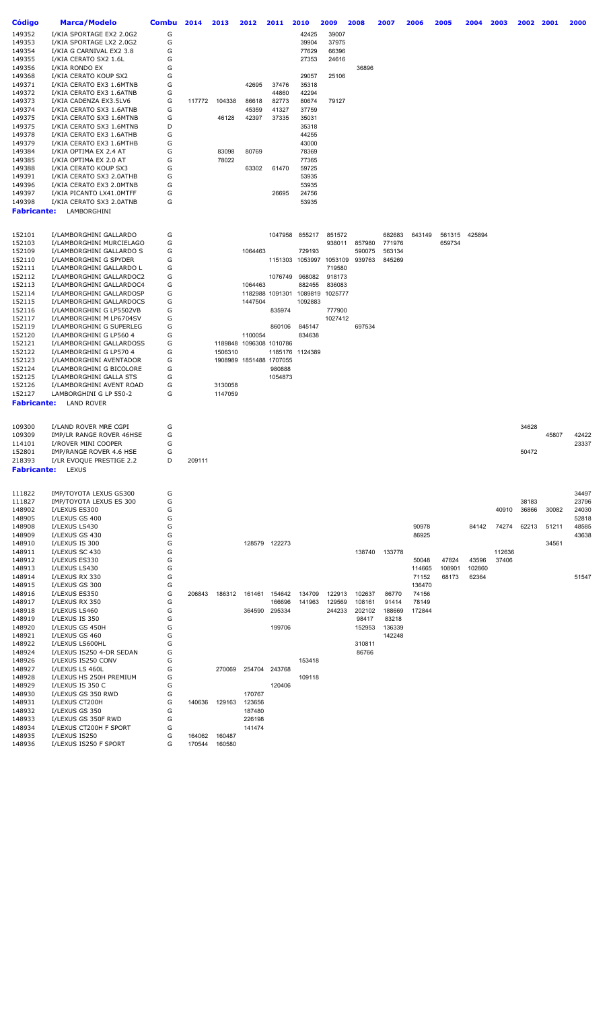| Código           | Marca/Modelo                                         | <b>Combu</b> | 2014   | 2013                    | 2012                    | 2011            | 2010                    | 2009              | 2008   | 2007   | 2006            | 2005            | 2004            | 2003   | 2002  | 2001  | 2000  |
|------------------|------------------------------------------------------|--------------|--------|-------------------------|-------------------------|-----------------|-------------------------|-------------------|--------|--------|-----------------|-----------------|-----------------|--------|-------|-------|-------|
| 149352           | I/KIA SPORTAGE EX2 2.0G2                             | G            |        |                         |                         |                 | 42425                   | 39007             |        |        |                 |                 |                 |        |       |       |       |
| 149353           | I/KIA SPORTAGE LX2 2.0G2                             | G            |        |                         |                         |                 | 39904                   | 37975             |        |        |                 |                 |                 |        |       |       |       |
| 149354           | I/KIA G CARNIVAL EX2 3.8                             | G            |        |                         |                         |                 | 77629                   | 66396             |        |        |                 |                 |                 |        |       |       |       |
| 149355<br>149356 | I/KIA CERATO SX2 1.6L<br>I/KIA RONDO EX              | G<br>G       |        |                         |                         |                 | 27353                   | 24616             | 36896  |        |                 |                 |                 |        |       |       |       |
| 149368           | I/KIA CERATO KOUP SX2                                | G            |        |                         |                         |                 | 29057                   | 25106             |        |        |                 |                 |                 |        |       |       |       |
| 149371           | I/KIA CERATO EX3 1.6MTNB                             | G            |        |                         | 42695                   | 37476           | 35318                   |                   |        |        |                 |                 |                 |        |       |       |       |
| 149372           | I/KIA CERATO EX3 1.6ATNB                             | G            |        |                         |                         | 44860           | 42294                   |                   |        |        |                 |                 |                 |        |       |       |       |
| 149373           | I/KIA CADENZA EX3.5LV6                               | G            | 117772 | 104338                  | 86618                   | 82773           | 80674                   | 79127             |        |        |                 |                 |                 |        |       |       |       |
| 149374           | I/KIA CERATO SX3 1.6ATNB                             | G            |        |                         | 45359                   | 41327           | 37759                   |                   |        |        |                 |                 |                 |        |       |       |       |
| 149375           | I/KIA CERATO SX3 1.6MTNB                             | G            |        | 46128                   | 42397                   | 37335           | 35031                   |                   |        |        |                 |                 |                 |        |       |       |       |
| 149375           | I/KIA CERATO SX3 1.6MTNB                             | D            |        |                         |                         |                 | 35318                   |                   |        |        |                 |                 |                 |        |       |       |       |
| 149378           | I/KIA CERATO EX3 1.6ATHB                             | G            |        |                         |                         |                 | 44255                   |                   |        |        |                 |                 |                 |        |       |       |       |
| 149379           | I/KIA CERATO EX3 1.6MTHB                             | G            |        |                         |                         |                 | 43000                   |                   |        |        |                 |                 |                 |        |       |       |       |
| 149384<br>149385 | I/KIA OPTIMA EX 2.4 AT<br>I/KIA OPTIMA EX 2.0 AT     | G<br>G       |        | 83098<br>78022          | 80769                   |                 | 78369<br>77365          |                   |        |        |                 |                 |                 |        |       |       |       |
| 149388           | I/KIA CERATO KOUP SX3                                | G            |        |                         | 63302                   | 61470           | 59725                   |                   |        |        |                 |                 |                 |        |       |       |       |
| 149391           | I/KIA CERATO SX3 2.0ATHB                             | G            |        |                         |                         |                 | 53935                   |                   |        |        |                 |                 |                 |        |       |       |       |
| 149396           | I/KIA CERATO EX3 2.0MTNB                             | G            |        |                         |                         |                 | 53935                   |                   |        |        |                 |                 |                 |        |       |       |       |
| 149397           | I/KIA PICANTO LX41.0MTFF                             | G            |        |                         |                         | 26695           | 24756                   |                   |        |        |                 |                 |                 |        |       |       |       |
| 149398           | I/KIA CERATO SX3 2.0ATNB                             | G            |        |                         |                         |                 | 53935                   |                   |        |        |                 |                 |                 |        |       |       |       |
| Fabricante:      | LAMBORGHINI                                          |              |        |                         |                         |                 |                         |                   |        |        |                 |                 |                 |        |       |       |       |
|                  |                                                      |              |        |                         |                         |                 |                         |                   |        |        |                 |                 |                 |        |       |       |       |
| 152101           | I/LAMBORGHINI GALLARDO                               | G            |        |                         |                         | 1047958         | 855217                  | 851572            |        | 682683 | 643149          | 561315          | 425894          |        |       |       |       |
| 152103           | I/LAMBORGHINI MURCIELAGO                             | G            |        |                         |                         |                 |                         | 938011            | 857980 | 771976 |                 | 659734          |                 |        |       |       |       |
| 152109           | I/LAMBORGHINI GALLARDO S                             | G            |        |                         | 1064463                 |                 | 729193                  |                   | 590075 | 563134 |                 |                 |                 |        |       |       |       |
| 152110           | I/LAMBORGHINI G SPYDER                               | G            |        |                         |                         |                 | 1151303 1053997 1053109 |                   | 939763 | 845269 |                 |                 |                 |        |       |       |       |
| 152111           | I/LAMBORGHINI GALLARDO L                             | G            |        |                         |                         |                 |                         | 719580            |        |        |                 |                 |                 |        |       |       |       |
| 152112           | I/LAMBORGHINI GALLARDOC2                             | G            |        |                         |                         | 1076749         | 968082                  | 918173            |        |        |                 |                 |                 |        |       |       |       |
| 152113           | I/LAMBORGHINI GALLARDOC4                             | G            |        |                         | 1064463                 |                 | 882455                  | 836083            |        |        |                 |                 |                 |        |       |       |       |
| 152114           | I/LAMBORGHINI GALLARDOSP                             | G            |        |                         |                         |                 | 1182988 1091301 1089819 | 1025777           |        |        |                 |                 |                 |        |       |       |       |
| 152115           | I/LAMBORGHINI GALLARDOCS                             | G            |        |                         | 1447504                 |                 | 1092883                 |                   |        |        |                 |                 |                 |        |       |       |       |
| 152116<br>152117 | I/LAMBORGHINI G LP5502VB<br>I/LAMBORGHINI M LP6704SV | G<br>G       |        |                         |                         | 835974          |                         | 777900<br>1027412 |        |        |                 |                 |                 |        |       |       |       |
| 152119           | I/LAMBORGHINI G SUPERLEG                             | G            |        |                         |                         | 860106          | 845147                  |                   | 697534 |        |                 |                 |                 |        |       |       |       |
| 152120           | I/LAMBORGHINI G LP560 4                              | G            |        |                         | 1100054                 |                 | 834638                  |                   |        |        |                 |                 |                 |        |       |       |       |
| 152121           | I/LAMBORGHINI GALLARDOSS                             | G            |        | 1189848                 |                         | 1096308 1010786 |                         |                   |        |        |                 |                 |                 |        |       |       |       |
| 152122           | I/LAMBORGHINI G LP570 4                              | G            |        | 1506310                 |                         |                 | 1185176 1124389         |                   |        |        |                 |                 |                 |        |       |       |       |
| 152123           | I/LAMBORGHINI AVENTADOR                              | G            |        |                         | 1908989 1851488 1707055 |                 |                         |                   |        |        |                 |                 |                 |        |       |       |       |
| 152124           | I/LAMBORGHINI G BICOLORE                             | G            |        |                         |                         | 980888          |                         |                   |        |        |                 |                 |                 |        |       |       |       |
| 152125           | I/LAMBORGHINI GALLA STS                              | G            |        |                         |                         | 1054873         |                         |                   |        |        |                 |                 |                 |        |       |       |       |
| 152126           | I/LAMBORGHINI AVENT ROAD                             | G            |        | 3130058                 |                         |                 |                         |                   |        |        |                 |                 |                 |        |       |       |       |
| 152127           | LAMBORGHINI G LP 550-2<br><b>LAND ROVER</b>          | G            |        | 1147059                 |                         |                 |                         |                   |        |        |                 |                 |                 |        |       |       |       |
| Fabricante:      |                                                      |              |        |                         |                         |                 |                         |                   |        |        |                 |                 |                 |        |       |       |       |
|                  |                                                      |              |        |                         |                         |                 |                         |                   |        |        |                 |                 |                 |        |       |       |       |
| 109300           | I/LAND ROVER MRE CGPI                                | G            |        |                         |                         |                 |                         |                   |        |        |                 |                 |                 |        | 34628 |       |       |
| 109309           | IMP/LR RANGE ROVER 46HSE                             | G            |        |                         |                         |                 |                         |                   |        |        |                 |                 |                 |        |       | 45807 | 42422 |
| 114101<br>152801 | I/ROVER MINI COOPER<br>IMP/RANGE ROVER 4.6 HSE       | G<br>G       |        |                         |                         |                 |                         |                   |        |        |                 |                 |                 |        | 50472 |       | 23337 |
| 218393           | I/LR EVOQUE PRESTIGE 2.2                             | D            | 209111 |                         |                         |                 |                         |                   |        |        |                 |                 |                 |        |       |       |       |
|                  | <b>Fabricante:</b> LEXUS                             |              |        |                         |                         |                 |                         |                   |        |        |                 |                 |                 |        |       |       |       |
|                  |                                                      |              |        |                         |                         |                 |                         |                   |        |        |                 |                 |                 |        |       |       |       |
| 111822           | IMP/TOYOTA LEXUS GS300                               | G            |        |                         |                         |                 |                         |                   |        |        |                 |                 |                 |        |       |       | 34497 |
| 111827           | IMP/TOYOTA LEXUS ES 300                              | G            |        |                         |                         |                 |                         |                   |        |        |                 |                 |                 |        | 38183 |       | 23796 |
| 148902           | I/LEXUS ES300                                        | G            |        |                         |                         |                 |                         |                   |        |        |                 |                 |                 | 40910  | 36866 | 30082 | 24030 |
| 148905           | I/LEXUS GS 400                                       | G            |        |                         |                         |                 |                         |                   |        |        |                 |                 |                 |        |       |       | 52818 |
| 148908           | I/LEXUS LS430                                        | G            |        |                         |                         |                 |                         |                   |        |        | 90978           |                 | 84142           | 74274  | 62213 | 51211 | 48585 |
| 148909           | I/LEXUS GS 430                                       | G            |        |                         |                         |                 |                         |                   |        |        | 86925           |                 |                 |        |       |       | 43638 |
| 148910           | I/LEXUS IS 300                                       | G            |        |                         |                         | 128579 122273   |                         |                   |        |        |                 |                 |                 |        |       | 34561 |       |
| 148911           | I/LEXUS SC 430<br>I/LEXUS ES330                      | G<br>G       |        |                         |                         |                 |                         |                   | 138740 | 133778 |                 |                 |                 | 112636 |       |       |       |
| 148912<br>148913 | I/LEXUS LS430                                        | G            |        |                         |                         |                 |                         |                   |        |        | 50048<br>114665 | 47824<br>108901 | 43596<br>102860 | 37406  |       |       |       |
| 148914           | I/LEXUS RX 330                                       | G            |        |                         |                         |                 |                         |                   |        |        | 71152           | 68173           | 62364           |        |       |       | 51547 |
| 148915           | I/LEXUS GS 300                                       | G            |        |                         |                         |                 |                         |                   |        |        | 136470          |                 |                 |        |       |       |       |
| 148916           | I/LEXUS ES350                                        | G            | 206843 | 186312                  | 161461 154642           |                 | 134709                  | 122913            | 102637 | 86770  | 74156           |                 |                 |        |       |       |       |
| 148917           | I/LEXUS RX 350                                       | G            |        |                         |                         | 166696          | 141963                  | 129569            | 108161 | 91414  | 78149           |                 |                 |        |       |       |       |
| 148918           | I/LEXUS LS460                                        | G            |        |                         | 364590                  | 295334          |                         | 244233            | 202102 | 188669 | 172844          |                 |                 |        |       |       |       |
| 148919           | I/LEXUS IS 350                                       | G            |        |                         |                         |                 |                         |                   | 98417  | 83218  |                 |                 |                 |        |       |       |       |
| 148920           | I/LEXUS GS 450H                                      | G            |        |                         |                         | 199706          |                         |                   | 152953 | 136339 |                 |                 |                 |        |       |       |       |
| 148921           | I/LEXUS GS 460                                       | G            |        |                         |                         |                 |                         |                   |        | 142248 |                 |                 |                 |        |       |       |       |
| 148922           | I/LEXUS LS600HL                                      | G            |        |                         |                         |                 |                         |                   | 310811 |        |                 |                 |                 |        |       |       |       |
| 148924<br>148926 | I/LEXUS IS250 4-DR SEDAN<br>I/LEXUS IS250 CONV       | G<br>G       |        |                         |                         |                 | 153418                  |                   | 86766  |        |                 |                 |                 |        |       |       |       |
| 148927           | I/LEXUS LS 460L                                      | G            |        | 270069                  |                         | 254704 243768   |                         |                   |        |        |                 |                 |                 |        |       |       |       |
| 148928           | I/LEXUS HS 250H PREMIUM                              | G            |        |                         |                         |                 | 109118                  |                   |        |        |                 |                 |                 |        |       |       |       |
| 148929           | I/LEXUS IS 350 C                                     | G            |        |                         |                         | 120406          |                         |                   |        |        |                 |                 |                 |        |       |       |       |
| 148930           | I/LEXUS GS 350 RWD                                   | G            |        |                         | 170767                  |                 |                         |                   |        |        |                 |                 |                 |        |       |       |       |
| 148931           | I/LEXUS CT200H                                       | G            | 140636 | 129163                  | 123656                  |                 |                         |                   |        |        |                 |                 |                 |        |       |       |       |
| 148932           | I/LEXUS GS 350                                       | G            |        |                         | 187480                  |                 |                         |                   |        |        |                 |                 |                 |        |       |       |       |
| 148933           | I/LEXUS GS 350F RWD                                  | G            |        |                         | 226198                  |                 |                         |                   |        |        |                 |                 |                 |        |       |       |       |
| 148934           | I/LEXUS CT200H F SPORT                               | G            |        |                         | 141474                  |                 |                         |                   |        |        |                 |                 |                 |        |       |       |       |
| 148935<br>148936 | I/LEXUS IS250<br>I/LEXUS IS250 F SPORT               | G<br>G       | 164062 | 160487<br>170544 160580 |                         |                 |                         |                   |        |        |                 |                 |                 |        |       |       |       |
|                  |                                                      |              |        |                         |                         |                 |                         |                   |        |        |                 |                 |                 |        |       |       |       |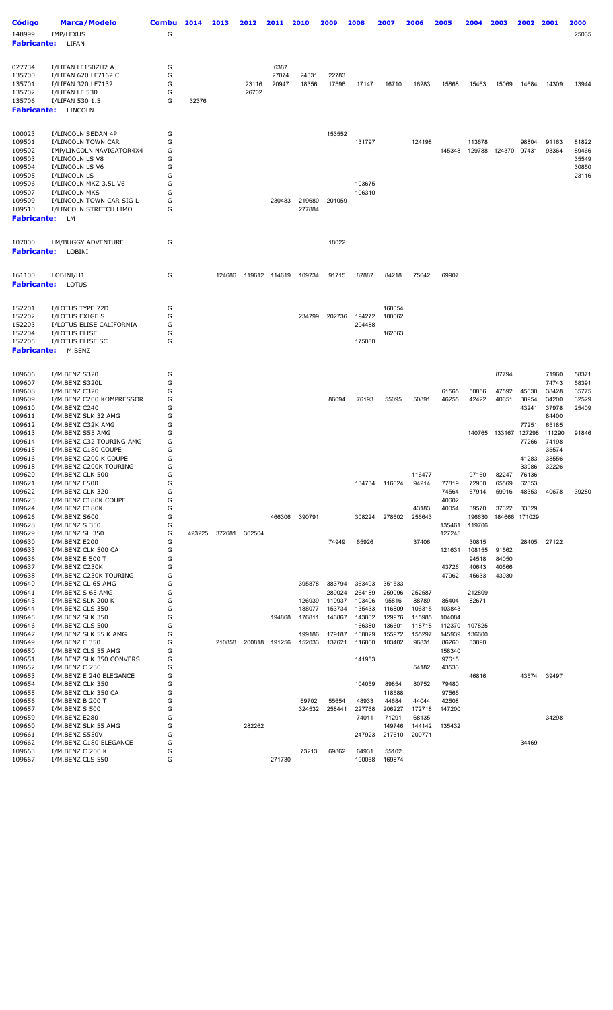| <b>Código</b><br>148999<br><b>Fabricante:</b>                        | <b>Marca/Modelo</b><br>IMP/LEXUS<br>LIFAN                                                                        | <b>Combu</b><br>G     | 2014   | 2013   | 2012           | 2011                   | 2010                       | 2009                       | 2008                                 | 2007                                | 2006                                | 2005                                | 2004                              | 2003                    | 2002                     | 2001                              | 2000<br>25035           |
|----------------------------------------------------------------------|------------------------------------------------------------------------------------------------------------------|-----------------------|--------|--------|----------------|------------------------|----------------------------|----------------------------|--------------------------------------|-------------------------------------|-------------------------------------|-------------------------------------|-----------------------------------|-------------------------|--------------------------|-----------------------------------|-------------------------|
| 027734<br>135700<br>135701<br>135702<br>135706<br><b>Fabricante:</b> | I/LIFAN LF150ZH2 A<br>I/LIFAN 620 LF7162 C<br>I/LIFAN 320 LF7132<br>I/LIFAN LF 530<br>I/LIFAN 530 1.5<br>LINCOLN | G<br>G<br>G<br>G<br>G | 32376  |        | 23116<br>26702 | 6387<br>27074<br>20947 | 24331<br>18356             | 22783<br>17596             | 17147                                | 16710                               | 16283                               | 15868                               | 15463                             | 15069                   | 14684                    | 14309                             | 13944                   |
| 100023<br>109501<br>109502                                           | I/LINCOLN SEDAN 4P<br>I/LINCOLN TOWN CAR<br>IMP/LINCOLN NAVIGATOR4X4                                             | G<br>G<br>G           |        |        |                |                        |                            | 153552                     | 131797                               |                                     | 124198                              | 145348                              | 113678<br>129788                  | 124370                  | 98804<br>97431           | 91163<br>93364                    | 81822<br>89466          |
| 109503<br>109504<br>109505                                           | I/LINCOLN LS V8<br>I/LINCOLN LS V6<br>I/LINCOLN LS                                                               | G<br>G<br>G           |        |        |                |                        |                            |                            |                                      |                                     |                                     |                                     |                                   |                         |                          |                                   | 35549<br>30850<br>23116 |
| 109506<br>109507<br>109509<br>109510<br><b>Fabricante:</b>           | I/LINCOLN MKZ 3.5L V6<br>I/LINCOLN MKS<br>I/LINCOLN TOWN CAR SIG L<br>I/LINCOLN STRETCH LIMO<br>LM               | G<br>G<br>G<br>G      |        |        |                | 230483                 | 219680<br>277884           | 201059                     | 103675<br>106310                     |                                     |                                     |                                     |                                   |                         |                          |                                   |                         |
| 107000<br><b>Fabricante:</b>                                         | LM/BUGGY ADVENTURE<br>LOBINI                                                                                     | G                     |        |        |                |                        |                            | 18022                      |                                      |                                     |                                     |                                     |                                   |                         |                          |                                   |                         |
| 161100<br><b>Fabricante:</b>                                         | LOBINI/H1<br>LOTUS                                                                                               | G                     |        | 124686 |                | 119612 114619          | 109734                     | 91715                      | 87887                                | 84218                               | 75642                               | 69907                               |                                   |                         |                          |                                   |                         |
| 152201<br>152202                                                     | I/LOTUS TYPE 72D<br>I/LOTUS EXIGE S                                                                              | G<br>G                |        |        |                |                        | 234799                     | 202736                     | 194272                               | 168054<br>180062                    |                                     |                                     |                                   |                         |                          |                                   |                         |
| 152203<br>152204<br>152205                                           | I/LOTUS ELISE CALIFORNIA<br>I/LOTUS ELISE<br>I/LOTUS ELISE SC                                                    | G<br>G<br>G           |        |        |                |                        |                            |                            | 204488<br>175080                     | 162063                              |                                     |                                     |                                   |                         |                          |                                   |                         |
| <b>Fabricante:</b>                                                   | M.BENZ                                                                                                           |                       |        |        |                |                        |                            |                            |                                      |                                     |                                     |                                     |                                   |                         |                          |                                   |                         |
| 109606<br>109607<br>109608                                           | I/M.BENZ S320<br>I/M.BENZ S320L<br>I/M.BENZ C320                                                                 | G<br>G<br>G           |        |        |                |                        |                            |                            |                                      |                                     |                                     | 61565                               | 50856                             | 87794<br>47592          | 45630                    | 71960<br>74743<br>38428           | 58371<br>58391<br>35775 |
| 109609<br>109610<br>109611                                           | I/M.BENZ C200 KOMPRESSOR<br>I/M.BENZ C240<br>I/M.BENZ SLK 32 AMG                                                 | G<br>G<br>G           |        |        |                |                        |                            | 86094                      | 76193                                | 55095                               | 50891                               | 46255                               | 42422                             | 40651                   | 38954<br>43241           | 34200<br>37978<br>84400           | 32529<br>25409          |
| 109612<br>109613<br>109614<br>109615                                 | I/M.BENZ C32K AMG<br>I/M.BENZ S55 AMG<br>I/M.BENZ C32 TOURING AMG<br>I/M.BENZ C180 COUPE                         | G<br>G<br>G<br>G      |        |        |                |                        |                            |                            |                                      |                                     |                                     |                                     | 140765                            | 133167                  | 77251<br>127298<br>77266 | 65185<br>111290<br>74198<br>35574 | 91846                   |
| 109616<br>109618<br>109620                                           | I/M.BENZ C200 K COUPE<br>I/M.BENZ C200K TOURING<br>I/M.BENZ CLK 500                                              | G<br>G<br>G           |        |        |                |                        |                            |                            |                                      |                                     | 116477                              |                                     | 97160                             | 82247                   | 41283<br>33986<br>76136  | 38556<br>32226                    |                         |
| 109621<br>109622<br>109623<br>109624                                 | I/M.BENZ E500<br>I/M.BENZ CLK 320<br>I/M.BENZ C180K COUPE<br>I/M.BENZ C180K                                      | G<br>G<br>G<br>G      |        |        |                |                        |                            |                            | 134734                               | 116624                              | 94214<br>43183                      | 77819<br>74564<br>40602<br>40054    | 72900<br>67914<br>39570           | 65569<br>59916<br>37322 | 62853<br>48353<br>33329  | 40678                             | 39280                   |
| 109626<br>109628<br>109629                                           | I/M.BENZ S600<br>I/M.BENZ S 350<br>I/M.BENZ SL 350                                                               | G<br>G<br>G           | 423225 | 372681 | 362504         | 466306                 | 390791                     |                            | 308224                               | 278602                              | 256643                              | 135461<br>127245                    | 196630<br>119706                  |                         | 184666 171029            |                                   |                         |
| 109630<br>109633<br>109636<br>109637                                 | I/M.BENZ E200<br>I/M.BENZ CLK 500 CA<br>I/M.BENZ E 500 T<br>I/M.BENZ C230K                                       | G<br>G<br>G<br>G      |        |        |                |                        |                            | 74949                      | 65926                                |                                     | 37406                               | 121631<br>43726                     | 30815<br>108155<br>94518<br>40643 | 91562<br>84050<br>40566 | 28405                    | 27122                             |                         |
| 109638<br>109640<br>109641                                           | I/M.BENZ C230K TOURING<br>I/M.BENZ CL 65 AMG<br>I/M.BENZ S 65 AMG                                                | G<br>G<br>G           |        |        |                |                        | 395878                     | 383794<br>289024           | 363493<br>264189                     | 351533<br>259096                    | 252587                              | 47962                               | 45633<br>212809                   | 43930                   |                          |                                   |                         |
| 109643<br>109644<br>109645<br>109646                                 | I/M.BENZ SLK 200 K<br>I/M.BENZ CLS 350<br>I/M.BENZ SLK 350<br>I/M.BENZ CLS 500                                   | G<br>G<br>G<br>G      |        |        |                | 194868                 | 126939<br>188077<br>176811 | 110937<br>153734<br>146867 | 103406<br>135433<br>143802<br>166380 | 95816<br>116809<br>129976<br>136601 | 88789<br>106315<br>115985<br>118718 | 85404<br>103843<br>104084<br>112370 | 82671<br>107825                   |                         |                          |                                   |                         |
| 109647<br>109649<br>109650                                           | I/M.BENZ SLK 55 K AMG<br>I/M.BENZ E 350<br>I/M.BENZ CLS 55 AMG                                                   | G<br>G<br>G           |        | 210858 |                | 200818 191256          | 199186<br>152033           | 179187<br>137621           | 168029<br>116860                     | 155972<br>103482                    | 155297<br>96831                     | 145939<br>86260<br>158340           | 136600<br>83890                   |                         |                          |                                   |                         |
| 109651<br>109652<br>109653<br>109654                                 | I/M.BENZ SLK 350 CONVERS<br>I/M.BENZ C 230<br>I/M.BENZ E 240 ELEGANCE<br>I/M.BENZ CLK 350                        | G<br>G<br>G<br>G      |        |        |                |                        |                            |                            | 141953<br>104059                     | 89854                               | 54182<br>80752                      | 97615<br>43533<br>79480             | 46816                             |                         | 43574                    | 39497                             |                         |
| 109655<br>109656<br>109657                                           | I/M.BENZ CLK 350 CA<br>I/M.BENZ B 200 T<br>I/M.BENZ S 500                                                        | G<br>G<br>G           |        |        |                |                        | 69702<br>324532            | 55654<br>258441            | 48933<br>227768                      | 118588<br>44684<br>206227           | 44044<br>172718                     | 97565<br>42508<br>147200            |                                   |                         |                          |                                   |                         |
| 109659<br>109660<br>109661                                           | I/M.BENZ E280<br>I/M.BENZ SLK 55 AMG<br>I/M.BENZ S550V                                                           | G<br>G<br>G           |        |        | 282262         |                        |                            |                            | 74011<br>247923                      | 71291<br>149746<br>217610           | 68135<br>144142<br>200771           | 135432                              |                                   |                         |                          | 34298                             |                         |
| 109662<br>109663<br>109667                                           | I/M.BENZ C180 ELEGANCE<br>I/M.BENZ C 200 K<br>I/M.BENZ CLS 550                                                   | G<br>G<br>G           |        |        |                | 271730                 | 73213                      | 69862                      | 64931<br>190068                      | 55102<br>169874                     |                                     |                                     |                                   |                         | 34469                    |                                   |                         |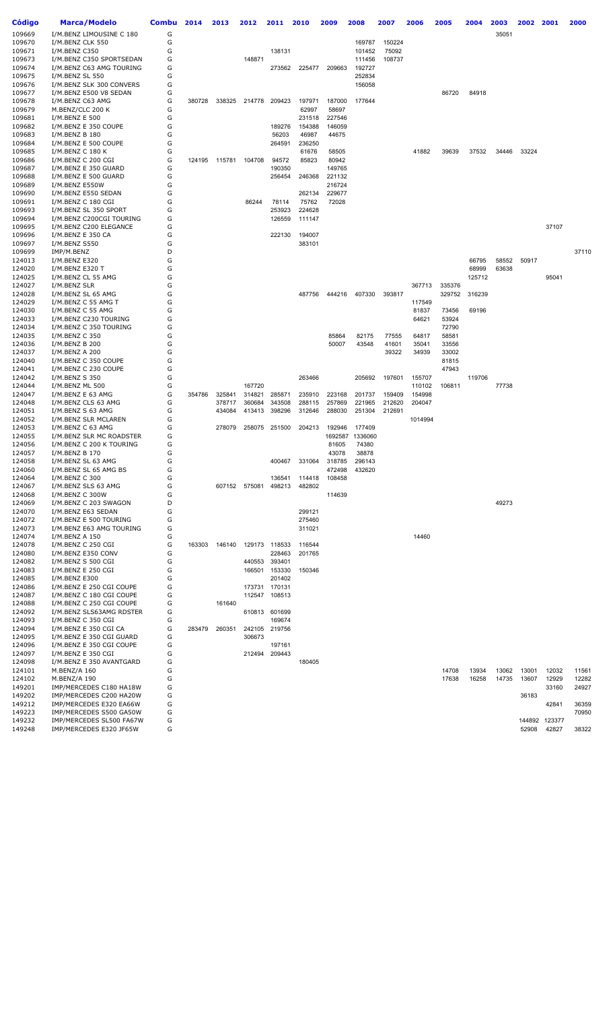| <b>Código</b>    | <b>Marca/Modelo</b>                                  | <b>Combu</b> | 2014   | 2013   | 2012          | 2011                    | 2010             | 2009             | 2008             | 2007            | 2006    | 2005             | 2004   | 2003  | 2002   | 2001            | 2000  |
|------------------|------------------------------------------------------|--------------|--------|--------|---------------|-------------------------|------------------|------------------|------------------|-----------------|---------|------------------|--------|-------|--------|-----------------|-------|
| 109669           | I/M.BENZ LIMOUSINE C 180                             | G            |        |        |               |                         |                  |                  |                  |                 |         |                  |        | 35051 |        |                 |       |
| 109670           | I/M.BENZ CLK 550                                     | G            |        |        |               |                         |                  |                  | 169787           | 150224          |         |                  |        |       |        |                 |       |
| 109671<br>109673 | I/M.BENZ C350<br>I/M.BENZ C350 SPORTSEDAN            | G<br>G       |        |        | 148871        | 138131                  |                  |                  | 101452<br>111456 | 75092<br>108737 |         |                  |        |       |        |                 |       |
| 109674           | I/M.BENZ C63 AMG TOURING                             | G            |        |        |               | 273562                  | 225477           | 209663           | 192727           |                 |         |                  |        |       |        |                 |       |
| 109675           | I/M.BENZ SL 550                                      | G            |        |        |               |                         |                  |                  | 252834           |                 |         |                  |        |       |        |                 |       |
| 109676           | I/M.BENZ SLK 300 CONVERS                             | G            |        |        |               |                         |                  |                  | 156058           |                 |         |                  |        |       |        |                 |       |
| 109677<br>109678 | I/M.BENZ E500 V8 SEDAN<br>I/M.BENZ C63 AMG           | G<br>G       | 380728 | 338325 | 214778        | 209423                  | 197971           | 187000           | 177644           |                 |         | 86720            | 84918  |       |        |                 |       |
| 109679           | M.BENZ/CLC 200 K                                     | G            |        |        |               |                         | 62997            | 58697            |                  |                 |         |                  |        |       |        |                 |       |
| 109681           | I/M.BENZ E 500                                       | G            |        |        |               |                         | 231518           | 227546           |                  |                 |         |                  |        |       |        |                 |       |
| 109682<br>109683 | I/M.BENZ E 350 COUPE<br>I/M.BENZ B 180               | G<br>G       |        |        |               | 189276<br>56203         | 154388<br>46987  | 146059<br>44675  |                  |                 |         |                  |        |       |        |                 |       |
| 109684           | I/M.BENZ E 500 COUPE                                 | G            |        |        |               | 264591                  | 236250           |                  |                  |                 |         |                  |        |       |        |                 |       |
| 109685           | I/M.BENZ C 180 K                                     | G            |        |        |               |                         | 61676            | 58505            |                  |                 | 41882   | 39639            | 37532  | 34446 | 33224  |                 |       |
| 109686           | I/M.BENZ C 200 CGI                                   | G            | 124195 | 115781 | 104708        | 94572                   | 85823            | 80942            |                  |                 |         |                  |        |       |        |                 |       |
| 109687<br>109688 | I/M.BENZ E 350 GUARD<br>I/M.BENZ E 500 GUARD         | G<br>G       |        |        |               | 190350<br>256454        | 246368           | 149765<br>221132 |                  |                 |         |                  |        |       |        |                 |       |
| 109689           | I/M.BENZ E550W                                       | G            |        |        |               |                         |                  | 216724           |                  |                 |         |                  |        |       |        |                 |       |
| 109690           | I/M.BENZ E550 SEDAN                                  | G            |        |        |               |                         | 262134           | 229677           |                  |                 |         |                  |        |       |        |                 |       |
| 109691           | I/M.BENZ C 180 CGI                                   | G            |        |        | 86244         | 78114                   | 75762            | 72028            |                  |                 |         |                  |        |       |        |                 |       |
| 109693<br>109694 | I/M.BENZ SL 350 SPORT<br>I/M.BENZ C200CGI TOURING    | G<br>G       |        |        |               | 253923<br>126559        | 224628<br>111147 |                  |                  |                 |         |                  |        |       |        |                 |       |
| 109695           | I/M.BENZ C200 ELEGANCE                               | G            |        |        |               |                         |                  |                  |                  |                 |         |                  |        |       |        | 37107           |       |
| 109696           | I/M.BENZ E 350 CA                                    | G            |        |        |               | 222130                  | 194007           |                  |                  |                 |         |                  |        |       |        |                 |       |
| 109697           | I/M.BENZ S550                                        | G            |        |        |               |                         | 383101           |                  |                  |                 |         |                  |        |       |        |                 |       |
| 109699<br>124013 | IMP/M.BENZ<br>I/M.BENZ E320                          | D<br>G       |        |        |               |                         |                  |                  |                  |                 |         |                  | 66795  | 58552 | 50917  |                 | 37110 |
| 124020           | I/M.BENZ E320 T                                      | G            |        |        |               |                         |                  |                  |                  |                 |         |                  | 68999  | 63638 |        |                 |       |
| 124025           | I/M.BENZ CL 55 AMG                                   | G            |        |        |               |                         |                  |                  |                  |                 |         |                  | 125712 |       |        | 95041           |       |
| 124027<br>124028 | I/M.BENZ SLR                                         | G<br>G       |        |        |               |                         |                  | 444216           | 407330           | 393817          | 367713  | 335376<br>329752 | 316239 |       |        |                 |       |
| 124029           | I/M.BENZ SL 65 AMG<br>I/M.BENZ C 55 AMG T            | G            |        |        |               |                         | 487756           |                  |                  |                 | 117549  |                  |        |       |        |                 |       |
| 124030           | I/M.BENZ C 55 AMG                                    | G            |        |        |               |                         |                  |                  |                  |                 | 81837   | 73456            | 69196  |       |        |                 |       |
| 124033           | I/M.BENZ C230 TOURING                                | G            |        |        |               |                         |                  |                  |                  |                 | 64621   | 53924            |        |       |        |                 |       |
| 124034<br>124035 | I/M.BENZ C 350 TOURING<br>I/M.BENZ C 350             | G<br>G       |        |        |               |                         |                  | 85864            | 82175            | 77555           | 64817   | 72790<br>58581   |        |       |        |                 |       |
| 124036           | I/M.BENZ B 200                                       | G            |        |        |               |                         |                  | 50007            | 43548            | 41601           | 35041   | 33556            |        |       |        |                 |       |
| 124037           | I/M.BENZ A 200                                       | G            |        |        |               |                         |                  |                  |                  | 39322           | 34939   | 33002            |        |       |        |                 |       |
| 124040           | I/M.BENZ C 350 COUPE                                 | G            |        |        |               |                         |                  |                  |                  |                 |         | 81815            |        |       |        |                 |       |
| 124041<br>124042 | I/M.BENZ C 230 COUPE<br>I/M.BENZ S 350               | G<br>G       |        |        |               |                         | 263466           |                  | 205692           | 197601          | 155707  | 47943            | 119706 |       |        |                 |       |
| 124044           | I/M.BENZ ML 500                                      | G            |        |        | 167720        |                         |                  |                  |                  |                 | 110102  | 106811           |        | 77738 |        |                 |       |
| 124047           | I/M.BENZ E 63 AMG                                    | G            | 354786 | 325841 | 314821        | 285871                  | 235910           | 223168           | 201737           | 159409          | 154998  |                  |        |       |        |                 |       |
| 124048           | I/M.BENZ CLS 63 AMG                                  | G            |        | 378717 | 360684        | 343508                  | 288115           | 257869           | 221965           | 212620          | 204047  |                  |        |       |        |                 |       |
| 124051<br>124052 | I/M.BENZ S 63 AMG<br>I/M.BENZ SLR MCLAREN            | G<br>G       |        | 434084 | 413413        | 398296                  | 312646           | 288030           | 251304           | 212691          | 1014994 |                  |        |       |        |                 |       |
| 124053           | I/M.BENZ C 63 AMG                                    | G            |        | 278079 |               | 258075 251500           | 204213           | 192946           | 177409           |                 |         |                  |        |       |        |                 |       |
| 124055           | I/M.BENZ SLR MC ROADSTER                             | G            |        |        |               |                         |                  | 1692587          | 1336060          |                 |         |                  |        |       |        |                 |       |
| 124056<br>124057 | I/M.BENZ C 200 K TOURING                             | G<br>G       |        |        |               |                         |                  | 81605            | 74380            |                 |         |                  |        |       |        |                 |       |
| 124058           | I/M.BENZ B 170<br>I/M.BENZ SL 63 AMG                 | G            |        |        |               | 400467                  | 331064           | 43078<br>318785  | 38878<br>296143  |                 |         |                  |        |       |        |                 |       |
| 124060           | I/M.BENZ SL 65 AMG BS                                | G            |        |        |               |                         |                  | 472498           | 432620           |                 |         |                  |        |       |        |                 |       |
| 124064           | I/M.BENZ C 300                                       | G            |        |        |               | 136541                  | 114418           | 108458           |                  |                 |         |                  |        |       |        |                 |       |
| 124067<br>124068 | I/M.BENZ SLS 63 AMG<br>I/M.BENZ C 300W               | G<br>G       |        |        | 607152 575081 | 498213                  | 482802           | 114639           |                  |                 |         |                  |        |       |        |                 |       |
| 124069           | I/M.BENZ C 203 SWAGON                                | D            |        |        |               |                         |                  |                  |                  |                 |         |                  |        | 49273 |        |                 |       |
| 124070           | I/M.BENZ E63 SEDAN                                   | G            |        |        |               |                         | 299121           |                  |                  |                 |         |                  |        |       |        |                 |       |
| 124072           | I/M.BENZ E 500 TOURING                               | G            |        |        |               |                         | 275460           |                  |                  |                 |         |                  |        |       |        |                 |       |
| 124073<br>124074 | I/M.BENZ E63 AMG TOURING<br>I/M.BENZ A 150           | G<br>G       |        |        |               |                         | 311021           |                  |                  |                 | 14460   |                  |        |       |        |                 |       |
| 124078           | I/M.BENZ C 250 CGI                                   | G            | 163303 | 146140 |               | 129173 118533           | 116544           |                  |                  |                 |         |                  |        |       |        |                 |       |
| 124080           | I/M.BENZ E350 CONV                                   | G            |        |        |               | 228463                  | 201765           |                  |                  |                 |         |                  |        |       |        |                 |       |
| 124082<br>124083 | I/M.BENZ S 500 CGI                                   | G<br>G       |        |        | 440553        | 393401                  |                  |                  |                  |                 |         |                  |        |       |        |                 |       |
| 124085           | I/M.BENZ E 250 CGI<br>I/M.BENZ E300                  | G            |        |        |               | 166501 153330<br>201402 | 150346           |                  |                  |                 |         |                  |        |       |        |                 |       |
| 124086           | I/M.BENZ E 250 CGI COUPE                             | G            |        |        |               | 173731 170131           |                  |                  |                  |                 |         |                  |        |       |        |                 |       |
| 124087           | I/M.BENZ C 180 CGI COUPE                             | G            |        |        |               | 112547 108513           |                  |                  |                  |                 |         |                  |        |       |        |                 |       |
| 124088<br>124092 | I/M.BENZ C 250 CGI COUPE<br>I/M.BENZ SLS63AMG RDSTER | G<br>G       |        | 161640 |               | 610813 601699           |                  |                  |                  |                 |         |                  |        |       |        |                 |       |
| 124093           | I/M.BENZ C 350 CGI                                   | G            |        |        |               | 169674                  |                  |                  |                  |                 |         |                  |        |       |        |                 |       |
| 124094           | I/M.BENZ E 350 CGI CA                                | G            | 283479 | 260351 | 242105        | 219756                  |                  |                  |                  |                 |         |                  |        |       |        |                 |       |
| 124095           | I/M.BENZ E 350 CGI GUARD                             | G            |        |        | 306673        |                         |                  |                  |                  |                 |         |                  |        |       |        |                 |       |
| 124096<br>124097 | I/M.BENZ E 350 CGI COUPE<br>I/M.BENZ E 350 CGI       | G<br>G       |        |        | 212494        | 197161<br>209443        |                  |                  |                  |                 |         |                  |        |       |        |                 |       |
| 124098           | I/M.BENZ E 350 AVANTGARD                             | G            |        |        |               |                         | 180405           |                  |                  |                 |         |                  |        |       |        |                 |       |
| 124101           | M.BENZ/A 160                                         | G            |        |        |               |                         |                  |                  |                  |                 |         | 14708            | 13934  | 13062 | 13001  | 12032           | 11561 |
| 124102           | M.BENZ/A 190                                         | G            |        |        |               |                         |                  |                  |                  |                 |         | 17638            | 16258  | 14735 | 13607  | 12929           | 12282 |
| 149201<br>149202 | IMP/MERCEDES C180 HA18W<br>IMP/MERCEDES C200 HA20W   | G<br>G       |        |        |               |                         |                  |                  |                  |                 |         |                  |        |       | 36183  | 33160           | 24927 |
| 149212           | IMP/MERCEDES E320 EA66W                              | G            |        |        |               |                         |                  |                  |                  |                 |         |                  |        |       |        | 42841           | 36359 |
| 149223           | IMP/MERCEDES S500 GA50W                              | G            |        |        |               |                         |                  |                  |                  |                 |         |                  |        |       |        |                 | 70950 |
| 149232<br>149248 | IMP/MERCEDES SL500 FA67W                             | G<br>G       |        |        |               |                         |                  |                  |                  |                 |         |                  |        |       | 144892 | 123377<br>42827 |       |
|                  | IMP/MERCEDES E320 JF65W                              |              |        |        |               |                         |                  |                  |                  |                 |         |                  |        |       | 52908  |                 | 38322 |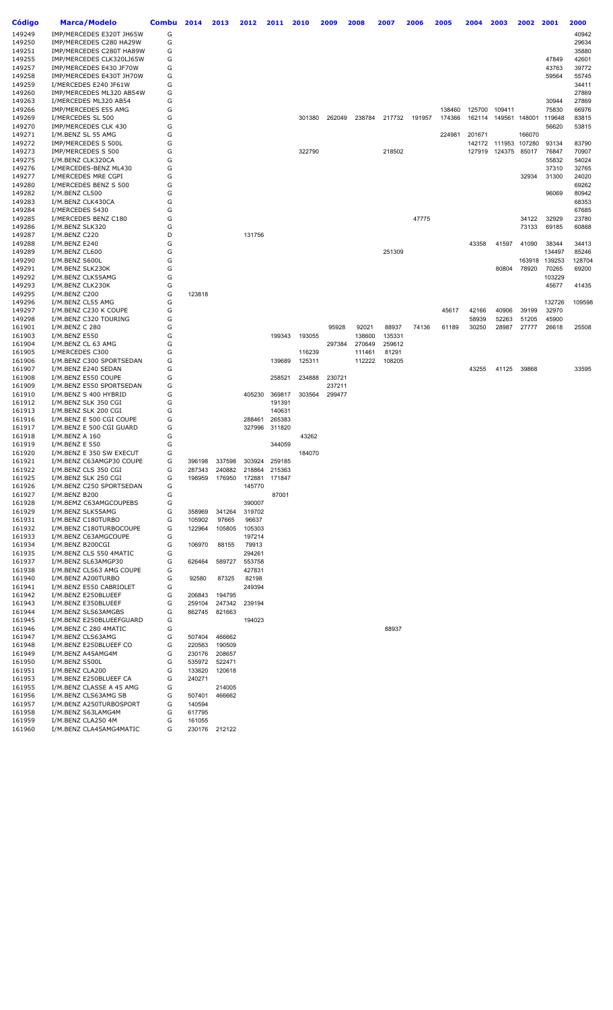| Código           | <b>Marca/Modelo</b>                                | <b>Combu</b> | 2014   | 2013          | 2012                    | 2011          | 2010   | 2009             | 2008   | 2007   | 2006   | 2005   | 2004   | 2003                 | 2002   | 2001   | 2000           |
|------------------|----------------------------------------------------|--------------|--------|---------------|-------------------------|---------------|--------|------------------|--------|--------|--------|--------|--------|----------------------|--------|--------|----------------|
| 149249           | IMP/MERCEDES E320T JH65W                           | G            |        |               |                         |               |        |                  |        |        |        |        |        |                      |        |        | 40942          |
| 149250           | IMP/MERCEDES C280 HA29W                            | G            |        |               |                         |               |        |                  |        |        |        |        |        |                      |        |        | 29634          |
| 149251           | IMP/MERCEDES C280T HA89W                           | G            |        |               |                         |               |        |                  |        |        |        |        |        |                      |        |        | 35880          |
| 149255           | IMP/MERCEDES CLK320LJ65W                           | G            |        |               |                         |               |        |                  |        |        |        |        |        |                      |        | 47849  | 42601          |
| 149257           | IMP/MERCEDES E430 JF70W                            | G            |        |               |                         |               |        |                  |        |        |        |        |        |                      |        | 43763  | 39772          |
| 149258           | IMP/MERCEDES E430T JH70W                           | G            |        |               |                         |               |        |                  |        |        |        |        |        |                      |        | 59564  | 55745          |
| 149259           | I/MERCEDES E240 JF61W                              | G            |        |               |                         |               |        |                  |        |        |        |        |        |                      |        |        | 34411          |
| 149260           | IMP/MERCEDES ML320 AB54W                           | G<br>G       |        |               |                         |               |        |                  |        |        |        |        |        |                      |        | 30944  | 27869<br>27869 |
| 149263<br>149266 | I/MERCEDES ML320 AB54<br>IMP/MERCEDES E55 AMG      | G            |        |               |                         |               |        |                  |        |        |        | 138460 | 125700 | 109411               |        | 75830  | 66976          |
| 149269           | I/MERCEDES SL 500                                  | G            |        |               |                         |               | 301380 | 262049           | 238784 | 217732 | 191957 | 174366 |        | 162114 149561 148001 |        | 119648 | 83815          |
| 149270           | IMP/MERCEDES CLK 430                               | G            |        |               |                         |               |        |                  |        |        |        |        |        |                      |        | 56620  | 53815          |
| 149271           | I/M.BENZ SL 55 AMG                                 | G            |        |               |                         |               |        |                  |        |        |        | 224981 | 201671 |                      | 166070 |        |                |
| 149272           | IMP/MERCEDES S 500L                                | G            |        |               |                         |               |        |                  |        |        |        |        |        | 142172 111953 107280 |        | 93134  | 83790          |
| 149273           | IMP/MERCEDES S 500                                 | G            |        |               |                         |               | 322790 |                  |        | 218502 |        |        | 127919 | 124375               | 85017  | 76847  | 70907          |
| 149275           | I/M.BENZ CLK320CA                                  | G            |        |               |                         |               |        |                  |        |        |        |        |        |                      |        | 55832  | 54024          |
| 149276           | I/MERCEDES-BENZ ML430                              | G            |        |               |                         |               |        |                  |        |        |        |        |        |                      |        | 37310  | 32765          |
| 149277           | I/MERCEDES MRE CGPI                                | G            |        |               |                         |               |        |                  |        |        |        |        |        |                      | 32934  | 31300  | 24020          |
| 149280<br>149282 | I/MERCEDES BENZ S 500<br>I/M.BENZ CL500            | G<br>G       |        |               |                         |               |        |                  |        |        |        |        |        |                      |        | 96069  | 69262<br>80942 |
| 149283           | I/M.BENZ CLK430CA                                  | G            |        |               |                         |               |        |                  |        |        |        |        |        |                      |        |        | 68353          |
| 149284           | I/MERCEDES S430                                    | G            |        |               |                         |               |        |                  |        |        |        |        |        |                      |        |        | 67685          |
| 149285           | I/MERCEDES BENZ C180                               | G            |        |               |                         |               |        |                  |        |        | 47775  |        |        |                      | 34122  | 32929  | 23780          |
| 149286           | I/M.BENZ SLK320                                    | G            |        |               |                         |               |        |                  |        |        |        |        |        |                      | 73133  | 69185  | 60888          |
| 149287           | I/M.BENZ C220                                      | D            |        |               | 131756                  |               |        |                  |        |        |        |        |        |                      |        |        |                |
| 149288           | I/M.BENZ E240                                      | G            |        |               |                         |               |        |                  |        |        |        |        | 43358  | 41597                | 41090  | 38344  | 34413          |
| 149289           | I/M.BENZ CL600                                     | G            |        |               |                         |               |        |                  |        | 251309 |        |        |        |                      |        | 134497 | 85246          |
| 149290           | I/M.BENZ S600L                                     | G            |        |               |                         |               |        |                  |        |        |        |        |        |                      | 163918 | 139253 | 128704         |
| 149291           | I/M.BENZ SLK230K                                   | G            |        |               |                         |               |        |                  |        |        |        |        |        | 80804                | 78920  | 70265  | 69200          |
| 149292           | I/M.BENZ CLK55AMG                                  | G            |        |               |                         |               |        |                  |        |        |        |        |        |                      |        | 103229 |                |
| 149293<br>149295 | I/M.BENZ CLK230K<br>I/M.BENZ C200                  | G<br>G       | 123818 |               |                         |               |        |                  |        |        |        |        |        |                      |        | 45677  | 41435          |
| 149296           | I/M.BENZ CL55 AMG                                  | G            |        |               |                         |               |        |                  |        |        |        |        |        |                      |        | 132726 | 109598         |
| 149297           | I/M.BENZ C230 K COUPE                              | G            |        |               |                         |               |        |                  |        |        |        | 45617  | 42166  | 40906                | 39199  | 32970  |                |
| 149298           | I/M.BENZ C320 TOURING                              | G            |        |               |                         |               |        |                  |        |        |        |        | 58939  | 52263                | 51205  | 45900  |                |
| 161901           | I/M.BENZ C 280                                     | G            |        |               |                         |               |        | 95928            | 92021  | 88937  | 74136  | 61189  | 30250  | 28987                | 27777  | 26618  | 25508          |
| 161903           | I/M.BENZ E550                                      | G            |        |               |                         | 199343        | 193055 |                  | 138600 | 135331 |        |        |        |                      |        |        |                |
| 161904           | I/M.BENZ CL 63 AMG                                 | G            |        |               |                         |               |        | 297384           | 270649 | 259612 |        |        |        |                      |        |        |                |
| 161905           | I/MERCEDES C300                                    | G            |        |               |                         |               | 116239 |                  | 111461 | 81291  |        |        |        |                      |        |        |                |
| 161906           | I/M.BENZ C300 SPORTSEDAN                           | G            |        |               |                         | 139689        | 125311 |                  | 112222 | 108205 |        |        |        |                      |        |        |                |
| 161907           | I/M.BENZ E240 SEDAN                                | G            |        |               |                         |               |        |                  |        |        |        |        | 43255  | 41125                | 39868  |        | 33595          |
| 161908<br>161909 | I/M.BENZ E550 COUPE<br>I/M.BENZ E550 SPORTSEDAN    | G<br>G       |        |               |                         | 258521        | 234888 | 230721<br>237211 |        |        |        |        |        |                      |        |        |                |
| 161910           | I/M.BENZ S 400 HYBRID                              | G            |        |               | 405230                  | 369817        | 303564 | 299477           |        |        |        |        |        |                      |        |        |                |
| 161912           | I/M.BENZ SLK 350 CGI                               | G            |        |               |                         | 191391        |        |                  |        |        |        |        |        |                      |        |        |                |
| 161913           | I/M.BENZ SLK 200 CGI                               | G            |        |               |                         | 140631        |        |                  |        |        |        |        |        |                      |        |        |                |
| 161916           | I/M.BENZ E 500 CGI COUPE                           | G            |        |               | 288461                  | 265383        |        |                  |        |        |        |        |        |                      |        |        |                |
| 161917           | I/M.BENZ E 500 CGI GUARD                           | G            |        |               |                         | 327996 311820 |        |                  |        |        |        |        |        |                      |        |        |                |
| 161918           | I/M.BENZ A 160                                     | G            |        |               |                         |               | 43262  |                  |        |        |        |        |        |                      |        |        |                |
| 161919           | I/M.BENZ E 550                                     | G            |        |               |                         | 344059        |        |                  |        |        |        |        |        |                      |        |        |                |
| 161920           | I/M.BENZ E 350 SW EXECUT                           | G            |        |               |                         |               | 184070 |                  |        |        |        |        |        |                      |        |        |                |
| 161921           | I/M.BENZ C63AMGP30 COUPE                           | G            | 396198 | 337598        | 303924                  | 259185        |        |                  |        |        |        |        |        |                      |        |        |                |
| 161922<br>161925 | I/M.BENZ CLS 350 CGI                               | G<br>G       | 287343 | 240882        | 218864 215363           |               |        |                  |        |        |        |        |        |                      |        |        |                |
| 161926           | I/M.BENZ SLK 250 CGI<br>I/M.BENZ C250 SPORTSEDAN   | G            | 198959 | 176950        | 172881 171847<br>145770 |               |        |                  |        |        |        |        |        |                      |        |        |                |
| 161927           | I/M.BENZ B200                                      | G            |        |               |                         | 87001         |        |                  |        |        |        |        |        |                      |        |        |                |
| 161928           | I/M.BEMZ C63AMGCOUPEBS                             | G            |        |               | 390007                  |               |        |                  |        |        |        |        |        |                      |        |        |                |
| 161929           | I/M.BENZ SLK55AMG                                  | G            | 358969 | 341264        | 319702                  |               |        |                  |        |        |        |        |        |                      |        |        |                |
| 161931           | I/M.BENZ C180TURBO                                 | G            | 105902 | 97665         | 96637                   |               |        |                  |        |        |        |        |        |                      |        |        |                |
| 161932           | I/M.BENZ C180TURBOCOUPE                            | G            | 122964 | 105805        | 105303                  |               |        |                  |        |        |        |        |        |                      |        |        |                |
| 161933           | I/M.BENZ C63AMGCOUPE                               | G            |        |               | 197214                  |               |        |                  |        |        |        |        |        |                      |        |        |                |
| 161934           | I/M.BENZ B200CGI                                   | G            | 106970 | 88155         | 79913                   |               |        |                  |        |        |        |        |        |                      |        |        |                |
| 161935           | I/M.BENZ CLS 550 4MATIC                            | G            |        |               | 294261                  |               |        |                  |        |        |        |        |        |                      |        |        |                |
| 161937           | I/M.BENZ SL63AMGP30                                | G            | 626464 | 589727        | 553758                  |               |        |                  |        |        |        |        |        |                      |        |        |                |
| 161938           | I/M.BENZ CLS63 AMG COUPE                           | G            |        |               | 427831                  |               |        |                  |        |        |        |        |        |                      |        |        |                |
| 161940<br>161941 | I/M.BENZ A200TURBO<br>I/M.BENZ E550 CABRIOLET      | G<br>G       | 92580  | 87325         | 82198<br>249394         |               |        |                  |        |        |        |        |        |                      |        |        |                |
| 161942           | I/M.BENZ E250BLUEEF                                | G            | 206843 | 194795        |                         |               |        |                  |        |        |        |        |        |                      |        |        |                |
| 161943           | I/M.BENZ E350BLUEEF                                | G            | 259104 | 247342        | 239194                  |               |        |                  |        |        |        |        |        |                      |        |        |                |
| 161944           | I/M.BENZ SLS63AMGBS                                | G            | 862745 | 821663        |                         |               |        |                  |        |        |        |        |        |                      |        |        |                |
| 161945           | I/M.BENZ E250BLUEEFGUARD                           | G            |        |               | 194023                  |               |        |                  |        |        |        |        |        |                      |        |        |                |
| 161946           | I/M.BENZ C 280 4MATIC                              | G            |        |               |                         |               |        |                  |        | 88937  |        |        |        |                      |        |        |                |
| 161947           | I/M.BENZ CLS63AMG                                  | G            | 507404 | 466662        |                         |               |        |                  |        |        |        |        |        |                      |        |        |                |
| 161948           | I/M.BENZ E250BLUEEF CO                             | G            | 220563 | 190509        |                         |               |        |                  |        |        |        |        |        |                      |        |        |                |
| 161949           | I/M.BENZ A45AMG4M                                  | G            | 230176 | 208657        |                         |               |        |                  |        |        |        |        |        |                      |        |        |                |
| 161950           | I/M.BENZ S500L                                     | G            | 535972 | 522471        |                         |               |        |                  |        |        |        |        |        |                      |        |        |                |
| 161951           | I/M.BENZ CLA200                                    | G            | 133620 | 120618        |                         |               |        |                  |        |        |        |        |        |                      |        |        |                |
| 161953<br>161955 | I/M.BENZ E250BLUEEF CA<br>I/M.BENZ CLASSE A 45 AMG | G<br>G       | 240271 | 214005        |                         |               |        |                  |        |        |        |        |        |                      |        |        |                |
| 161956           | I/M.BENZ CLS63AMG SB                               | G            | 507401 | 466662        |                         |               |        |                  |        |        |        |        |        |                      |        |        |                |
| 161957           | I/M.BENZ A250TURBOSPORT                            | G            | 140594 |               |                         |               |        |                  |        |        |        |        |        |                      |        |        |                |
| 161958           | I/M.BENZ S63LAMG4M                                 | G            | 617795 |               |                         |               |        |                  |        |        |        |        |        |                      |        |        |                |
| 161959           | I/M.BENZ CLA250 4M                                 | G            | 161055 |               |                         |               |        |                  |        |        |        |        |        |                      |        |        |                |
| 161960           | I/M.BENZ CLA45AMG4MATIC                            | G            |        | 230176 212122 |                         |               |        |                  |        |        |        |        |        |                      |        |        |                |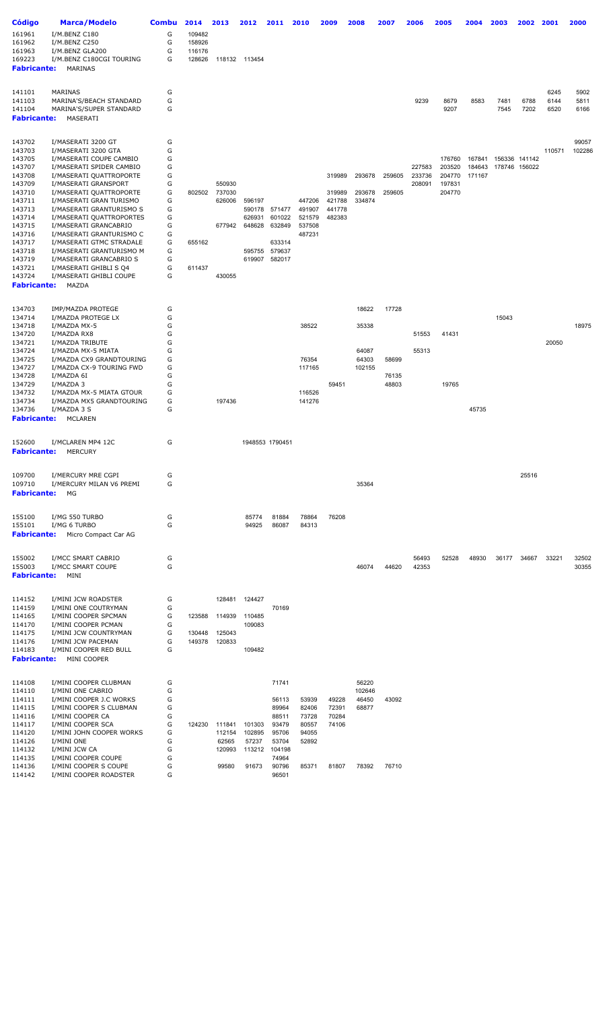| Código                       | <b>Marca/Modelo</b>                                  | Combu  | 2014             | 2013   | 2012          | 2011                    | 2010             | 2009             | 2008            | 2007   | 2006   | 2005   | 2004   | 2003  | 2002          | 2001   | 2000   |
|------------------------------|------------------------------------------------------|--------|------------------|--------|---------------|-------------------------|------------------|------------------|-----------------|--------|--------|--------|--------|-------|---------------|--------|--------|
| 161961                       | I/M.BENZ C180                                        | G      | 109482           |        |               |                         |                  |                  |                 |        |        |        |        |       |               |        |        |
| 161962                       | I/M.BENZ C250                                        | G      | 158926           |        |               |                         |                  |                  |                 |        |        |        |        |       |               |        |        |
| 161963                       | I/M.BENZ GLA200                                      | G      | 116176           |        |               |                         |                  |                  |                 |        |        |        |        |       |               |        |        |
| 169223                       | I/M.BENZ C180CGI TOURING                             | G      | 128626           |        | 118132 113454 |                         |                  |                  |                 |        |        |        |        |       |               |        |        |
| <b>Fabricante:</b>           | MARINAS                                              |        |                  |        |               |                         |                  |                  |                 |        |        |        |        |       |               |        |        |
|                              |                                                      |        |                  |        |               |                         |                  |                  |                 |        |        |        |        |       |               |        |        |
|                              |                                                      |        |                  |        |               |                         |                  |                  |                 |        |        |        |        |       |               |        |        |
| 141101                       | MARINAS                                              | G      |                  |        |               |                         |                  |                  |                 |        |        |        |        |       |               | 6245   | 5902   |
| 141103                       | MARINA'S/BEACH STANDARD                              | G      |                  |        |               |                         |                  |                  |                 |        | 9239   | 8679   | 8583   | 7481  | 6788          | 6144   | 5811   |
| 141104                       | MARINA'S/SUPER STANDARD                              | G      |                  |        |               |                         |                  |                  |                 |        |        | 9207   |        | 7545  | 7202          | 6520   | 6166   |
| <b>Fabricante:</b>           | MASERATI                                             |        |                  |        |               |                         |                  |                  |                 |        |        |        |        |       |               |        |        |
|                              |                                                      |        |                  |        |               |                         |                  |                  |                 |        |        |        |        |       |               |        |        |
| 143702                       | I/MASERATI 3200 GT                                   | G      |                  |        |               |                         |                  |                  |                 |        |        |        |        |       |               |        | 99057  |
| 143703                       | I/MASERATI 3200 GTA                                  | G      |                  |        |               |                         |                  |                  |                 |        |        |        |        |       |               | 110571 | 102286 |
| 143705                       | I/MASERATI COUPE CAMBIO                              | G      |                  |        |               |                         |                  |                  |                 |        |        | 176760 | 167841 |       | 156336 141142 |        |        |
| 143707                       | I/MASERATI SPIDER CAMBIO                             | G      |                  |        |               |                         |                  |                  |                 |        | 227583 | 203520 | 184643 |       | 178746 156022 |        |        |
| 143708                       | I/MASERATI QUATTROPORTE                              | G      |                  |        |               |                         |                  | 319989           | 293678          | 259605 | 233736 | 204770 | 171167 |       |               |        |        |
| 143709                       | I/MASERATI GRANSPORT                                 | G      |                  | 550930 |               |                         |                  |                  |                 |        | 208091 | 197831 |        |       |               |        |        |
| 143710                       | I/MASERATI QUATTROPORTE                              | G      | 802502           | 737030 |               |                         |                  | 319989           | 293678          | 259605 |        | 204770 |        |       |               |        |        |
| 143711<br>143713             | I/MASERATI GRAN TURISMO                              | G<br>G |                  | 626006 | 596197        |                         | 447206<br>491907 | 421788<br>441778 | 334874          |        |        |        |        |       |               |        |        |
| 143714                       | I/MASERATI GRANTURISMO S<br>I/MASERATI QUATTROPORTES | G      |                  |        | 626931        | 590178 571477<br>601022 | 521579           | 482383           |                 |        |        |        |        |       |               |        |        |
| 143715                       | I/MASERATI GRANCABRIO                                | G      |                  | 677942 | 648628        | 632849                  | 537508           |                  |                 |        |        |        |        |       |               |        |        |
| 143716                       | I/MASERATI GRANTURISMO C                             | G      |                  |        |               |                         | 487231           |                  |                 |        |        |        |        |       |               |        |        |
| 143717                       | I/MASERATI GTMC STRADALE                             | G      | 655162           |        |               | 633314                  |                  |                  |                 |        |        |        |        |       |               |        |        |
| 143718                       | I/MASERATI GRANTURISMO M                             | G      |                  |        |               | 595755 579637           |                  |                  |                 |        |        |        |        |       |               |        |        |
| 143719                       | I/MASERATI GRANCABRIO S                              | G      |                  |        | 619907        | 582017                  |                  |                  |                 |        |        |        |        |       |               |        |        |
| 143721                       | I/MASERATI GHIBLI S Q4                               | G      | 611437           |        |               |                         |                  |                  |                 |        |        |        |        |       |               |        |        |
| 143724                       | I/MASERATI GHIBLI COUPE                              | G      |                  | 430055 |               |                         |                  |                  |                 |        |        |        |        |       |               |        |        |
| <b>Fabricante:</b>           | MAZDA                                                |        |                  |        |               |                         |                  |                  |                 |        |        |        |        |       |               |        |        |
|                              |                                                      |        |                  |        |               |                         |                  |                  |                 |        |        |        |        |       |               |        |        |
| 134703                       | IMP/MAZDA PROTEGE                                    | G      |                  |        |               |                         |                  |                  | 18622           | 17728  |        |        |        |       |               |        |        |
| 134714                       | I/MAZDA PROTEGE LX                                   | G      |                  |        |               |                         |                  |                  |                 |        |        |        |        | 15043 |               |        |        |
| 134718                       | I/MAZDA MX-5                                         | G      |                  |        |               |                         | 38522            |                  | 35338           |        |        |        |        |       |               |        | 18975  |
| 134720                       | I/MAZDA RX8                                          | G      |                  |        |               |                         |                  |                  |                 |        | 51553  | 41431  |        |       |               |        |        |
| 134721                       | I/MAZDA TRIBUTE                                      | G      |                  |        |               |                         |                  |                  |                 |        |        |        |        |       |               | 20050  |        |
| 134724                       | I/MAZDA MX-5 MIATA                                   | G<br>G |                  |        |               |                         | 76354            |                  | 64087           |        | 55313  |        |        |       |               |        |        |
| 134725<br>134727             | I/MAZDA CX9 GRANDTOURING<br>I/MAZDA CX-9 TOURING FWD | G      |                  |        |               |                         | 117165           |                  | 64303<br>102155 | 58699  |        |        |        |       |               |        |        |
| 134728                       | I/MAZDA 6I                                           | G      |                  |        |               |                         |                  |                  |                 | 76135  |        |        |        |       |               |        |        |
| 134729                       | I/MAZDA 3                                            | G      |                  |        |               |                         |                  | 59451            |                 | 48803  |        | 19765  |        |       |               |        |        |
| 134732                       | I/MAZDA MX-5 MIATA GTOUR                             | G      |                  |        |               |                         | 116526           |                  |                 |        |        |        |        |       |               |        |        |
| 134734                       | I/MAZDA MX5 GRANDTOURING                             | G      |                  | 197436 |               |                         | 141276           |                  |                 |        |        |        |        |       |               |        |        |
| 134736                       | I/MAZDA 3 S                                          | G      |                  |        |               |                         |                  |                  |                 |        |        |        | 45735  |       |               |        |        |
| <b>Fabricante:</b>           | MCLAREN                                              |        |                  |        |               |                         |                  |                  |                 |        |        |        |        |       |               |        |        |
|                              |                                                      |        |                  |        |               |                         |                  |                  |                 |        |        |        |        |       |               |        |        |
| 152600                       | I/MCLAREN MP4 12C                                    | G      |                  |        |               | 1948553 1790451         |                  |                  |                 |        |        |        |        |       |               |        |        |
| <b>Fabricante:</b>           | <b>MERCURY</b>                                       |        |                  |        |               |                         |                  |                  |                 |        |        |        |        |       |               |        |        |
|                              |                                                      |        |                  |        |               |                         |                  |                  |                 |        |        |        |        |       |               |        |        |
| 109700                       | I/MERCURY MRE CGPI<br>I/MERCURY MILAN V6 PREMI       | G<br>G |                  |        |               |                         |                  |                  |                 |        |        |        |        |       | 25516         |        |        |
| 109710<br><b>Fabricante:</b> | МG                                                   |        |                  |        |               |                         |                  |                  | 35364           |        |        |        |        |       |               |        |        |
|                              |                                                      |        |                  |        |               |                         |                  |                  |                 |        |        |        |        |       |               |        |        |
| 155100                       | I/MG 550 TURBO                                       | G      |                  |        | 85774         | 81884                   | 78864            | 76208            |                 |        |        |        |        |       |               |        |        |
| 155101                       | I/MG 6 TURBO                                         | G      |                  |        | 94925         | 86087                   | 84313            |                  |                 |        |        |        |        |       |               |        |        |
| <b>Fabricante:</b>           | Micro Compact Car AG                                 |        |                  |        |               |                         |                  |                  |                 |        |        |        |        |       |               |        |        |
|                              |                                                      |        |                  |        |               |                         |                  |                  |                 |        |        |        |        |       |               |        |        |
| 155002                       | I/MCC SMART CABRIO                                   | G      |                  |        |               |                         |                  |                  |                 |        | 56493  | 52528  | 48930  | 36177 | 34667         | 33221  | 32502  |
| 155003                       | I/MCC SMART COUPE                                    | G      |                  |        |               |                         |                  |                  | 46074           | 44620  | 42353  |        |        |       |               |        | 30355  |
| <b>Fabricante:</b>           | MINI                                                 |        |                  |        |               |                         |                  |                  |                 |        |        |        |        |       |               |        |        |
|                              |                                                      |        |                  |        |               |                         |                  |                  |                 |        |        |        |        |       |               |        |        |
| 114152                       | I/MINI JCW ROADSTER                                  | G      |                  | 128481 | 124427        |                         |                  |                  |                 |        |        |        |        |       |               |        |        |
| 114159                       | I/MINI ONE COUTRYMAN                                 | G      |                  |        |               | 70169                   |                  |                  |                 |        |        |        |        |       |               |        |        |
| 114165                       | I/MINI COOPER SPCMAN                                 | G      | 123588           | 114939 | 110485        |                         |                  |                  |                 |        |        |        |        |       |               |        |        |
| 114170                       | I/MINI COOPER PCMAN                                  | G<br>G |                  | 125043 | 109083        |                         |                  |                  |                 |        |        |        |        |       |               |        |        |
| 114175<br>114176             | I/MINI JCW COUNTRYMAN<br>I/MINI JCW PACEMAN          | G      | 130448<br>149378 | 120833 |               |                         |                  |                  |                 |        |        |        |        |       |               |        |        |
| 114183                       | I/MINI COOPER RED BULL                               | G      |                  |        | 109482        |                         |                  |                  |                 |        |        |        |        |       |               |        |        |
| <b>Fabricante:</b>           | MINI COOPER                                          |        |                  |        |               |                         |                  |                  |                 |        |        |        |        |       |               |        |        |
|                              |                                                      |        |                  |        |               |                         |                  |                  |                 |        |        |        |        |       |               |        |        |
| 114108                       | I/MINI COOPER CLUBMAN                                | G      |                  |        |               | 71741                   |                  |                  | 56220           |        |        |        |        |       |               |        |        |
| 114110                       | I/MINI ONE CABRIO                                    | G      |                  |        |               |                         |                  |                  | 102646          |        |        |        |        |       |               |        |        |
| 114111                       | I/MINI COOPER J.C WORKS                              | G      |                  |        |               | 56113                   | 53939            | 49228            | 46450           | 43092  |        |        |        |       |               |        |        |
| 114115                       | I/MINI COOPER S CLUBMAN                              | G      |                  |        |               | 89964                   | 82406            | 72391            | 68877           |        |        |        |        |       |               |        |        |
| 114116                       | I/MINI COOPER CA                                     | G      |                  |        |               | 88511                   | 73728            | 70284            |                 |        |        |        |        |       |               |        |        |
| 114117                       | I/MINI COOPER SCA                                    | G      | 124230           | 111841 | 101303        | 93479                   | 80557            | 74106            |                 |        |        |        |        |       |               |        |        |
| 114120                       | I/MINI JOHN COOPER WORKS                             | G      |                  | 112154 | 102895        | 95706                   | 94055            |                  |                 |        |        |        |        |       |               |        |        |
| 114126                       | I/MINI ONE                                           | G      |                  | 62565  | 57237         | 53704                   | 52892            |                  |                 |        |        |        |        |       |               |        |        |
| 114132<br>114135             | I/MINI JCW CA<br>I/MINI COOPER COUPE                 | G<br>G |                  | 120993 | 113212        | 104198<br>74964         |                  |                  |                 |        |        |        |        |       |               |        |        |
| 114136                       | I/MINI COOPER S COUPE                                | G      |                  | 99580  | 91673         | 90796                   | 85371            | 81807            | 78392           | 76710  |        |        |        |       |               |        |        |
| 114142                       | I/MINI COOPER ROADSTER                               | G      |                  |        |               | 96501                   |                  |                  |                 |        |        |        |        |       |               |        |        |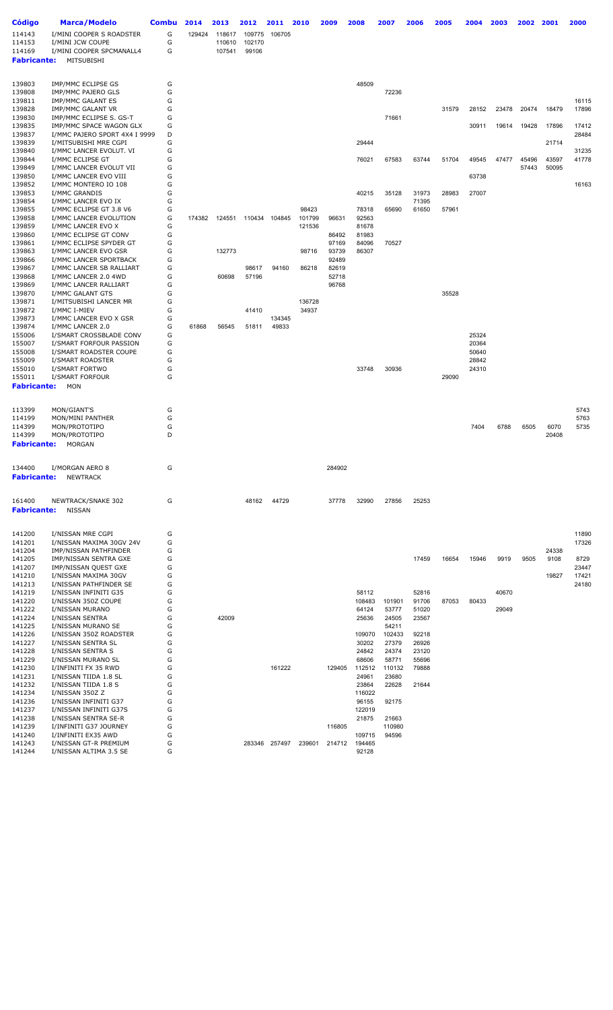| <b>Código</b>                | <b>Marca/Modelo</b>                              | <b>Combu</b> | 2014   | 2013   | 2012   | 2011          | 2010   | 2009   | 2008            | 2007           | 2006           | 2005  | 2004           | 2003  | 2002  | 2001  | 2000           |
|------------------------------|--------------------------------------------------|--------------|--------|--------|--------|---------------|--------|--------|-----------------|----------------|----------------|-------|----------------|-------|-------|-------|----------------|
| 114143                       | I/MINI COOPER S ROADSTER                         | G            | 129424 | 118617 | 109775 | 106705        |        |        |                 |                |                |       |                |       |       |       |                |
| 114153                       | I/MINI JCW COUPE                                 | G            |        | 110610 | 102170 |               |        |        |                 |                |                |       |                |       |       |       |                |
| 114169                       | I/MINI COOPER SPCMANALL4                         | G            |        | 107541 | 99106  |               |        |        |                 |                |                |       |                |       |       |       |                |
| <b>Fabricante:</b>           | MITSUBISHI                                       |              |        |        |        |               |        |        |                 |                |                |       |                |       |       |       |                |
|                              |                                                  |              |        |        |        |               |        |        |                 |                |                |       |                |       |       |       |                |
| 139803                       | IMP/MMC ECLIPSE GS                               | G            |        |        |        |               |        |        | 48509           |                |                |       |                |       |       |       |                |
| 139808                       | IMP/MMC PAJERO GLS                               | G            |        |        |        |               |        |        |                 | 72236          |                |       |                |       |       |       |                |
| 139811                       | IMP/MMC GALANT ES<br><b>IMP/MMC GALANT VR</b>    | G<br>G       |        |        |        |               |        |        |                 |                |                |       |                |       |       |       | 16115          |
| 139828<br>139830             | IMP/MMC ECLIPSE S. GS-T                          | G            |        |        |        |               |        |        |                 | 71661          |                | 31579 | 28152          | 23478 | 20474 | 18479 | 17896          |
| 139835                       | IMP/MMC SPACE WAGON GLX                          | G            |        |        |        |               |        |        |                 |                |                |       | 30911          | 19614 | 19428 | 17896 | 17412          |
| 139837                       | I/MMC PAJERO SPORT 4X4 I 9999                    | D            |        |        |        |               |        |        |                 |                |                |       |                |       |       |       | 28484          |
| 139839                       | I/MITSUBISHI MRE CGPI                            | G            |        |        |        |               |        |        | 29444           |                |                |       |                |       |       | 21714 |                |
| 139840                       | I/MMC LANCER EVOLUT. VI                          | G            |        |        |        |               |        |        |                 |                |                |       |                |       |       |       | 31235          |
| 139844                       | I/MMC ECLIPSE GT                                 | G            |        |        |        |               |        |        | 76021           | 67583          | 63744          | 51704 | 49545          | 47477 | 45496 | 43597 | 41778          |
| 139849<br>139850             | I/MMC LANCER EVOLUT VII<br>I/MMC LANCER EVO VIII | G<br>G       |        |        |        |               |        |        |                 |                |                |       | 63738          |       | 57443 | 50095 |                |
| 139852                       | I/MMC MONTERO IO 108                             | G            |        |        |        |               |        |        |                 |                |                |       |                |       |       |       | 16163          |
| 139853                       | I/MMC GRANDIS                                    | G            |        |        |        |               |        |        | 40215           | 35128          | 31973          | 28983 | 27007          |       |       |       |                |
| 139854                       | I/MMC LANCER EVO IX                              | G            |        |        |        |               |        |        |                 |                | 71395          |       |                |       |       |       |                |
| 139855                       | I/MMC ECLIPSE GT 3.8 V6                          | G            |        |        |        |               | 98423  |        | 78318           | 65690          | 61650          | 57961 |                |       |       |       |                |
| 139858                       | I/MMC LANCER EVOLUTION                           | G            | 174382 | 124551 | 110434 | 104845        | 101799 | 96631  | 92563           |                |                |       |                |       |       |       |                |
| 139859<br>139860             | I/MMC LANCER EVO X<br>I/MMC ECLIPSE GT CONV      | G<br>G       |        |        |        |               | 121536 | 86492  | 81678<br>81983  |                |                |       |                |       |       |       |                |
| 139861                       | I/MMC ECLIPSE SPYDER GT                          | G            |        |        |        |               |        | 97169  | 84096           | 70527          |                |       |                |       |       |       |                |
| 139863                       | I/MMC LANCER EVO GSR                             | G            |        | 132773 |        |               | 98716  | 93739  | 86307           |                |                |       |                |       |       |       |                |
| 139866                       | I/MMC LANCER SPORTBACK                           | G            |        |        |        |               |        | 92489  |                 |                |                |       |                |       |       |       |                |
| 139867                       | I/MMC LANCER SB RALLIART                         | G            |        |        | 98617  | 94160         | 86218  | 82619  |                 |                |                |       |                |       |       |       |                |
| 139868                       | I/MMC LANCER 2.0 4WD                             | G            |        | 60698  | 57196  |               |        | 52718  |                 |                |                |       |                |       |       |       |                |
| 139869                       | I/MMC LANCER RALLIART                            | G            |        |        |        |               |        | 96768  |                 |                |                |       |                |       |       |       |                |
| 139870<br>139871             | I/MMC GALANT GTS<br>I/MITSUBISHI LANCER MR       | G<br>G       |        |        |        |               | 136728 |        |                 |                |                | 35528 |                |       |       |       |                |
| 139872                       | I/MMC I-MIEV                                     | G            |        |        | 41410  |               | 34937  |        |                 |                |                |       |                |       |       |       |                |
| 139873                       | I/MMC LANCER EVO X GSR                           | G            |        |        |        | 134345        |        |        |                 |                |                |       |                |       |       |       |                |
| 139874                       | I/MMC LANCER 2.0                                 | G            | 61868  | 56545  | 51811  | 49833         |        |        |                 |                |                |       |                |       |       |       |                |
| 155006                       | I/SMART CROSSBLADE CONV                          | G            |        |        |        |               |        |        |                 |                |                |       | 25324          |       |       |       |                |
| 155007                       | I/SMART FORFOUR PASSION                          | G            |        |        |        |               |        |        |                 |                |                |       | 20364          |       |       |       |                |
| 155008                       | I/SMART ROADSTER COUPE                           | G            |        |        |        |               |        |        |                 |                |                |       | 50640          |       |       |       |                |
| 155009<br>155010             | I/SMART ROADSTER<br>I/SMART FORTWO               | G<br>G       |        |        |        |               |        |        | 33748           | 30936          |                |       | 28842<br>24310 |       |       |       |                |
| 155011                       | I/SMART FORFOUR                                  | G            |        |        |        |               |        |        |                 |                |                | 29090 |                |       |       |       |                |
| <b>Fabricante:</b>           | <b>MON</b>                                       |              |        |        |        |               |        |        |                 |                |                |       |                |       |       |       |                |
|                              |                                                  |              |        |        |        |               |        |        |                 |                |                |       |                |       |       |       |                |
|                              |                                                  |              |        |        |        |               |        |        |                 |                |                |       |                |       |       |       |                |
| 113399<br>114199             | MON/GIANT'S<br>MON/MINI PANTHER                  | G<br>G       |        |        |        |               |        |        |                 |                |                |       |                |       |       |       | 5743<br>5763   |
| 114399                       | MON/PROTOTIPO                                    | G            |        |        |        |               |        |        |                 |                |                |       | 7404           | 6788  | 6505  | 6070  | 5735           |
| 114399                       | MON/PROTOTIPO                                    | D            |        |        |        |               |        |        |                 |                |                |       |                |       |       | 20408 |                |
| <b>Fabricante:</b>           | <b>MORGAN</b>                                    |              |        |        |        |               |        |        |                 |                |                |       |                |       |       |       |                |
|                              |                                                  |              |        |        |        |               |        |        |                 |                |                |       |                |       |       |       |                |
|                              |                                                  |              |        |        |        |               |        |        |                 |                |                |       |                |       |       |       |                |
| 134400<br><b>Fabricante:</b> | I/MORGAN AERO 8                                  | G            |        |        |        |               |        | 284902 |                 |                |                |       |                |       |       |       |                |
|                              | <b>NEWTRACK</b>                                  |              |        |        |        |               |        |        |                 |                |                |       |                |       |       |       |                |
|                              |                                                  |              |        |        |        |               |        |        |                 |                |                |       |                |       |       |       |                |
| 161400                       | NEWTRACK/SNAKE 302                               | G            |        |        | 48162  | 44729         |        | 37778  | 32990           | 27856          | 25253          |       |                |       |       |       |                |
| <b>Fabricante:</b>           | <b>NISSAN</b>                                    |              |        |        |        |               |        |        |                 |                |                |       |                |       |       |       |                |
|                              |                                                  |              |        |        |        |               |        |        |                 |                |                |       |                |       |       |       |                |
| 141200                       | I/NISSAN MRE CGPI                                | G            |        |        |        |               |        |        |                 |                |                |       |                |       |       |       | 11890          |
| 141201                       | I/NISSAN MAXIMA 30GV 24V                         | G            |        |        |        |               |        |        |                 |                |                |       |                |       |       |       | 17326          |
| 141204                       | <b>IMP/NISSAN PATHFINDER</b>                     | G            |        |        |        |               |        |        |                 |                |                |       |                |       |       | 24338 |                |
| 141205                       | IMP/NISSAN SENTRA GXE                            | G            |        |        |        |               |        |        |                 |                | 17459          | 16654 | 15946          | 9919  | 9505  | 9108  | 8729           |
| 141207                       | IMP/NISSAN QUEST GXE                             | G            |        |        |        |               |        |        |                 |                |                |       |                |       |       |       | 23447          |
| 141210<br>141213             | I/NISSAN MAXIMA 30GV<br>I/NISSAN PATHFINDER SE   | G<br>G       |        |        |        |               |        |        |                 |                |                |       |                |       |       | 19827 | 17421<br>24180 |
| 141219                       | I/NISSAN INFINITI G35                            | G            |        |        |        |               |        |        | 58112           |                | 52816          |       |                | 40670 |       |       |                |
| 141220                       | I/NISSAN 350Z COUPE                              | G            |        |        |        |               |        |        | 108483          | 101901         | 91706          | 87053 | 80433          |       |       |       |                |
| 141222                       | I/NISSAN MURANO                                  | G            |        |        |        |               |        |        | 64124           | 53777          | 51020          |       |                | 29049 |       |       |                |
| 141224                       | I/NISSAN SENTRA                                  | G            |        | 42009  |        |               |        |        | 25636           | 24505          | 23567          |       |                |       |       |       |                |
| 141225                       | I/NISSAN MURANO SE                               | G            |        |        |        |               |        |        |                 | 54211          |                |       |                |       |       |       |                |
| 141226                       | I/NISSAN 350Z ROADSTER                           | G            |        |        |        |               |        |        | 109070          | 102433         | 92218          |       |                |       |       |       |                |
| 141227<br>141228             | I/NISSAN SENTRA SL<br>I/NISSAN SENTRA S          | G<br>G       |        |        |        |               |        |        | 30202<br>24842  | 27379<br>24374 | 26926<br>23120 |       |                |       |       |       |                |
| 141229                       | I/NISSAN MURANO SL                               | G            |        |        |        |               |        |        | 68606           | 58771          | 55696          |       |                |       |       |       |                |
| 141230                       | I/INFINITI FX 35 RWD                             | G            |        |        |        | 161222        |        | 129405 | 112512          | 110132         | 79888          |       |                |       |       |       |                |
| 141231                       | I/NISSAN TIIDA 1.8 SL                            | G            |        |        |        |               |        |        | 24961           | 23680          |                |       |                |       |       |       |                |
| 141232                       | I/NISSAN TIIDA 1.8 S                             | G            |        |        |        |               |        |        | 23864           | 22628          | 21644          |       |                |       |       |       |                |
| 141234                       | I/NISSAN 350Z Z                                  | G            |        |        |        |               |        |        | 116022          |                |                |       |                |       |       |       |                |
| 141236                       | I/NISSAN INFINITI G37                            | G            |        |        |        |               |        |        | 96155           | 92175          |                |       |                |       |       |       |                |
| 141237<br>141238             | I/NISSAN INFINITI G37S<br>I/NISSAN SENTRA SE-R   | G<br>G       |        |        |        |               |        |        | 122019<br>21875 | 21663          |                |       |                |       |       |       |                |
| 141239                       | I/INFINITI G37 JOURNEY                           | G            |        |        |        |               |        | 116805 |                 | 110980         |                |       |                |       |       |       |                |
| 141240                       | I/INFINITI EX35 AWD                              | G            |        |        |        |               |        |        | 109715          | 94596          |                |       |                |       |       |       |                |
| 141243                       | I/NISSAN GT-R PREMIUM                            | G            |        |        |        | 283346 257497 | 239601 | 214712 | 194465          |                |                |       |                |       |       |       |                |
| 141244                       | I/NISSAN ALTIMA 3.5 SE                           | G            |        |        |        |               |        |        | 92128           |                |                |       |                |       |       |       |                |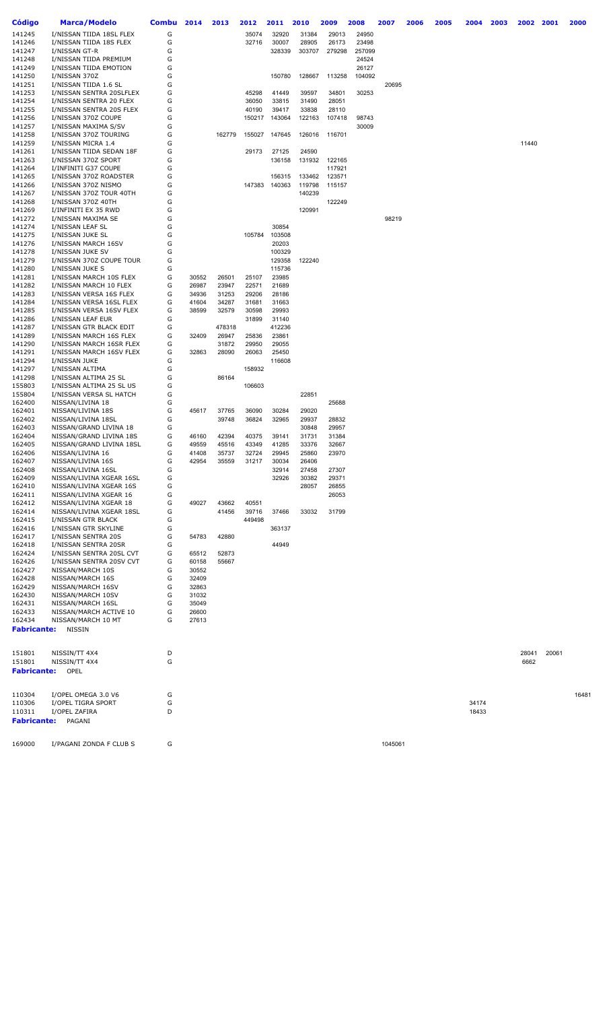| <b>Código</b>      | <b>Marca/Modelo</b>                                 | Combu  | 2014           | 2013           | 2012            | 2011             | 2010             | 2009   | 2008 |                 | 2007    | 2006 | 2005 | 2004  | 2003 | 2002  | 2001  | 2000  |
|--------------------|-----------------------------------------------------|--------|----------------|----------------|-----------------|------------------|------------------|--------|------|-----------------|---------|------|------|-------|------|-------|-------|-------|
| 141245             | I/NISSAN TIIDA 18SL FLEX                            | G      |                |                | 35074           | 32920            | 31384            | 29013  |      | 24950           |         |      |      |       |      |       |       |       |
| 141246             | I/NISSAN TIIDA 18S FLEX                             | G      |                |                | 32716           | 30007            | 28905            | 26173  |      | 23498           |         |      |      |       |      |       |       |       |
| 141247             | I/NISSAN GT-R                                       | G      |                |                |                 | 328339           | 303707           | 279298 |      | 257099          |         |      |      |       |      |       |       |       |
| 141248             | I/NISSAN TIIDA PREMIUM                              | G<br>G |                |                |                 |                  |                  |        |      | 24524           |         |      |      |       |      |       |       |       |
| 141249<br>141250   | I/NISSAN TIIDA EMOTION<br>I/NISSAN 370Z             | G      |                |                |                 | 150780           | 128667           | 113258 |      | 26127<br>104092 |         |      |      |       |      |       |       |       |
| 141251             | I/NISSAN TIIDA 1.6 SL                               | G      |                |                |                 |                  |                  |        |      |                 | 20695   |      |      |       |      |       |       |       |
| 141253             | I/NISSAN SENTRA 20SLFLEX                            | G      |                |                | 45298           | 41449            | 39597            | 34801  |      | 30253           |         |      |      |       |      |       |       |       |
| 141254             | I/NISSAN SENTRA 20 FLEX                             | G      |                |                | 36050           | 33815            | 31490            | 28051  |      |                 |         |      |      |       |      |       |       |       |
| 141255             | I/NISSAN SENTRA 20S FLEX                            | G      |                |                | 40190           | 39417            | 33838            | 28110  |      |                 |         |      |      |       |      |       |       |       |
| 141256             | I/NISSAN 370Z COUPE                                 | G      |                |                | 150217          | 143064           | 122163           | 107418 |      | 98743           |         |      |      |       |      |       |       |       |
| 141257<br>141258   | I/NISSAN MAXIMA S/SV<br>I/NISSAN 370Z TOURING       | G<br>G |                | 162779         | 155027          | 147645           | 126016           | 116701 |      | 30009           |         |      |      |       |      |       |       |       |
| 141259             | I/NISSAN MICRA 1.4                                  | G      |                |                |                 |                  |                  |        |      |                 |         |      |      |       |      | 11440 |       |       |
| 141261             | I/NISSAN TIIDA SEDAN 18F                            | G      |                |                | 29173           | 27125            | 24590            |        |      |                 |         |      |      |       |      |       |       |       |
| 141263             | I/NISSAN 370Z SPORT                                 | G      |                |                |                 | 136158           | 131932           | 122165 |      |                 |         |      |      |       |      |       |       |       |
| 141264             | I/INFINITI G37 COUPE                                | G      |                |                |                 |                  |                  | 117921 |      |                 |         |      |      |       |      |       |       |       |
| 141265             | I/NISSAN 370Z ROADSTER                              | G      |                |                |                 | 156315           | 133462           | 123571 |      |                 |         |      |      |       |      |       |       |       |
| 141266<br>141267   | I/NISSAN 370Z NISMO<br>I/NISSAN 370Z TOUR 40TH      | G<br>G |                |                | 147383          | 140363           | 119798<br>140239 | 115157 |      |                 |         |      |      |       |      |       |       |       |
| 141268             | I/NISSAN 370Z 40TH                                  | G      |                |                |                 |                  |                  | 122249 |      |                 |         |      |      |       |      |       |       |       |
| 141269             | I/INFINITI EX 35 RWD                                | G      |                |                |                 |                  | 120991           |        |      |                 |         |      |      |       |      |       |       |       |
| 141272             | I/NISSAN MAXIMA SE                                  | G      |                |                |                 |                  |                  |        |      |                 | 98219   |      |      |       |      |       |       |       |
| 141274             | I/NISSAN LEAF SL                                    | G      |                |                |                 | 30854            |                  |        |      |                 |         |      |      |       |      |       |       |       |
| 141275             | I/NISSAN JUKE SL                                    | G      |                |                | 105784          | 103508           |                  |        |      |                 |         |      |      |       |      |       |       |       |
| 141276             | I/NISSAN MARCH 16SV                                 | G      |                |                |                 | 20203            |                  |        |      |                 |         |      |      |       |      |       |       |       |
| 141278<br>141279   | I/NISSAN JUKE SV<br>I/NISSAN 370Z COUPE TOUR        | G<br>G |                |                |                 | 100329<br>129358 | 122240           |        |      |                 |         |      |      |       |      |       |       |       |
| 141280             | I/NISSAN JUKE S                                     | G      |                |                |                 | 115736           |                  |        |      |                 |         |      |      |       |      |       |       |       |
| 141281             | I/NISSAN MARCH 10S FLEX                             | G      | 30552          | 26501          | 25107           | 23985            |                  |        |      |                 |         |      |      |       |      |       |       |       |
| 141282             | I/NISSAN MARCH 10 FLEX                              | G      | 26987          | 23947          | 22571           | 21689            |                  |        |      |                 |         |      |      |       |      |       |       |       |
| 141283             | I/NISSAN VERSA 16S FLEX                             | G      | 34936          | 31253          | 29206           | 28186            |                  |        |      |                 |         |      |      |       |      |       |       |       |
| 141284             | I/NISSAN VERSA 16SL FLEX                            | G      | 41604          | 34287          | 31681           | 31663            |                  |        |      |                 |         |      |      |       |      |       |       |       |
| 141285             | I/NISSAN VERSA 16SV FLEX                            | G      | 38599          | 32579          | 30598           | 29993            |                  |        |      |                 |         |      |      |       |      |       |       |       |
| 141286<br>141287   | I/NISSAN LEAF EUR<br>I/NISSAN GTR BLACK EDIT        | G<br>G |                | 478318         | 31899           | 31140<br>412236  |                  |        |      |                 |         |      |      |       |      |       |       |       |
| 141289             | I/NISSAN MARCH 16S FLEX                             | G      | 32409          | 26947          | 25836           | 23861            |                  |        |      |                 |         |      |      |       |      |       |       |       |
| 141290             | I/NISSAN MARCH 16SR FLEX                            | G      |                | 31872          | 29950           | 29055            |                  |        |      |                 |         |      |      |       |      |       |       |       |
| 141291             | I/NISSAN MARCH 16SV FLEX                            | G      | 32863          | 28090          | 26063           | 25450            |                  |        |      |                 |         |      |      |       |      |       |       |       |
| 141294             | I/NISSAN JUKE                                       | G      |                |                |                 | 116608           |                  |        |      |                 |         |      |      |       |      |       |       |       |
| 141297             | I/NISSAN ALTIMA                                     | G      |                |                | 158932          |                  |                  |        |      |                 |         |      |      |       |      |       |       |       |
| 141298             | I/NISSAN ALTIMA 25 SL                               | G      |                | 86164          |                 |                  |                  |        |      |                 |         |      |      |       |      |       |       |       |
| 155803<br>155804   | I/NISSAN ALTIMA 25 SL US<br>I/NISSAN VERSA SL HATCH | G<br>G |                |                | 106603          |                  | 22851            |        |      |                 |         |      |      |       |      |       |       |       |
| 162400             | NISSAN/LIVINA 18                                    | G      |                |                |                 |                  |                  | 25688  |      |                 |         |      |      |       |      |       |       |       |
| 162401             | NISSAN/LIVINA 18S                                   | G      | 45617          | 37765          | 36090           | 30284            | 29020            |        |      |                 |         |      |      |       |      |       |       |       |
| 162402             | NISSAN/LIVINA 18SL                                  | G      |                | 39748          | 36824           | 32965            | 29937            | 28832  |      |                 |         |      |      |       |      |       |       |       |
| 162403             | NISSAN/GRAND LIVINA 18                              | G      |                |                |                 |                  | 30848            | 29957  |      |                 |         |      |      |       |      |       |       |       |
| 162404             | NISSAN/GRAND LIVINA 18S                             | G      | 46160          | 42394          | 40375           | 39141            | 31731            | 31384  |      |                 |         |      |      |       |      |       |       |       |
| 162405             | NISSAN/GRAND LIVINA 18SL                            | G      | 49559          | 45516          | 43349           | 41285            | 33376            | 32667  |      |                 |         |      |      |       |      |       |       |       |
| 162406<br>162407   | NISSAN/LIVINA 16<br>NISSAN/LIVINA 16S               | G<br>G | 41408<br>42954 | 35737<br>35559 | 32724<br>31217  | 29945<br>30034   | 25860<br>26406   | 23970  |      |                 |         |      |      |       |      |       |       |       |
| 162408             | NISSAN/LIVINA 16SL                                  | G      |                |                |                 | 32914            | 27458            | 27307  |      |                 |         |      |      |       |      |       |       |       |
| 162409             | NISSAN/LIVINA XGEAR 16SL                            | G      |                |                |                 | 32926            | 30382            | 29371  |      |                 |         |      |      |       |      |       |       |       |
| 162410             | NISSAN/LIVINA XGEAR 16S                             | G      |                |                |                 |                  | 28057            | 26855  |      |                 |         |      |      |       |      |       |       |       |
| 162411             | NISSAN/LIVINA XGEAR 16                              | G      |                |                |                 |                  |                  | 26053  |      |                 |         |      |      |       |      |       |       |       |
| 162412             | NISSAN/LIVINA XGEAR 18                              | G      | 49027          | 43662          | 40551           |                  |                  |        |      |                 |         |      |      |       |      |       |       |       |
| 162414<br>162415   | NISSAN/LIVINA XGEAR 18SL<br>I/NISSAN GTR BLACK      | G<br>G |                | 41456          | 39716<br>449498 | 37466            | 33032            | 31799  |      |                 |         |      |      |       |      |       |       |       |
| 162416             | I/NISSAN GTR SKYLINE                                | G      |                |                |                 | 363137           |                  |        |      |                 |         |      |      |       |      |       |       |       |
| 162417             | I/NISSAN SENTRA 20S                                 | G      | 54783          | 42880          |                 |                  |                  |        |      |                 |         |      |      |       |      |       |       |       |
| 162418             | I/NISSAN SENTRA 20SR                                | G      |                |                |                 | 44949            |                  |        |      |                 |         |      |      |       |      |       |       |       |
| 162424             | I/NISSAN SENTRA 20SL CVT                            | G      | 65512          | 52873          |                 |                  |                  |        |      |                 |         |      |      |       |      |       |       |       |
| 162426             | I/NISSAN SENTRA 20SV CVT                            | G      | 60158          | 55667          |                 |                  |                  |        |      |                 |         |      |      |       |      |       |       |       |
| 162427             | NISSAN/MARCH 10S                                    | G      | 30552          |                |                 |                  |                  |        |      |                 |         |      |      |       |      |       |       |       |
| 162428<br>162429   | NISSAN/MARCH 16S<br>NISSAN/MARCH 16SV               | G<br>G | 32409<br>32863 |                |                 |                  |                  |        |      |                 |         |      |      |       |      |       |       |       |
| 162430             | NISSAN/MARCH 10SV                                   | G      | 31032          |                |                 |                  |                  |        |      |                 |         |      |      |       |      |       |       |       |
| 162431             | NISSAN/MARCH 16SL                                   | G      | 35049          |                |                 |                  |                  |        |      |                 |         |      |      |       |      |       |       |       |
| 162433             | NISSAN/MARCH ACTIVE 10                              | G      | 26600          |                |                 |                  |                  |        |      |                 |         |      |      |       |      |       |       |       |
| 162434             | NISSAN/MARCH 10 MT                                  | G      | 27613          |                |                 |                  |                  |        |      |                 |         |      |      |       |      |       |       |       |
| <b>Fabricante:</b> | NISSIN                                              |        |                |                |                 |                  |                  |        |      |                 |         |      |      |       |      |       |       |       |
|                    |                                                     |        |                |                |                 |                  |                  |        |      |                 |         |      |      |       |      |       |       |       |
| 151801             | NISSIN/TT 4X4                                       | D      |                |                |                 |                  |                  |        |      |                 |         |      |      |       |      | 28041 | 20061 |       |
| 151801             | NISSIN/TT 4X4                                       | G      |                |                |                 |                  |                  |        |      |                 |         |      |      |       |      | 6662  |       |       |
| <b>Fabricante:</b> | OPEL                                                |        |                |                |                 |                  |                  |        |      |                 |         |      |      |       |      |       |       |       |
|                    |                                                     |        |                |                |                 |                  |                  |        |      |                 |         |      |      |       |      |       |       |       |
| 110304             | I/OPEL OMEGA 3.0 V6                                 | G      |                |                |                 |                  |                  |        |      |                 |         |      |      |       |      |       |       | 16481 |
| 110306             | I/OPEL TIGRA SPORT                                  | G      |                |                |                 |                  |                  |        |      |                 |         |      |      | 34174 |      |       |       |       |
| 110311             | I/OPEL ZAFIRA                                       | D      |                |                |                 |                  |                  |        |      |                 |         |      |      | 18433 |      |       |       |       |
| <b>Fabricante:</b> | PAGANI                                              |        |                |                |                 |                  |                  |        |      |                 |         |      |      |       |      |       |       |       |
|                    |                                                     |        |                |                |                 |                  |                  |        |      |                 |         |      |      |       |      |       |       |       |
| 169000             | I/PAGANI ZONDA F CLUB S                             | G      |                |                |                 |                  |                  |        |      |                 | 1045061 |      |      |       |      |       |       |       |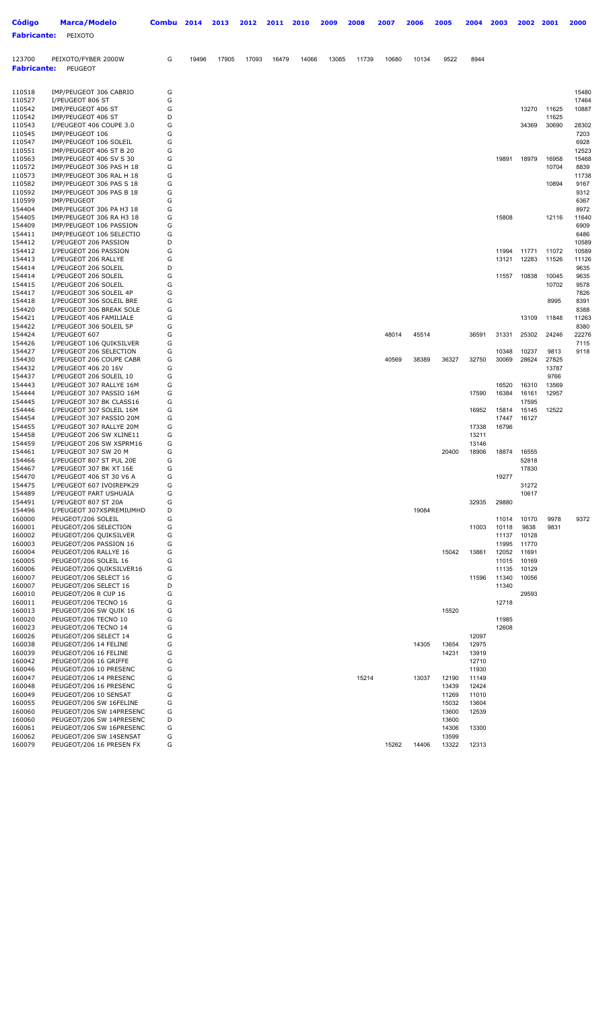| Código             | Marca/Modelo                                         | Combu  | 2014  | 2013  | 2012  | 2011  | 2010  | 2009  | 2008  | 2007  | 2006  | 2005           | 2004           | 2003           | 2002           | 2001           | 2000           |
|--------------------|------------------------------------------------------|--------|-------|-------|-------|-------|-------|-------|-------|-------|-------|----------------|----------------|----------------|----------------|----------------|----------------|
| <b>Fabricante:</b> | PEIXOTO                                              |        |       |       |       |       |       |       |       |       |       |                |                |                |                |                |                |
|                    |                                                      |        |       |       |       |       |       |       |       |       |       |                |                |                |                |                |                |
| 123700             | PEIXOTO/FYBER 2000W                                  | G      | 19496 | 17905 | 17093 | 16479 | 14066 | 13085 | 11739 | 10680 | 10134 | 9522           | 8944           |                |                |                |                |
| <b>Fabricante:</b> | PEUGEOT                                              |        |       |       |       |       |       |       |       |       |       |                |                |                |                |                |                |
|                    |                                                      |        |       |       |       |       |       |       |       |       |       |                |                |                |                |                |                |
| 110518             | IMP/PEUGEOT 306 CABRIO                               | G      |       |       |       |       |       |       |       |       |       |                |                |                |                |                | 15480          |
| 110527<br>110542   | I/PEUGEOT 806 ST<br>IMP/PEUGEOT 406 ST               | G<br>G |       |       |       |       |       |       |       |       |       |                |                |                | 13270          | 11625          | 17464<br>10887 |
| 110542             | IMP/PEUGEOT 406 ST                                   | D      |       |       |       |       |       |       |       |       |       |                |                |                |                | 11625          |                |
| 110543             | I/PEUGEOT 406 COUPE 3.0                              | G      |       |       |       |       |       |       |       |       |       |                |                |                | 34369          | 30690          | 28302          |
| 110545<br>110547   | IMP/PEUGEOT 106<br>IMP/PEUGEOT 106 SOLEIL            | G<br>G |       |       |       |       |       |       |       |       |       |                |                |                |                |                | 7203<br>6928   |
| 110551             | IMP/PEUGEOT 406 ST B 20                              | G      |       |       |       |       |       |       |       |       |       |                |                |                |                |                | 12523          |
| 110563             | IMP/PEUGEOT 406 SV S 30                              | G      |       |       |       |       |       |       |       |       |       |                |                | 19891          | 18979          | 16958          | 15468          |
| 110572             | IMP/PEUGEOT 306 PAS H 18                             | G      |       |       |       |       |       |       |       |       |       |                |                |                |                | 10704          | 8839           |
| 110573<br>110582   | IMP/PEUGEOT 306 RAL H 18<br>IMP/PEUGEOT 306 PAS S 18 | G<br>G |       |       |       |       |       |       |       |       |       |                |                |                |                | 10894          | 11738<br>9167  |
| 110592             | IMP/PEUGEOT 306 PAS B 18                             | G      |       |       |       |       |       |       |       |       |       |                |                |                |                |                | 9312           |
| 110599             | IMP/PEUGEOT                                          | G      |       |       |       |       |       |       |       |       |       |                |                |                |                |                | 6367           |
| 154404<br>154405   | IMP/PEUGEOT 306 PA H3 18<br>IMP/PEUGEOT 306 RA H3 18 | G<br>G |       |       |       |       |       |       |       |       |       |                |                | 15808          |                | 12116          | 8972<br>11640  |
| 154409             | IMP/PEUGEOT 106 PASSION                              | G      |       |       |       |       |       |       |       |       |       |                |                |                |                |                | 6909           |
| 154411             | IMP/PEUGEOT 106 SELECTIO                             | G      |       |       |       |       |       |       |       |       |       |                |                |                |                |                | 6486           |
| 154412<br>154412   | I/PEUGEOT 206 PASSION<br>I/PEUGEOT 206 PASSION       | D<br>G |       |       |       |       |       |       |       |       |       |                |                | 11994          | 11771          | 11072          | 10589<br>10589 |
| 154413             | I/PEUGEOT 206 RALLYE                                 | G      |       |       |       |       |       |       |       |       |       |                |                | 13121          | 12283          | 11526          | 11126          |
| 154414             | I/PEUGEOT 206 SOLEIL                                 | D      |       |       |       |       |       |       |       |       |       |                |                |                |                |                | 9635           |
| 154414             | I/PEUGEOT 206 SOLEIL                                 | G      |       |       |       |       |       |       |       |       |       |                |                | 11557          | 10838          | 10045          | 9635           |
| 154415<br>154417   | I/PEUGEOT 206 SOLEIL<br>I/PEUGEOT 306 SOLEIL 4P      | G<br>G |       |       |       |       |       |       |       |       |       |                |                |                |                | 10702          | 9578<br>7826   |
| 154418             | I/PEUGEOT 306 SOLEIL BRE                             | G      |       |       |       |       |       |       |       |       |       |                |                |                |                | 8995           | 8391           |
| 154420             | I/PEUGEOT 306 BREAK SOLE                             | G      |       |       |       |       |       |       |       |       |       |                |                |                |                |                | 8388           |
| 154421<br>154422   | I/PEUGEOT 406 FAMILIALE<br>I/PEUGEOT 306 SOLEIL 5P   | G<br>G |       |       |       |       |       |       |       |       |       |                |                |                | 13109          | 11848          | 11263<br>8380  |
| 154424             | I/PEUGEOT 607                                        | G      |       |       |       |       |       |       |       | 48014 | 45514 |                | 36591          | 31331          | 25302          | 24246          | 22276          |
| 154426             | I/PEUGEOT 106 QUIKSILVER                             | G      |       |       |       |       |       |       |       |       |       |                |                |                |                |                | 7115           |
| 154427             | I/PEUGEOT 206 SELECTION                              | G      |       |       |       |       |       |       |       |       |       |                |                | 10348          | 10237          | 9813           | 9118           |
| 154430<br>154432   | I/PEUGEOT 206 COUPE CABR<br>I/PEUGEOT 406 20 16V     | G<br>G |       |       |       |       |       |       |       | 40569 | 38389 | 36327          | 32750          | 30069          | 28624          | 27825<br>13787 |                |
| 154437             | I/PEUGEOT 206 SOLEIL 10                              | G      |       |       |       |       |       |       |       |       |       |                |                |                |                | 9766           |                |
| 154443             | I/PEUGEOT 307 RALLYE 16M                             | G      |       |       |       |       |       |       |       |       |       |                |                | 16520          | 16310          | 13569          |                |
| 154444<br>154445   | I/PEUGEOT 307 PASSIO 16M<br>I/PEUGEOT 307 BK CLASS16 | G<br>G |       |       |       |       |       |       |       |       |       |                | 17590          | 16384          | 16161<br>17595 | 12957          |                |
| 154446             | I/PEUGEOT 307 SOLEIL 16M                             | G      |       |       |       |       |       |       |       |       |       |                | 16952          | 15814          | 15145          | 12522          |                |
| 154454             | I/PEUGEOT 307 PASSIO 20M                             | G      |       |       |       |       |       |       |       |       |       |                |                | 17447          | 16127          |                |                |
| 154455             | I/PEUGEOT 307 RALLYE 20M                             | G      |       |       |       |       |       |       |       |       |       |                | 17338          | 16796          |                |                |                |
| 154458<br>154459   | I/PEUGEOT 206 SW XLINE11<br>I/PEUGEOT 206 SW XSPRM16 | G<br>G |       |       |       |       |       |       |       |       |       |                | 13211<br>13146 |                |                |                |                |
| 154461             | I/PEUGEOT 307 SW 20 M                                | G      |       |       |       |       |       |       |       |       |       | 20400          | 18906          | 18874          | 16555          |                |                |
| 154466             | I/PEUGEOT 807 ST PUL 20E                             | G      |       |       |       |       |       |       |       |       |       |                |                |                | 52818          |                |                |
| 154467             | I/PEUGEOI 307 BK XI 16E                              | G      |       |       |       |       |       |       |       |       |       |                |                |                | 17830          |                |                |
| 154470<br>154475   | I/PEUGEOT 406 ST 30 V6 A<br>I/PEUGEOT 607 IVOIREPK29 | G<br>G |       |       |       |       |       |       |       |       |       |                |                | 19277          | 31272          |                |                |
| 154489             | I/PEUGEOT PART USHUAIA                               | G      |       |       |       |       |       |       |       |       |       |                |                |                | 10617          |                |                |
| 154491             | I/PEUGEOT 807 ST 20A                                 | G      |       |       |       |       |       |       |       |       |       |                | 32935          | 29880          |                |                |                |
| 154496<br>160000   | I/PEUGEOT 307XSPREMIUMHD<br>PEUGEOT/206 SOLEIL       | D<br>G |       |       |       |       |       |       |       |       | 19084 |                |                | 11014          | 10170          | 9978           | 9372           |
| 160001             | PEUGEOT/206 SELECTION                                | G      |       |       |       |       |       |       |       |       |       |                | 11003          | 10118          | 9838           | 9831           |                |
| 160002             | PEUGEOT/206 QUIKSILVER                               | G      |       |       |       |       |       |       |       |       |       |                |                | 11137          | 10128          |                |                |
| 160003<br>160004   | PEUGEOT/206 PASSION 16<br>PEUGEOT/206 RALLYE 16      | G<br>G |       |       |       |       |       |       |       |       |       | 15042          | 13861          | 11995<br>12052 | 11770<br>11691 |                |                |
| 160005             | PEUGEOT/206 SOLEIL 16                                | G      |       |       |       |       |       |       |       |       |       |                |                | 11015          | 10169          |                |                |
| 160006             | PEUGEOT/206 QUIKSILVER16                             | G      |       |       |       |       |       |       |       |       |       |                |                | 11135          | 10129          |                |                |
| 160007             | PEUGEOT/206 SELECT 16                                | G      |       |       |       |       |       |       |       |       |       |                | 11596          | 11340          | 10056          |                |                |
| 160007<br>160010   | PEUGEOT/206 SELECT 16<br>PEUGEOT/206 R CUP 16        | D<br>G |       |       |       |       |       |       |       |       |       |                |                | 11340          | 29593          |                |                |
| 160011             | PEUGEOT/206 TECNO 16                                 | G      |       |       |       |       |       |       |       |       |       |                |                | 12718          |                |                |                |
| 160013             | PEUGEOT/206 SW QUIK 16                               | G      |       |       |       |       |       |       |       |       |       | 15520          |                |                |                |                |                |
| 160020             | PEUGEOT/206 TECNO 10                                 | G      |       |       |       |       |       |       |       |       |       |                |                | 11985          |                |                |                |
| 160023<br>160026   | PEUGEOT/206 TECNO 14<br>PEUGEOT/206 SELECT 14        | G<br>G |       |       |       |       |       |       |       |       |       |                | 12097          | 12608          |                |                |                |
| 160038             | PEUGEOT/206 14 FELINE                                | G      |       |       |       |       |       |       |       |       | 14305 | 13654          | 12975          |                |                |                |                |
| 160039             | PEUGEOT/206 16 FELINE                                | G      |       |       |       |       |       |       |       |       |       | 14231          | 13919          |                |                |                |                |
| 160042             | PEUGEOT/206 16 GRIFFE                                | G      |       |       |       |       |       |       |       |       |       |                | 12710          |                |                |                |                |
| 160046<br>160047   | PEUGEOT/206 10 PRESENC<br>PEUGEOT/206 14 PRESENC     | G<br>G |       |       |       |       |       |       | 15214 |       | 13037 | 12190          | 11930<br>11149 |                |                |                |                |
| 160048             | PEUGEOT/206 16 PRESENC                               | G      |       |       |       |       |       |       |       |       |       | 13439          | 12424          |                |                |                |                |
| 160049             | PEUGEOT/206 10 SENSAT                                | G      |       |       |       |       |       |       |       |       |       | 11269          | 11010          |                |                |                |                |
| 160055<br>160060   | PEUGEOT/206 SW 16FELINE<br>PEUGEOT/206 SW 14PRESENC  | G<br>G |       |       |       |       |       |       |       |       |       | 15032<br>13600 | 13604<br>12539 |                |                |                |                |
| 160060             | PEUGEOT/206 SW 14PRESENC                             | D      |       |       |       |       |       |       |       |       |       | 13600          |                |                |                |                |                |
| 160061             | PEUGEOT/206 SW 16PRESENC                             | G      |       |       |       |       |       |       |       |       |       | 14306          | 13300          |                |                |                |                |
| 160062             | PEUGEOT/206 SW 14SENSAT                              | G      |       |       |       |       |       |       |       |       |       | 13599          |                |                |                |                |                |
| 160079             | PEUGEOT/206 16 PRESEN FX                             | G      |       |       |       |       |       |       |       | 15262 | 14406 | 13322          | 12313          |                |                |                |                |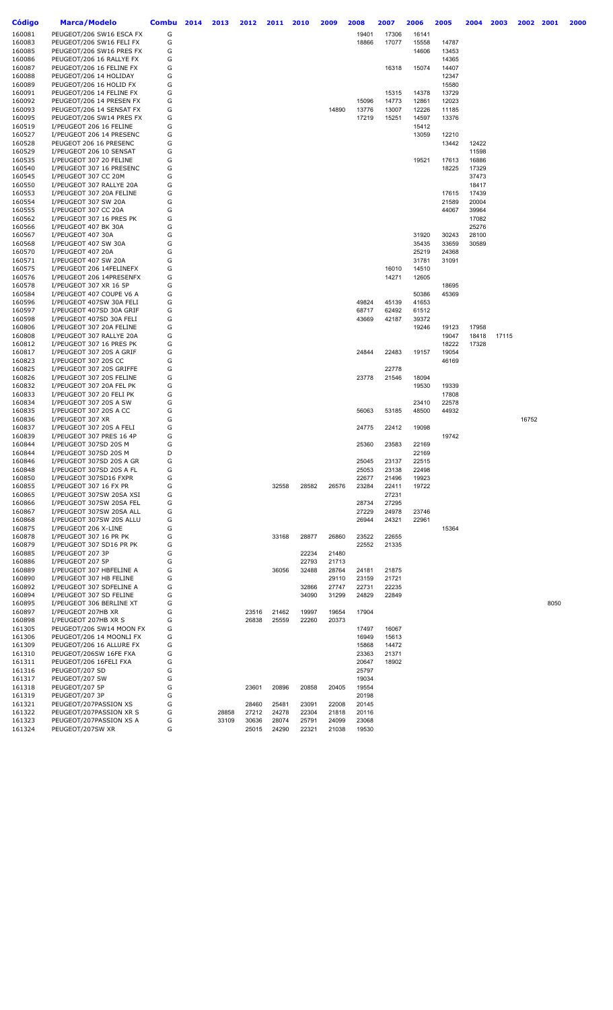| Código           | <b>Marca/Modelo</b>                                  | <b>Combu</b> | 2014 | 2013  | 2012           | 2011           | 2010           | 2009           | 2008           | 2007           | 2006           | 2005  | 2004           | 2003  | 2002  | 2001 | 2000 |
|------------------|------------------------------------------------------|--------------|------|-------|----------------|----------------|----------------|----------------|----------------|----------------|----------------|-------|----------------|-------|-------|------|------|
| 160081           | PEUGEOT/206 SW16 ESCA FX                             | G            |      |       |                |                |                |                | 19401          | 17306          | 16141          |       |                |       |       |      |      |
| 160083           | PEUGEOT/206 SW16 FELI FX                             | G            |      |       |                |                |                |                | 18866          | 17077          | 15558          | 14787 |                |       |       |      |      |
| 160085           | PEUGEOT/206 SW16 PRES FX                             | G            |      |       |                |                |                |                |                |                | 14606          | 13453 |                |       |       |      |      |
| 160086           | PEUGEOT/206 16 RALLYE FX                             | G            |      |       |                |                |                |                |                |                |                | 14365 |                |       |       |      |      |
| 160087           | PEUGEOT/206 16 FELINE FX                             | G            |      |       |                |                |                |                |                | 16318          | 15074          | 14407 |                |       |       |      |      |
| 160088           | PEUGEOT/206 14 HOLIDAY                               | G            |      |       |                |                |                |                |                |                |                | 12347 |                |       |       |      |      |
| 160089           | PEUGEOT/206 16 HOLID FX                              | G            |      |       |                |                |                |                |                |                |                | 15580 |                |       |       |      |      |
| 160091           | PEUGEOT/206 14 FELINE FX                             | G            |      |       |                |                |                |                |                | 15315          | 14378          | 13729 |                |       |       |      |      |
| 160092           | PEUGEOT/206 14 PRESEN FX                             | G            |      |       |                |                |                |                | 15096          | 14773          | 12861          | 12023 |                |       |       |      |      |
| 160093           | PEUGEOT/206 14 SENSAT FX                             | G            |      |       |                |                |                | 14890          | 13776          | 13007          | 12226          | 11185 |                |       |       |      |      |
| 160095           | PEUGEOT/206 SW14 PRES FX                             | G            |      |       |                |                |                |                | 17219          | 15251          | 14597          | 13376 |                |       |       |      |      |
| 160519           | I/PEUGEOT 206 16 FELINE                              | G            |      |       |                |                |                |                |                |                | 15412          |       |                |       |       |      |      |
| 160527           | I/PEUGEOT 206 14 PRESENC                             | G            |      |       |                |                |                |                |                |                | 13059          | 12210 |                |       |       |      |      |
| 160528           | PEUGEOT 206 16 PRESENC                               | G            |      |       |                |                |                |                |                |                |                | 13442 | 12422          |       |       |      |      |
| 160529           | I/PEUGEOT 206 10 SENSAT                              | G            |      |       |                |                |                |                |                |                |                |       | 11598          |       |       |      |      |
| 160535           | I/PEUGEOT 307 20 FELINE                              | G<br>G       |      |       |                |                |                |                |                |                | 19521          | 17613 | 16886          |       |       |      |      |
| 160540<br>160545 | I/PEUGEOT 307 16 PRESENC<br>I/PEUGEOT 307 CC 20M     | G            |      |       |                |                |                |                |                |                |                | 18225 | 17329<br>37473 |       |       |      |      |
| 160550           | I/PEUGEOT 307 RALLYE 20A                             | G            |      |       |                |                |                |                |                |                |                |       | 18417          |       |       |      |      |
| 160553           | I/PEUGEOT 307 20A FELINE                             | G            |      |       |                |                |                |                |                |                |                | 17615 | 17439          |       |       |      |      |
| 160554           | I/PEUGEOT 307 SW 20A                                 | G            |      |       |                |                |                |                |                |                |                | 21589 | 20004          |       |       |      |      |
| 160555           | I/PEUGEOT 307 CC 20A                                 | G            |      |       |                |                |                |                |                |                |                | 44067 | 39964          |       |       |      |      |
| 160562           | I/PEUGEOT 307 16 PRES PK                             | G            |      |       |                |                |                |                |                |                |                |       | 17082          |       |       |      |      |
| 160566           | I/PEUGEOT 407 BK 30A                                 | G            |      |       |                |                |                |                |                |                |                |       | 25276          |       |       |      |      |
| 160567           | I/PEUGEOT 407 30A                                    | G            |      |       |                |                |                |                |                |                | 31920          | 30243 | 28100          |       |       |      |      |
| 160568           | I/PEUGEOT 407 SW 30A                                 | G            |      |       |                |                |                |                |                |                | 35435          | 33659 | 30589          |       |       |      |      |
| 160570           | I/PEUGEOT 407 20A                                    | G            |      |       |                |                |                |                |                |                | 25219          | 24368 |                |       |       |      |      |
| 160571           | I/PEUGEOT 407 SW 20A                                 | G            |      |       |                |                |                |                |                |                | 31781          | 31091 |                |       |       |      |      |
| 160575           | I/PEUGEOT 206 14FELINEFX                             | G            |      |       |                |                |                |                |                | 16010          | 14510          |       |                |       |       |      |      |
| 160576           | I/PEUGEOT 206 14PRESENFX                             | G            |      |       |                |                |                |                |                | 14271          | 12605          |       |                |       |       |      |      |
| 160578           | I/PEUGEOT 307 XR 16 5P                               | G            |      |       |                |                |                |                |                |                |                | 18695 |                |       |       |      |      |
| 160584           | I/PEUGEOT 407 COUPE V6 A                             | G            |      |       |                |                |                |                |                |                | 50386          | 45369 |                |       |       |      |      |
| 160596           | I/PEUGEOT 407SW 30A FELI                             | G            |      |       |                |                |                |                | 49824          | 45139          | 41653          |       |                |       |       |      |      |
| 160597           | I/PEUGEOT 407SD 30A GRIF                             | G            |      |       |                |                |                |                | 68717          | 62492          | 61512          |       |                |       |       |      |      |
| 160598<br>160806 | I/PEUGEOT 407SD 30A FELI<br>I/PEUGEOT 307 20A FELINE | G<br>G       |      |       |                |                |                |                | 43669          | 42187          | 39372<br>19246 | 19123 | 17958          |       |       |      |      |
| 160808           | I/PEUGEOT 307 RALLYE 20A                             | G            |      |       |                |                |                |                |                |                |                | 19047 | 18418          | 17115 |       |      |      |
| 160812           | I/PEUGEOT 307 16 PRES PK                             | G            |      |       |                |                |                |                |                |                |                | 18222 | 17328          |       |       |      |      |
| 160817           | I/PEUGEOT 307 20S A GRIF                             | G            |      |       |                |                |                |                | 24844          | 22483          | 19157          | 19054 |                |       |       |      |      |
| 160823           | I/PEUGEOT 307 20S CC                                 | G            |      |       |                |                |                |                |                |                |                | 46169 |                |       |       |      |      |
| 160825           | I/PEUGEOT 307 20S GRIFFE                             | G            |      |       |                |                |                |                |                | 22778          |                |       |                |       |       |      |      |
| 160826           | I/PEUGEOT 307 20S FELINE                             | G            |      |       |                |                |                |                | 23778          | 21546          | 18094          |       |                |       |       |      |      |
| 160832           | I/PEUGEOT 307 20A FEL PK                             | G            |      |       |                |                |                |                |                |                | 19530          | 19339 |                |       |       |      |      |
| 160833           | I/PEUGEOT 307 20 FELI PK                             | G            |      |       |                |                |                |                |                |                |                | 17808 |                |       |       |      |      |
| 160834           | I/PEUGEOT 307 20S A SW                               | G            |      |       |                |                |                |                |                |                | 23410          | 22578 |                |       |       |      |      |
| 160835           | I/PEUGEOT 307 20S A CC                               | G            |      |       |                |                |                |                | 56063          | 53185          | 48500          | 44932 |                |       |       |      |      |
| 160836           | I/PEUGEOT 307 XR                                     | G            |      |       |                |                |                |                |                |                |                |       |                |       | 16752 |      |      |
| 160837           | I/PEUGEOT 307 20S A FELI                             | G            |      |       |                |                |                |                | 24775          | 22412          | 19098          |       |                |       |       |      |      |
| 160839           | I/PEUGEOT 307 PRES 16 4P<br>I/PEUGEOT 307SD 20S M    | G            |      |       |                |                |                |                |                |                |                | 19742 |                |       |       |      |      |
| 160844           | I/PEUGEOT 307SD 20S M                                | G<br>D       |      |       |                |                |                |                | 25360          | 23583          | 22169<br>22169 |       |                |       |       |      |      |
| 160844<br>160846 | I/PEUGEOT 307SD 20S A GR                             | G            |      |       |                |                |                |                | 25045          | 23137          | 22515          |       |                |       |       |      |      |
| 160848           | I/PEUGEOT 307SD 20S A FL                             | G            |      |       |                |                |                |                | 25053          | 23138          | 22498          |       |                |       |       |      |      |
| 160850           | I/PEUGEOT 307SD16 FXPR                               | G            |      |       |                |                |                |                | 22677          | 21496          | 19923          |       |                |       |       |      |      |
| 160855           | I/PEUGEOT 307 16 FX PR                               | G            |      |       |                | 32558          | 28582          | 26576          | 23284          | 22411          | 19722          |       |                |       |       |      |      |
| 160865           | I/PEUGEOT 307SW 20SA XSI                             | G            |      |       |                |                |                |                |                | 27231          |                |       |                |       |       |      |      |
| 160866           | I/PEUGEOT 307SW 20SA FEL                             | G            |      |       |                |                |                |                | 28734          | 27295          |                |       |                |       |       |      |      |
| 160867           | I/PEUGEOT 307SW 20SA ALL                             | G            |      |       |                |                |                |                | 27229          | 24978          | 23746          |       |                |       |       |      |      |
| 160868           | I/PEUGEOT 307SW 20S ALLU                             | G            |      |       |                |                |                |                | 26944          | 24321          | 22961          |       |                |       |       |      |      |
| 160875           | I/PEUGEOT 206 X-LINE                                 | G            |      |       |                |                |                |                |                |                |                | 15364 |                |       |       |      |      |
| 160878           | I/PEUGEOT 307 16 PR PK                               | G            |      |       |                | 33168          | 28877          | 26860          | 23522          | 22655          |                |       |                |       |       |      |      |
| 160879           | I/PEUGEOT 307 SD16 PR PK                             | G            |      |       |                |                |                |                | 22552          | 21335          |                |       |                |       |       |      |      |
| 160885           | I/PEUGEOT 207 3P                                     | G            |      |       |                |                | 22234          | 21480          |                |                |                |       |                |       |       |      |      |
| 160886           | I/PEUGEOT 207 5P                                     | G            |      |       |                |                | 22793          | 21713          |                |                |                |       |                |       |       |      |      |
| 160889           | I/PEUGEOT 307 HBFELINE A                             | G            |      |       |                | 36056          | 32488          | 28764          | 24181          | 21875          |                |       |                |       |       |      |      |
| 160890           | I/PEUGEOT 307 HB FELINE                              | G            |      |       |                |                |                | 29110          | 23159          | 21721          |                |       |                |       |       |      |      |
| 160892<br>160894 | I/PEUGEOT 307 SDFELINE A<br>I/PEUGEOT 307 SD FELINE  | G<br>G       |      |       |                |                | 32866<br>34090 | 27747<br>31299 | 22731<br>24829 | 22235<br>22849 |                |       |                |       |       |      |      |
| 160895           | I/PEUGEOT 306 BERLINE XT                             | G            |      |       |                |                |                |                |                |                |                |       |                |       |       | 8050 |      |
| 160897           | I/PEUGEOT 207HB XR                                   | G            |      |       | 23516          | 21462          | 19997          | 19654          | 17904          |                |                |       |                |       |       |      |      |
| 160898           | I/PEUGEOT 207HB XR S                                 | G            |      |       | 26838          | 25559          | 22260          | 20373          |                |                |                |       |                |       |       |      |      |
| 161305           | PEUGEOT/206 SW14 MOON FX                             | G            |      |       |                |                |                |                | 17497          | 16067          |                |       |                |       |       |      |      |
| 161306           | PEUGEOT/206 14 MOONLI FX                             | G            |      |       |                |                |                |                | 16949          | 15613          |                |       |                |       |       |      |      |
| 161309           | PEUGEOT/206 16 ALLURE FX                             | G            |      |       |                |                |                |                | 15868          | 14472          |                |       |                |       |       |      |      |
| 161310           | PEUGEOT/206SW 16FE FXA                               | G            |      |       |                |                |                |                | 23363          | 21371          |                |       |                |       |       |      |      |
| 161311           | PEUGEOT/206 16FELI FXA                               | G            |      |       |                |                |                |                | 20647          | 18902          |                |       |                |       |       |      |      |
| 161316           | PEUGEOT/207 SD                                       | G            |      |       |                |                |                |                | 25797          |                |                |       |                |       |       |      |      |
| 161317           | PEUGEOT/207 SW                                       | G            |      |       |                |                |                |                | 19034          |                |                |       |                |       |       |      |      |
| 161318           | PEUGEOT/207 5P                                       | G            |      |       | 23601          | 20896          | 20858          | 20405          | 19554          |                |                |       |                |       |       |      |      |
| 161319           | PEUGEOT/207 3P                                       | G            |      |       |                |                |                |                | 20198          |                |                |       |                |       |       |      |      |
| 161321           | PEUGEOT/207PASSION XS                                | G            |      |       | 28460          | 25481          | 23091          | 22008          | 20145          |                |                |       |                |       |       |      |      |
| 161322           | PEUGEOT/207PASSION XR S                              | G            |      | 28858 | 27212          | 24278          | 22304          | 21818          | 20116          |                |                |       |                |       |       |      |      |
| 161323<br>161324 | PEUGEOT/207PASSION XS A<br>PEUGEOT/207SW XR          | G<br>G       |      | 33109 | 30636<br>25015 | 28074<br>24290 | 25791<br>22321 | 24099<br>21038 | 23068<br>19530 |                |                |       |                |       |       |      |      |
|                  |                                                      |              |      |       |                |                |                |                |                |                |                |       |                |       |       |      |      |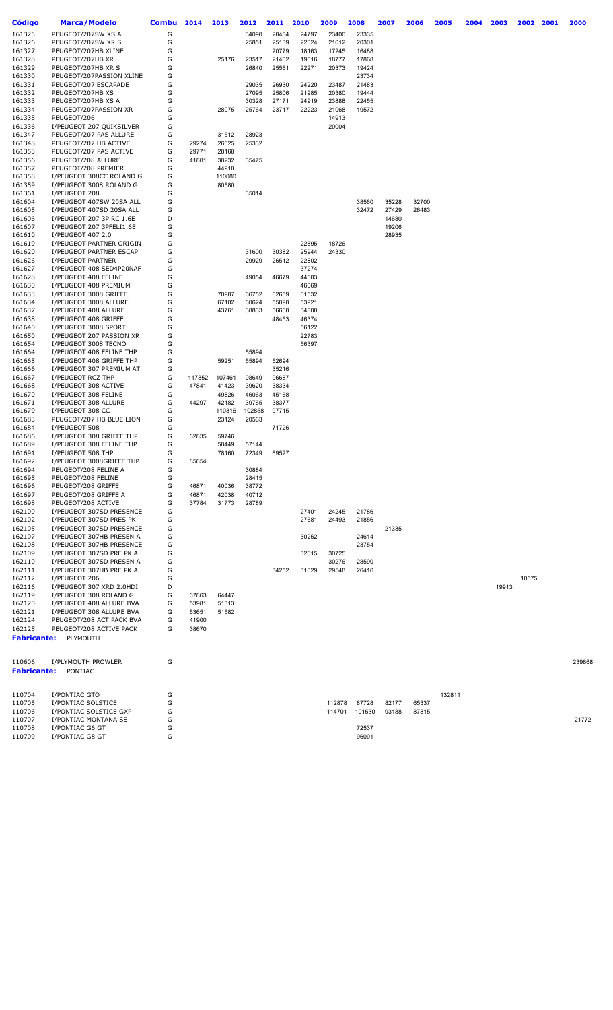| <b>Código</b>                | Marca/Modelo                                         | <b>Combu</b> | 2014   | 2013   | 2012   | 2011           | 2010  | 2009           | 2008           | 2007  | 2006  | 2005   | 2004 | 2003  | 2002  | 2001 | 2000   |
|------------------------------|------------------------------------------------------|--------------|--------|--------|--------|----------------|-------|----------------|----------------|-------|-------|--------|------|-------|-------|------|--------|
| 161325                       | PEUGEOT/207SW XS A                                   | G            |        |        | 34090  | 28484          | 24797 | 23406          | 23335          |       |       |        |      |       |       |      |        |
| 161326                       | PEUGEOT/207SW XR S                                   | G            |        |        | 25851  | 25139          | 22024 | 21012          | 20301          |       |       |        |      |       |       |      |        |
| 161327                       | PEUGEOT/207HB XLINE                                  | G            |        |        |        | 20779          | 18163 | 17245          | 16488          |       |       |        |      |       |       |      |        |
| 161328                       | PEUGEOT/207HB XR                                     | G            |        | 25176  | 23517  | 21462          | 19616 | 18777          | 17868          |       |       |        |      |       |       |      |        |
| 161329                       | PEUGEOT/207HB XR S                                   | G            |        |        | 26840  | 25561          | 22271 | 20373          | 19424          |       |       |        |      |       |       |      |        |
| 161330                       | PEUGEOT/207PASSION XLINE                             | G            |        |        |        |                |       |                | 23734          |       |       |        |      |       |       |      |        |
| 161331                       | PEUGEOT/207 ESCAPADE                                 | G            |        |        | 29035  | 26930          | 24220 | 23487          | 21483          |       |       |        |      |       |       |      |        |
| 161332                       | PEUGEOT/207HB XS                                     | G            |        |        | 27095  | 25806          | 21985 | 20380          | 19444          |       |       |        |      |       |       |      |        |
| 161333                       | PEUGEOT/207HB XS A                                   | G            |        |        | 30328  | 27171          | 24919 | 23888          | 22455          |       |       |        |      |       |       |      |        |
| 161334                       | PEUGEOT/207PASSION XR                                | G            |        | 28075  | 25764  | 23717          | 22223 | 21068          | 19572          |       |       |        |      |       |       |      |        |
| 161335<br>161336             | PEUGEOT/206<br>I/PEUGEOT 207 QUIKSILVER              | G<br>G       |        |        |        |                |       | 14913<br>20004 |                |       |       |        |      |       |       |      |        |
| 161347                       | PEUGEOT/207 PAS ALLURE                               | G            |        | 31512  | 28923  |                |       |                |                |       |       |        |      |       |       |      |        |
| 161348                       | PEUGEOT/207 HB ACTIVE                                | G            | 29274  | 26625  | 25332  |                |       |                |                |       |       |        |      |       |       |      |        |
| 161353                       | PEUGEOT/207 PAS ACTIVE                               | G            | 29771  | 28168  |        |                |       |                |                |       |       |        |      |       |       |      |        |
| 161356                       | PEUGEOT/208 ALLURE                                   | G            | 41801  | 38232  | 35475  |                |       |                |                |       |       |        |      |       |       |      |        |
| 161357                       | PEUGEOT/208 PREMIER                                  | G            |        | 44910  |        |                |       |                |                |       |       |        |      |       |       |      |        |
| 161358                       | I/PEUGEOT 308CC ROLAND G                             | G            |        | 110080 |        |                |       |                |                |       |       |        |      |       |       |      |        |
| 161359                       | I/PEUGEOT 3008 ROLAND G                              | G            |        | 80580  |        |                |       |                |                |       |       |        |      |       |       |      |        |
| 161361                       | I/PEUGEOT 208                                        | G            |        |        | 35014  |                |       |                |                |       |       |        |      |       |       |      |        |
| 161604                       | I/PEUGEOT 407SW 20SA ALL                             | G            |        |        |        |                |       |                | 38560          | 35228 | 32700 |        |      |       |       |      |        |
| 161605                       | I/PEUGEOT 407SD 20SA ALL                             | G            |        |        |        |                |       |                | 32472          | 27429 | 26483 |        |      |       |       |      |        |
| 161606                       | I/PEUGEOT 207 3P RC 1.6E                             | D            |        |        |        |                |       |                |                | 14680 |       |        |      |       |       |      |        |
| 161607                       | I/PEUGEOT 207 3PFELI1.6E                             | G            |        |        |        |                |       |                |                | 19206 |       |        |      |       |       |      |        |
| 161610<br>161619             | I/PEUGEOT 407 2.0<br>I/PEUGEOT PARTNER ORIGIN        | G<br>G       |        |        |        |                | 22895 | 18726          |                | 28935 |       |        |      |       |       |      |        |
| 161620                       | I/PEUGEOT PARTNER ESCAP                              | G            |        |        | 31600  | 30382          | 25944 | 24330          |                |       |       |        |      |       |       |      |        |
| 161626                       | I/PEUGEOT PARTNER                                    | G            |        |        | 29929  | 26512          | 22802 |                |                |       |       |        |      |       |       |      |        |
| 161627                       | I/PEUGEOT 408 SED4P20NAF                             | G            |        |        |        |                | 37274 |                |                |       |       |        |      |       |       |      |        |
| 161628                       | I/PEUGEOT 408 FELINE                                 | G            |        |        | 49054  | 46679          | 44883 |                |                |       |       |        |      |       |       |      |        |
| 161630                       | I/PEUGEOT 408 PREMIUM                                | G            |        |        |        |                | 46069 |                |                |       |       |        |      |       |       |      |        |
| 161633                       | I/PEUGEOT 3008 GRIFFE                                | G            |        | 70987  | 66752  | 62659          | 61532 |                |                |       |       |        |      |       |       |      |        |
| 161634                       | I/PEUGEOT 3008 ALLURE                                | G            |        | 67102  | 60624  | 55898          | 53921 |                |                |       |       |        |      |       |       |      |        |
| 161637                       | I/PEUGEOT 408 ALLURE                                 | G            |        | 43761  | 38833  | 36668          | 34808 |                |                |       |       |        |      |       |       |      |        |
| 161638                       | I/PEUGEOT 408 GRIFFE                                 | G            |        |        |        | 48453          | 46374 |                |                |       |       |        |      |       |       |      |        |
| 161640                       | I/PEUGEOT 3008 SPORT                                 | G            |        |        |        |                | 56122 |                |                |       |       |        |      |       |       |      |        |
| 161650                       | I/PEUGEOT 207 PASSION XR                             | G            |        |        |        |                | 22783 |                |                |       |       |        |      |       |       |      |        |
| 161654                       | I/PEUGEOT 3008 TECNO                                 | G            |        |        |        |                | 56397 |                |                |       |       |        |      |       |       |      |        |
| 161664                       | I/PEUGEOT 408 FELINE THP                             | G<br>G       |        |        | 55894  |                |       |                |                |       |       |        |      |       |       |      |        |
| 161665<br>161666             | I/PEUGEOT 408 GRIFFE THP<br>I/PEUGEOT 307 PREMIUM AT | G            |        | 59251  | 55894  | 52694<br>35216 |       |                |                |       |       |        |      |       |       |      |        |
| 161667                       | I/PEUGEOT RCZ THP                                    | G            | 117852 | 107461 | 98649  | 96687          |       |                |                |       |       |        |      |       |       |      |        |
| 161668                       | I/PEUGEOT 308 ACTIVE                                 | G            | 47841  | 41423  | 39620  | 38334          |       |                |                |       |       |        |      |       |       |      |        |
| 161670                       | I/PEUGEOT 308 FELINE                                 | G            |        | 49826  | 46063  | 45168          |       |                |                |       |       |        |      |       |       |      |        |
| 161671                       | I/PEUGEOT 308 ALLURE                                 | G            | 44297  | 42182  | 39765  | 38377          |       |                |                |       |       |        |      |       |       |      |        |
| 161679                       | I/PEUGEOT 308 CC                                     | G            |        | 110316 | 102858 | 97715          |       |                |                |       |       |        |      |       |       |      |        |
| 161683                       | PEUGEOT/207 HB BLUE LION                             | G            |        | 23124  | 20563  |                |       |                |                |       |       |        |      |       |       |      |        |
| 161684                       | I/PEUGEOT 508                                        | G            |        |        |        | 71726          |       |                |                |       |       |        |      |       |       |      |        |
| 161686                       | I/PEUGEOT 308 GRIFFE THP                             | G            | 62835  | 59746  |        |                |       |                |                |       |       |        |      |       |       |      |        |
| 161689                       | I/PEUGEOT 308 FELINE THP                             | G            |        | 58449  | 57144  |                |       |                |                |       |       |        |      |       |       |      |        |
| 161691                       | I/PEUGEOT 508 THP                                    | G<br>G       |        | 78160  | 72349  | 69527          |       |                |                |       |       |        |      |       |       |      |        |
| 161692<br>161694             | I/PEUGEOT 3008GRIFFE THP<br>PEUGEOT/208 FELINE A     | G            | 85654  |        | 30884  |                |       |                |                |       |       |        |      |       |       |      |        |
| 161695                       | PEUGEOT/208 FELINE                                   | G            |        |        | 28415  |                |       |                |                |       |       |        |      |       |       |      |        |
| 161696                       | PEUGEOT/208 GRIFFE                                   | G            | 46871  | 40036  | 38772  |                |       |                |                |       |       |        |      |       |       |      |        |
| 161697                       | PEUGEOT/208 GRIFFE A                                 | G            | 46871  | 42038  | 40712  |                |       |                |                |       |       |        |      |       |       |      |        |
| 161698                       | PEUGEOT/208 ACTIVE                                   | G            | 37784  | 31773  | 28789  |                |       |                |                |       |       |        |      |       |       |      |        |
| 162100                       | I/PEUGEOT 307SD PRESENCE                             | G            |        |        |        |                | 27401 | 24245          | 21786          |       |       |        |      |       |       |      |        |
| 162102                       | I/PEUGEOT 307SD PRES PK                              | G            |        |        |        |                | 27681 | 24493          | 21856          |       |       |        |      |       |       |      |        |
| 162105                       | I/PEUGEOT 307SD PRESENCE                             | G            |        |        |        |                |       |                |                | 21335 |       |        |      |       |       |      |        |
| 162107                       | I/PEUGEOT 307HB PRESEN A                             | G            |        |        |        |                | 30252 |                | 24614          |       |       |        |      |       |       |      |        |
| 162108                       | I/PEUGEOT 307HB PRESENCE                             | G            |        |        |        |                |       |                | 23754          |       |       |        |      |       |       |      |        |
| 162109                       | I/PEUGEOT 307SD PRE PK A                             | G            |        |        |        |                | 32615 | 30725          |                |       |       |        |      |       |       |      |        |
| 162110                       | I/PEUGEOT 307SD PRESEN A                             | G            |        |        |        |                |       | 30276          | 28590          |       |       |        |      |       |       |      |        |
| 162111<br>162112             | I/PEUGEOT 307HB PRE PK A<br>I/PEUGEOT 206            | G<br>G       |        |        |        | 34252          | 31029 | 29548          | 26416          |       |       |        |      |       | 10575 |      |        |
| 162116                       | I/PEUGEOT 307 XRD 2.0HDI                             | D            |        |        |        |                |       |                |                |       |       |        |      | 19913 |       |      |        |
| 162119                       | I/PEUGEOT 308 ROLAND G                               | G            | 67863  | 64447  |        |                |       |                |                |       |       |        |      |       |       |      |        |
| 162120                       | I/PEUGEOT 408 ALLURE BVA                             | G            | 53981  | 51313  |        |                |       |                |                |       |       |        |      |       |       |      |        |
| 162121                       | I/PEUGEOT 308 ALLURE BVA                             | G            | 53651  | 51582  |        |                |       |                |                |       |       |        |      |       |       |      |        |
| 162124                       | PEUGEOT/208 ACT PACK BVA                             | G            | 41900  |        |        |                |       |                |                |       |       |        |      |       |       |      |        |
| 162125                       | PEUGEOT/208 ACTIVE PACK                              | G            | 38670  |        |        |                |       |                |                |       |       |        |      |       |       |      |        |
| <b>Fabricante:</b>           | PLYMOUTH                                             |              |        |        |        |                |       |                |                |       |       |        |      |       |       |      |        |
| 110606<br><b>Fabricante:</b> | I/PLYMOUTH PROWLER<br>PONTIAC                        | G            |        |        |        |                |       |                |                |       |       |        |      |       |       |      | 239868 |
|                              |                                                      |              |        |        |        |                |       |                |                |       |       |        |      |       |       |      |        |
| 110704                       | I/PONTIAC GTO                                        | G            |        |        |        |                |       |                |                |       |       | 132811 |      |       |       |      |        |
| 110705                       | I/PONTIAC SOLSTICE                                   | G            |        |        |        |                |       | 112878         | 87728          | 82177 | 65337 |        |      |       |       |      |        |
| 110706                       | I/PONTIAC SOLSTICE GXP                               | G            |        |        |        |                |       | 114701         | 101530         | 93188 | 87815 |        |      |       |       |      |        |
| 110707                       | I/PONTIAC MONTANA SE                                 | G            |        |        |        |                |       |                |                |       |       |        |      |       |       |      | 21772  |
| 110708<br>110709             | I/PONTIAC G6 GT                                      | G<br>G       |        |        |        |                |       |                | 72537<br>96091 |       |       |        |      |       |       |      |        |
|                              | I/PONTIAC G8 GT                                      |              |        |        |        |                |       |                |                |       |       |        |      |       |       |      |        |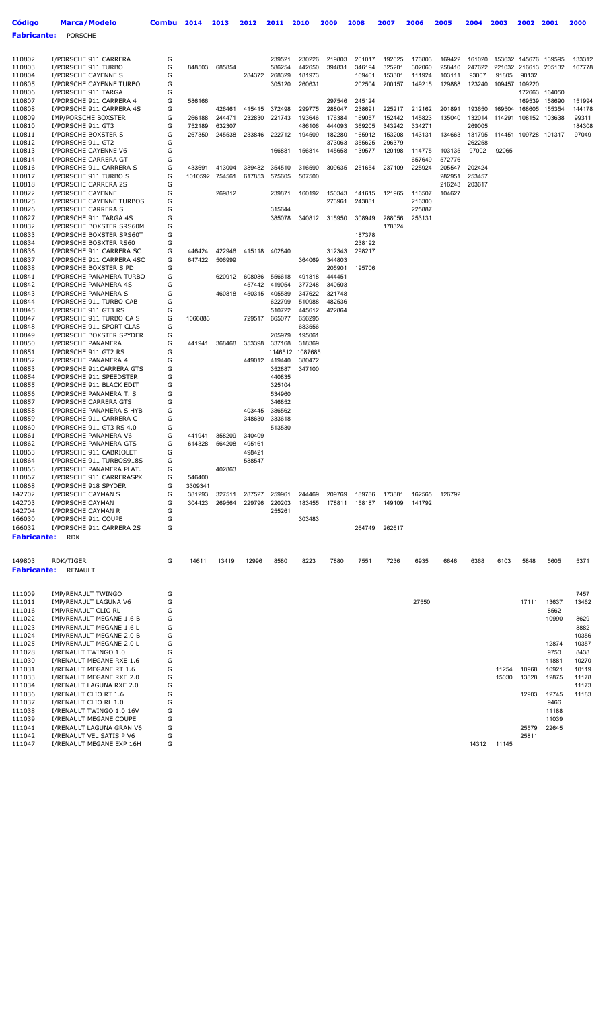| <b>Código</b>      | Marca/Modelo                                         | Combu  | 2014             | 2013             | 2012             | 2011                    | 2010             | 2009             | 2008             | 2007             | 2006             | 2005             | 2004             | 2003        | 2002             | 2001             | 2000          |
|--------------------|------------------------------------------------------|--------|------------------|------------------|------------------|-------------------------|------------------|------------------|------------------|------------------|------------------|------------------|------------------|-------------|------------------|------------------|---------------|
| <b>Fabricante:</b> | <b>PORSCHE</b>                                       |        |                  |                  |                  |                         |                  |                  |                  |                  |                  |                  |                  |             |                  |                  |               |
|                    |                                                      |        |                  |                  |                  |                         |                  |                  |                  |                  |                  |                  |                  |             |                  |                  |               |
| 110802             | I/PORSCHE 911 CARRERA                                | G      |                  |                  |                  | 239521                  | 230226           | 219803           | 201017           | 192625           | 176803           | 169422           | 161020           |             | 153632 145676    | 139595           | 133312        |
| 110803             | I/PORSCHE 911 TURBO                                  | G      | 848503           | 685854           |                  | 586254                  | 442650           | 394831           | 346194           | 325201           | 302060           | 258410           | 247622           |             | 221032 216613    | 205132           | 167778        |
| 110804             | I/PORSCHE CAYENNE S                                  | G      |                  |                  | 284372           | 268329                  | 181973           |                  | 169401           | 153301           | 111924           | 103111           | 93007            | 91805       | 90132            |                  |               |
| 110805             | I/PORSCHE CAYENNE TURBO                              | G      |                  |                  |                  | 305120                  | 260631           |                  | 202504           | 200157           | 149215           | 129888           | 123240           |             | 109457 109220    |                  |               |
| 110806<br>110807   | I/PORSCHE 911 TARGA<br>I/PORSCHE 911 CARRERA 4       | G<br>G | 586166           |                  |                  |                         |                  | 297546           | 245124           |                  |                  |                  |                  |             | 172663<br>169539 | 164050<br>158690 | 151994        |
| 110808             | I/PORSCHE 911 CARRERA 4S                             | G      |                  | 426461           | 415415           | 372498                  | 299775           | 288047           | 238691           | 225217           | 212162           | 201891           | 193650           | 169504      | 168605           | 155354           | 144178        |
| 110809             | <b>IMP/PORSCHE BOXSTER</b>                           | G      | 266188           | 244471           | 232830           | 221743                  | 193646           | 176384           | 169057           | 152442           | 145823           | 135040           | 132014           | 114291      | 108152           | 103638           | 99311         |
| 110810             | I/PORSCHE 911 GT3                                    | G      | 752189           | 632307           |                  |                         | 486106           | 444093           | 369205           | 343242           | 334271           |                  | 269005           |             |                  |                  | 184308        |
| 110811             | I/PORSCHE BOXSTER S                                  | G<br>G | 267350           | 245538           | 233846           | 222712                  | 194509           | 182280           | 165912           | 153208           | 143131           | 134663           | 131795<br>262258 |             | 114451 109728    | 101317           | 97049         |
| 110812<br>110813   | I/PORSCHE 911 GT2<br>I/PORSCHE CAYENNE V6            | G      |                  |                  |                  | 166881                  | 156814           | 373063<br>145658 | 355625<br>139577 | 296379<br>120198 | 114775           | 103135           | 97002            | 92065       |                  |                  |               |
| 110814             | I/PORSCHE CARRERA GT                                 | G      |                  |                  |                  |                         |                  |                  |                  |                  | 657649           | 572776           |                  |             |                  |                  |               |
| 110816             | I/PORSCHE 911 CARRERA S                              | G      | 433691           | 413004           | 389482           | 354510                  | 316590           | 309635           | 251654           | 237109           | 225924           | 205547           | 202424           |             |                  |                  |               |
| 110817             | I/PORSCHE 911 TURBO S                                | G      | 1010592          | 754561           | 617853           | 575605                  | 507500           |                  |                  |                  |                  | 282951           | 253457           |             |                  |                  |               |
| 110818<br>110822   | I/PORSCHE CARRERA 2S<br>I/PORSCHE CAYENNE            | G<br>G |                  | 269812           |                  | 239871                  | 160192           | 150343           | 141615           | 121965           | 116507           | 216243<br>104627 | 203617           |             |                  |                  |               |
| 110825             | I/PORSCHE CAYENNE TURBOS                             | G      |                  |                  |                  |                         |                  | 273961           | 243881           |                  | 216300           |                  |                  |             |                  |                  |               |
| 110826             | I/PORSCHE CARRERA S                                  | G      |                  |                  |                  | 315644                  |                  |                  |                  |                  | 225887           |                  |                  |             |                  |                  |               |
| 110827             | I/PORSCHE 911 TARGA 4S                               | G      |                  |                  |                  | 385078                  | 340812           | 315950           | 308949           | 288056           | 253131           |                  |                  |             |                  |                  |               |
| 110832<br>110833   | I/PORSCHE BOXSTER SRS60M<br>I/PORSCHE BOXSTER SRS60T | G<br>G |                  |                  |                  |                         |                  |                  | 187378           | 178324           |                  |                  |                  |             |                  |                  |               |
| 110834             | I/PORSCHE BOSXTER RS60                               | G      |                  |                  |                  |                         |                  |                  | 238192           |                  |                  |                  |                  |             |                  |                  |               |
| 110836             | I/PORSCHE 911 CARRERA SC                             | G      | 446424           | 422946           | 415118           | 402840                  |                  | 312343           | 298217           |                  |                  |                  |                  |             |                  |                  |               |
| 110837             | I/PORSCHE 911 CARRERA 4SC                            | G      | 647422           | 506999           |                  |                         | 364069           | 344803           |                  |                  |                  |                  |                  |             |                  |                  |               |
| 110838<br>110841   | I/PORSCHE BOXSTER S PD<br>I/PORSCHE PANAMERA TURBO   | G<br>G |                  | 620912           | 608086           | 556618                  | 491818           | 205901<br>444451 | 195706           |                  |                  |                  |                  |             |                  |                  |               |
| 110842             | I/PORSCHE PANAMERA 4S                                | G      |                  |                  | 457442           | 419054                  | 377248           | 340503           |                  |                  |                  |                  |                  |             |                  |                  |               |
| 110843             | I/PORSCHE PANAMERA S                                 | G      |                  | 460818           | 450315           | 405589                  | 347622           | 321748           |                  |                  |                  |                  |                  |             |                  |                  |               |
| 110844             | I/PORSCHE 911 TURBO CAB                              | G      |                  |                  |                  | 622799                  | 510988           | 482536           |                  |                  |                  |                  |                  |             |                  |                  |               |
| 110845             | I/PORSCHE 911 GT3 RS                                 | G      |                  |                  |                  | 510722                  | 445612           | 422864           |                  |                  |                  |                  |                  |             |                  |                  |               |
| 110847<br>110848   | I/PORSCHE 911 TURBO CA S<br>I/PORSCHE 911 SPORT CLAS | G<br>G | 1066883          |                  | 729517           | 665077                  | 656295<br>683556 |                  |                  |                  |                  |                  |                  |             |                  |                  |               |
| 110849             | I/PORSCHE BOXSTER SPYDER                             | G      |                  |                  |                  | 205979                  | 195061           |                  |                  |                  |                  |                  |                  |             |                  |                  |               |
| 110850             | I/PORSCHE PANAMERA                                   | G      | 441941           | 368468           | 353398           | 337168                  | 318369           |                  |                  |                  |                  |                  |                  |             |                  |                  |               |
| 110851             | I/PORSCHE 911 GT2 RS                                 | G      |                  |                  |                  | 1146512                 | 1087685          |                  |                  |                  |                  |                  |                  |             |                  |                  |               |
| 110852<br>110853   | I/PORSCHE PANAMERA 4<br>I/PORSCHE 911CARRERA GTS     | G<br>G |                  |                  |                  | 449012 419440<br>352887 | 380472<br>347100 |                  |                  |                  |                  |                  |                  |             |                  |                  |               |
| 110854             | I/PORSCHE 911 SPEEDSTER                              | G      |                  |                  |                  | 440835                  |                  |                  |                  |                  |                  |                  |                  |             |                  |                  |               |
| 110855             | I/PORSCHE 911 BLACK EDIT                             | G      |                  |                  |                  | 325104                  |                  |                  |                  |                  |                  |                  |                  |             |                  |                  |               |
| 110856             | I/PORSCHE PANAMERA T. S                              | G      |                  |                  |                  | 534960                  |                  |                  |                  |                  |                  |                  |                  |             |                  |                  |               |
| 110857<br>110858   | I/PORSCHE CARRERA GTS<br>I/PORSCHE PANAMERA S HYB    | G<br>G |                  |                  | 403445           | 346852<br>386562        |                  |                  |                  |                  |                  |                  |                  |             |                  |                  |               |
| 110859             | I/PORSCHE 911 CARRERA C                              | G      |                  |                  | 348630           | 333618                  |                  |                  |                  |                  |                  |                  |                  |             |                  |                  |               |
| 110860             | I/PORSCHE 911 GT3 RS 4.0                             | G      |                  |                  |                  | 513530                  |                  |                  |                  |                  |                  |                  |                  |             |                  |                  |               |
| 110861             | I/PORSCHE PANAMERA V6                                | G      | 441941           | 358209           | 340409           |                         |                  |                  |                  |                  |                  |                  |                  |             |                  |                  |               |
| 110862<br>110863   | I/PORSCHE PANAMERA GTS<br>I/PORSCHE 911 CABRIOLET    | G<br>G | 614328           | 564208           | 495161           |                         |                  |                  |                  |                  |                  |                  |                  |             |                  |                  |               |
| 110864             | I/PORSCHE 911 TURBOS918S                             | G      |                  |                  | 498421<br>588547 |                         |                  |                  |                  |                  |                  |                  |                  |             |                  |                  |               |
| 110865             | I/PORSCHE PANAMERA PLAT.                             | G      |                  | 402863           |                  |                         |                  |                  |                  |                  |                  |                  |                  |             |                  |                  |               |
| 110867             | I/PORSCHE 911 CARRERASPK                             | G      | 546400           |                  |                  |                         |                  |                  |                  |                  |                  |                  |                  |             |                  |                  |               |
| 110868             | I/PORSCHE 918 SPYDER                                 | G      | 3309341          |                  |                  |                         |                  |                  |                  |                  |                  |                  |                  |             |                  |                  |               |
| 142702<br>142703   | I/PORSCHE CAYMAN S<br>I/PORSCHE CAYMAN               | G<br>G | 381293<br>304423 | 327511<br>269564 | 287527<br>229796 | 259961<br>220203        | 244469<br>183455 | 209769<br>178811 | 189786<br>158187 | 173881<br>149109 | 162565<br>141792 | 126792           |                  |             |                  |                  |               |
| 142704             | I/PORSCHE CAYMAN R                                   | G      |                  |                  |                  | 255261                  |                  |                  |                  |                  |                  |                  |                  |             |                  |                  |               |
| 166030             | I/PORSCHE 911 COUPE                                  | G      |                  |                  |                  |                         | 303483           |                  |                  |                  |                  |                  |                  |             |                  |                  |               |
| 166032             | I/PORSCHE 911 CARRERA 2S                             | G      |                  |                  |                  |                         |                  |                  | 264749           | 262617           |                  |                  |                  |             |                  |                  |               |
| <b>Fabricante:</b> | <b>RDK</b>                                           |        |                  |                  |                  |                         |                  |                  |                  |                  |                  |                  |                  |             |                  |                  |               |
|                    |                                                      |        |                  |                  |                  |                         |                  |                  |                  |                  |                  |                  |                  |             |                  |                  |               |
| 149803             | RDK/TIGER                                            | G      | 14611            | 13419            | 12996            | 8580                    | 8223             | 7880             | 7551             | 7236             | 6935             | 6646             | 6368             | 6103        | 5848             | 5605             | 5371          |
| <b>Fabricante:</b> | RENAULT                                              |        |                  |                  |                  |                         |                  |                  |                  |                  |                  |                  |                  |             |                  |                  |               |
|                    |                                                      |        |                  |                  |                  |                         |                  |                  |                  |                  |                  |                  |                  |             |                  |                  |               |
| 111009             | IMP/RENAULT TWINGO                                   | G      |                  |                  |                  |                         |                  |                  |                  |                  |                  |                  |                  |             |                  |                  | 7457          |
| 111011             | IMP/RENAULT LAGUNA V6                                | G<br>G |                  |                  |                  |                         |                  |                  |                  |                  | 27550            |                  |                  |             | 17111            | 13637            | 13462         |
| 111016<br>111022   | IMP/RENAULT CLIO RL<br>IMP/RENAULT MEGANE 1.6 B      | G      |                  |                  |                  |                         |                  |                  |                  |                  |                  |                  |                  |             |                  | 8562<br>10990    | 8629          |
| 111023             | IMP/RENAULT MEGANE 1.6 L                             | G      |                  |                  |                  |                         |                  |                  |                  |                  |                  |                  |                  |             |                  |                  | 8882          |
| 111024             | IMP/RENAULT MEGANE 2.0 B                             | G      |                  |                  |                  |                         |                  |                  |                  |                  |                  |                  |                  |             |                  |                  | 10356         |
| 111025             | IMP/RENAULT MEGANE 2.0 L                             | G<br>G |                  |                  |                  |                         |                  |                  |                  |                  |                  |                  |                  |             |                  | 12874<br>9750    | 10357<br>8438 |
| 111028<br>111030   | I/RENAULT TWINGO 1.0<br>I/RENAULT MEGANE RXE 1.6     | G      |                  |                  |                  |                         |                  |                  |                  |                  |                  |                  |                  |             |                  | 11881            | 10270         |
| 111031             | I/RENAULT MEGANE RT 1.6                              | G      |                  |                  |                  |                         |                  |                  |                  |                  |                  |                  |                  | 11254       | 10968            | 10921            | 10119         |
| 111033             | I/RENAULT MEGANE RXE 2.0                             | G      |                  |                  |                  |                         |                  |                  |                  |                  |                  |                  |                  | 15030       | 13828            | 12875            | 11178         |
| 111034             | I/RENAULT LAGUNA RXE 2.0                             | G      |                  |                  |                  |                         |                  |                  |                  |                  |                  |                  |                  |             |                  |                  | 11173         |
| 111036<br>111037   | I/RENAULT CLIO RT 1.6<br>I/RENAULT CLIO RL 1.0       | G<br>G |                  |                  |                  |                         |                  |                  |                  |                  |                  |                  |                  |             | 12903            | 12745<br>9466    | 11183         |
| 111038             | I/RENAULT TWINGO 1.0 16V                             | G      |                  |                  |                  |                         |                  |                  |                  |                  |                  |                  |                  |             |                  | 11188            |               |
| 111039             | I/RENAULT MEGANE COUPE                               | G      |                  |                  |                  |                         |                  |                  |                  |                  |                  |                  |                  |             |                  | 11039            |               |
| 111041             | I/RENAULT LAGUNA GRAN V6                             | G      |                  |                  |                  |                         |                  |                  |                  |                  |                  |                  |                  |             | 25579            | 22645            |               |
| 111042<br>111047   | I/RENAULT VEL SATIS P V6<br>I/RENAULT MEGANE EXP 16H | G<br>G |                  |                  |                  |                         |                  |                  |                  |                  |                  |                  |                  | 14312 11145 | 25811            |                  |               |
|                    |                                                      |        |                  |                  |                  |                         |                  |                  |                  |                  |                  |                  |                  |             |                  |                  |               |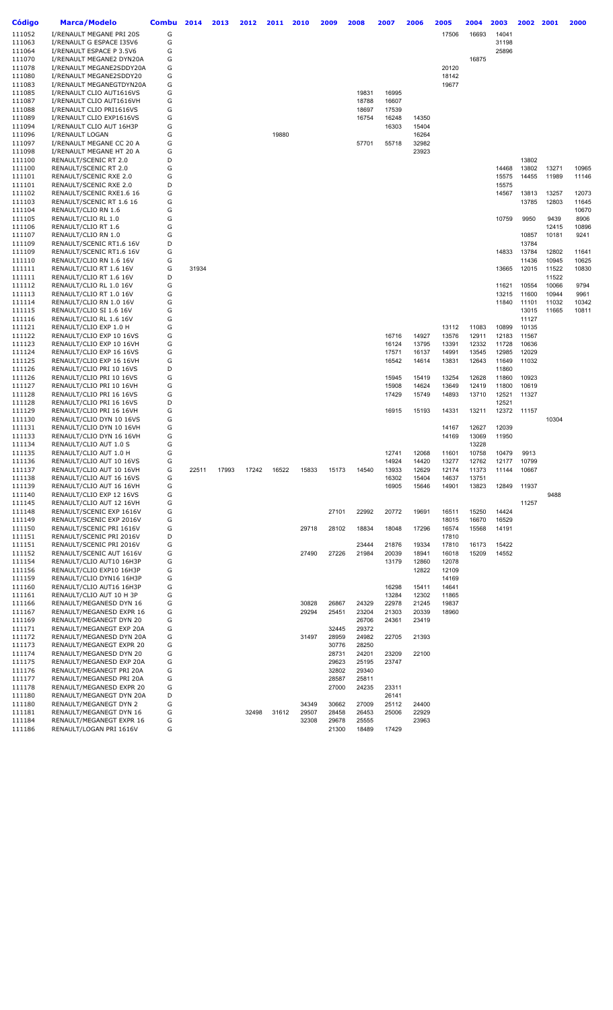| Código           | <b>Marca/Modelo</b>                                  | <b>Combu</b> | 2014  | 2013  | 2012  | 2011  | 2010  | 2009           | 2008           | 2007           | 2006           | 2005           | 2004           | 2003           | 2002           | 2001           | 2000           |
|------------------|------------------------------------------------------|--------------|-------|-------|-------|-------|-------|----------------|----------------|----------------|----------------|----------------|----------------|----------------|----------------|----------------|----------------|
| 111052           | I/RENAULT MEGANE PRI 20S                             | G            |       |       |       |       |       |                |                |                |                | 17506          | 16693          | 14041          |                |                |                |
| 111063           | I/RENAULT G ESPACE I35V6                             | G            |       |       |       |       |       |                |                |                |                |                |                | 31198          |                |                |                |
| 111064           | I/RENAULT ESPACE P 3.5V6                             | G            |       |       |       |       |       |                |                |                |                |                |                | 25896          |                |                |                |
| 111070<br>111078 | I/RENAULT MEGANE2 DYN20A                             | G<br>G       |       |       |       |       |       |                |                |                |                |                | 16875          |                |                |                |                |
| 111080           | I/RENAULT MEGANE2SDDY20A<br>I/RENAULT MEGANE2SDDY20  | G            |       |       |       |       |       |                |                |                |                | 20120<br>18142 |                |                |                |                |                |
| 111083           | I/RENAULT MEGANEGTDYN20A                             | G            |       |       |       |       |       |                |                |                |                | 19677          |                |                |                |                |                |
| 111085           | I/RENAULT CLIO AUT1616VS                             | G            |       |       |       |       |       |                | 19831          | 16995          |                |                |                |                |                |                |                |
| 111087           | I/RENAULT CLIO AUT1616VH                             | G            |       |       |       |       |       |                | 18788          | 16607          |                |                |                |                |                |                |                |
| 111088<br>111089 | I/RENAULT CLIO PRI1616VS<br>I/RENAULT CLIO EXP1616VS | G<br>G       |       |       |       |       |       |                | 18697<br>16754 | 17539<br>16248 | 14350          |                |                |                |                |                |                |
| 111094           | I/RENAULT CLIO AUT 16H3P                             | G            |       |       |       |       |       |                |                | 16303          | 15404          |                |                |                |                |                |                |
| 111096           | I/RENAULT LOGAN                                      | G            |       |       |       | 19880 |       |                |                |                | 16264          |                |                |                |                |                |                |
| 111097           | I/RENAULT MEGANE CC 20 A                             | G            |       |       |       |       |       |                | 57701          | 55718          | 32982          |                |                |                |                |                |                |
| 111098           | I/RENAULT MEGANE HT 20 A<br>RENAULT/SCENIC RT 2.0    | G<br>D       |       |       |       |       |       |                |                |                | 23923          |                |                |                | 13802          |                |                |
| 111100<br>111100 | RENAULT/SCENIC RT 2.0                                | G            |       |       |       |       |       |                |                |                |                |                |                | 14468          | 13802          | 13271          | 10965          |
| 111101           | RENAULT/SCENIC RXE 2.0                               | G            |       |       |       |       |       |                |                |                |                |                |                | 15575          | 14455          | 11989          | 11146          |
| 111101           | RENAULT/SCENIC RXE 2.0                               | D            |       |       |       |       |       |                |                |                |                |                |                | 15575          |                |                |                |
| 111102           | RENAULT/SCENIC RXE1.6 16                             | G            |       |       |       |       |       |                |                |                |                |                |                | 14567          | 13813          | 13257          | 12073          |
| 111103<br>111104 | RENAULT/SCENIC RT 1.6 16<br>RENAULT/CLIO RN 1.6      | G<br>G       |       |       |       |       |       |                |                |                |                |                |                |                | 13785          | 12803          | 11645<br>10670 |
| 111105           | RENAULT/CLIO RL 1.0                                  | G            |       |       |       |       |       |                |                |                |                |                |                | 10759          | 9950           | 9439           | 8906           |
| 111106           | RENAULT/CLIO RT 1.6                                  | G            |       |       |       |       |       |                |                |                |                |                |                |                |                | 12415          | 10896          |
| 111107           | RENAULT/CLIO RN 1.0                                  | G            |       |       |       |       |       |                |                |                |                |                |                |                | 10857          | 10181          | 9241           |
| 111109           | RENAULT/SCENIC RT1.6 16V                             | D<br>G       |       |       |       |       |       |                |                |                |                |                |                | 14833          | 13784<br>13784 | 12802          |                |
| 111109<br>111110 | RENAULT/SCENIC RT1.6 16V<br>RENAULT/CLIO RN 1.6 16V  | G            |       |       |       |       |       |                |                |                |                |                |                |                | 11436          | 10945          | 11641<br>10625 |
| 111111           | RENAULT/CLIO RT 1.6 16V                              | G            | 31934 |       |       |       |       |                |                |                |                |                |                | 13665          | 12015          | 11522          | 10830          |
| 111111           | RENAULT/CLIO RT 1.6 16V                              | D            |       |       |       |       |       |                |                |                |                |                |                |                |                | 11522          |                |
| 111112           | RENAULT/CLIO RL 1.0 16V                              | G            |       |       |       |       |       |                |                |                |                |                |                | 11621          | 10554          | 10066          | 9794           |
| 111113<br>111114 | RENAULT/CLIO RT 1.0 16V<br>RENAULT/CLIO RN 1.0 16V   | G<br>G       |       |       |       |       |       |                |                |                |                |                |                | 13215<br>11840 | 11600<br>11101 | 10944<br>11032 | 9961<br>10342  |
| 111115           | RENAULT/CLIO SI 1.6 16V                              | G            |       |       |       |       |       |                |                |                |                |                |                |                | 13015          | 11665          | 10811          |
| 111116           | RENAULT/CLIO RL 1.6 16V                              | G            |       |       |       |       |       |                |                |                |                |                |                |                | 11127          |                |                |
| 111121           | RENAULT/CLIO EXP 1.0 H                               | G            |       |       |       |       |       |                |                |                |                | 13112          | 11083          | 10899          | 10135          |                |                |
| 111122           | RENAULT/CLIO EXP 10 16VS                             | G            |       |       |       |       |       |                |                | 16716          | 14927          | 13576          | 12911          | 12183          | 11567          |                |                |
| 111123<br>111124 | RENAULT/CLIO EXP 10 16VH<br>RENAULT/CLIO EXP 16 16VS | G<br>G       |       |       |       |       |       |                |                | 16124<br>17571 | 13795<br>16137 | 13391<br>14991 | 12332<br>13545 | 11728<br>12985 | 10636<br>12029 |                |                |
| 111125           | RENAULT/CLIO EXP 16 16VH                             | G            |       |       |       |       |       |                |                | 16542          | 14614          | 13831          | 12643          | 11649          | 11032          |                |                |
| 111126           | RENAULT/CLIO PRI 10 16VS                             | D            |       |       |       |       |       |                |                |                |                |                |                | 11860          |                |                |                |
| 111126           | RENAULT/CLIO PRI 10 16VS                             | G            |       |       |       |       |       |                |                | 15945          | 15419          | 13254          | 12628          | 11860          | 10923          |                |                |
| 111127<br>111128 | RENAULT/CLIO PRI 10 16VH<br>RENAULT/CLIO PRI 16 16VS | G<br>G       |       |       |       |       |       |                |                | 15908<br>17429 | 14624<br>15749 | 13649<br>14893 | 12419<br>13710 | 11800<br>12521 | 10619<br>11327 |                |                |
| 111128           | RENAULT/CLIO PRI 16 16VS                             | D            |       |       |       |       |       |                |                |                |                |                |                | 12521          |                |                |                |
| 111129           | RENAULT/CLIO PRI 16 16VH                             | G            |       |       |       |       |       |                |                | 16915          | 15193          | 14331          | 13211          | 12372          | 11157          |                |                |
| 111130           | RENAULT/CLIO DYN 10 16VS                             | G            |       |       |       |       |       |                |                |                |                |                |                |                |                | 10304          |                |
| 111131<br>111133 | RENAULT/CLIO DYN 10 16VH<br>RENAULT/CLIO DYN 16 16VH | G<br>G       |       |       |       |       |       |                |                |                |                | 14167<br>14169 | 12627<br>13069 | 12039<br>11950 |                |                |                |
| 111134           | RENAULT/CLIO AUT 1.0 S                               | G            |       |       |       |       |       |                |                |                |                |                | 13228          |                |                |                |                |
| 111135           | RENAULT/CLIO AUT 1.0 H                               | G            |       |       |       |       |       |                |                | 12741          | 12068          | 11601          | 10758          | 10479          | 9913           |                |                |
| 111136           | RENAULT/CLIO AUT 10 16VS                             | G            |       |       |       |       |       |                |                | 14924          | 14420          | 13277          | 12762          | 12177          | 10799          |                |                |
| 111137<br>111138 | RENAULT/CLIO AUT 10 16VH<br>RENAULT/CLIO AUT 16 16VS | G<br>G       | 22511 | 17993 | 17242 | 16522 | 15833 | 15173          | 14540          | 13933<br>16302 | 12629          | 12174          | 11373<br>13751 | 11144          | 10667          |                |                |
| 111139           | RENAULT/CLIO AUT 16 16VH                             | G            |       |       |       |       |       |                |                | 16905          | 15404<br>15646 | 14637<br>14901 | 13823          | 12849          | 11937          |                |                |
| 111140           | RENAULT/CLIO EXP 12 16VS                             | G            |       |       |       |       |       |                |                |                |                |                |                |                |                | 9488           |                |
| 111145           | RENAULT/CLIO AUT 12 16VH                             | G            |       |       |       |       |       |                |                |                |                |                |                |                | 11257          |                |                |
| 111148           | RENAULT/SCENIC EXP 1616V                             | G            |       |       |       |       |       | 27101          | 22992          | 20772          | 19691          | 16511          | 15250          | 14424          |                |                |                |
| 111149<br>111150 | RENAULT/SCENIC EXP 2016V<br>RENAULT/SCENIC PRI 1616V | G<br>G       |       |       |       |       | 29718 | 28102          | 18834          | 18048          | 17296          | 18015<br>16574 | 16670<br>15568 | 16529<br>14191 |                |                |                |
| 111151           | RENAULT/SCENIC PRI 2016V                             | D            |       |       |       |       |       |                |                |                |                | 17810          |                |                |                |                |                |
| 111151           | RENAULT/SCENIC PRI 2016V                             | G            |       |       |       |       |       |                | 23444          | 21876          | 19334          | 17810          | 16173          | 15422          |                |                |                |
| 111152           | RENAULT/SCENIC AUT 1616V                             | G            |       |       |       |       | 27490 | 27226          | 21984          | 20039          | 18941          | 16018          | 15209          | 14552          |                |                |                |
| 111154           | RENAULT/CLIO AUT10 16H3P                             | G            |       |       |       |       |       |                |                | 13179          | 12860          | 12078          |                |                |                |                |                |
| 111156<br>111159 | RENAULT/CLIO EXP10 16H3P<br>RENAULT/CLIO DYN16 16H3P | G<br>G       |       |       |       |       |       |                |                |                | 12822          | 12109<br>14169 |                |                |                |                |                |
| 111160           | RENAULT/CLIO AUT16 16H3P                             | G            |       |       |       |       |       |                |                | 16298          | 15411          | 14641          |                |                |                |                |                |
| 111161           | RENAULT/CLIO AUT 10 H 3P                             | G            |       |       |       |       |       |                |                | 13284          | 12302          | 11865          |                |                |                |                |                |
| 111166           | RENAULT/MEGANESD DYN 16                              | G            |       |       |       |       | 30828 | 26867          | 24329          | 22978          | 21245          | 19837          |                |                |                |                |                |
| 111167<br>111169 | RENAULT/MEGANESD EXPR 16<br>RENAULT/MEGANEGT DYN 20  | G<br>G       |       |       |       |       | 29294 | 25451          | 23204<br>26706 | 21303<br>24361 | 20339<br>23419 | 18960          |                |                |                |                |                |
| 111171           | RENAULT/MEGANEGT EXP 20A                             | G            |       |       |       |       |       | 32445          | 29372          |                |                |                |                |                |                |                |                |
| 111172           | RENAULT/MEGANESD DYN 20A                             | G            |       |       |       |       | 31497 | 28959          | 24982          | 22705          | 21393          |                |                |                |                |                |                |
| 111173           | RENAULT/MEGANEGT EXPR 20                             | G            |       |       |       |       |       | 30776          | 28250          |                |                |                |                |                |                |                |                |
| 111174<br>111175 | RENAULT/MEGANESD DYN 20<br>RENAULT/MEGANESD EXP 20A  | G<br>G       |       |       |       |       |       | 28731<br>29623 | 24201<br>25195 | 23209<br>23747 | 22100          |                |                |                |                |                |                |
| 111176           | RENAULT/MEGANEGT PRI 20A                             | G            |       |       |       |       |       | 32802          | 29340          |                |                |                |                |                |                |                |                |
| 111177           | RENAULT/MEGANESD PRI 20A                             | G            |       |       |       |       |       | 28587          | 25811          |                |                |                |                |                |                |                |                |
| 111178           | RENAULT/MEGANESD EXPR 20                             | G            |       |       |       |       |       | 27000          | 24235          | 23311          |                |                |                |                |                |                |                |
| 111180<br>111180 | RENAULT/MEGANEGT DYN 20A<br>RENAULT/MEGANEGT DYN 2   | D<br>G       |       |       |       |       | 34349 | 30662          | 27009          | 26141<br>25112 | 24400          |                |                |                |                |                |                |
| 111181           | RENAULT/MEGANEGT DYN 16                              | G            |       |       | 32498 | 31612 | 29507 | 28458          | 26453          | 25006          | 22929          |                |                |                |                |                |                |
| 111184           | RENAULT/MEGANEGT EXPR 16                             | G            |       |       |       |       | 32308 | 29678          | 25555          |                | 23963          |                |                |                |                |                |                |
| 111186           | RENAULT/LOGAN PRI 1616V                              | G            |       |       |       |       |       | 21300          | 18489          | 17429          |                |                |                |                |                |                |                |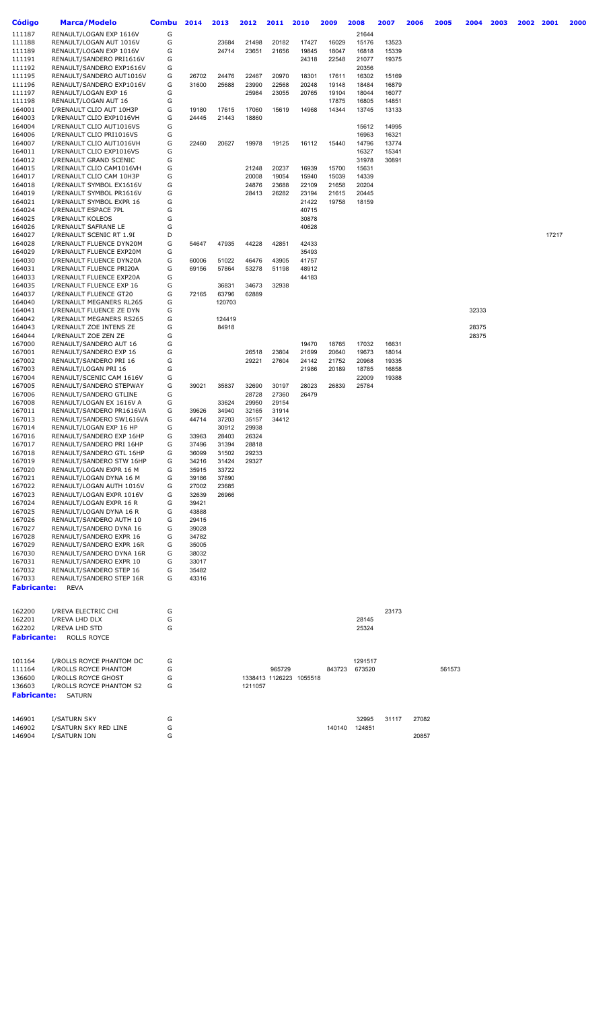| Código           | <b>Marca/Modelo</b>                                  | <b>Combu</b> | 2014  | 2013   | 2012    | 2011   | 2010                    | 2009   | 2008    | 2007  | 2006  | 2005   | 2004  | 2003 | 2002 | 2001  | 2000 |
|------------------|------------------------------------------------------|--------------|-------|--------|---------|--------|-------------------------|--------|---------|-------|-------|--------|-------|------|------|-------|------|
| 111187           | RENAULT/LOGAN EXP 1616V                              | G            |       |        |         |        |                         |        | 21644   |       |       |        |       |      |      |       |      |
| 111188           | RENAULT/LOGAN AUT 1016V                              | G            |       | 23684  | 21498   | 20182  | 17427                   | 16029  | 15176   | 13523 |       |        |       |      |      |       |      |
| 111189           | RENAULT/LOGAN EXP 1016V                              | G            |       | 24714  | 23651   | 21656  | 19845                   | 18047  | 16818   | 15339 |       |        |       |      |      |       |      |
| 111191           | RENAULT/SANDERO PRI1616V                             | G            |       |        |         |        | 24318                   | 22548  | 21077   | 19375 |       |        |       |      |      |       |      |
| 111192           | RENAULT/SANDERO EXP1616V                             | G            |       |        |         |        |                         |        | 20356   |       |       |        |       |      |      |       |      |
| 111195           | RENAULT/SANDERO AUT1016V                             | G            | 26702 | 24476  | 22467   | 20970  | 18301                   | 17611  | 16302   | 15169 |       |        |       |      |      |       |      |
| 111196           | RENAULT/SANDERO EXP1016V                             | G            | 31600 | 25688  | 23990   | 22568  | 20248                   | 19148  | 18484   | 16879 |       |        |       |      |      |       |      |
| 111197           | RENAULT/LOGAN EXP 16                                 | G            |       |        | 25984   | 23055  | 20765                   | 19104  | 18044   | 16077 |       |        |       |      |      |       |      |
| 111198           | RENAULT/LOGAN AUT 16                                 | G            |       |        |         |        |                         | 17875  | 16805   | 14851 |       |        |       |      |      |       |      |
| 164001           | I/RENAULT CLIO AUT 10H3P                             | G            | 19180 | 17615  | 17060   | 15619  | 14968                   | 14344  | 13745   | 13133 |       |        |       |      |      |       |      |
| 164003           | I/RENAULT CLIO EXP1016VH                             | G            | 24445 | 21443  | 18860   |        |                         |        |         |       |       |        |       |      |      |       |      |
| 164004           | I/RENAULT CLIO AUT1016VS                             | G            |       |        |         |        |                         |        | 15612   | 14995 |       |        |       |      |      |       |      |
| 164006           | I/RENAULT CLIO PRI1016VS                             | G            |       |        |         |        |                         |        | 16963   | 16321 |       |        |       |      |      |       |      |
| 164007           | I/RENAULT CLIO AUT1016VH                             | G            | 22460 | 20627  | 19978   | 19125  | 16112                   | 15440  | 14796   | 13774 |       |        |       |      |      |       |      |
| 164011           | I/RENAULT CLIO EXP1016VS                             | G            |       |        |         |        |                         |        | 16327   | 15341 |       |        |       |      |      |       |      |
| 164012           | I/RENAULT GRAND SCENIC                               | G            |       |        |         |        |                         |        | 31978   | 30891 |       |        |       |      |      |       |      |
| 164015           | I/RENAULT CLIO CAM1016VH                             | G            |       |        | 21248   | 20237  | 16939                   | 15700  | 15631   |       |       |        |       |      |      |       |      |
| 164017           | I/RENAULT CLIO CAM 10H3P                             | G            |       |        | 20008   | 19054  | 15940                   | 15039  | 14339   |       |       |        |       |      |      |       |      |
| 164018           | I/RENAULT SYMBOL EX1616V                             | G            |       |        | 24876   | 23688  | 22109                   | 21658  | 20204   |       |       |        |       |      |      |       |      |
| 164019           | I/RENAULT SYMBOL PR1616V                             | G            |       |        | 28413   | 26282  | 23194                   | 21615  | 20445   |       |       |        |       |      |      |       |      |
| 164021           | I/RENAULT SYMBOL EXPR 16                             | G            |       |        |         |        | 21422                   | 19758  | 18159   |       |       |        |       |      |      |       |      |
| 164024           | I/RENAULT ESPACE 7PL                                 | G            |       |        |         |        | 40715                   |        |         |       |       |        |       |      |      |       |      |
| 164025           | I/RENAULT KOLEOS                                     | G            |       |        |         |        | 30878                   |        |         |       |       |        |       |      |      |       |      |
| 164026           | I/RENAULT SAFRANE LE                                 | G            |       |        |         |        | 40628                   |        |         |       |       |        |       |      |      |       |      |
| 164027           | I/RENAULT SCENIC RT 1.9I                             | D            |       |        |         |        |                         |        |         |       |       |        |       |      |      | 17217 |      |
| 164028           | I/RENAULT FLUENCE DYN20M                             | G            | 54647 | 47935  | 44228   | 42851  | 42433                   |        |         |       |       |        |       |      |      |       |      |
| 164029           | I/RENAULT FLUENCE EXP20M                             | G            |       |        |         |        | 35493                   |        |         |       |       |        |       |      |      |       |      |
| 164030           | I/RENAULT FLUENCE DYN20A                             | G            | 60006 | 51022  | 46476   | 43905  | 41757                   |        |         |       |       |        |       |      |      |       |      |
| 164031           | I/RENAULT FLUENCE PRI20A<br>I/RENAULT FLUENCE EXP20A | G            | 69156 | 57864  | 53278   | 51198  | 48912                   |        |         |       |       |        |       |      |      |       |      |
| 164033<br>164035 | I/RENAULT FLUENCE EXP 16                             | G<br>G       |       | 36831  | 34673   | 32938  | 44183                   |        |         |       |       |        |       |      |      |       |      |
| 164037           | I/RENAULT FLUENCE GT20                               | G            | 72165 | 63796  | 62889   |        |                         |        |         |       |       |        |       |      |      |       |      |
| 164040           | I/RENAULT MEGANERS RL265                             | G            |       | 120703 |         |        |                         |        |         |       |       |        |       |      |      |       |      |
| 164041           | I/RENAULT FLUENCE ZE DYN                             | G            |       |        |         |        |                         |        |         |       |       |        | 32333 |      |      |       |      |
| 164042           | I/RENAULT MEGANERS RS265                             | G            |       | 124419 |         |        |                         |        |         |       |       |        |       |      |      |       |      |
| 164043           | I/RENAULT ZOE INTENS ZE                              | G            |       | 84918  |         |        |                         |        |         |       |       |        | 28375 |      |      |       |      |
| 164044           | I/RENAULT ZOE ZEN ZE                                 | G            |       |        |         |        |                         |        |         |       |       |        | 28375 |      |      |       |      |
| 167000           | RENAULT/SANDERO AUT 16                               | G            |       |        |         |        | 19470                   | 18765  | 17032   | 16631 |       |        |       |      |      |       |      |
| 167001           | RENAULT/SANDERO EXP 16                               | G            |       |        | 26518   | 23804  | 21699                   | 20640  | 19673   | 18014 |       |        |       |      |      |       |      |
| 167002           | RENAULT/SANDERO PRI 16                               | G            |       |        | 29221   | 27604  | 24142                   | 21752  | 20968   | 19335 |       |        |       |      |      |       |      |
| 167003           | RENAULT/LOGAN PRI 16                                 | G            |       |        |         |        | 21986                   | 20189  | 18785   | 16858 |       |        |       |      |      |       |      |
| 167004           | RENAULT/SCENIC CAM 1616V                             | G            |       |        |         |        |                         |        | 22009   | 19388 |       |        |       |      |      |       |      |
| 167005           | RENAULT/SANDERO STEPWAY                              | G            | 39021 | 35837  | 32690   | 30197  | 28023                   | 26839  | 25784   |       |       |        |       |      |      |       |      |
| 167006           | RENAULT/SANDERO GTLINE                               | G            |       |        | 28728   | 27360  | 26479                   |        |         |       |       |        |       |      |      |       |      |
| 167008           | RENAULT/LOGAN EX 1616V A                             | G            |       | 33624  | 29950   | 29154  |                         |        |         |       |       |        |       |      |      |       |      |
| 167011           | RENAULT/SANDERO PR1616VA                             | G            | 39626 | 34940  | 32165   | 31914  |                         |        |         |       |       |        |       |      |      |       |      |
| 167013           | RENAULT/SANDERO SW1616VA                             | G            | 44714 | 37203  | 35157   | 34412  |                         |        |         |       |       |        |       |      |      |       |      |
| 167014           | RENAULT/LOGAN EXP 16 HP                              | G            |       | 30912  | 29938   |        |                         |        |         |       |       |        |       |      |      |       |      |
| 167016           | RENAULT/SANDERO EXP 16HP                             | G            | 33963 | 28403  | 26324   |        |                         |        |         |       |       |        |       |      |      |       |      |
| 167017           | RENAULT/SANDERO PRI 16HP                             | G            | 37496 | 31394  | 28818   |        |                         |        |         |       |       |        |       |      |      |       |      |
| 167018           | RENAULT/SANDERO GTL 16HP                             | G            | 36099 | 31502  | 29233   |        |                         |        |         |       |       |        |       |      |      |       |      |
| 167019           | RENAULT/SANDERO STW 16HP                             | G            | 34216 | 31424  | 29327   |        |                         |        |         |       |       |        |       |      |      |       |      |
| 167020           | RENAULT/LOGAN EXPR 16 M                              | G            | 35915 | 33722  |         |        |                         |        |         |       |       |        |       |      |      |       |      |
| 167021           | RENAULT/LOGAN DYNA 16 M                              | G            | 39186 | 37890  |         |        |                         |        |         |       |       |        |       |      |      |       |      |
| 167022           | RENAULT/LOGAN AUTH 1016V                             | G            | 27002 | 23685  |         |        |                         |        |         |       |       |        |       |      |      |       |      |
| 167023           | RENAULT/LOGAN EXPR 1016V                             | G            | 32639 | 26966  |         |        |                         |        |         |       |       |        |       |      |      |       |      |
| 167024           | RENAULT/LOGAN EXPR 16 R                              | G            | 39421 |        |         |        |                         |        |         |       |       |        |       |      |      |       |      |
| 167025           | RENAULT/LOGAN DYNA 16 R                              | G            | 43888 |        |         |        |                         |        |         |       |       |        |       |      |      |       |      |
| 167026           | RENAULT/SANDERO AUTH 10                              | G            | 29415 |        |         |        |                         |        |         |       |       |        |       |      |      |       |      |
| 167027           | RENAULT/SANDERO DYNA 16                              | G            | 39028 |        |         |        |                         |        |         |       |       |        |       |      |      |       |      |
| 167028           | RENAULT/SANDERO EXPR 16                              | G            | 34782 |        |         |        |                         |        |         |       |       |        |       |      |      |       |      |
| 167029           | RENAULT/SANDERO EXPR 16R                             | G            | 35005 |        |         |        |                         |        |         |       |       |        |       |      |      |       |      |
| 167030           | RENAULT/SANDERO DYNA 16R                             | G            | 38032 |        |         |        |                         |        |         |       |       |        |       |      |      |       |      |
| 167031           | RENAULT/SANDERO EXPR 10                              | G            | 33017 |        |         |        |                         |        |         |       |       |        |       |      |      |       |      |
| 167032           | RENAULT/SANDERO STEP 16                              | G            | 35482 |        |         |        |                         |        |         |       |       |        |       |      |      |       |      |
| 167033           | RENAULT/SANDERO STEP 16R                             | G            | 43316 |        |         |        |                         |        |         |       |       |        |       |      |      |       |      |
| Fabricante:      | <b>REVA</b>                                          |              |       |        |         |        |                         |        |         |       |       |        |       |      |      |       |      |
|                  |                                                      |              |       |        |         |        |                         |        |         |       |       |        |       |      |      |       |      |
| 162200           | I/REVA ELECTRIC CHI                                  | G            |       |        |         |        |                         |        |         | 23173 |       |        |       |      |      |       |      |
| 162201           | I/REVA LHD DLX                                       | G            |       |        |         |        |                         |        | 28145   |       |       |        |       |      |      |       |      |
| 162202           | I/REVA LHD STD                                       | G            |       |        |         |        |                         |        | 25324   |       |       |        |       |      |      |       |      |
| Fabricante:      | <b>ROLLS ROYCE</b>                                   |              |       |        |         |        |                         |        |         |       |       |        |       |      |      |       |      |
|                  |                                                      |              |       |        |         |        |                         |        |         |       |       |        |       |      |      |       |      |
|                  |                                                      |              |       |        |         |        |                         |        |         |       |       |        |       |      |      |       |      |
| 101164           | I/ROLLS ROYCE PHANTOM DC                             | G            |       |        |         |        |                         |        | 1291517 |       |       |        |       |      |      |       |      |
| 111164           | I/ROLLS ROYCE PHANTOM                                | G            |       |        |         | 965729 |                         | 843723 | 673520  |       |       | 561573 |       |      |      |       |      |
| 136600           | I/ROLLS ROYCE GHOST                                  | G            |       |        |         |        | 1338413 1126223 1055518 |        |         |       |       |        |       |      |      |       |      |
| 136603           | I/ROLLS ROYCE PHANTOM S2                             | G            |       |        | 1211057 |        |                         |        |         |       |       |        |       |      |      |       |      |
| Fabricante:      | <b>SATURN</b>                                        |              |       |        |         |        |                         |        |         |       |       |        |       |      |      |       |      |
|                  |                                                      |              |       |        |         |        |                         |        |         |       |       |        |       |      |      |       |      |
|                  |                                                      |              |       |        |         |        |                         |        |         |       |       |        |       |      |      |       |      |
| 146901           | I/SATURN SKY                                         | G            |       |        |         |        |                         |        | 32995   | 31117 | 27082 |        |       |      |      |       |      |
| 146902           | I/SATURN SKY RED LINE                                | G            |       |        |         |        |                         | 140140 | 124851  |       |       |        |       |      |      |       |      |
| 146904           | I/SATURN ION                                         | G            |       |        |         |        |                         |        |         |       | 20857 |        |       |      |      |       |      |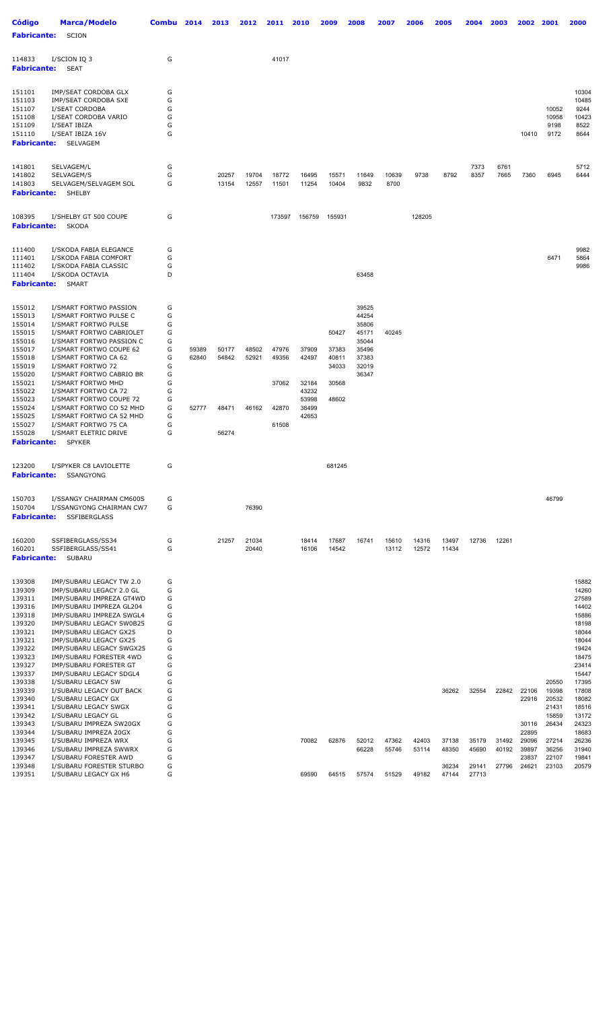| <b>Código</b><br><b>Fabricante:</b>                                                                                                                                                | Marca/Modelo<br>SCION                                                                                                                                                                                                                                                                                                                                                                                                                   | Combu                                                                        | 2014                    | 2013                             | 2012                    | 2011                                      | 2010                                                        | 2009                                               | 2008                                                                          | 2007           | 2006           | 2005           | 2004           | 2003           | 2002                                      | 2001                                               | 2000                                                                                                                       |
|------------------------------------------------------------------------------------------------------------------------------------------------------------------------------------|-----------------------------------------------------------------------------------------------------------------------------------------------------------------------------------------------------------------------------------------------------------------------------------------------------------------------------------------------------------------------------------------------------------------------------------------|------------------------------------------------------------------------------|-------------------------|----------------------------------|-------------------------|-------------------------------------------|-------------------------------------------------------------|----------------------------------------------------|-------------------------------------------------------------------------------|----------------|----------------|----------------|----------------|----------------|-------------------------------------------|----------------------------------------------------|----------------------------------------------------------------------------------------------------------------------------|
| 114833<br><b>Fabricante:</b>                                                                                                                                                       | I/SCION IQ 3<br><b>SEAT</b>                                                                                                                                                                                                                                                                                                                                                                                                             | G                                                                            |                         |                                  |                         | 41017                                     |                                                             |                                                    |                                                                               |                |                |                |                |                |                                           |                                                    |                                                                                                                            |
| 151101<br>151103<br>151107<br>151108<br>151109<br>151110<br><b>Fabricante:</b>                                                                                                     | IMP/SEAT CORDOBA GLX<br>IMP/SEAT CORDOBA SXE<br>I/SEAT CORDOBA<br>I/SEAT CORDOBA VARIO<br>I/SEAT IBIZA<br>I/SEAT IBIZA 16V<br>SELVAGEM                                                                                                                                                                                                                                                                                                  | G<br>G<br>G<br>G<br>G<br>G                                                   |                         |                                  |                         |                                           |                                                             |                                                    |                                                                               |                |                |                |                |                | 10410                                     | 10052<br>10958<br>9198<br>9172                     | 10304<br>10485<br>9244<br>10423<br>8522<br>8644                                                                            |
| 141801<br>141802<br>141803<br><b>Fabricante:</b>                                                                                                                                   | SELVAGEM/L<br>SELVAGEM/S<br>SELVAGEM/SELVAGEM SOL<br>SHELBY                                                                                                                                                                                                                                                                                                                                                                             | G<br>G<br>G                                                                  |                         | 20257<br>13154                   | 19704<br>12557          | 18772<br>11501                            | 16495<br>11254                                              | 15571<br>10404                                     | 11649<br>9832                                                                 | 10639<br>8700  | 9738           | 8792           | 7373<br>8357   | 6761<br>7665   | 7360                                      | 6945                                               | 5712<br>6444                                                                                                               |
| 108395<br><b>Fabricante:</b>                                                                                                                                                       | I/SHELBY GT 500 COUPE<br>SKODA                                                                                                                                                                                                                                                                                                                                                                                                          | G                                                                            |                         |                                  |                         | 173597                                    | 156759                                                      | 155931                                             |                                                                               |                | 128205         |                |                |                |                                           |                                                    |                                                                                                                            |
| 111400<br>111401<br>111402<br>111404<br><b>Fabricante:</b>                                                                                                                         | I/SKODA FABIA ELEGANCE<br>I/SKODA FABIA COMFORT<br>I/SKODA FABIA CLASSIC<br>I/SKODA OCTAVIA<br><b>SMART</b>                                                                                                                                                                                                                                                                                                                             | G<br>G<br>G<br>D                                                             |                         |                                  |                         |                                           |                                                             |                                                    | 63458                                                                         |                |                |                |                |                |                                           | 6471                                               | 9982<br>5864<br>9986                                                                                                       |
| 155012<br>155013<br>155014<br>155015<br>155016<br>155017<br>155018<br>155019<br>155020<br>155021<br>155022<br>155023<br>155024<br>155025<br>155027<br>155028<br><b>Fabricante:</b> | I/SMART FORTWO PASSION<br>I/SMART FORTWO PULSE C<br>I/SMART FORTWO PULSE<br>I/SMART FORTWO CABRIOLET<br>I/SMART FORTWO PASSION C<br>I/SMART FORTWO COUPE 62<br>I/SMART FORTWO CA 62<br>I/SMART FORTWO 72<br>I/SMART FORTWO CABRIO BR<br>I/SMART FORTWO MHD<br>I/SMART FORTWO CA 72<br>I/SMART FORTWO COUPE 72<br>I/SMART FORTWO CO 52 MHD<br>I/SMART FORTWO CA 52 MHD<br>I/SMART FORTWO 75 CA<br>I/SMART ELETRIC DRIVE<br><b>SPYKER</b> | G<br>G<br>G<br>G<br>G<br>G<br>G<br>G<br>G<br>G<br>G<br>G<br>G<br>G<br>G<br>G | 59389<br>62840<br>52777 | 50177<br>54842<br>48471<br>56274 | 48502<br>52921<br>46162 | 47976<br>49356<br>37062<br>42870<br>61508 | 37909<br>42497<br>32184<br>43232<br>53998<br>38499<br>42653 | 50427<br>37383<br>40811<br>34033<br>30568<br>48602 | 39525<br>44254<br>35806<br>45171<br>35044<br>35496<br>37383<br>32019<br>36347 | 40245          |                |                |                |                |                                           |                                                    |                                                                                                                            |
| 123200<br><b>Fabricante:</b>                                                                                                                                                       | I/SPYKER C8 LAVIOLETTE<br>SSANGYONG                                                                                                                                                                                                                                                                                                                                                                                                     | G                                                                            |                         |                                  |                         |                                           |                                                             | 681245                                             |                                                                               |                |                |                |                |                |                                           |                                                    |                                                                                                                            |
| 150703<br>150704<br><b>Fabricante:</b>                                                                                                                                             | I/SSANGY CHAIRMAN CM600S<br>I/SSANGYONG CHAIRMAN CW7<br><b>SSFIBERGLASS</b>                                                                                                                                                                                                                                                                                                                                                             | G<br>G                                                                       |                         |                                  | 76390                   |                                           |                                                             |                                                    |                                                                               |                |                |                |                |                |                                           | 46799                                              |                                                                                                                            |
| 160200<br>160201<br><b>Fabricante:</b>                                                                                                                                             | SSFIBERGLASS/SS34<br>SSFIBERGLASS/SS41<br>SUBARU                                                                                                                                                                                                                                                                                                                                                                                        | G<br>G                                                                       |                         | 21257                            | 21034<br>20440          |                                           | 18414<br>16106                                              | 17687<br>14542                                     | 16741                                                                         | 15610<br>13112 | 14316<br>12572 | 13497<br>11434 | 12736          | 12261          |                                           |                                                    |                                                                                                                            |
| 139308<br>139309<br>139311<br>139316<br>139318<br>139320<br>139321<br>139321<br>139322<br>139323<br>139327<br>139337<br>139338<br>139339                                           | IMP/SUBARU LEGACY TW 2.0<br>IMP/SUBARU LEGACY 2.0 GL<br>IMP/SUBARU IMPREZA GT4WD<br>IMP/SUBARU IMPREZA GL204<br>IMP/SUBARU IMPREZA SWGL4<br>IMP/SUBARU LEGACY SW0B25<br>IMP/SUBARU LEGACY GX25<br>IMP/SUBARU LEGACY GX25<br>IMP/SUBARU LEGACY SWGX25<br>IMP/SUBARU FORESTER 4WD<br>IMP/SUBARU FORESTER GT<br>IMP/SUBARU LEGACY SDGL4<br>I/SUBARU LEGACY SW<br>I/SUBARU LEGACY OUT BACK                                                  | G<br>G<br>G<br>G<br>G<br>G<br>D<br>G<br>G<br>G<br>G<br>G<br>G<br>G           |                         |                                  |                         |                                           |                                                             |                                                    |                                                                               |                |                | 36262          | 32554          | 22842          | 22106                                     | 20550<br>19398                                     | 15882<br>14260<br>27589<br>14402<br>15886<br>18198<br>18044<br>18044<br>19424<br>18475<br>23414<br>15447<br>17395<br>17808 |
| 139340<br>139341<br>139342<br>139343<br>139344<br>139345<br>139346                                                                                                                 | I/SUBARU LEGACY GX<br>I/SUBARU LEGACY SWGX<br>I/SUBARU LEGACY GL<br>I/SUBARU IMPREZA SW20GX<br>I/SUBARU IMPREZA 20GX<br>I/SUBARU IMPREZA WRX<br>I/SUBARU IMPREZA SWWRX                                                                                                                                                                                                                                                                  | G<br>G<br>G<br>G<br>G<br>G<br>G                                              |                         |                                  |                         |                                           | 70082                                                       | 62876                                              | 52012<br>66228                                                                | 47362<br>55746 | 42403<br>53114 | 37138<br>48350 | 35179<br>45690 | 31492<br>40192 | 22916<br>30116<br>22895<br>29096<br>39897 | 20532<br>21431<br>15859<br>26434<br>27214<br>36256 | 18082<br>18516<br>13172<br>24323<br>18683<br>26236<br>31940                                                                |
| 139347<br>139348<br>139351                                                                                                                                                         | I/SUBARU FORESTER AWD<br>I/SUBARU FORESTER STURBO<br>I/SUBARU LEGACY GX H6                                                                                                                                                                                                                                                                                                                                                              | G<br>G<br>G                                                                  |                         |                                  |                         |                                           | 69590                                                       | 64515                                              | 57574                                                                         | 51529          | 49182          | 36234<br>47144 | 29141<br>27713 | 27796          | 23837<br>24621                            | 22107<br>23103                                     | 19841<br>20579                                                                                                             |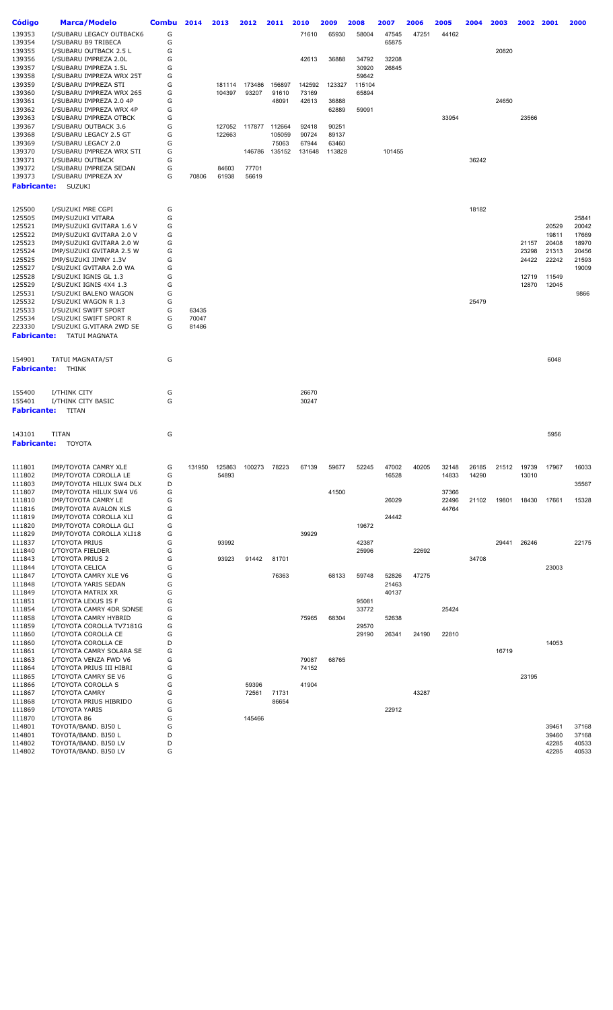| Código           | <b>Marca/Modelo</b>                               | <b>Combu</b> | 2014   | 2013             | 2012   | 2011            | 2010            | 2009   | 2008            | 2007   | 2006  | 2005           | 2004  | 2003  | 2002  | 2001           | 2000           |
|------------------|---------------------------------------------------|--------------|--------|------------------|--------|-----------------|-----------------|--------|-----------------|--------|-------|----------------|-------|-------|-------|----------------|----------------|
| 139353           | I/SUBARU LEGACY OUTBACK6                          | G            |        |                  |        |                 | 71610           | 65930  | 58004           | 47545  | 47251 | 44162          |       |       |       |                |                |
| 139354           | I/SUBARU B9 TRIBECA                               | G            |        |                  |        |                 |                 |        |                 | 65875  |       |                |       |       |       |                |                |
| 139355           | I/SUBARU OUTBACK 2.5 L                            | G            |        |                  |        |                 |                 |        |                 |        |       |                |       | 20820 |       |                |                |
| 139356           | I/SUBARU IMPREZA 2.0L                             | G            |        |                  |        |                 | 42613           | 36888  | 34792           | 32208  |       |                |       |       |       |                |                |
| 139357           | I/SUBARU IMPREZA 1.5L                             | G            |        |                  |        |                 |                 |        | 30920           | 26845  |       |                |       |       |       |                |                |
| 139358           | I/SUBARU IMPREZA WRX 25T<br>I/SUBARU IMPREZA STI  | G<br>G       |        |                  | 173486 |                 |                 |        | 59642           |        |       |                |       |       |       |                |                |
| 139359<br>139360 | I/SUBARU IMPREZA WRX 265                          | G            |        | 181114<br>104397 | 93207  | 156897<br>91610 | 142592<br>73169 | 123327 | 115104<br>65894 |        |       |                |       |       |       |                |                |
| 139361           | I/SUBARU IMPREZA 2.0 4P                           | G            |        |                  |        | 48091           | 42613           | 36888  |                 |        |       |                |       | 24650 |       |                |                |
| 139362           | I/SUBARU IMPREZA WRX 4P                           | G            |        |                  |        |                 |                 | 62889  | 59091           |        |       |                |       |       |       |                |                |
| 139363           | I/SUBARU IMPREZA OTBCK                            | G            |        |                  |        |                 |                 |        |                 |        |       | 33954          |       |       | 23566 |                |                |
| 139367           | I/SUBARU OUTBACK 3.6                              | G            |        | 127052           | 117877 | 112664          | 92418           | 90251  |                 |        |       |                |       |       |       |                |                |
| 139368           | I/SUBARU LEGACY 2.5 GT                            | G            |        | 122663           |        | 105059          | 90724           | 89137  |                 |        |       |                |       |       |       |                |                |
| 139369           | I/SUBARU LEGACY 2.0                               | G            |        |                  |        | 75063           | 67944           | 63460  |                 |        |       |                |       |       |       |                |                |
| 139370           | I/SUBARU IMPREZA WRX STI                          | G            |        |                  | 146786 | 135152          | 131648          | 113828 |                 | 101455 |       |                |       |       |       |                |                |
| 139371           | I/SUBARU OUTBACK                                  | G            |        |                  |        |                 |                 |        |                 |        |       |                | 36242 |       |       |                |                |
| 139372           | I/SUBARU IMPREZA SEDAN                            | G            |        | 84603            | 77701  |                 |                 |        |                 |        |       |                |       |       |       |                |                |
| 139373           | I/SUBARU IMPREZA XV                               | G            | 70806  | 61938            | 56619  |                 |                 |        |                 |        |       |                |       |       |       |                |                |
| Fabricante:      | SUZUKI                                            |              |        |                  |        |                 |                 |        |                 |        |       |                |       |       |       |                |                |
|                  |                                                   |              |        |                  |        |                 |                 |        |                 |        |       |                |       |       |       |                |                |
| 125500           | I/SUZUKI MRE CGPI                                 | G            |        |                  |        |                 |                 |        |                 |        |       |                | 18182 |       |       |                |                |
| 125505           | IMP/SUZUKI VITARA                                 | G            |        |                  |        |                 |                 |        |                 |        |       |                |       |       |       |                | 25841          |
| 125521           | IMP/SUZUKI GVITARA 1.6 V                          | G            |        |                  |        |                 |                 |        |                 |        |       |                |       |       |       | 20529          | 20042          |
| 125522           | IMP/SUZUKI GVITARA 2.0 V                          | G            |        |                  |        |                 |                 |        |                 |        |       |                |       |       |       | 19811          | 17669          |
| 125523           | IMP/SUZUKI GVITARA 2.0 W                          | G            |        |                  |        |                 |                 |        |                 |        |       |                |       |       | 21157 | 20408          | 18970          |
| 125524           | IMP/SUZUKI GVITARA 2.5 W                          | G            |        |                  |        |                 |                 |        |                 |        |       |                |       |       | 23298 | 21313          | 20456          |
| 125525           | IMP/SUZUKI JIMNY 1.3V<br>I/SUZUKI GVITARA 2.0 WA  | G<br>G       |        |                  |        |                 |                 |        |                 |        |       |                |       |       | 24422 | 22242          | 21593          |
| 125527<br>125528 | I/SUZUKI IGNIS GL 1.3                             | G            |        |                  |        |                 |                 |        |                 |        |       |                |       |       | 12719 | 11549          | 19009          |
| 125529           | I/SUZUKI IGNIS 4X4 1.3                            | G            |        |                  |        |                 |                 |        |                 |        |       |                |       |       | 12870 | 12045          |                |
| 125531           | I/SUZUKI BALENO WAGON                             | G            |        |                  |        |                 |                 |        |                 |        |       |                |       |       |       |                | 9866           |
| 125532           | I/SUZUKI WAGON R 1.3                              | G            |        |                  |        |                 |                 |        |                 |        |       |                | 25479 |       |       |                |                |
| 125533           | I/SUZUKI SWIFT SPORT                              | G            | 63435  |                  |        |                 |                 |        |                 |        |       |                |       |       |       |                |                |
| 125534           | I/SUZUKI SWIFT SPORT R                            | G            | 70047  |                  |        |                 |                 |        |                 |        |       |                |       |       |       |                |                |
| 223330           | I/SUZUKI G.VITARA 2WD SE                          | G            | 81486  |                  |        |                 |                 |        |                 |        |       |                |       |       |       |                |                |
| Fabricante:      | TATUI MAGNATA                                     |              |        |                  |        |                 |                 |        |                 |        |       |                |       |       |       |                |                |
|                  |                                                   |              |        |                  |        |                 |                 |        |                 |        |       |                |       |       |       |                |                |
| 154901           | <b>TATUI MAGNATA/ST</b>                           | G            |        |                  |        |                 |                 |        |                 |        |       |                |       |       |       | 6048           |                |
| Fabricante:      | THINK                                             |              |        |                  |        |                 |                 |        |                 |        |       |                |       |       |       |                |                |
|                  |                                                   |              |        |                  |        |                 |                 |        |                 |        |       |                |       |       |       |                |                |
| 155400           | I/THINK CITY                                      | G            |        |                  |        |                 | 26670           |        |                 |        |       |                |       |       |       |                |                |
| 155401           | I/THINK CITY BASIC                                | G            |        |                  |        |                 | 30247           |        |                 |        |       |                |       |       |       |                |                |
| Fabricante:      | TITAN                                             |              |        |                  |        |                 |                 |        |                 |        |       |                |       |       |       |                |                |
|                  |                                                   |              |        |                  |        |                 |                 |        |                 |        |       |                |       |       |       |                |                |
| 143101           | TITAN                                             | G            |        |                  |        |                 |                 |        |                 |        |       |                |       |       |       | 5956           |                |
| Fabricante:      | TOYOTA                                            |              |        |                  |        |                 |                 |        |                 |        |       |                |       |       |       |                |                |
|                  |                                                   |              |        |                  |        |                 |                 |        |                 |        |       |                |       |       |       |                |                |
| 111801           | IMP/TOYOTA CAMRY XLE                              | G            | 131950 | 125863           | 100273 | 78223           | 67139           | 59677  | 52245           | 47002  | 40205 | 32148          | 26185 | 21512 | 19739 | 17967          | 16033          |
| 111802           | IMP/TOYOTA COROLLA LE                             | G            |        | 54893            |        |                 |                 |        |                 | 16528  |       | 14833          | 14290 |       | 13010 |                |                |
| 111803           | IMP/TOYOTA HILUX SW4 DLX                          | D            |        |                  |        |                 |                 |        |                 |        |       |                |       |       |       |                | 35567          |
| 111807           | IMP/TOYOTA HILUX SW4 V6                           | G<br>G       |        |                  |        |                 |                 | 41500  |                 | 26029  |       | 37366<br>22496 | 21102 | 19801 | 18430 | 17661          | 15328          |
| 111810<br>111816 | IMP/TOYOTA CAMRY LE<br>IMP/TOYOTA AVALON XLS      | G            |        |                  |        |                 |                 |        |                 |        |       | 44764          |       |       |       |                |                |
| 111819           | IMP/TOYOTA COROLLA XLI                            | G            |        |                  |        |                 |                 |        |                 | 24442  |       |                |       |       |       |                |                |
| 111820           | IMP/TOYOTA COROLLA GLI                            | G            |        |                  |        |                 |                 |        | 19672           |        |       |                |       |       |       |                |                |
| 111829           | IMP/TOYOTA COROLLA XLI18                          | G            |        |                  |        |                 | 39929           |        |                 |        |       |                |       |       |       |                |                |
| 111837           | I/TOYOTA PRIUS                                    | G            |        | 93992            |        |                 |                 |        | 42387           |        |       |                |       | 29441 | 26246 |                | 22175          |
| 111840           | I/TOYOTA FIELDER                                  | G            |        |                  |        |                 |                 |        | 25996           |        | 22692 |                |       |       |       |                |                |
| 111843           | I/TOYOTA PRIUS 2                                  | G            |        | 93923            | 91442  | 81701           |                 |        |                 |        |       |                | 34708 |       |       |                |                |
| 111844           | I/TOYOTA CELICA                                   | G            |        |                  |        |                 |                 |        |                 |        |       |                |       |       |       | 23003          |                |
| 111847           | I/TOYOTA CAMRY XLE V6                             | G            |        |                  |        | 76363           |                 | 68133  | 59748           | 52826  | 47275 |                |       |       |       |                |                |
| 111848           | I/TOYOTA YARIS SEDAN                              | G            |        |                  |        |                 |                 |        |                 | 21463  |       |                |       |       |       |                |                |
| 111849           | I/TOYOTA MATRIX XR                                | G            |        |                  |        |                 |                 |        |                 | 40137  |       |                |       |       |       |                |                |
| 111851           | I/TOYOTA LEXUS IS F                               | G<br>G       |        |                  |        |                 |                 |        | 95081           |        |       | 25424          |       |       |       |                |                |
| 111854<br>111858 | I/TOYOTA CAMRY 4DR SDNSE<br>I/TOYOTA CAMRY HYBRID | G            |        |                  |        |                 | 75965           | 68304  | 33772           | 52638  |       |                |       |       |       |                |                |
| 111859           | I/TOYOTA COROLLA TV7181G                          | G            |        |                  |        |                 |                 |        | 29570           |        |       |                |       |       |       |                |                |
| 111860           | I/TOYOTA COROLLA CE                               | G            |        |                  |        |                 |                 |        | 29190           | 26341  | 24190 | 22810          |       |       |       |                |                |
| 111860           | I/TOYOTA COROLLA CE                               | D            |        |                  |        |                 |                 |        |                 |        |       |                |       |       |       | 14053          |                |
| 111861           | I/TOYOTA CAMRY SOLARA SE                          | G            |        |                  |        |                 |                 |        |                 |        |       |                |       | 16719 |       |                |                |
| 111863           | I/TOYOTA VENZA FWD V6                             | G            |        |                  |        |                 | 79087           | 68765  |                 |        |       |                |       |       |       |                |                |
| 111864           | I/TOYOTA PRIUS III HIBRI                          | G            |        |                  |        |                 | 74152           |        |                 |        |       |                |       |       |       |                |                |
| 111865           | I/TOYOTA CAMRY SE V6                              | G            |        |                  |        |                 |                 |        |                 |        |       |                |       |       | 23195 |                |                |
| 111866           | I/TOYOTA COROLLA S                                | G            |        |                  | 59396  |                 | 41904           |        |                 |        |       |                |       |       |       |                |                |
| 111867           | I/TOYOTA CAMRY                                    | G            |        |                  | 72561  | 71731           |                 |        |                 |        | 43287 |                |       |       |       |                |                |
| 111868           | I/TOYOTA PRIUS HIBRIDO                            | G            |        |                  |        | 86654           |                 |        |                 |        |       |                |       |       |       |                |                |
| 111869           | I/TOYOTA YARIS                                    | G            |        |                  |        |                 |                 |        |                 | 22912  |       |                |       |       |       |                |                |
| 111870           | I/TOYOTA 86                                       | G            |        |                  | 145466 |                 |                 |        |                 |        |       |                |       |       |       |                |                |
| 114801<br>114801 | TOYOTA/BAND. BJ50 L<br>TOYOTA/BAND. BJ50 L        | G<br>D       |        |                  |        |                 |                 |        |                 |        |       |                |       |       |       | 39461<br>39460 | 37168<br>37168 |
| 114802           | TOYOTA/BAND. BJ50 LV                              | D            |        |                  |        |                 |                 |        |                 |        |       |                |       |       |       | 42285          | 40533          |
| 114802           | TOYOTA/BAND. BJ50 LV                              | G            |        |                  |        |                 |                 |        |                 |        |       |                |       |       |       | 42285          | 40533          |
|                  |                                                   |              |        |                  |        |                 |                 |        |                 |        |       |                |       |       |       |                |                |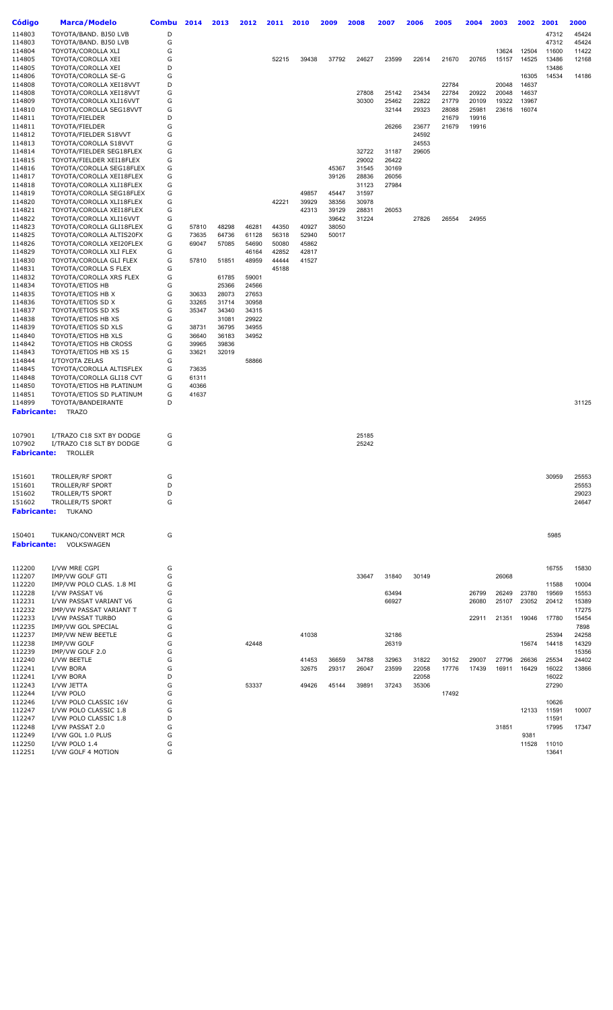| Código             | <b>Marca/Modelo</b>                                  | Combu  | 2014           | 2013  | 2012  | 2011  | 2010  | 2009  | 2008           | 2007  | 2006  | 2005  | 2004  | 2003  | 2002  | 2001  | 2000           |
|--------------------|------------------------------------------------------|--------|----------------|-------|-------|-------|-------|-------|----------------|-------|-------|-------|-------|-------|-------|-------|----------------|
| 114803             | TOYOTA/BAND. BJ50 LVB                                | D      |                |       |       |       |       |       |                |       |       |       |       |       |       | 47312 | 45424          |
| 114803             | TOYOTA/BAND. BJ50 LVB                                | G      |                |       |       |       |       |       |                |       |       |       |       |       |       | 47312 | 45424          |
| 114804             | TOYOTA/COROLLA XLI                                   | G      |                |       |       |       |       |       |                |       |       |       |       | 13624 | 12504 | 11600 | 11422          |
| 114805             | TOYOTA/COROLLA XEI                                   | G      |                |       |       | 52215 | 39438 | 37792 | 24627          | 23599 | 22614 | 21670 | 20765 | 15157 | 14525 | 13486 | 12168          |
| 114805             | TOYOTA/COROLLA XEI                                   | D      |                |       |       |       |       |       |                |       |       |       |       |       |       | 13486 |                |
| 114806             | TOYOTA/COROLLA SE-G                                  | G      |                |       |       |       |       |       |                |       |       |       |       |       | 16305 | 14534 | 14186          |
| 114808             | TOYOTA/COROLLA XEI18VVT                              | D      |                |       |       |       |       |       |                |       |       | 22784 |       | 20048 | 14637 |       |                |
| 114808             | TOYOTA/COROLLA XEI18VVT                              | G      |                |       |       |       |       |       | 27808          | 25142 | 23434 | 22784 | 20922 | 20048 | 14637 |       |                |
| 114809             | TOYOTA/COROLLA XLI16VVT                              | G      |                |       |       |       |       |       | 30300          | 25462 | 22822 | 21779 | 20109 | 19322 | 13967 |       |                |
| 114810             | TOYOTA/COROLLA SEG18VVT                              | G      |                |       |       |       |       |       |                | 32144 | 29323 | 28088 | 25981 | 23616 | 16074 |       |                |
| 114811             | TOYOTA/FIELDER                                       | D      |                |       |       |       |       |       |                |       |       | 21679 | 19916 |       |       |       |                |
| 114811             | TOYOTA/FIELDER                                       | G      |                |       |       |       |       |       |                | 26266 | 23677 | 21679 | 19916 |       |       |       |                |
| 114812             | TOYOTA/FIELDER S18VVT                                | G      |                |       |       |       |       |       |                |       | 24592 |       |       |       |       |       |                |
| 114813             | TOYOTA/COROLLA S18VVT                                | G      |                |       |       |       |       |       |                |       | 24553 |       |       |       |       |       |                |
| 114814             | TOYOTA/FIELDER SEG18FLEX                             | G      |                |       |       |       |       |       | 32722          | 31187 | 29605 |       |       |       |       |       |                |
| 114815             | TOYOTA/FIELDER XEI18FLEX                             | G      |                |       |       |       |       |       | 29002          | 26422 |       |       |       |       |       |       |                |
| 114816             | TOYOTA/COROLLA SEG18FLEX                             | G      |                |       |       |       |       | 45367 | 31545          | 30169 |       |       |       |       |       |       |                |
| 114817             | TOYOTA/COROLLA XEI18FLEX                             | G<br>G |                |       |       |       |       | 39126 | 28836          | 26056 |       |       |       |       |       |       |                |
| 114818<br>114819   | TOYOTA/COROLLA XLI18FLEX<br>TOYOTA/COROLLA SEG18FLEX | G      |                |       |       |       | 49857 | 45447 | 31123<br>31597 | 27984 |       |       |       |       |       |       |                |
| 114820             | TOYOTA/COROLLA XLI18FLEX                             | G      |                |       |       | 42221 | 39929 | 38356 | 30978          |       |       |       |       |       |       |       |                |
| 114821             | TOYOTA/COROLLA XEI18FLEX                             | G      |                |       |       |       | 42313 | 39129 | 28831          | 26053 |       |       |       |       |       |       |                |
| 114822             | TOYOTA/COROLLA XLI16VVT                              | G      |                |       |       |       |       | 39642 | 31224          |       | 27826 | 26554 | 24955 |       |       |       |                |
| 114823             | TOYOTA/COROLLA GLI18FLEX                             | G      | 57810          | 48298 | 46281 | 44350 | 40927 | 38050 |                |       |       |       |       |       |       |       |                |
| 114825             | TOYOTA/COROLLA ALTIS20FX                             | G      | 73635          | 64736 | 61128 | 56318 | 52940 | 50017 |                |       |       |       |       |       |       |       |                |
| 114826             | TOYOTA/COROLLA XEI20FLEX                             | G      | 69047          | 57085 | 54690 | 50080 | 45862 |       |                |       |       |       |       |       |       |       |                |
| 114829             | TOYOTA/COROLLA XLI FLEX                              | G      |                |       | 46164 | 42852 | 42817 |       |                |       |       |       |       |       |       |       |                |
| 114830             | TOYOTA/COROLLA GLI FLEX                              | G      | 57810          | 51851 | 48959 | 44444 | 41527 |       |                |       |       |       |       |       |       |       |                |
| 114831             | TOYOTA/COROLLA S FLEX                                | G      |                |       |       | 45188 |       |       |                |       |       |       |       |       |       |       |                |
| 114832             | TOYOTA/COROLLA XRS FLEX                              | G      |                | 61785 | 59001 |       |       |       |                |       |       |       |       |       |       |       |                |
| 114834             | TOYOTA/ETIOS HB                                      | G      |                | 25366 | 24566 |       |       |       |                |       |       |       |       |       |       |       |                |
| 114835             | TOYOTA/ETIOS HB X                                    | G      | 30633          | 28073 | 27653 |       |       |       |                |       |       |       |       |       |       |       |                |
| 114836             | TOYOTA/ETIOS SD X                                    | G      | 33265          | 31714 | 30958 |       |       |       |                |       |       |       |       |       |       |       |                |
| 114837             | TOYOTA/ETIOS SD XS                                   | G      | 35347          | 34340 | 34315 |       |       |       |                |       |       |       |       |       |       |       |                |
| 114838             | TOYOTA/ETIOS HB XS                                   | G      |                | 31081 | 29922 |       |       |       |                |       |       |       |       |       |       |       |                |
| 114839             | TOYOTA/ETIOS SD XLS                                  | G      | 38731          | 36795 | 34955 |       |       |       |                |       |       |       |       |       |       |       |                |
| 114840             | TOYOTA/ETIOS HB XLS                                  | G      | 36640          | 36183 | 34952 |       |       |       |                |       |       |       |       |       |       |       |                |
| 114842             | TOYOTA/ETIOS HB CROSS                                | G      | 39965          | 39836 |       |       |       |       |                |       |       |       |       |       |       |       |                |
| 114843             | TOYOTA/ETIOS HB XS 15                                | G      | 33621          | 32019 |       |       |       |       |                |       |       |       |       |       |       |       |                |
| 114844             | I/TOYOTA ZELAS                                       | G      |                |       | 58866 |       |       |       |                |       |       |       |       |       |       |       |                |
| 114845<br>114848   | TOYOTA/COROLLA ALTISFLEX<br>TOYOTA/COROLLA GLI18 CVT | G<br>G | 73635<br>61311 |       |       |       |       |       |                |       |       |       |       |       |       |       |                |
| 114850             | TOYOTA/ETIOS HB PLATINUM                             | G      | 40366          |       |       |       |       |       |                |       |       |       |       |       |       |       |                |
| 114851             | TOYOTA/ETIOS SD PLATINUM                             | G      | 41637          |       |       |       |       |       |                |       |       |       |       |       |       |       |                |
| 114899             | TOYOTA/BANDEIRANTE                                   | D      |                |       |       |       |       |       |                |       |       |       |       |       |       |       | 31125          |
| <b>Fabricante:</b> | <b>TRAZO</b>                                         |        |                |       |       |       |       |       |                |       |       |       |       |       |       |       |                |
|                    |                                                      |        |                |       |       |       |       |       |                |       |       |       |       |       |       |       |                |
|                    |                                                      |        |                |       |       |       |       |       |                |       |       |       |       |       |       |       |                |
| 107901             | I/TRAZO C18 SXT BY DODGE                             | G      |                |       |       |       |       |       | 25185          |       |       |       |       |       |       |       |                |
| 107902             | I/TRAZO C18 SLT BY DODGE                             | G      |                |       |       |       |       |       | 25242          |       |       |       |       |       |       |       |                |
| <b>Fabricante:</b> | TROLLER                                              |        |                |       |       |       |       |       |                |       |       |       |       |       |       |       |                |
|                    |                                                      |        |                |       |       |       |       |       |                |       |       |       |       |       |       |       |                |
| 151601             |                                                      |        |                |       |       |       |       |       |                |       |       |       |       |       |       |       |                |
| 151601             | TROLLER/RF SPORT                                     | G<br>D |                |       |       |       |       |       |                |       |       |       |       |       |       | 30959 | 25553<br>25553 |
| 151602             | TROLLER/RF SPORT<br>TROLLER/T5 SPORT                 | D      |                |       |       |       |       |       |                |       |       |       |       |       |       |       | 29023          |
| 151602             | <b>TROLLER/T5 SPORT</b>                              | G      |                |       |       |       |       |       |                |       |       |       |       |       |       |       | 24647          |
|                    |                                                      |        |                |       |       |       |       |       |                |       |       |       |       |       |       |       |                |
| <b>Fabricante:</b> | <b>TUKANO</b>                                        |        |                |       |       |       |       |       |                |       |       |       |       |       |       |       |                |
|                    |                                                      |        |                |       |       |       |       |       |                |       |       |       |       |       |       |       |                |
| 150401             | TUKANO/CONVERT MCR                                   | G      |                |       |       |       |       |       |                |       |       |       |       |       |       | 5985  |                |
| <b>Fabricante:</b> | VOLKSWAGEN                                           |        |                |       |       |       |       |       |                |       |       |       |       |       |       |       |                |
|                    |                                                      |        |                |       |       |       |       |       |                |       |       |       |       |       |       |       |                |
|                    |                                                      |        |                |       |       |       |       |       |                |       |       |       |       |       |       |       |                |
| 112200             | I/VW MRE CGPI                                        | G      |                |       |       |       |       |       |                |       |       |       |       |       |       | 16755 | 15830          |
| 112207             | IMP/VW GOLF GTI                                      | G      |                |       |       |       |       |       | 33647          | 31840 | 30149 |       |       | 26068 |       |       |                |
| 112220             | IMP/VW POLO CLAS. 1.8 MI                             | G      |                |       |       |       |       |       |                |       |       |       |       |       |       | 11588 | 10004          |
| 112228             | I/VW PASSAT V6                                       | G      |                |       |       |       |       |       |                | 63494 |       |       | 26799 | 26249 | 23780 | 19569 | 15553          |
| 112231             | I/VW PASSAT VARIANT V6                               | G      |                |       |       |       |       |       |                | 66927 |       |       | 26080 | 25107 | 23052 | 20412 | 15389          |
| 112232             | IMP/VW PASSAT VARIANT T                              | G      |                |       |       |       |       |       |                |       |       |       |       |       |       |       | 17275          |
| 112233             | I/VW PASSAT TURBO                                    | G      |                |       |       |       |       |       |                |       |       |       | 22911 | 21351 | 19046 | 17780 | 15454          |
| 112235             | IMP/VW GOL SPECIAL                                   | G      |                |       |       |       |       |       |                |       |       |       |       |       |       |       | 7898           |
| 112237             | IMP/VW NEW BEETLE                                    | G      |                |       |       |       | 41038 |       |                | 32186 |       |       |       |       |       | 25394 | 24258          |
| 112238<br>112239   | IMP/VW GOLF<br>IMP/VW GOLF 2.0                       | G<br>G |                |       | 42448 |       |       |       |                | 26319 |       |       |       |       | 15674 | 14418 | 14329<br>15356 |
| 112240             | I/VW BEETLE                                          | G      |                |       |       |       | 41453 | 36659 | 34788          | 32963 | 31822 | 30152 | 29007 | 27796 | 26636 | 25534 | 24402          |
| 112241             | I/VW BORA                                            | G      |                |       |       |       | 32675 | 29317 | 26047          | 23599 | 22058 | 17776 | 17439 | 16911 | 16429 | 16022 | 13866          |
| 112241             | I/VW BORA                                            | D      |                |       |       |       |       |       |                |       | 22058 |       |       |       |       | 16022 |                |
| 112243             | I/VW JETTA                                           | G      |                |       | 53337 |       | 49426 | 45144 | 39891          | 37243 | 35306 |       |       |       |       | 27290 |                |
| 112244             | I/VW POLO                                            | G      |                |       |       |       |       |       |                |       |       | 17492 |       |       |       |       |                |
| 112246             | I/VW POLO CLASSIC 16V                                | G      |                |       |       |       |       |       |                |       |       |       |       |       |       | 10626 |                |
| 112247             | I/VW POLO CLASSIC 1.8                                | G      |                |       |       |       |       |       |                |       |       |       |       |       | 12133 | 11591 | 10007          |
| 112247             | I/VW POLO CLASSIC 1.8                                | D      |                |       |       |       |       |       |                |       |       |       |       |       |       | 11591 |                |
| 112248             | I/VW PASSAT 2.0                                      | G      |                |       |       |       |       |       |                |       |       |       |       | 31851 |       | 17995 | 17347          |
| 112249             | I/VW GOL 1.0 PLUS                                    | G      |                |       |       |       |       |       |                |       |       |       |       |       | 9381  |       |                |
| 112250             | I/VW POLO 1.4                                        | G      |                |       |       |       |       |       |                |       |       |       |       |       | 11528 | 11010 |                |
| 112251             | I/VW GOLF 4 MOTION                                   | G      |                |       |       |       |       |       |                |       |       |       |       |       |       | 13641 |                |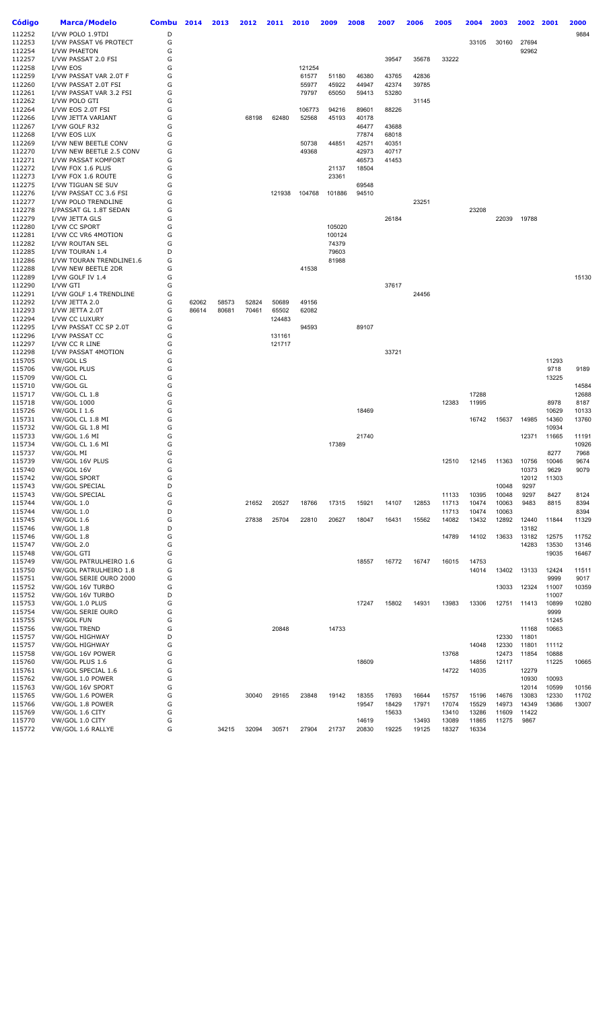| <b>Código</b>    | <b>Marca/Modelo</b>                           | <b>Combu</b> | 2014  | 2013  | 2012  | 2011   | 2010            | 2009           | 2008           | 2007           | 2006           | 2005           | 2004           | 2003           | 2002           | 2001           | 2000           |
|------------------|-----------------------------------------------|--------------|-------|-------|-------|--------|-----------------|----------------|----------------|----------------|----------------|----------------|----------------|----------------|----------------|----------------|----------------|
| 112252           | I/VW POLO 1.9TDI                              | D            |       |       |       |        |                 |                |                |                |                |                |                |                |                |                | 9884           |
| 112253           | I/VW PASSAT V6 PROTECT                        | G            |       |       |       |        |                 |                |                |                |                |                | 33105          | 30160          | 27694          |                |                |
| 112254           | I/VW PHAETON                                  | G            |       |       |       |        |                 |                |                |                |                |                |                |                | 92962          |                |                |
| 112257           | I/VW PASSAT 2.0 FSI                           | G            |       |       |       |        |                 |                |                | 39547          | 35678          | 33222          |                |                |                |                |                |
| 112258<br>112259 | I/VW EOS<br>I/VW PASSAT VAR 2.0T F            | G<br>G       |       |       |       |        | 121254<br>61577 | 51180          | 46380          | 43765          | 42836          |                |                |                |                |                |                |
| 112260           | I/VW PASSAT 2.0T FSI                          | G            |       |       |       |        | 55977           | 45922          | 44947          | 42374          | 39785          |                |                |                |                |                |                |
| 112261           | I/VW PASSAT VAR 3.2 FSI                       | G            |       |       |       |        | 79797           | 65050          | 59413          | 53280          |                |                |                |                |                |                |                |
| 112262           | I/VW POLO GTI                                 | G            |       |       |       |        |                 |                |                |                | 31145          |                |                |                |                |                |                |
| 112264           | I/VW EOS 2.0T FSI                             | G            |       |       |       |        | 106773          | 94216          | 89601          | 88226          |                |                |                |                |                |                |                |
| 112266<br>112267 | I/VW JETTA VARIANT<br>I/VW GOLF R32           | G<br>G       |       |       | 68198 | 62480  | 52568           | 45193          | 40178<br>46477 | 43688          |                |                |                |                |                |                |                |
| 112268           | I/VW EOS LUX                                  | G            |       |       |       |        |                 |                | 77874          | 68018          |                |                |                |                |                |                |                |
| 112269           | I/VW NEW BEETLE CONV                          | G            |       |       |       |        | 50738           | 44851          | 42571          | 40351          |                |                |                |                |                |                |                |
| 112270           | I/VW NEW BEETLE 2.5 CONV                      | G            |       |       |       |        | 49368           |                | 42973          | 40717          |                |                |                |                |                |                |                |
| 112271<br>112272 | I/VW PASSAT KOMFORT<br>I/VW FOX 1.6 PLUS      | G<br>G       |       |       |       |        |                 | 21137          | 46573<br>18504 | 41453          |                |                |                |                |                |                |                |
| 112273           | I/VW FOX 1.6 ROUTE                            | G            |       |       |       |        |                 | 23361          |                |                |                |                |                |                |                |                |                |
| 112275           | I/VW TIGUAN SE SUV                            | G            |       |       |       |        |                 |                | 69548          |                |                |                |                |                |                |                |                |
| 112276           | I/VW PASSAT CC 3.6 FSI                        | G            |       |       |       | 121938 | 104768          | 101886         | 94510          |                |                |                |                |                |                |                |                |
| 112277<br>112278 | I/VW POLO TRENDLINE<br>I/PASSAT GL 1.8T SEDAN | G<br>G       |       |       |       |        |                 |                |                |                | 23251          |                | 23208          |                |                |                |                |
| 112279           | I/VW JETTA GLS                                | G            |       |       |       |        |                 |                |                | 26184          |                |                |                | 22039          | 19788          |                |                |
| 112280           | I/VW CC SPORT                                 | G            |       |       |       |        |                 | 105020         |                |                |                |                |                |                |                |                |                |
| 112281           | I/VW CC VR6 4MOTION                           | G            |       |       |       |        |                 | 100124         |                |                |                |                |                |                |                |                |                |
| 112282           | I/VW ROUTAN SEL                               | G<br>D       |       |       |       |        |                 | 74379<br>79603 |                |                |                |                |                |                |                |                |                |
| 112285<br>112286 | I/VW TOURAN 1.4<br>I/VW TOURAN TRENDLINE1.6   | G            |       |       |       |        |                 | 81988          |                |                |                |                |                |                |                |                |                |
| 112288           | I/VW NEW BEETLE 2DR                           | G            |       |       |       |        | 41538           |                |                |                |                |                |                |                |                |                |                |
| 112289           | I/VW GOLF IV 1.4                              | G            |       |       |       |        |                 |                |                |                |                |                |                |                |                |                | 15130          |
| 112290           | I/VW GTI                                      | G            |       |       |       |        |                 |                |                | 37617          |                |                |                |                |                |                |                |
| 112291<br>112292 | I/VW GOLF 1.4 TRENDLINE<br>I/VW JETTA 2.0     | G<br>G       | 62062 | 58573 | 52824 | 50689  | 49156           |                |                |                | 24456          |                |                |                |                |                |                |
| 112293           | I/VW JETTA 2.0T                               | G            | 86614 | 80681 | 70461 | 65502  | 62082           |                |                |                |                |                |                |                |                |                |                |
| 112294           | I/VW CC LUXURY                                | G            |       |       |       | 124483 |                 |                |                |                |                |                |                |                |                |                |                |
| 112295           | I/VW PASSAT CC SP 2.0T                        | G            |       |       |       |        | 94593           |                | 89107          |                |                |                |                |                |                |                |                |
| 112296           | I/VW PASSAT CC                                | G<br>G       |       |       |       | 131161 |                 |                |                |                |                |                |                |                |                |                |                |
| 112297<br>112298 | I/VW CC R LINE<br>I/VW PASSAT 4MOTION         | G            |       |       |       | 121717 |                 |                |                | 33721          |                |                |                |                |                |                |                |
| 115705           | VW/GOL LS                                     | G            |       |       |       |        |                 |                |                |                |                |                |                |                |                | 11293          |                |
| 115706           | <b>VW/GOL PLUS</b>                            | G            |       |       |       |        |                 |                |                |                |                |                |                |                |                | 9718           | 9189           |
| 115709           | VW/GOL CL                                     | G            |       |       |       |        |                 |                |                |                |                |                |                |                |                | 13225          |                |
| 115710<br>115717 | VW/GOL GL<br>VW/GOL CL 1.8                    | G<br>G       |       |       |       |        |                 |                |                |                |                |                | 17288          |                |                |                | 14584<br>12688 |
| 115718           | <b>VW/GOL 1000</b>                            | G            |       |       |       |        |                 |                |                |                |                | 12383          | 11995          |                |                | 8978           | 8187           |
| 115726           | <b>VW/GOL I 1.6</b>                           | G            |       |       |       |        |                 |                | 18469          |                |                |                |                |                |                | 10629          | 10133          |
| 115731           | VW/GOL CL 1.8 MI                              | G            |       |       |       |        |                 |                |                |                |                |                | 16742          | 15637          | 14985          | 14360          | 13760          |
| 115732<br>115733 | VW/GOL GL 1.8 MI<br>VW/GOL 1.6 MI             | G<br>G       |       |       |       |        |                 |                | 21740          |                |                |                |                |                | 12371          | 10934<br>11665 | 11191          |
| 115734           | VW/GOL CL 1.6 MI                              | G            |       |       |       |        |                 | 17389          |                |                |                |                |                |                |                |                | 10926          |
| 115737           | VW/GOL MI                                     | G            |       |       |       |        |                 |                |                |                |                |                |                |                |                | 8277           | 7968           |
| 115739           | VW/GOL 16V PLUS                               | G            |       |       |       |        |                 |                |                |                |                | 12510          | 12145          | 11363          | 10756          | 10046          | 9674           |
| 115740<br>115742 | VW/GOL 16V<br><b>VW/GOL SPORT</b>             | G<br>G       |       |       |       |        |                 |                |                |                |                |                |                |                | 10373<br>12012 | 9629<br>11303  | 9079           |
| 115743           | <b>VW/GOL SPECIAL</b>                         | D            |       |       |       |        |                 |                |                |                |                |                |                | 10048          | 9297           |                |                |
| 115743           | <b>VW/GOL SPECIAL</b>                         | G            |       |       |       |        |                 |                |                |                |                | 11133          | 10395          | 10048          | 9297           | 8427           | 8124           |
| 115744           | <b>VW/GOL 1.0</b>                             | G            |       |       | 21652 | 20527  | 18766           | 17315          | 15921          | 14107          | 12853          | 11713          | 10474          | 10063          | 9483           | 8815           | 8394           |
| 115744<br>115745 | <b>VW/GOL 1.0</b><br><b>VW/GOL 1.6</b>        | D<br>G       |       |       | 27838 | 25704  | 22810           | 20627          | 18047          | 16431          | 15562          | 11713<br>14082 | 10474<br>13432 | 10063<br>12892 | 12440          | 11844          | 8394<br>11329  |
| 115746           | <b>VW/GOL 1.8</b>                             | D            |       |       |       |        |                 |                |                |                |                |                |                |                | 13182          |                |                |
| 115746           | <b>VW/GOL 1.8</b>                             | G            |       |       |       |        |                 |                |                |                |                | 14789          | 14102          | 13633          | 13182          | 12575          | 11752          |
| 115747           | <b>VW/GOL 2.0</b>                             | G            |       |       |       |        |                 |                |                |                |                |                |                |                | 14283          | 13530          | 13146          |
| 115748<br>115749 | VW/GOL GTI<br>VW/GOL PATRULHEIRO 1.6          | G<br>G       |       |       |       |        |                 |                | 18557          | 16772          | 16747          | 16015          | 14753          |                |                | 19035          | 16467          |
| 115750           | VW/GOL PATRULHEIRO 1.8                        | G            |       |       |       |        |                 |                |                |                |                |                | 14014          | 13402          | 13133          | 12424          | 11511          |
| 115751           | VW/GOL SERIE OURO 2000                        | G            |       |       |       |        |                 |                |                |                |                |                |                |                |                | 9999           | 9017           |
| 115752           | VW/GOL 16V TURBO                              | G            |       |       |       |        |                 |                |                |                |                |                |                | 13033          | 12324          | 11007          | 10359          |
| 115752           | VW/GOL 16V TURBO                              | D            |       |       |       |        |                 |                |                |                |                |                |                |                |                | 11007          |                |
| 115753<br>115754 | VW/GOL 1.0 PLUS<br>VW/GOL SERIE OURO          | G<br>G       |       |       |       |        |                 |                | 17247          | 15802          | 14931          | 13983          | 13306          | 12751          | 11413          | 10899<br>9999  | 10280          |
| 115755           | <b>VW/GOL FUN</b>                             | G            |       |       |       |        |                 |                |                |                |                |                |                |                |                | 11245          |                |
| 115756           | <b>VW/GOL TREND</b>                           | G            |       |       |       | 20848  |                 | 14733          |                |                |                |                |                |                | 11168          | 10663          |                |
| 115757           | <b>VW/GOL HIGHWAY</b>                         | D            |       |       |       |        |                 |                |                |                |                |                |                | 12330          | 11801          |                |                |
| 115757<br>115758 | <b>VW/GOL HIGHWAY</b><br>VW/GOL 16V POWER     | G<br>G       |       |       |       |        |                 |                |                |                |                | 13768          | 14048          | 12330<br>12473 | 11801<br>11854 | 11112<br>10888 |                |
| 115760           | VW/GOL PLUS 1.6                               | G            |       |       |       |        |                 |                | 18609          |                |                |                | 14856          | 12117          |                | 11225          | 10665          |
| 115761           | VW/GOL SPECIAL 1.6                            | G            |       |       |       |        |                 |                |                |                |                | 14722          | 14035          |                | 12279          |                |                |
| 115762           | VW/GOL 1.0 POWER                              | G            |       |       |       |        |                 |                |                |                |                |                |                |                | 10930          | 10093          |                |
| 115763<br>115765 | VW/GOL 16V SPORT<br>VW/GOL 1.6 POWER          | G<br>G       |       |       |       |        |                 |                |                |                |                |                |                | 14676          | 12014<br>13083 | 10599<br>12330 | 10156          |
| 115766           | VW/GOL 1.8 POWER                              | G            |       |       | 30040 | 29165  | 23848           | 19142          | 18355<br>19547 | 17693<br>18429 | 16644<br>17971 | 15757<br>17074 | 15196<br>15529 | 14973          | 14349          | 13686          | 11702<br>13007 |
| 115769           | VW/GOL 1.6 CITY                               | G            |       |       |       |        |                 |                |                | 15633          |                | 13410          | 13286          | 11609          | 11422          |                |                |
| 115770           | VW/GOL 1.0 CITY                               | G            |       |       |       |        |                 |                | 14619          |                | 13493          | 13089          | 11865          | 11275          | 9867           |                |                |
| 115772           | VW/GOL 1.6 RALLYE                             | G            |       | 34215 | 32094 | 30571  | 27904           | 21737          | 20830          | 19225          | 19125          | 18327          | 16334          |                |                |                |                |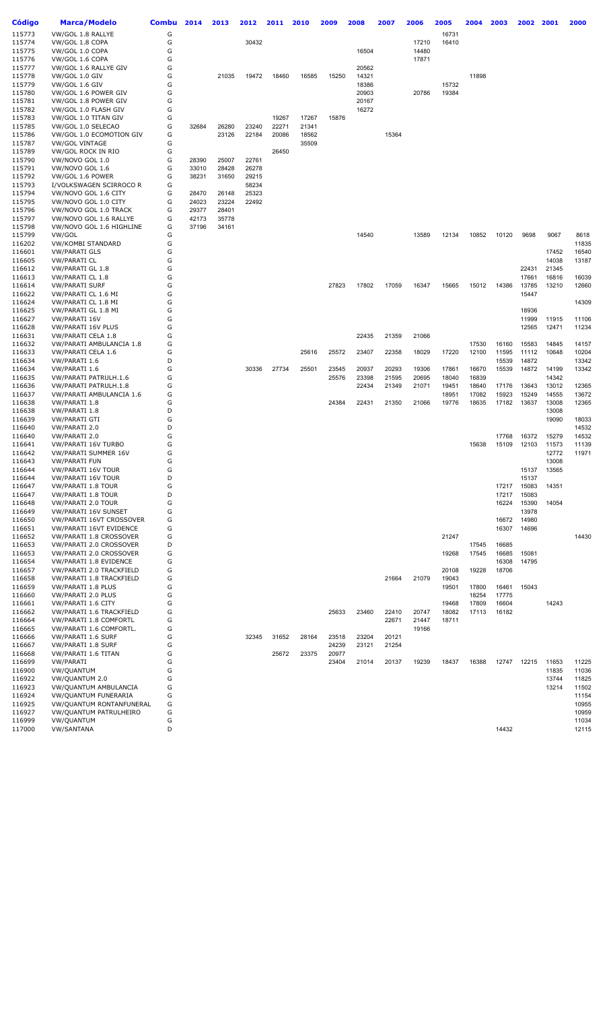| Código           | <b>Marca/Modelo</b>                                | <b>Combu</b> | 2014  | 2013  | 2012           | 2011  | 2010  | 2009  | 2008           | 2007  | 2006  | 2005           | 2004           | 2003           | 2002           | 2001           | 2000           |
|------------------|----------------------------------------------------|--------------|-------|-------|----------------|-------|-------|-------|----------------|-------|-------|----------------|----------------|----------------|----------------|----------------|----------------|
| 115773           | VW/GOL 1.8 RALLYE                                  | G            |       |       |                |       |       |       |                |       |       | 16731          |                |                |                |                |                |
| 115774           | VW/GOL 1.8 COPA                                    | G            |       |       | 30432          |       |       |       |                |       | 17210 | 16410          |                |                |                |                |                |
| 115775<br>115776 | VW/GOL 1.0 COPA                                    | G<br>G       |       |       |                |       |       |       | 16504          |       | 14480 |                |                |                |                |                |                |
| 115777           | VW/GOL 1.6 COPA<br>VW/GOL 1.6 RALLYE GIV           | G            |       |       |                |       |       |       | 20562          |       | 17871 |                |                |                |                |                |                |
| 115778           | VW/GOL 1.0 GIV                                     | G            |       | 21035 | 19472          | 18460 | 16585 | 15250 | 14321          |       |       |                | 11898          |                |                |                |                |
| 115779           | VW/GOL 1.6 GIV                                     | G            |       |       |                |       |       |       | 18386          |       |       | 15732          |                |                |                |                |                |
| 115780           | VW/GOL 1.6 POWER GIV                               | G            |       |       |                |       |       |       | 20903          |       | 20786 | 19384          |                |                |                |                |                |
| 115781<br>115782 | VW/GOL 1.8 POWER GIV<br>VW/GOL 1.0 FLASH GIV       | G<br>G       |       |       |                |       |       |       | 20167<br>16272 |       |       |                |                |                |                |                |                |
| 115783           | VW/GOL 1.0 TITAN GIV                               | G            |       |       |                | 19267 | 17267 | 15876 |                |       |       |                |                |                |                |                |                |
| 115785           | VW/GOL 1.0 SELECAO                                 | G            | 32684 | 26280 | 23240          | 22271 | 21341 |       |                |       |       |                |                |                |                |                |                |
| 115786           | VW/GOL 1.0 ECOMOTION GIV                           | G            |       | 23126 | 22184          | 20086 | 18562 |       |                | 15364 |       |                |                |                |                |                |                |
| 115787<br>115789 | <b>VW/GOL VINTAGE</b><br>VW/GOL ROCK IN RIO        | G<br>G       |       |       |                | 26450 | 35509 |       |                |       |       |                |                |                |                |                |                |
| 115790           | VW/NOVO GOL 1.0                                    | G            | 28390 | 25007 | 22761          |       |       |       |                |       |       |                |                |                |                |                |                |
| 115791           | VW/NOVO GOL 1.6                                    | G            | 33010 | 28428 | 26278          |       |       |       |                |       |       |                |                |                |                |                |                |
| 115792           | VW/GOL 1.6 POWER                                   | G            | 38231 | 31650 | 29215          |       |       |       |                |       |       |                |                |                |                |                |                |
| 115793<br>115794 | I/VOLKSWAGEN SCIRROCO R<br>VW/NOVO GOL 1.6 CITY    | G<br>G       | 28470 | 26148 | 58234<br>25323 |       |       |       |                |       |       |                |                |                |                |                |                |
| 115795           | VW/NOVO GOL 1.0 CITY                               | G            | 24023 | 23224 | 22492          |       |       |       |                |       |       |                |                |                |                |                |                |
| 115796           | VW/NOVO GOL 1.0 TRACK                              | G            | 29377 | 28401 |                |       |       |       |                |       |       |                |                |                |                |                |                |
| 115797           | VW/NOVO GOL 1.6 RALLYE                             | G            | 42173 | 35778 |                |       |       |       |                |       |       |                |                |                |                |                |                |
| 115798<br>115799 | VW/NOVO GOL 1.6 HIGHLINE<br>VW/GOL                 | G<br>G       | 37196 | 34161 |                |       |       |       | 14540          |       | 13589 | 12134          | 10852          | 10120          | 9698           | 9067           | 8618           |
| 116202           | VW/KOMBI STANDARD                                  | G            |       |       |                |       |       |       |                |       |       |                |                |                |                |                | 11835          |
| 116601           | <b>VW/PARATI GLS</b>                               | G            |       |       |                |       |       |       |                |       |       |                |                |                |                | 17452          | 16540          |
| 116605           | VW/PARATI CL                                       | G            |       |       |                |       |       |       |                |       |       |                |                |                |                | 14038          | 13187          |
| 116612<br>116613 | VW/PARATI GL 1.8<br>VW/PARATI CL 1.8               | G<br>G       |       |       |                |       |       |       |                |       |       |                |                |                | 22431<br>17661 | 21345<br>16816 | 16039          |
| 116614           | VW/PARATI SURF                                     | G            |       |       |                |       |       | 27823 | 17802          | 17059 | 16347 | 15665          | 15012          | 14386          | 13785          | 13210          | 12660          |
| 116622           | VW/PARATI CL 1.6 MI                                | G            |       |       |                |       |       |       |                |       |       |                |                |                | 15447          |                |                |
| 116624           | VW/PARATI CL 1.8 MI                                | G            |       |       |                |       |       |       |                |       |       |                |                |                |                |                | 14309          |
| 116625<br>116627 | VW/PARATI GL 1.8 MI<br>VW/PARATI 16V               | G<br>G       |       |       |                |       |       |       |                |       |       |                |                |                | 18936<br>11999 | 11915          | 11106          |
| 116628           | <b>VW/PARATI 16V PLUS</b>                          | G            |       |       |                |       |       |       |                |       |       |                |                |                | 12565          | 12471          | 11234          |
| 116631           | VW/PARATI CELA 1.8                                 | G            |       |       |                |       |       |       | 22435          | 21359 | 21066 |                |                |                |                |                |                |
| 116632           | VW/PARATI AMBULANCIA 1.8                           | G            |       |       |                |       |       |       |                |       |       |                | 17530          | 16160          | 15583          | 14845          | 14157          |
| 116633<br>116634 | VW/PARATI CELA 1.6<br>VW/PARATI 1.6                | G<br>D       |       |       |                |       | 25616 | 25572 | 23407          | 22358 | 18029 | 17220          | 12100          | 11595<br>15539 | 11112<br>14872 | 10648          | 10204<br>13342 |
| 116634           | VW/PARATI 1.6                                      | G            |       |       | 30336          | 27734 | 25501 | 23545 | 20937          | 20293 | 19306 | 17861          | 16670          | 15539          | 14872          | 14199          | 13342          |
| 116635           | VW/PARATI PATRULH.1.6                              | G            |       |       |                |       |       | 25576 | 23398          | 21595 | 20695 | 18040          | 16839          |                |                | 14342          |                |
| 116636           | VW/PARATI PATRULH.1.8                              | G            |       |       |                |       |       |       | 22434          | 21349 | 21071 | 19451          | 18640          | 17176          | 13643          | 13012          | 12365          |
| 116637<br>116638 | VW/PARATI AMBULANCIA 1.6<br>VW/PARATI 1.8          | G<br>G       |       |       |                |       |       | 24384 | 22431          | 21350 | 21066 | 18951<br>19776 | 17082<br>18635 | 15923<br>17182 | 15249<br>13637 | 14555<br>13008 | 13672<br>12365 |
| 116638           | VW/PARATI 1.8                                      | D            |       |       |                |       |       |       |                |       |       |                |                |                |                | 13008          |                |
| 116639           | <b>VW/PARATI GTI</b>                               | G            |       |       |                |       |       |       |                |       |       |                |                |                |                | 19090          | 18033          |
| 116640<br>116640 | VW/PARATI 2.0<br>VW/PARATI 2.0                     | D<br>G       |       |       |                |       |       |       |                |       |       |                |                | 17768          | 16372          | 15279          | 14532<br>14532 |
| 116641           | VW/PARATI 16V TURBO                                | G            |       |       |                |       |       |       |                |       |       |                | 15638          | 15109          | 12103          | 11573          | 11139          |
| 116642           | VW/PARATI SUMMER 16V                               | G            |       |       |                |       |       |       |                |       |       |                |                |                |                | 12772          | 11971          |
| 116643           | <b>VW/PARATI FUN</b>                               | G            |       |       |                |       |       |       |                |       |       |                |                |                |                | 13008          |                |
| 116644<br>116644 | VW/PARATI 16V TOUR<br>VW/PARATI 16V TOUR           | G<br>D       |       |       |                |       |       |       |                |       |       |                |                |                | 15137<br>15137 | 13565          |                |
| 116647           | VW/PARATI 1.8 TOUR                                 | G            |       |       |                |       |       |       |                |       |       |                |                | 17217          | 15083          | 14351          |                |
| 116647           | <b>VW/PARATI 1.8 TOUR</b>                          | D            |       |       |                |       |       |       |                |       |       |                |                | 17217          | 15083          |                |                |
| 116648           | VW/PARATI 2.0 TOUR<br><b>VW/PARATI 16V SUNSET</b>  | G<br>G       |       |       |                |       |       |       |                |       |       |                |                | 16224          | 15390          | 14054          |                |
| 116649<br>116650 | VW/PARATI 16VT CROSSOVER                           | G            |       |       |                |       |       |       |                |       |       |                |                | 16672          | 13978<br>14980 |                |                |
| 116651           | VW/PARATI 16VT EVIDENCE                            | G            |       |       |                |       |       |       |                |       |       |                |                | 16307          | 14696          |                |                |
| 116652           | VW/PARATI 1.8 CROSSOVER                            | G            |       |       |                |       |       |       |                |       |       | 21247          |                |                |                |                | 14430          |
| 116653<br>116653 | VW/PARATI 2.0 CROSSOVER<br>VW/PARATI 2.0 CROSSOVER | D<br>G       |       |       |                |       |       |       |                |       |       | 19268          | 17545<br>17545 | 16685<br>16685 | 15081          |                |                |
| 116654           | VW/PARATI 1.8 EVIDENCE                             | G            |       |       |                |       |       |       |                |       |       |                |                | 16308          | 14795          |                |                |
| 116657           | VW/PARATI 2.0 TRACKFIELD                           | G            |       |       |                |       |       |       |                |       |       | 20108          | 19228          | 18706          |                |                |                |
| 116658           | VW/PARATI 1.8 TRACKFIELD                           | G            |       |       |                |       |       |       |                | 21664 | 21079 | 19043          |                |                |                |                |                |
| 116659<br>116660 | VW/PARATI 1.8 PLUS<br>VW/PARATI 2.0 PLUS           | G<br>G       |       |       |                |       |       |       |                |       |       | 19501          | 17800<br>18254 | 16461<br>17775 | 15043          |                |                |
| 116661           | VW/PARATI 1.6 CITY                                 | G            |       |       |                |       |       |       |                |       |       | 19468          | 17809          | 16604          |                | 14243          |                |
| 116662           | VW/PARATI 1.6 TRACKFIELD                           | G            |       |       |                |       |       | 25633 | 23460          | 22410 | 20747 | 18082          | 17113          | 16182          |                |                |                |
| 116664           | VW/PARATI 1.8 COMFORTL                             | G            |       |       |                |       |       |       |                | 22671 | 21447 | 18711          |                |                |                |                |                |
| 116665<br>116666 | VW/PARATI 1.6 COMFORTL.<br>VW/PARATI 1.6 SURF      | G<br>G       |       |       | 32345          | 31652 | 28164 | 23518 | 23204          | 20121 | 19166 |                |                |                |                |                |                |
| 116667           | VW/PARATI 1.8 SURF                                 | G            |       |       |                |       |       | 24239 | 23121          | 21254 |       |                |                |                |                |                |                |
| 116668           | VW/PARATI 1.6 TITAN                                | G            |       |       |                | 25672 | 23375 | 20977 |                |       |       |                |                |                |                |                |                |
| 116699           | <b>VW/PARATI</b>                                   | G            |       |       |                |       |       | 23404 | 21014          | 20137 | 19239 | 18437          | 16388          | 12747          | 12215          | 11653          | 11225          |
| 116900<br>116922 | VW/QUANTUM<br>VW/QUANTUM 2.0                       | G<br>G       |       |       |                |       |       |       |                |       |       |                |                |                |                | 11835<br>13744 | 11036<br>11825 |
| 116923           | VW/QUANTUM AMBULANCIA                              | G            |       |       |                |       |       |       |                |       |       |                |                |                |                | 13214          | 11502          |
| 116924           | VW/QUANTUM FUNERARIA                               | G            |       |       |                |       |       |       |                |       |       |                |                |                |                |                | 11154          |
| 116925           | VW/QUANTUM RONTANFUNERAL                           | G            |       |       |                |       |       |       |                |       |       |                |                |                |                |                | 10955          |
| 116927<br>116999 | VW/QUANTUM PATRULHEIRO<br>VW/QUANTUM               | G<br>G       |       |       |                |       |       |       |                |       |       |                |                |                |                |                | 10959<br>11034 |
| 117000           | <b>VW/SANTANA</b>                                  | D            |       |       |                |       |       |       |                |       |       |                |                | 14432          |                |                | 12115          |
|                  |                                                    |              |       |       |                |       |       |       |                |       |       |                |                |                |                |                |                |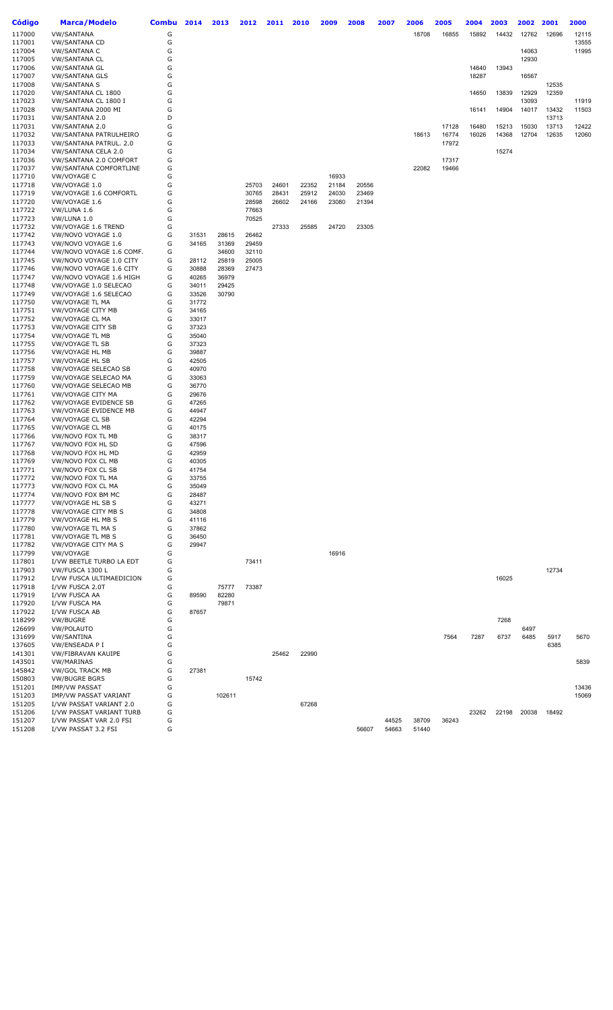| Código           | <b>Marca/Modelo</b>                                 | Combu  | 2014           | 2013           | 2012           | 2011  | 2010  | 2009  | 2008  | 2007  | 2006  | 2005  | 2004  | 2003  | 2002 2001 |       | 2000  |
|------------------|-----------------------------------------------------|--------|----------------|----------------|----------------|-------|-------|-------|-------|-------|-------|-------|-------|-------|-----------|-------|-------|
| 117000           | <b>VW/SANTANA</b>                                   | G      |                |                |                |       |       |       |       |       | 18708 | 16855 | 15892 | 14432 | 12762     | 12696 | 12115 |
| 117001           | <b>VW/SANTANA CD</b>                                | G      |                |                |                |       |       |       |       |       |       |       |       |       |           |       | 13555 |
| 117004           | <b>VW/SANTANA C</b>                                 | G      |                |                |                |       |       |       |       |       |       |       |       |       | 14063     |       | 11995 |
| 117005           | <b>VW/SANTANA CL</b>                                | G      |                |                |                |       |       |       |       |       |       |       |       |       | 12930     |       |       |
| 117006           | <b>VW/SANTANA GL</b>                                | G      |                |                |                |       |       |       |       |       |       |       | 14640 | 13943 |           |       |       |
| 117007<br>117008 | <b>VW/SANTANA GLS</b><br><b>VW/SANTANA S</b>        | G<br>G |                |                |                |       |       |       |       |       |       |       | 18287 |       | 16567     | 12535 |       |
| 117020           | VW/SANTANA CL 1800                                  | G      |                |                |                |       |       |       |       |       |       |       | 14650 | 13839 | 12929     | 12359 |       |
| 117023           | VW/SANTANA CL 1800 I                                | G      |                |                |                |       |       |       |       |       |       |       |       |       | 13093     |       | 11919 |
| 117028           | VW/SANTANA 2000 MI                                  | G      |                |                |                |       |       |       |       |       |       |       | 16141 | 14904 | 14017     | 13432 | 11503 |
| 117031           | VW/SANTANA 2.0                                      | D      |                |                |                |       |       |       |       |       |       |       |       |       |           | 13713 |       |
| 117031           | VW/SANTANA 2.0                                      | G      |                |                |                |       |       |       |       |       |       | 17128 | 16480 | 15213 | 15030     | 13713 | 12422 |
| 117032           | VW/SANTANA PATRULHEIRO                              | G      |                |                |                |       |       |       |       |       | 18613 | 16774 | 16026 | 14368 | 12704     | 12635 | 12060 |
| 117033           | VW/SANTANA PATRUL. 2.0                              | G      |                |                |                |       |       |       |       |       |       | 17972 |       |       |           |       |       |
| 117034           | VW/SANTANA CELA 2.0                                 | G      |                |                |                |       |       |       |       |       |       |       |       | 15274 |           |       |       |
| 117036<br>117037 | VW/SANTANA 2.0 COMFORT                              | G<br>G |                |                |                |       |       |       |       |       | 22082 | 17317 |       |       |           |       |       |
| 117710           | <b>VW/SANTANA COMFORTLINE</b><br>VW/VOYAGE C        | G      |                |                |                |       |       | 16933 |       |       |       | 19466 |       |       |           |       |       |
| 117718           | VW/VOYAGE 1.0                                       | G      |                |                | 25703          | 24601 | 22352 | 21184 | 20556 |       |       |       |       |       |           |       |       |
| 117719           | VW/VOYAGE 1.6 COMFORTL                              | G      |                |                | 30765          | 28431 | 25912 | 24030 | 23469 |       |       |       |       |       |           |       |       |
| 117720           | VW/VOYAGE 1.6                                       | G      |                |                | 28598          | 26602 | 24166 | 23080 | 21394 |       |       |       |       |       |           |       |       |
| 117722           | VW/LUNA 1.6                                         | G      |                |                | 77663          |       |       |       |       |       |       |       |       |       |           |       |       |
| 117723           | VW/LUNA 1.0                                         | G      |                |                | 70525          |       |       |       |       |       |       |       |       |       |           |       |       |
| 117732           | VW/VOYAGE 1.6 TREND                                 | G      |                |                |                | 27333 | 25585 | 24720 | 23305 |       |       |       |       |       |           |       |       |
| 117742           | VW/NOVO VOYAGE 1.0                                  | G      | 31531          | 28615          | 26462          |       |       |       |       |       |       |       |       |       |           |       |       |
| 117743           | VW/NOVO VOYAGE 1.6                                  | G      | 34165          | 31369          | 29459          |       |       |       |       |       |       |       |       |       |           |       |       |
| 117744<br>117745 | VW/NOVO VOYAGE 1.6 COMF.<br>VW/NOVO VOYAGE 1.0 CITY | G<br>G | 28112          | 34600<br>25819 | 32110<br>25005 |       |       |       |       |       |       |       |       |       |           |       |       |
| 117746           | VW/NOVO VOYAGE 1.6 CITY                             | G      | 30888          | 28369          | 27473          |       |       |       |       |       |       |       |       |       |           |       |       |
| 117747           | VW/NOVO VOYAGE 1.6 HIGH                             | G      | 40265          | 36979          |                |       |       |       |       |       |       |       |       |       |           |       |       |
| 117748           | VW/VOYAGE 1.0 SELECAO                               | G      | 34011          | 29425          |                |       |       |       |       |       |       |       |       |       |           |       |       |
| 117749           | VW/VOYAGE 1.6 SELECAO                               | G      | 33526          | 30790          |                |       |       |       |       |       |       |       |       |       |           |       |       |
| 117750           | VW/VOYAGE TL MA                                     | G      | 31772          |                |                |       |       |       |       |       |       |       |       |       |           |       |       |
| 117751           | VW/VOYAGE CITY MB                                   | G      | 34165          |                |                |       |       |       |       |       |       |       |       |       |           |       |       |
| 117752           | <b>VW/VOYAGE CL MA</b>                              | G      | 33017          |                |                |       |       |       |       |       |       |       |       |       |           |       |       |
| 117753           | VW/VOYAGE CITY SB                                   | G      | 37323          |                |                |       |       |       |       |       |       |       |       |       |           |       |       |
| 117754           | VW/VOYAGE TL MB                                     | G      | 35040          |                |                |       |       |       |       |       |       |       |       |       |           |       |       |
| 117755<br>117756 | <b>VW/VOYAGE TL SB</b><br>VW/VOYAGE HL MB           | G<br>G | 37323<br>39887 |                |                |       |       |       |       |       |       |       |       |       |           |       |       |
| 117757           | <b>VW/VOYAGE HL SB</b>                              | G      | 42505          |                |                |       |       |       |       |       |       |       |       |       |           |       |       |
| 117758           | VW/VOYAGE SELECAO SB                                | G      | 40970          |                |                |       |       |       |       |       |       |       |       |       |           |       |       |
| 117759           | VW/VOYAGE SELECAO MA                                | G      | 33063          |                |                |       |       |       |       |       |       |       |       |       |           |       |       |
| 117760           | VW/VOYAGE SELECAO MB                                | G      | 36770          |                |                |       |       |       |       |       |       |       |       |       |           |       |       |
| 117761           | VW/VOYAGE CITY MA                                   | G      | 29676          |                |                |       |       |       |       |       |       |       |       |       |           |       |       |
| 117762           | VW/VOYAGE EVIDENCE SB                               | G      | 47265          |                |                |       |       |       |       |       |       |       |       |       |           |       |       |
| 117763           | VW/VOYAGE EVIDENCE MB                               | G      | 44947          |                |                |       |       |       |       |       |       |       |       |       |           |       |       |
| 117764           | VW/VOYAGE CL SB                                     | G      | 42294          |                |                |       |       |       |       |       |       |       |       |       |           |       |       |
| 117765           | VW/VOYAGE CL MB                                     | G<br>G | 40175          |                |                |       |       |       |       |       |       |       |       |       |           |       |       |
| 117766<br>117767 | VW/NOVO FOX TL MB<br>VW/NOVO FOX HL SD              | G      | 38317<br>47596 |                |                |       |       |       |       |       |       |       |       |       |           |       |       |
| 117768           | VW/NOVO FOX HL MD                                   | G      | 42959          |                |                |       |       |       |       |       |       |       |       |       |           |       |       |
| 117769           | VW/NOVO FOX CL MB                                   | G      | 40305          |                |                |       |       |       |       |       |       |       |       |       |           |       |       |
| 117771           | VW/NOVO FOX CL SB                                   | G      | 41754          |                |                |       |       |       |       |       |       |       |       |       |           |       |       |
| 117772           | VW/NOVO FOX TL MA                                   | G      | 33755          |                |                |       |       |       |       |       |       |       |       |       |           |       |       |
| 117773           | VW/NOVO FOX CL MA                                   | G      | 35049          |                |                |       |       |       |       |       |       |       |       |       |           |       |       |
| 117774           | VW/NOVO FOX BM MC                                   | G      | 28487          |                |                |       |       |       |       |       |       |       |       |       |           |       |       |
| 117777           | VW/VOYAGE HL SB S                                   | G      | 43271          |                |                |       |       |       |       |       |       |       |       |       |           |       |       |
| 117778<br>117779 | VW/VOYAGE CITY MB S<br><b>VW/VOYAGE HL MB S</b>     | G<br>G | 34808<br>41116 |                |                |       |       |       |       |       |       |       |       |       |           |       |       |
| 117780           | VW/VOYAGE TL MA S                                   | G      | 37862          |                |                |       |       |       |       |       |       |       |       |       |           |       |       |
| 117781           | VW/VOYAGE TL MB S                                   | G      | 36450          |                |                |       |       |       |       |       |       |       |       |       |           |       |       |
| 117782           | VW/VOYAGE CITY MA S                                 | G      | 29947          |                |                |       |       |       |       |       |       |       |       |       |           |       |       |
| 117799           | VW/VOYAGE                                           | G      |                |                |                |       |       | 16916 |       |       |       |       |       |       |           |       |       |
| 117801           | I/VW BEETLE TURBO LA EDT                            | G      |                |                | 73411          |       |       |       |       |       |       |       |       |       |           |       |       |
| 117903           | VW/FUSCA 1300 L                                     | G      |                |                |                |       |       |       |       |       |       |       |       |       |           | 12734 |       |
| 117912           | I/VW FUSCA ULTIMAEDICION                            | G      |                |                |                |       |       |       |       |       |       |       |       | 16025 |           |       |       |
| 117918           | I/VW FUSCA 2.0T                                     | G      |                | 75777          | 73387          |       |       |       |       |       |       |       |       |       |           |       |       |
| 117919           | I/VW FUSCA AA                                       | G      | 89590          | 82280          |                |       |       |       |       |       |       |       |       |       |           |       |       |
| 117920<br>117922 | I/VW FUSCA MA<br>I/VW FUSCA AB                      | G<br>G | 87657          | 79871          |                |       |       |       |       |       |       |       |       |       |           |       |       |
| 118299           | VW/BUGRE                                            | G      |                |                |                |       |       |       |       |       |       |       |       | 7268  |           |       |       |
| 126699           | VW/POLAUTO                                          | G      |                |                |                |       |       |       |       |       |       |       |       |       | 6497      |       |       |
| 131699           | <b>VW/SANTINA</b>                                   | G      |                |                |                |       |       |       |       |       |       | 7564  | 7287  | 6737  | 6485      | 5917  | 5670  |
| 137605           | VW/ENSEADA P I                                      | G      |                |                |                |       |       |       |       |       |       |       |       |       |           | 6385  |       |
| 141301           | VW/FIBRAVAN KAUIPE                                  | G      |                |                |                | 25462 | 22990 |       |       |       |       |       |       |       |           |       |       |
| 143501           | <b>VW/MARINAS</b>                                   | G      |                |                |                |       |       |       |       |       |       |       |       |       |           |       | 5839  |
| 145842           | <b>VW/GOL TRACK MB</b>                              | G      | 27381          |                |                |       |       |       |       |       |       |       |       |       |           |       |       |
| 150803           | <b>VW/BUGRE BGR5</b>                                | G      |                |                | 15742          |       |       |       |       |       |       |       |       |       |           |       |       |
| 151201           | <b>IMP/VW PASSAT</b>                                | G      |                |                |                |       |       |       |       |       |       |       |       |       |           |       | 13436 |
| 151203<br>151205 | IMP/VW PASSAT VARIANT<br>I/VW PASSAT VARIANT 2.0    | G<br>G |                | 102611         |                |       | 67268 |       |       |       |       |       |       |       |           |       | 15069 |
| 151206           | I/VW PASSAT VARIANT TURB                            | G      |                |                |                |       |       |       |       |       |       |       | 23262 | 22198 | 20038     | 18492 |       |
| 151207           | I/VW PASSAT VAR 2.0 FSI                             | G      |                |                |                |       |       |       |       | 44525 | 38709 | 36243 |       |       |           |       |       |
| 151208           | I/VW PASSAT 3.2 FSI                                 | G      |                |                |                |       |       |       | 56607 | 54663 | 51440 |       |       |       |           |       |       |
|                  |                                                     |        |                |                |                |       |       |       |       |       |       |       |       |       |           |       |       |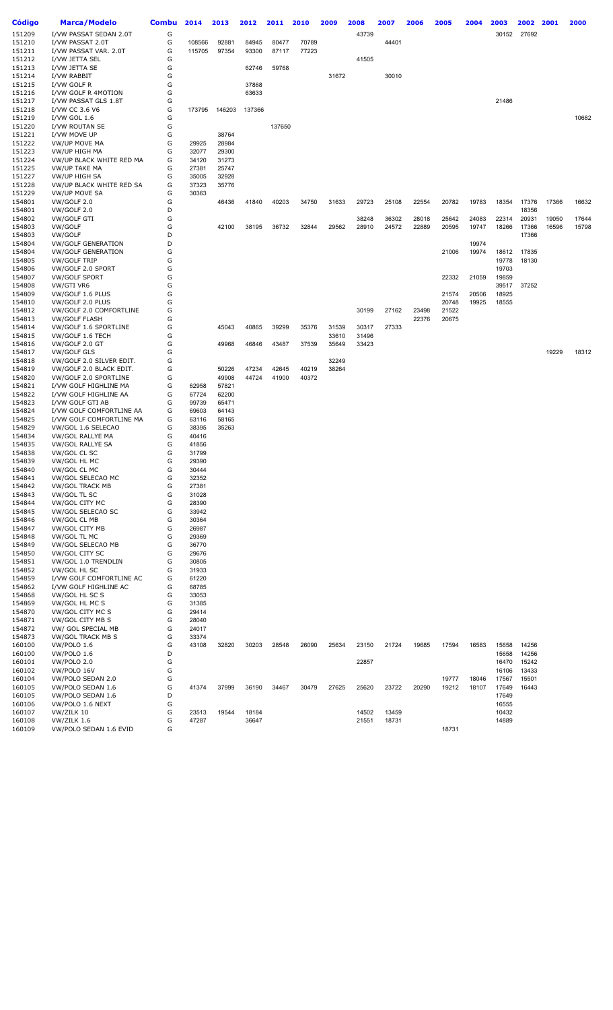| Código           | <b>Marca/Modelo</b>                              | <b>Combu</b> | 2014           | 2013   | 2012   | 2011   | 2010  | 2009  | 2008  | 2007  | 2006  | 2005  | 2004  | 2003  | 2002  | 2001  | 2000  |
|------------------|--------------------------------------------------|--------------|----------------|--------|--------|--------|-------|-------|-------|-------|-------|-------|-------|-------|-------|-------|-------|
| 151209           | I/VW PASSAT SEDAN 2.0T                           | G            |                |        |        |        |       |       | 43739 |       |       |       |       | 30152 | 27692 |       |       |
| 151210           | I/VW PASSAT 2.0T                                 | G            | 108566         | 92881  | 84945  | 80477  | 70789 |       |       | 44401 |       |       |       |       |       |       |       |
| 151211           | I/VW PASSAT VAR. 2.0T                            | G            | 115705         | 97354  | 93300  | 87117  | 77223 |       |       |       |       |       |       |       |       |       |       |
| 151212           | I/VW JETTA SEL                                   | G            |                |        |        |        |       |       | 41505 |       |       |       |       |       |       |       |       |
| 151213           | I/VW JETTA SE                                    | G            |                |        | 62746  | 59768  |       |       |       |       |       |       |       |       |       |       |       |
| 151214           | I/VW RABBIT                                      | G            |                |        |        |        |       | 31672 |       | 30010 |       |       |       |       |       |       |       |
| 151215           | I/VW GOLF R                                      | G            |                |        | 37868  |        |       |       |       |       |       |       |       |       |       |       |       |
| 151216           | I/VW GOLF R 4MOTION                              | G            |                |        | 63633  |        |       |       |       |       |       |       |       |       |       |       |       |
| 151217           | I/VW PASSAT GLS 1.8T                             | G            |                |        |        |        |       |       |       |       |       |       |       | 21486 |       |       |       |
| 151218           | I/VW CC 3.6 V6                                   | G            | 173795         | 146203 | 137366 |        |       |       |       |       |       |       |       |       |       |       |       |
| 151219           | I/VW GOL 1.6                                     | G            |                |        |        |        |       |       |       |       |       |       |       |       |       |       | 10682 |
| 151220           | I/VW ROUTAN SE                                   | G            |                |        |        | 137650 |       |       |       |       |       |       |       |       |       |       |       |
| 151221           | I/VW MOVE UP                                     | G            |                | 38764  |        |        |       |       |       |       |       |       |       |       |       |       |       |
| 151222           | VW/UP MOVE MA                                    | G            | 29925          | 28984  |        |        |       |       |       |       |       |       |       |       |       |       |       |
| 151223           | VW/UP HIGH MA                                    | G            | 32077          | 29300  |        |        |       |       |       |       |       |       |       |       |       |       |       |
| 151224           | VW/UP BLACK WHITE RED MA                         | G            | 34120          | 31273  |        |        |       |       |       |       |       |       |       |       |       |       |       |
| 151225           | <b>VW/UP TAKE MA</b>                             | G            | 27381          | 25747  |        |        |       |       |       |       |       |       |       |       |       |       |       |
| 151227           | VW/UP HIGH SA                                    | G<br>G       | 35005          | 32928  |        |        |       |       |       |       |       |       |       |       |       |       |       |
| 151228<br>151229 | VW/UP BLACK WHITE RED SA<br><b>VW/UP MOVE SA</b> | G            | 37323<br>30363 | 35776  |        |        |       |       |       |       |       |       |       |       |       |       |       |
| 154801           | VW/GOLF 2.0                                      | G            |                | 46436  | 41840  | 40203  | 34750 | 31633 | 29723 | 25108 | 22554 | 20782 | 19783 | 18354 | 17376 | 17366 | 16632 |
| 154801           | VW/GOLF 2.0                                      | D            |                |        |        |        |       |       |       |       |       |       |       |       | 18356 |       |       |
| 154802           | <b>VW/GOLF GTI</b>                               | G            |                |        |        |        |       |       | 38248 | 36302 | 28018 | 25642 | 24083 | 22314 | 20931 | 19050 | 17644 |
| 154803           | VW/GOLF                                          | G            |                | 42100  | 38195  | 36732  | 32844 | 29562 | 28910 | 24572 | 22889 | 20595 | 19747 | 18266 | 17366 | 16596 | 15798 |
| 154803           | VW/GOLF                                          | D            |                |        |        |        |       |       |       |       |       |       |       |       | 17366 |       |       |
| 154804           | <b>VW/GOLF GENERATION</b>                        | D            |                |        |        |        |       |       |       |       |       |       | 19974 |       |       |       |       |
| 154804           | <b>VW/GOLF GENERATION</b>                        | G            |                |        |        |        |       |       |       |       |       | 21006 | 19974 | 18612 | 17835 |       |       |
| 154805           | <b>VW/GOLF TRIP</b>                              | G            |                |        |        |        |       |       |       |       |       |       |       | 19778 | 18130 |       |       |
| 154806           | VW/GOLF 2.0 SPORT                                | G            |                |        |        |        |       |       |       |       |       |       |       | 19703 |       |       |       |
| 154807           | <b>VW/GOLF SPORT</b>                             | G            |                |        |        |        |       |       |       |       |       | 22332 | 21059 | 19859 |       |       |       |
| 154808           | VW/GTI VR6                                       | G            |                |        |        |        |       |       |       |       |       |       |       | 39517 | 37252 |       |       |
| 154809           | VW/GOLF 1.6 PLUS                                 | G            |                |        |        |        |       |       |       |       |       | 21574 | 20506 | 18925 |       |       |       |
| 154810           | VW/GOLF 2.0 PLUS                                 | G            |                |        |        |        |       |       |       |       |       | 20748 | 19925 | 18555 |       |       |       |
| 154812           | VW/GOLF 2.0 COMFORTLINE                          | G            |                |        |        |        |       |       | 30199 | 27162 | 23498 | 21522 |       |       |       |       |       |
| 154813           | <b>VW/GOLF FLASH</b>                             | G            |                |        |        |        |       |       |       |       | 22376 | 20675 |       |       |       |       |       |
| 154814           | VW/GOLF 1.6 SPORTLINE                            | G            |                | 45043  | 40865  | 39299  | 35376 | 31539 | 30317 | 27333 |       |       |       |       |       |       |       |
| 154815           | VW/GOLF 1.6 TECH                                 | G            |                |        |        |        |       | 33610 | 31496 |       |       |       |       |       |       |       |       |
| 154816           | VW/GOLF 2.0 GT                                   | G            |                | 49968  | 46846  | 43487  | 37539 | 35649 | 33423 |       |       |       |       |       |       |       |       |
| 154817           | <b>VW/GOLF GLS</b>                               | G            |                |        |        |        |       |       |       |       |       |       |       |       |       | 19229 | 18312 |
| 154818           | VW/GOLF 2.0 SILVER EDIT.                         | G            |                |        |        |        |       | 32249 |       |       |       |       |       |       |       |       |       |
| 154819           | VW/GOLF 2.0 BLACK EDIT.                          | G            |                | 50226  | 47234  | 42645  | 40219 | 38264 |       |       |       |       |       |       |       |       |       |
| 154820           | VW/GOLF 2.0 SPORTLINE                            | G            |                | 49908  | 44724  | 41900  | 40372 |       |       |       |       |       |       |       |       |       |       |
| 154821           | I/VW GOLF HIGHLINE MA                            | G            | 62958          | 57821  |        |        |       |       |       |       |       |       |       |       |       |       |       |
| 154822           | I/VW GOLF HIGHLINE AA                            | G            | 67724          | 62200  |        |        |       |       |       |       |       |       |       |       |       |       |       |
| 154823           | I/VW GOLF GTI AB                                 | G            | 99739          | 65471  |        |        |       |       |       |       |       |       |       |       |       |       |       |
| 154824           | I/VW GOLF COMFORTLINE AA                         | G            | 69603          | 64143  |        |        |       |       |       |       |       |       |       |       |       |       |       |
| 154825           | I/VW GOLF COMFORTLINE MA                         | G            | 63116          | 58165  |        |        |       |       |       |       |       |       |       |       |       |       |       |
| 154829           | VW/GOL 1.6 SELECAO                               | G            | 38395          | 35263  |        |        |       |       |       |       |       |       |       |       |       |       |       |
| 154834           | VW/GOL RALLYE MA                                 | G            | 40416          |        |        |        |       |       |       |       |       |       |       |       |       |       |       |
| 154835           | VW/GOL RALLYE SA                                 | G            | 41856          |        |        |        |       |       |       |       |       |       |       |       |       |       |       |
| 154838           | VW/GOL CL SC                                     | G            | 31799          |        |        |        |       |       |       |       |       |       |       |       |       |       |       |
| 154839           | VW/GOL HL MC                                     | G            | 29390          |        |        |        |       |       |       |       |       |       |       |       |       |       |       |
| 154840           | VW/GOL CL MC                                     | G            | 30444          |        |        |        |       |       |       |       |       |       |       |       |       |       |       |
| 154841           | VW/GOL SELECAO MC                                | G            | 32352          |        |        |        |       |       |       |       |       |       |       |       |       |       |       |
| 154842           | <b>VW/GOL TRACK MB</b>                           | G            | 27381          |        |        |        |       |       |       |       |       |       |       |       |       |       |       |
| 154843           | VW/GOL TL SC                                     | G            | 31028          |        |        |        |       |       |       |       |       |       |       |       |       |       |       |
| 154844           | VW/GOL CITY MC                                   | G            | 28390          |        |        |        |       |       |       |       |       |       |       |       |       |       |       |
| 154845           | VW/GOL SELECAO SC                                | G            | 33942          |        |        |        |       |       |       |       |       |       |       |       |       |       |       |
| 154846           | VW/GOL CL MB                                     | G            | 30364          |        |        |        |       |       |       |       |       |       |       |       |       |       |       |
| 154847           | VW/GOL CITY MB                                   | G            | 26987          |        |        |        |       |       |       |       |       |       |       |       |       |       |       |
| 154848           | VW/GOL TL MC                                     | G            | 29369          |        |        |        |       |       |       |       |       |       |       |       |       |       |       |
| 154849           | VW/GOL SELECAO MB                                | G            | 36770          |        |        |        |       |       |       |       |       |       |       |       |       |       |       |
| 154850           | VW/GOL CITY SC                                   | G            | 29676          |        |        |        |       |       |       |       |       |       |       |       |       |       |       |
| 154851           | VW/GOL 1.0 TRENDLIN                              | G            | 30805          |        |        |        |       |       |       |       |       |       |       |       |       |       |       |
| 154852           | VW/GOL HL SC                                     | G            | 31933          |        |        |        |       |       |       |       |       |       |       |       |       |       |       |
| 154859           | I/VW GOLF COMFORTLINE AC                         | G            | 61220          |        |        |        |       |       |       |       |       |       |       |       |       |       |       |
| 154862           | I/VW GOLF HIGHLINE AC                            | G            | 68785          |        |        |        |       |       |       |       |       |       |       |       |       |       |       |
| 154868           | VW/GOL HL SC S                                   | G            | 33053          |        |        |        |       |       |       |       |       |       |       |       |       |       |       |
| 154869           | VW/GOL HL MC S                                   | G            | 31385          |        |        |        |       |       |       |       |       |       |       |       |       |       |       |
| 154870           | VW/GOL CITY MC S                                 | G            | 29414          |        |        |        |       |       |       |       |       |       |       |       |       |       |       |
| 154871           | VW/GOL CITY MB S                                 | G            | 28040          |        |        |        |       |       |       |       |       |       |       |       |       |       |       |
| 154872           | VW/ GOL SPECIAL MB                               | G            | 24017          |        |        |        |       |       |       |       |       |       |       |       |       |       |       |
| 154873           | <b>VW/GOL TRACK MB S</b>                         | G            | 33374          |        |        |        |       |       |       |       |       |       |       |       |       |       |       |
| 160100           | VW/POLO 1.6                                      | G            | 43108          | 32820  | 30203  | 28548  | 26090 | 25634 | 23150 | 21724 | 19685 | 17594 | 16583 | 15658 | 14256 |       |       |
| 160100           | VW/POLO 1.6                                      | D            |                |        |        |        |       |       |       |       |       |       |       | 15658 | 14256 |       |       |
| 160101           | VW/POLO 2.0                                      | G            |                |        |        |        |       |       | 22857 |       |       |       |       | 16470 | 15242 |       |       |
| 160102           | VW/POLO 16V                                      | G            |                |        |        |        |       |       |       |       |       |       |       | 16106 | 13433 |       |       |
| 160104           | VW/POLO SEDAN 2.0                                | G            |                |        |        |        |       |       |       |       |       | 19777 | 18046 | 17567 | 15501 |       |       |
| 160105           | VW/POLO SEDAN 1.6                                | G            | 41374          | 37999  | 36190  | 34467  | 30479 | 27625 | 25620 | 23722 | 20290 | 19212 | 18107 | 17649 | 16443 |       |       |
| 160105           | VW/POLO SEDAN 1.6                                | D            |                |        |        |        |       |       |       |       |       |       |       | 17649 |       |       |       |
| 160106           | VW/POLO 1.6 NEXT                                 | G            |                |        |        |        |       |       |       |       |       |       |       | 16555 |       |       |       |
| 160107           | VW/ZILK 10                                       | G            | 23513          | 19544  | 18184  |        |       |       | 14502 | 13459 |       |       |       | 10432 |       |       |       |
| 160108           | VW/ZILK 1.6                                      | G            | 47287          |        | 36647  |        |       |       | 21551 | 18731 |       |       |       | 14889 |       |       |       |
| 160109           | VW/POLO SEDAN 1.6 EVID                           | G            |                |        |        |        |       |       |       |       |       | 18731 |       |       |       |       |       |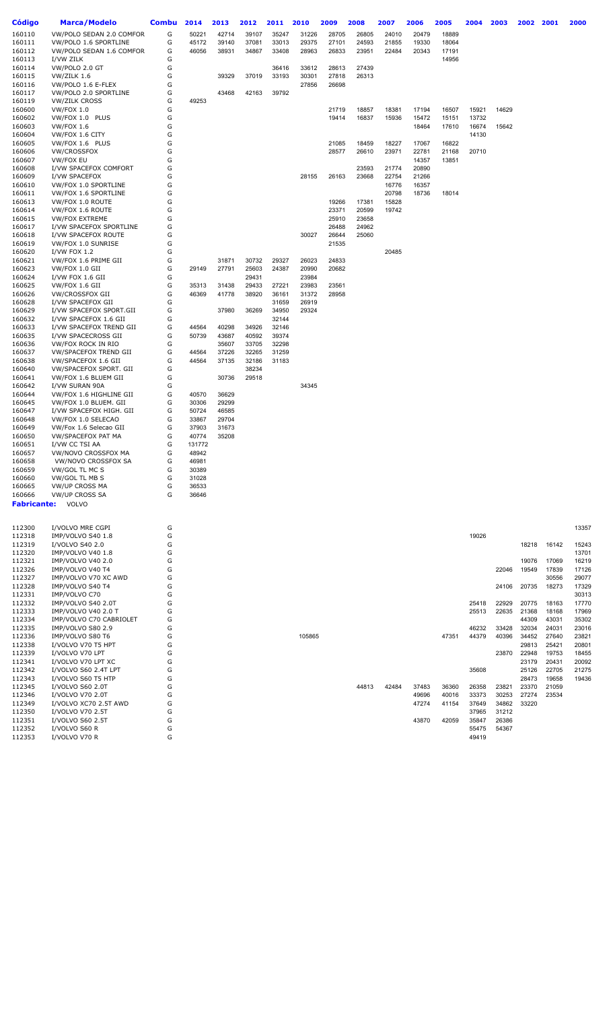| <b>Código</b>      | <b>Marca/Modelo</b>                              | <b>Combu</b> | 2014           | 2013           | 2012           | 2011           | 2010           | 2009           | 2008           | 2007           | 2006           | 2005           | 2004           | 2003           | 2002           | 2001           | 2000           |
|--------------------|--------------------------------------------------|--------------|----------------|----------------|----------------|----------------|----------------|----------------|----------------|----------------|----------------|----------------|----------------|----------------|----------------|----------------|----------------|
| 160110             | VW/POLO SEDAN 2.0 COMFOR                         | G            | 50221          | 42714          | 39107          | 35247          | 31226          | 28705          | 26805          | 24010          | 20479          | 18889          |                |                |                |                |                |
| 160111             | VW/POLO 1.6 SPORTLINE                            | G            | 45172          | 39140          | 37081          | 33013          | 29375          | 27101          | 24593          | 21855          | 19330          | 18064          |                |                |                |                |                |
| 160112             | VW/POLO SEDAN 1.6 COMFOR                         | G            | 46056          | 38931          | 34867          | 33408          | 28963          | 26833          | 23951          | 22484          | 20343          | 17191          |                |                |                |                |                |
| 160113             | I/VW ZILK                                        | G            |                |                |                |                |                |                |                |                |                | 14956          |                |                |                |                |                |
| 160114             | VW/POLO 2.0 GT                                   | G<br>G       |                | 39329          | 37019          | 36416          | 33612          | 28613          | 27439          |                |                |                |                |                |                |                |                |
| 160115<br>160116   | VW/ZILK 1.6<br>VW/POLO 1.6 E-FLEX                | G            |                |                |                | 33193          | 30301<br>27856 | 27818<br>26698 | 26313          |                |                |                |                |                |                |                |                |
| 160117             | VW/POLO 2.0 SPORTLINE                            | G            |                | 43468          | 42163          | 39792          |                |                |                |                |                |                |                |                |                |                |                |
| 160119             | <b>VW/ZILK CROSS</b>                             | G            | 49253          |                |                |                |                |                |                |                |                |                |                |                |                |                |                |
| 160600             | VW/FOX 1.0                                       | G            |                |                |                |                |                | 21719          | 18857          | 18381          | 17194          | 16507          | 15921          | 14629          |                |                |                |
| 160602             | VW/FOX 1.0 PLUS                                  | G            |                |                |                |                |                | 19414          | 16837          | 15936          | 15472          | 15151          | 13732          |                |                |                |                |
| 160603             | <b>VW/FOX 1.6</b>                                | G            |                |                |                |                |                |                |                |                | 18464          | 17610          | 16674          | 15642          |                |                |                |
| 160604             | VW/FOX 1.6 CITY                                  | G<br>G       |                |                |                |                |                |                |                |                |                |                | 14130          |                |                |                |                |
| 160605<br>160606   | VW/FOX 1.6 PLUS<br><b>VW/CROSSFOX</b>            | G            |                |                |                |                |                | 21085<br>28577 | 18459<br>26610 | 18227<br>23971 | 17067<br>22781 | 16822<br>21168 | 20710          |                |                |                |                |
| 160607             | VW/FOX EU                                        | G            |                |                |                |                |                |                |                |                | 14357          | 13851          |                |                |                |                |                |
| 160608             | I/VW SPACEFOX COMFORT                            | G            |                |                |                |                |                |                | 23593          | 21774          | 20890          |                |                |                |                |                |                |
| 160609             | I/VW SPACEFOX                                    | G            |                |                |                |                | 28155          | 26163          | 23668          | 22754          | 21266          |                |                |                |                |                |                |
| 160610             | VW/FOX 1.0 SPORTLINE                             | G            |                |                |                |                |                |                |                | 16776          | 16357          |                |                |                |                |                |                |
| 160611             | VW/FOX 1.6 SPORTLINE                             | G            |                |                |                |                |                |                |                | 20798          | 18736          | 18014          |                |                |                |                |                |
| 160613<br>160614   | VW/FOX 1.0 ROUTE<br>VW/FOX 1.6 ROUTE             | G<br>G       |                |                |                |                |                | 19266<br>23371 | 17381<br>20599 | 15828<br>19742 |                |                |                |                |                |                |                |
| 160615             | <b>VW/FOX EXTREME</b>                            | G            |                |                |                |                |                | 25910          | 23658          |                |                |                |                |                |                |                |                |
| 160617             | I/VW SPACEFOX SPORTLINE                          | G            |                |                |                |                |                | 26488          | 24962          |                |                |                |                |                |                |                |                |
| 160618             | I/VW SPACEFOX ROUTE                              | G            |                |                |                |                | 30027          | 26644          | 25060          |                |                |                |                |                |                |                |                |
| 160619             | VW/FOX 1.0 SUNRISE                               | G            |                |                |                |                |                | 21535          |                |                |                |                |                |                |                |                |                |
| 160620             | I/VW FOX 1.2                                     | G            |                |                |                |                |                |                |                | 20485          |                |                |                |                |                |                |                |
| 160621             | VW/FOX 1.6 PRIME GII                             | G            |                | 31871          | 30732          | 29327          | 26023          | 24833          |                |                |                |                |                |                |                |                |                |
| 160623             | VW/FOX 1.0 GII                                   | G            | 29149          | 27791          | 25603          | 24387          | 20990          | 20682          |                |                |                |                |                |                |                |                |                |
| 160624<br>160625   | I/VW FOX 1.6 GII<br>VW/FOX 1.6 GII               | G<br>G       | 35313          | 31438          | 29431<br>29433 | 27221          | 23984<br>23983 | 23561          |                |                |                |                |                |                |                |                |                |
| 160626             | VW/CROSSFOX GII                                  | G            | 46369          | 41778          | 38920          | 36161          | 31372          | 28958          |                |                |                |                |                |                |                |                |                |
| 160628             | I/VW SPACEFOX GII                                | G            |                |                |                | 31659          | 26919          |                |                |                |                |                |                |                |                |                |                |
| 160629             | I/VW SPACEFOX SPORT.GII                          | G            |                | 37980          | 36269          | 34950          | 29324          |                |                |                |                |                |                |                |                |                |                |
| 160632             | I/VW SPACEFOX 1.6 GII                            | G            |                |                |                | 32144          |                |                |                |                |                |                |                |                |                |                |                |
| 160633             | I/VW SPACEFOX TREND GII                          | G            | 44564          | 40298          | 34926          | 32146          |                |                |                |                |                |                |                |                |                |                |                |
| 160635             | I/VW SPACECROSS GII                              | G<br>G       | 50739          | 43687          | 40592          | 39374<br>32298 |                |                |                |                |                |                |                |                |                |                |                |
| 160636<br>160637   | VW/FOX ROCK IN RIO<br>VW/SPACEFOX TREND GII      | G            | 44564          | 35607<br>37226 | 33705<br>32265 | 31259          |                |                |                |                |                |                |                |                |                |                |                |
| 160638             | VW/SPACEFOX 1.6 GII                              | G            | 44564          | 37135          | 32186          | 31183          |                |                |                |                |                |                |                |                |                |                |                |
| 160640             | VW/SPACEFOX SPORT. GII                           | G            |                |                | 38234          |                |                |                |                |                |                |                |                |                |                |                |                |
| 160641             | VW/FOX 1.6 BLUEM GII                             | G            |                | 30736          | 29518          |                |                |                |                |                |                |                |                |                |                |                |                |
| 160642             | I/VW SURAN 90A                                   | G            |                |                |                |                | 34345          |                |                |                |                |                |                |                |                |                |                |
| 160644             | VW/FOX 1.6 HIGHLINE GII                          | G            | 40570          | 36629          |                |                |                |                |                |                |                |                |                |                |                |                |                |
| 160645             | VW/FOX 1.0 BLUEM. GII<br>I/VW SPACEFOX HIGH. GII | G<br>G       | 30306          | 29299          |                |                |                |                |                |                |                |                |                |                |                |                |                |
| 160647<br>160648   | VW/FOX 1.0 SELECAO                               | G            | 50724<br>33867 | 46585<br>29704 |                |                |                |                |                |                |                |                |                |                |                |                |                |
| 160649             | VW/Fox 1.6 Selecao GII                           | G            | 37903          | 31673          |                |                |                |                |                |                |                |                |                |                |                |                |                |
| 160650             | <b>VW/SPACEFOX PAT MA</b>                        | G            | 40774          | 35208          |                |                |                |                |                |                |                |                |                |                |                |                |                |
| 160651             | I/VW CC TSI AA                                   | G            | 131772         |                |                |                |                |                |                |                |                |                |                |                |                |                |                |
| 160657             | VW/NOVO CROSSFOX MA                              | G            | 48942          |                |                |                |                |                |                |                |                |                |                |                |                |                |                |
| 160658             | VW/NOVO CROSSFOX SA                              | G            | 46981          |                |                |                |                |                |                |                |                |                |                |                |                |                |                |
| 160659<br>160660   | VW/GOL TL MC S<br>VW/GOL TL MB S                 | G<br>G       | 30389<br>31028 |                |                |                |                |                |                |                |                |                |                |                |                |                |                |
| 160665             | <b>VW/UP CROSS MA</b>                            | G            | 36533          |                |                |                |                |                |                |                |                |                |                |                |                |                |                |
| 160666             | <b>VW/UP CROSS SA</b>                            | G            | 36646          |                |                |                |                |                |                |                |                |                |                |                |                |                |                |
| <b>Fabricante:</b> | VOLVO                                            |              |                |                |                |                |                |                |                |                |                |                |                |                |                |                |                |
|                    |                                                  |              |                |                |                |                |                |                |                |                |                |                |                |                |                |                |                |
|                    |                                                  |              |                |                |                |                |                |                |                |                |                |                |                |                |                |                |                |
| 112300<br>112318   | I/VOLVO MRE CGPI<br>IMP/VOLVO S40 1.8            | G<br>G       |                |                |                |                |                |                |                |                |                |                | 19026          |                |                |                | 13357          |
| 112319             | I/VOLVO S40 2.0                                  | G            |                |                |                |                |                |                |                |                |                |                |                |                | 18218          | 16142          | 15243          |
| 112320             | IMP/VOLVO V40 1.8                                | G            |                |                |                |                |                |                |                |                |                |                |                |                |                |                | 13701          |
| 112321             | IMP/VOLVO V40 2.0                                | G            |                |                |                |                |                |                |                |                |                |                |                |                | 19076          | 17069          | 16219          |
| 112326             | IMP/VOLVO V40 T4                                 | G            |                |                |                |                |                |                |                |                |                |                |                | 22046          | 19549          | 17839          | 17126          |
| 112327             | IMP/VOLVO V70 XC AWD                             | G            |                |                |                |                |                |                |                |                |                |                |                |                |                | 30556          | 29077          |
| 112328             | IMP/VOLVO S40 T4                                 | G            |                |                |                |                |                |                |                |                |                |                |                | 24106          | 20735          | 18273          | 17329          |
| 112331<br>112332   | IMP/VOLVO C70<br>IMP/VOLVO S40 2.0T              | G<br>G       |                |                |                |                |                |                |                |                |                |                | 25418          | 22929          | 20775          | 18163          | 30313<br>17770 |
| 112333             | <b>IMP/VOLVO V40 2.0 T</b>                       | G            |                |                |                |                |                |                |                |                |                |                | 25513          | 22635          | 21368          | 18168          | 17969          |
| 112334             | IMP/VOLVO C70 CABRIOLET                          | G            |                |                |                |                |                |                |                |                |                |                |                |                | 44309          | 43031          | 35302          |
| 112335             | IMP/VOLVO S80 2.9                                | G            |                |                |                |                |                |                |                |                |                |                | 46232          | 33428          | 32034          | 24031          | 23016          |
| 112336             | IMP/VOLVO S80 T6                                 | G            |                |                |                |                | 105865         |                |                |                |                | 47351          | 44379          | 40396          | 34452          | 27640          | 23821          |
| 112338             | I/VOLVO V70 T5 HPT                               | G            |                |                |                |                |                |                |                |                |                |                |                |                | 29813          | 25421          | 20801          |
| 112339             | I/VOLVO V70 LPT                                  | G            |                |                |                |                |                |                |                |                |                |                |                | 23870          | 22948          | 19753          | 18455          |
| 112341<br>112342   | I/VOLVO V70 LPT XC<br>I/VOLVO S60 2.4T LPT       | G<br>G       |                |                |                |                |                |                |                |                |                |                | 35608          |                | 23179<br>25126 | 20431<br>22705 | 20092<br>21275 |
| 112343             | I/VOLVO S60 T5 HTP                               | G            |                |                |                |                |                |                |                |                |                |                |                |                | 28473          | 19658          | 19436          |
| 112345             | I/VOLVO S60 2.0T                                 | G            |                |                |                |                |                |                | 44813          | 42484          | 37483          | 36360          | 26358          | 23821          | 23370          | 21059          |                |
| 112346             | I/VOLVO V70 2.0T                                 | G            |                |                |                |                |                |                |                |                | 49696          | 40016          | 33373          | 30253          | 27274          | 23534          |                |
| 112349             | I/VOLVO XC70 2.5T AWD                            | G            |                |                |                |                |                |                |                |                | 47274          | 41154          | 37649          | 34862          | 33220          |                |                |
| 112350             | I/VOLVO V70 2.5T                                 | G            |                |                |                |                |                |                |                |                |                |                | 37965          | 31212          |                |                |                |
| 112351<br>112352   | I/VOLVO S60 2.5T<br>I/VOLVO S60 R                | G<br>G       |                |                |                |                |                |                |                |                | 43870          | 42059          | 35847<br>55475 | 26386<br>54367 |                |                |                |
| 112353             | I/VOLVO V70 R                                    | G            |                |                |                |                |                |                |                |                |                |                | 49419          |                |                |                |                |